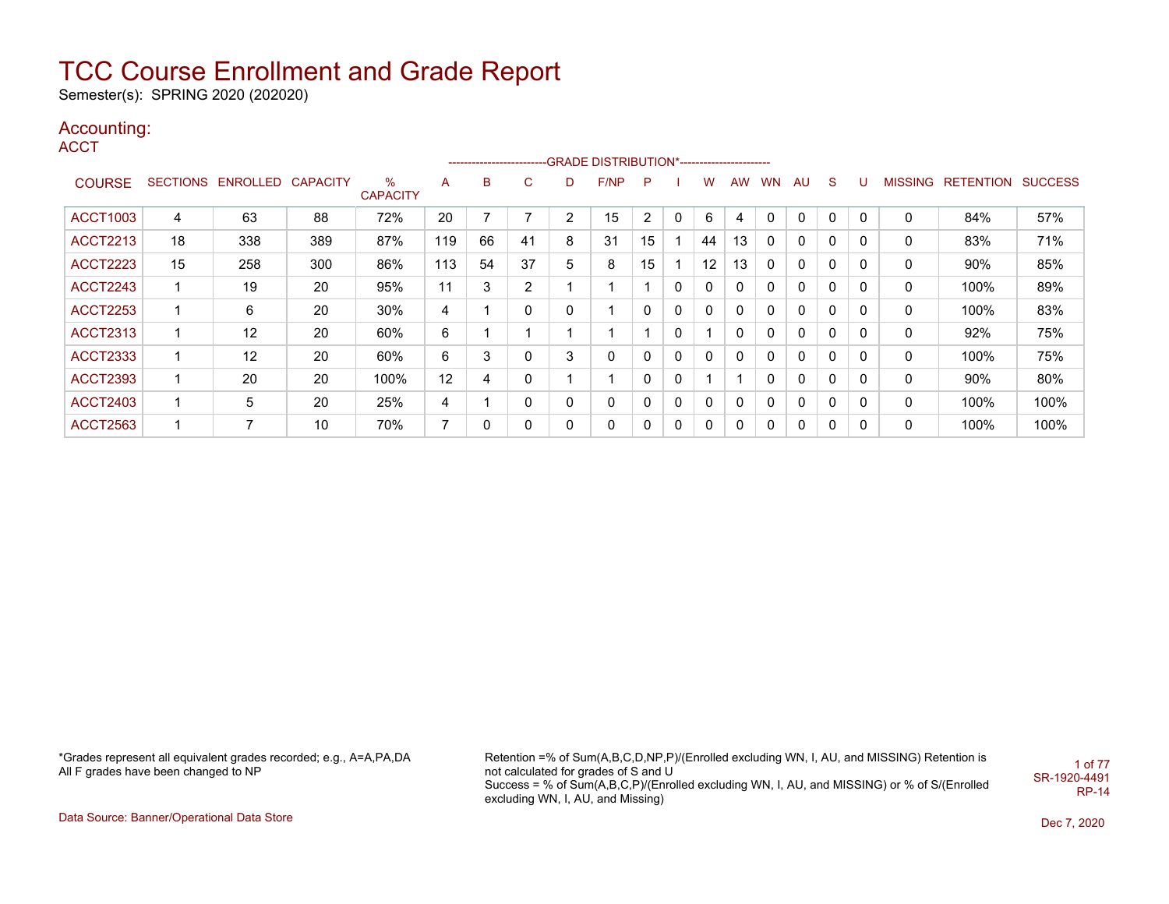Semester(s): SPRING 2020 (202020)

### Accounting:

**ACCT** 

|                 |    |                            |     |                      |                | ---------------------- |                |              |      |                |   |              |           |           |     |              |   |         |           |                |
|-----------------|----|----------------------------|-----|----------------------|----------------|------------------------|----------------|--------------|------|----------------|---|--------------|-----------|-----------|-----|--------------|---|---------|-----------|----------------|
| <b>COURSE</b>   |    | SECTIONS ENROLLED CAPACITY |     | %<br><b>CAPACITY</b> | A              | в                      | C              | D            | F/NP | P              |   | w            | <b>AW</b> | <b>WN</b> | AU. | S            | U | MISSING | RETENTION | <b>SUCCESS</b> |
| <b>ACCT1003</b> | 4  | 63                         | 88  | 72%                  | 20             |                        |                | 2            | 15   | $\overline{2}$ | 0 | 6            |           |           | 0   | $\mathbf 0$  | 0 | 0       | 84%       | 57%            |
| <b>ACCT2213</b> | 18 | 338                        | 389 | 87%                  | 119            | 66                     | 41             | 8            | 31   | 15             |   | 44           | 13        | 0         | 0   | 0            | 0 | 0       | 83%       | 71%            |
| <b>ACCT2223</b> | 15 | 258                        | 300 | 86%                  | 113            | 54                     | 37             | 5            | 8    | 15             |   | 12           | 13        | 0         | 0   | 0            | 0 | 0       | 90%       | 85%            |
| <b>ACCT2243</b> | 1  | 19                         | 20  | 95%                  | 11             | 3                      | $\overline{2}$ |              |      |                | 0 | $\mathbf{0}$ | 0         | 0         | 0   | 0            | 0 | 0       | 100%      | 89%            |
| <b>ACCT2253</b> | 1  | 6                          | 20  | 30%                  | 4              |                        | 0              | 0            |      | 0              | 0 | $\mathbf{0}$ | 0         | 0         | 0   | 0            | 0 | 0       | 100%      | 83%            |
| <b>ACCT2313</b> | 1  | 12                         | 20  | 60%                  | 6              |                        |                |              |      |                | 0 |              | 0         | 0         | 0   | 0            | 0 | 0       | 92%       | 75%            |
| <b>ACCT2333</b> | 1  | 12                         | 20  | 60%                  | 6              | 3                      | 0              | 3            | 0    | 0              | 0 | $\mathbf{0}$ | 0         | 0         | 0   | 0            | 0 | 0       | 100%      | 75%            |
| <b>ACCT2393</b> | 1  | 20                         | 20  | 100%                 | 12             | 4                      | 0              |              |      | 0              | 0 |              |           | 0         | 0   | 0            | 0 | 0       | 90%       | 80%            |
| <b>ACCT2403</b> | 1  | 5                          | 20  | 25%                  | 4              |                        | 0              | 0            | 0    | 0              | 0 | $\mathbf{0}$ | 0         | $\Omega$  | 0   | $\mathbf{0}$ | 0 | 0       | 100%      | 100%           |
| ACCT2563        | и  | 7                          | 10  | 70%                  | $\overline{ }$ | 0                      | 0              | $\mathbf{0}$ | 0    | 0              | 0 | $\mathbf{0}$ | 0         | 0         | 0   | 0            | 0 | 0       | 100%      | 100%           |

\*Grades represent all equivalent grades recorded; e.g., A=A,PA,DA All F grades have been changed to NP

Retention =% of Sum(A,B,C,D,NP,P)/(Enrolled excluding WN, I, AU, and MISSING) Retention is not calculated for grades of S and U Success = % of Sum(A,B,C,P)/(Enrolled excluding WN, I, AU, and MISSING) or % of S/(Enrolled excluding WN, I, AU, and Missing) 1 of 77 SR-1920-4491 RP-14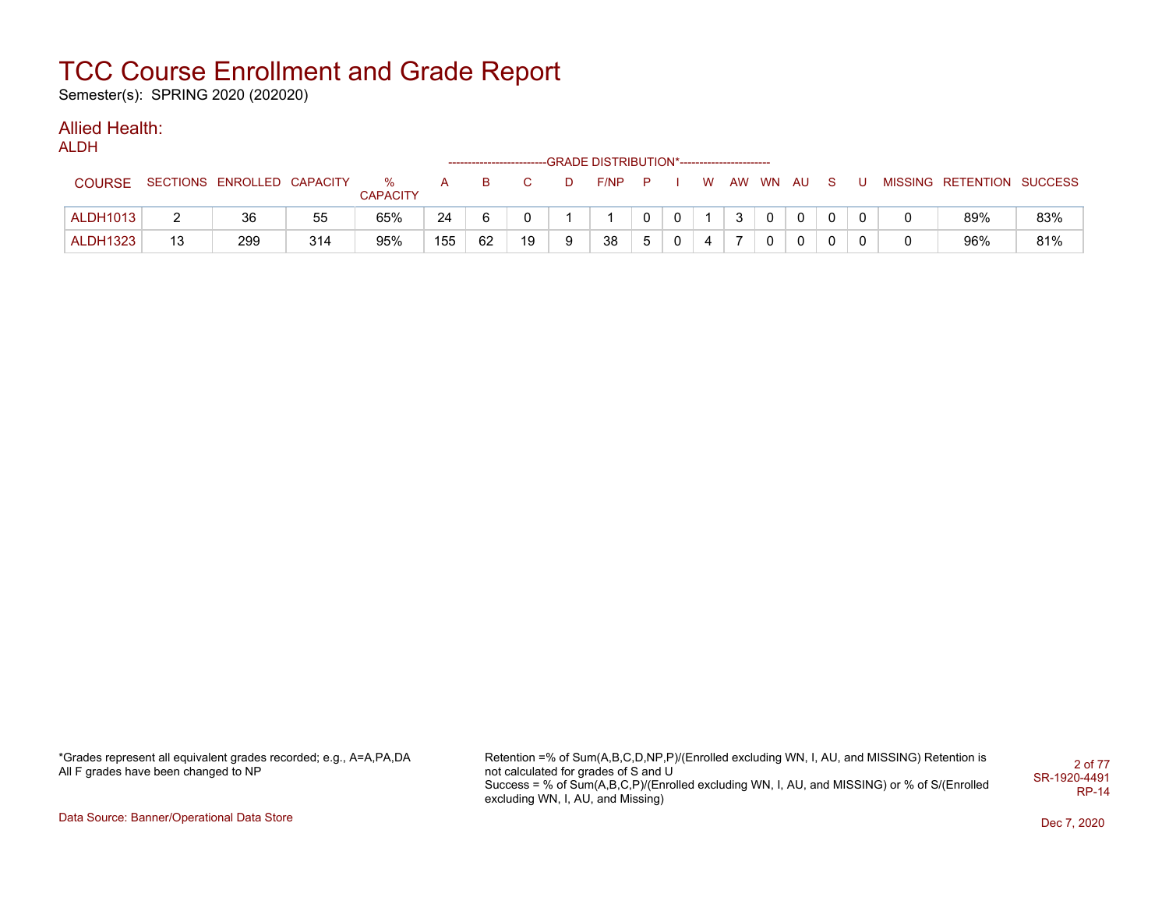Semester(s): SPRING 2020 (202020)

### Allied Health:

ALDH

|                 |          |                            |     |                      |     |    |    |   | -------------------------GRADE DISTRIBUTION*----------------------- |          |              |   |              |   |                |                |   |                           |     |
|-----------------|----------|----------------------------|-----|----------------------|-----|----|----|---|---------------------------------------------------------------------|----------|--------------|---|--------------|---|----------------|----------------|---|---------------------------|-----|
| <b>COURSE</b>   |          | SECTIONS ENROLLED CAPACITY |     | %<br><b>CAPACITY</b> | A   | B. |    |   | F/NP                                                                | — P      |              | W | AW WN AU     |   |                | S.             | U | MISSING RETENTION SUCCESS |     |
| <b>ALDH1013</b> | <u>.</u> | 36                         | 55  | 65%                  | 24  |    |    |   |                                                                     |          | $\mathbf{0}$ |   | $\mathbf{3}$ | 0 | $\overline{0}$ | $\mathbf{0}$   |   | 89%                       | 83% |
| <b>ALDH1323</b> | 13       | 299                        | 314 | 95%                  | 155 | 62 | 19 | 9 | 38                                                                  | <u>5</u> | $\mathbf{0}$ | 4 |              |   | $\Omega$       | $\overline{0}$ |   | 96%                       | 81% |

\*Grades represent all equivalent grades recorded; e.g., A=A,PA,DA All F grades have been changed to NP

Retention =% of Sum(A,B,C,D,NP,P)/(Enrolled excluding WN, I, AU, and MISSING) Retention is not calculated for grades of S and U Success = % of Sum(A,B,C,P)/(Enrolled excluding WN, I, AU, and MISSING) or % of S/(Enrolled excluding WN, I, AU, and Missing) 2 of 77 SR-1920-4491 RP-14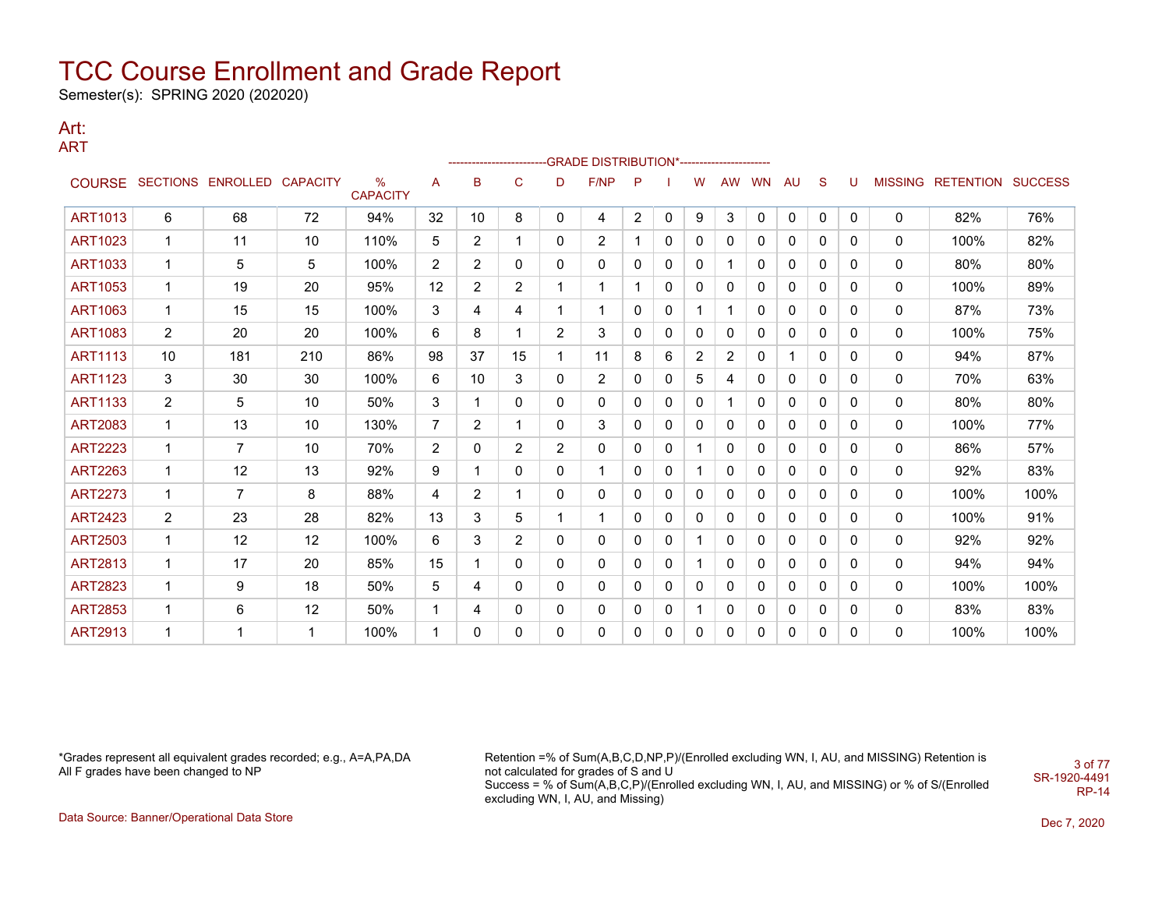Semester(s): SPRING 2020 (202020)

#### Art: ART

|                |                |                          |                 |                                  |                |                |                |                | ------------------------GRADE                DISTRIBUTION*---------------------- |              |   |                |                |           |             |   |              |                |                          |      |
|----------------|----------------|--------------------------|-----------------|----------------------------------|----------------|----------------|----------------|----------------|----------------------------------------------------------------------------------|--------------|---|----------------|----------------|-----------|-------------|---|--------------|----------------|--------------------------|------|
|                |                | COURSE SECTIONS ENROLLED | <b>CAPACITY</b> | $\frac{0}{0}$<br><b>CAPACITY</b> | Α              | B              | $\mathsf{C}$   | D              | F/NP                                                                             | P            |   | w              | <b>AW</b>      | <b>WN</b> | AU          | S | U            | <b>MISSING</b> | <b>RETENTION SUCCESS</b> |      |
| <b>ART1013</b> | 6              | 68                       | 72              | 94%                              | 32             | 10             | 8              | 0              | 4                                                                                | 2            | 0 | 9              | 3              | 0         | $\mathbf 0$ | 0 | 0            | 0              | 82%                      | 76%  |
| <b>ART1023</b> | 1              | 11                       | 10              | 110%                             | 5              | $\overline{2}$ |                | 0              | $\mathbf{2}^{\prime}$                                                            | 1            | 0 | 0              | 0              | 0         | 0           | 0 | 0            | 0              | 100%                     | 82%  |
| <b>ART1033</b> | 1              | 5                        | 5               | 100%                             | 2              | 2              | $\mathbf{0}$   | 0              | 0                                                                                | $\mathbf{0}$ | 0 | 0              | 1              | 0         | 0           | 0 | 0            | $\Omega$       | 80%                      | 80%  |
| <b>ART1053</b> | -1             | 19                       | 20              | 95%                              | $12 \,$        | 2              | 2              | 1              |                                                                                  | 1            | 0 | 0              | $\mathbf{0}$   | 0         | 0           | 0 | $\Omega$     | 0              | 100%                     | 89%  |
| <b>ART1063</b> | 1              | 15                       | 15              | 100%                             | 3              | 4              | 4              | 1              | 1                                                                                | $\mathbf{0}$ | 0 | 1              | 1              | 0         | 0           | 0 | $\mathbf{0}$ | $\mathbf{0}$   | 87%                      | 73%  |
| <b>ART1083</b> | $\overline{2}$ | 20                       | 20              | 100%                             | 6              | 8              |                | $\overline{2}$ | 3                                                                                | 0            | 0 | 0              | 0              | 0         | 0           | 0 | 0            | 0              | 100%                     | 75%  |
| <b>ART1113</b> | 10             | 181                      | 210             | 86%                              | 98             | 37             | 15             | 1              | 11                                                                               | 8            | 6 | $\overline{2}$ | $\overline{2}$ | 0         |             | 0 | 0            | 0              | 94%                      | 87%  |
| <b>ART1123</b> | 3              | 30                       | 30              | 100%                             | 6              | 10             | 3              | $\mathbf{0}$   | 2                                                                                | 0            | 0 | 5              | 4              | 0         | 0           | 0 | 0            | 0              | 70%                      | 63%  |
| <b>ART1133</b> | $\overline{2}$ | 5                        | 10              | 50%                              | 3              | 1              | 0              | $\mathbf{0}$   | 0                                                                                | 0            | 0 | 0              | 1              | 0         | 0           | 0 | 0            | $\mathbf{0}$   | 80%                      | 80%  |
| <b>ART2083</b> | -1             | 13                       | 10              | 130%                             | 7              | 2              |                | $\mathbf{0}$   | 3                                                                                | $\mathbf{0}$ | 0 | 0              | $\mathbf{0}$   | 0         | 0           | 0 | 0            | $\mathbf{0}$   | 100%                     | 77%  |
| <b>ART2223</b> | -1             | $\overline{7}$           | 10              | 70%                              | $\overline{2}$ | 0              | $\overline{2}$ | $\overline{2}$ | 0                                                                                | 0            | 0 |                | 0              | 0         | 0           | 0 | 0            | 0              | 86%                      | 57%  |
| <b>ART2263</b> | 1              | 12                       | 13              | 92%                              | 9              | 1              | 0              | 0              |                                                                                  | 0            | 0 | 1              | 0              | 0         | 0           | 0 | 0            | 0              | 92%                      | 83%  |
| <b>ART2273</b> | 1              | 7                        | 8               | 88%                              | 4              | 2              |                | 0              | 0                                                                                | 0            | 0 | 0              | $\Omega$       | 0         | 0           | 0 | $\mathbf{0}$ | 0              | 100%                     | 100% |
| <b>ART2423</b> | $\overline{2}$ | 23                       | 28              | 82%                              | 13             | 3              | 5              | 1              |                                                                                  | 0            | 0 | 0              | $\mathbf{0}$   | 0         | 0           | 0 | $\mathbf{0}$ | 0              | 100%                     | 91%  |
| <b>ART2503</b> | 1              | 12                       | 12              | 100%                             | 6              | 3              | $\overline{2}$ | 0              | 0                                                                                | $\mathbf{0}$ | 0 |                | 0              | 0         | 0           | 0 | 0            | 0              | 92%                      | 92%  |
| <b>ART2813</b> | 1              | 17                       | 20              | 85%                              | 15             | -1             | $\Omega$       | $\mathbf{0}$   | 0                                                                                | $\Omega$     | 0 |                | $\mathbf{0}$   | 0         | 0           | 0 | 0            | 0              | 94%                      | 94%  |
| <b>ART2823</b> | 1              | 9                        | 18              | 50%                              | 5              | 4              | 0              | 0              | 0                                                                                | 0            | 0 | 0              | 0              | 0         | 0           | 0 | 0            | $\Omega$       | 100%                     | 100% |
| <b>ART2853</b> | -1             | 6                        | 12              | 50%                              | -1             | 4              | $\mathbf{0}$   | 0              | 0                                                                                | 0            | 0 |                | 0              | 0         | 0           | 0 | 0            | 0              | 83%                      | 83%  |
| <b>ART2913</b> | 1              | 1                        | 1               | 100%                             | 1              | $\mathbf 0$    | 0              | 0              | 0                                                                                | 0            | 0 | 0              | 0              | 0         | 0           | 0 | 0            | 0              | 100%                     | 100% |

\*Grades represent all equivalent grades recorded; e.g., A=A,PA,DA All F grades have been changed to NP

Retention =% of Sum(A,B,C,D,NP,P)/(Enrolled excluding WN, I, AU, and MISSING) Retention is not calculated for grades of S and U Success = % of Sum(A,B,C,P)/(Enrolled excluding WN, I, AU, and MISSING) or % of S/(Enrolled excluding WN, I, AU, and Missing) SR-1920-4491

3 of 77

RP-14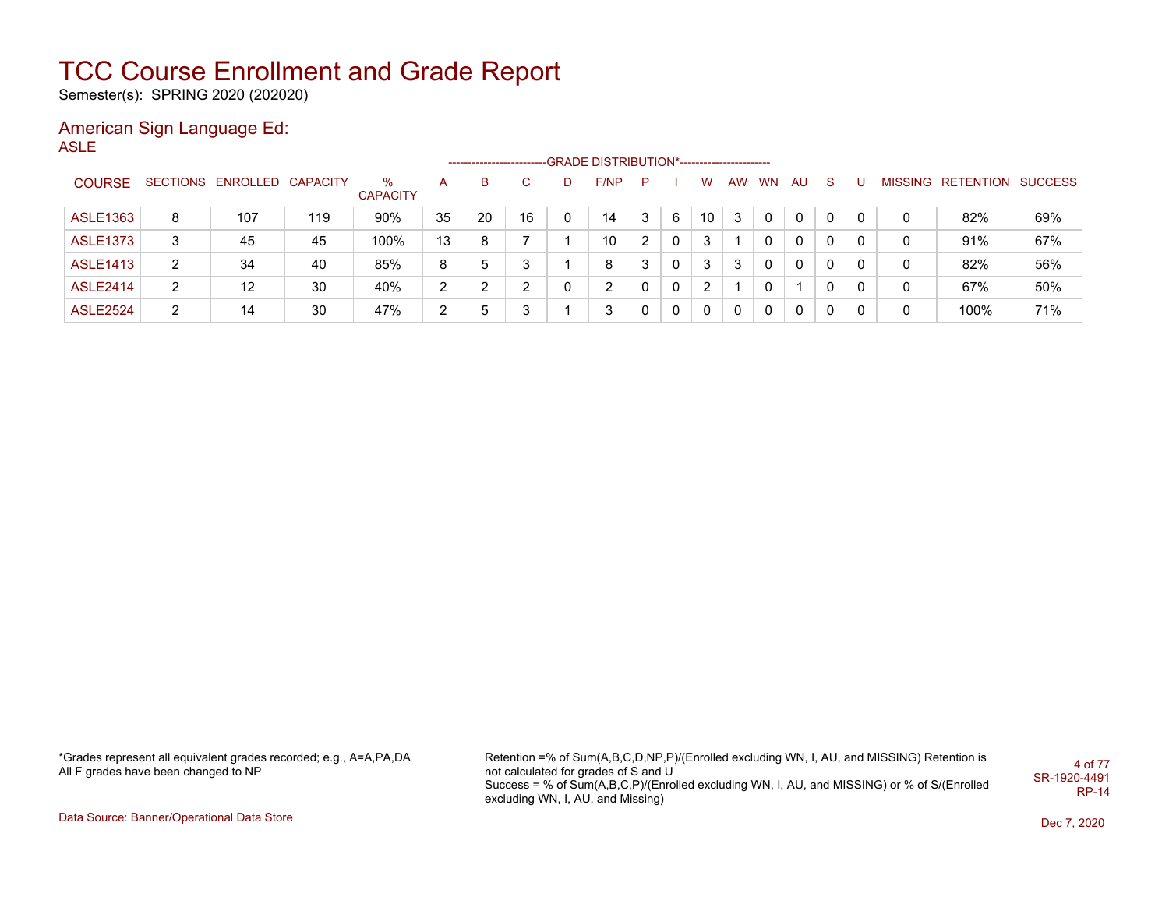Semester(s): SPRING 2020 (202020)

### American Sign Language Ed:

ASLE

|                 |   |                            |     |                      |                       |    |    |    | -----------------------GRADE                 DISTRIBUTION*---------------------- |   |                |     |   |       |          |          |   |   |                           |     |
|-----------------|---|----------------------------|-----|----------------------|-----------------------|----|----|----|----------------------------------------------------------------------------------|---|----------------|-----|---|-------|----------|----------|---|---|---------------------------|-----|
| <b>COURSE</b>   |   | SECTIONS ENROLLED CAPACITY |     | ℅<br><b>CAPACITY</b> | А                     | в  |    | D. | F/NP                                                                             | P |                | W   |   | AW WN | AU       | S.       |   |   | MISSING RETENTION SUCCESS |     |
| <b>ASLE1363</b> | 8 | 107                        | 119 | 90%                  | 35                    | 20 | 16 | 0  | 14                                                                               |   | 6              | 10  | 3 |       | $\Omega$ | 0        | 0 | 0 | 82%                       | 69% |
| <b>ASLE1373</b> | 3 | 45                         | 45  | 100%                 | 13                    | 8  |    |    | 10                                                                               |   | $\mathbf{0}$   | 3   |   |       | $\Omega$ | $\Omega$ | 0 | 0 | 91%                       | 67% |
| <b>ASLE1413</b> | 2 | 34                         | 40  | 85%                  | 8                     | 5  | 3  |    | 8                                                                                |   | $\mathbf{0}$   | 3   | 3 |       | $\Omega$ | $\Omega$ | 0 | 0 | 82%                       | 56% |
| <b>ASLE2414</b> | 2 | 12                         | 30  | 40%                  | $\mathbf{2}^{\prime}$ | ົ  | ົ  |    | $\overline{2}$                                                                   |   | $\mathbf{0}$   | 2   |   |       |          | 0        | 0 | 0 | 67%                       | 50% |
| <b>ASLE2524</b> | 2 | 14                         | 30  | 47%                  | 2                     | 5  | 3  |    | 3                                                                                |   | $\overline{0}$ | - 0 |   |       | $\Omega$ | $\Omega$ |   | 0 | 100%                      | 71% |

\*Grades represent all equivalent grades recorded; e.g., A=A,PA,DA All F grades have been changed to NP

Retention =% of Sum(A,B,C,D,NP,P)/(Enrolled excluding WN, I, AU, and MISSING) Retention is not calculated for grades of S and U Success = % of Sum(A,B,C,P)/(Enrolled excluding WN, I, AU, and MISSING) or % of S/(Enrolled excluding WN, I, AU, and Missing) 4 of 77 SR-1920-4491 RP-14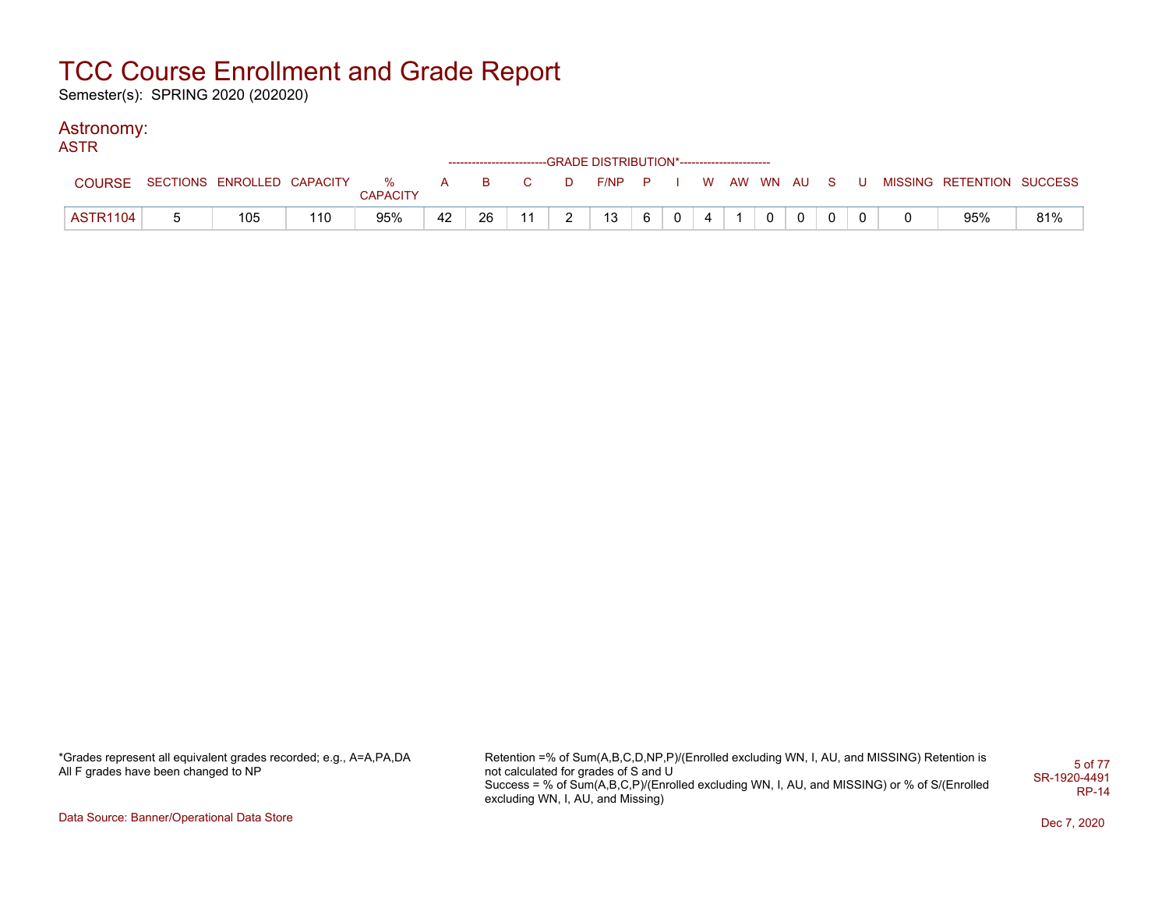Semester(s): SPRING 2020 (202020)

#### Astronomy: ASTR

| AJIR            |                            |     |                      |     |    |              |        | ------------------------GRADE                DISTRIBUTION*---------------------- |   |          |  |              |          |     |                           |     |
|-----------------|----------------------------|-----|----------------------|-----|----|--------------|--------|----------------------------------------------------------------------------------|---|----------|--|--------------|----------|-----|---------------------------|-----|
| <b>COURSE</b>   | SECTIONS ENROLLED CAPACITY |     | %<br><b>CAPACITY</b> | A a | B  | $\mathbf{C}$ | D      | $F/NP$ $P$ I                                                                     |   |          |  | W AW WN AU S |          | . U | MISSING RETENTION SUCCESS |     |
| <b>ASTR1104</b> | 105                        | 110 | 95%                  | 42  | 26 | 11           | $\sim$ | 13                                                                               | 6 | $\Omega$ |  | $\Omega$     | $\Omega$ |     | 95%                       | 81% |

\*Grades represent all equivalent grades recorded; e.g., A=A,PA,DA All F grades have been changed to NP

Retention =% of Sum(A,B,C,D,NP,P)/(Enrolled excluding WN, I, AU, and MISSING) Retention is not calculated for grades of S and U Success = % of Sum(A,B,C,P)/(Enrolled excluding WN, I, AU, and MISSING) or % of S/(Enrolled excluding WN, I, AU, and Missing) 5 of 77 SR-1920-4491 RP-14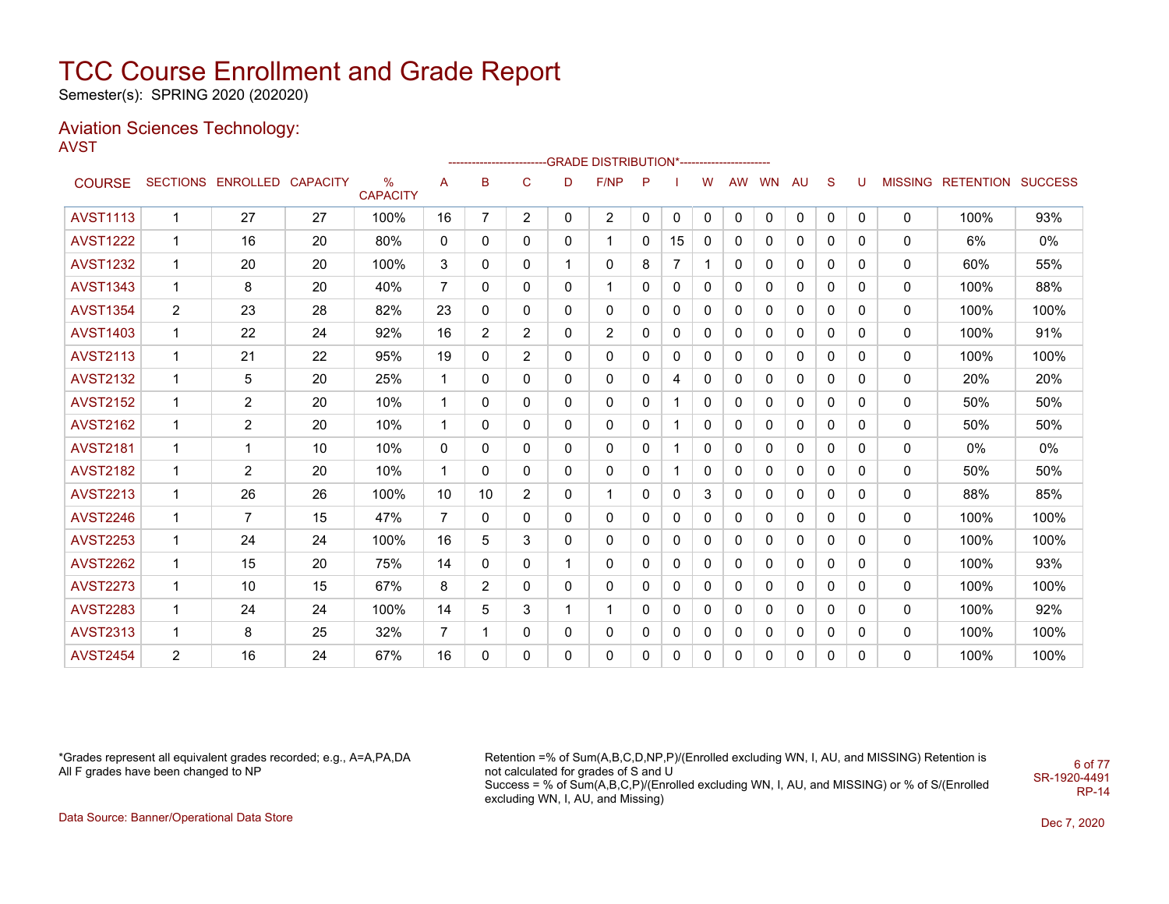Semester(s): SPRING 2020 (202020)

#### Aviation Sciences Technology: AVST

|                 |                |                            |    |                         |                |                |                |   | ------------------------GRADE                DISTRIBUTION*---------------------- |              |                |              |              |           |              |              |          |             |                           |       |
|-----------------|----------------|----------------------------|----|-------------------------|----------------|----------------|----------------|---|----------------------------------------------------------------------------------|--------------|----------------|--------------|--------------|-----------|--------------|--------------|----------|-------------|---------------------------|-------|
| <b>COURSE</b>   |                | SECTIONS ENROLLED CAPACITY |    | $\%$<br><b>CAPACITY</b> | A              | в              | C              | D | F/NP                                                                             | P            |                | W            | AW           | <b>WN</b> | <b>AU</b>    | -S           | U        |             | MISSING RETENTION SUCCESS |       |
| <b>AVST1113</b> | $\mathbf{1}$   | 27                         | 27 | 100%                    | 16             | $\overline{7}$ | $\overline{2}$ | 0 | $\overline{2}$                                                                   | $\mathbf{0}$ | 0              | 0            | 0            | 0         | $\mathbf 0$  | 0            | 0        | $\mathbf 0$ | 100%                      | 93%   |
| <b>AVST1222</b> | 1              | 16                         | 20 | 80%                     | 0              | 0              | 0              | 0 | 1                                                                                | 0            | 15             | 0            | 0            | 0         | 0            | 0            | 0        | 0           | 6%                        | $0\%$ |
| <b>AVST1232</b> | $\mathbf 1$    | 20                         | 20 | 100%                    | 3              | 0              | 0              | 1 | 0                                                                                | 8            | $\overline{7}$ | 1            | 0            | 0         | 0            | 0            | 0        | 0           | 60%                       | 55%   |
| <b>AVST1343</b> | $\mathbf{1}$   | 8                          | 20 | 40%                     | $\overline{7}$ | 0              | 0              | 0 | 1                                                                                | 0            | 0              | $\mathbf{0}$ | 0            | 0         | 0            | 0            | 0        | 0           | 100%                      | 88%   |
| <b>AVST1354</b> | $\overline{2}$ | 23                         | 28 | 82%                     | 23             | 0              | 0              | 0 | 0                                                                                | 0            | 0              | $\mathbf{0}$ | $\mathbf{0}$ | 0         | 0            | $\mathbf{0}$ | 0        | 0           | 100%                      | 100%  |
| <b>AVST1403</b> | 1              | 22                         | 24 | 92%                     | 16             | $\overline{2}$ | $\overline{2}$ | 0 | $\overline{2}$                                                                   | 0            | 0              | $\mathbf{0}$ | $\mathbf{0}$ | 0         | 0            | 0            | 0        | 0           | 100%                      | 91%   |
| <b>AVST2113</b> | $\mathbf{1}$   | 21                         | 22 | 95%                     | 19             | 0              | 2              | 0 | 0                                                                                | 0            | 0              | 0            | 0            | 0         | 0            | 0            | 0        | 0           | 100%                      | 100%  |
| <b>AVST2132</b> | 1              | 5                          | 20 | 25%                     | 1              | 0              | 0              | 0 | 0                                                                                | 0            | 4              | $\mathbf{0}$ | 0            | 0         | 0            | $\mathbf{0}$ | 0        | 0           | 20%                       | 20%   |
| <b>AVST2152</b> | $\mathbf{1}$   | $\overline{2}$             | 20 | 10%                     | 1              | $\mathbf{0}$   | 0              | 0 | 0                                                                                | $\Omega$     |                | $\mathbf{0}$ | $\mathbf{0}$ | $\Omega$  | $\mathbf{0}$ | $\mathbf{0}$ | 0        | 0           | 50%                       | 50%   |
| <b>AVST2162</b> | 1              | $\overline{2}$             | 20 | 10%                     |                | 0              | 0              | 0 | 0                                                                                | 0            |                | 0            | 0            | 0         | 0            | 0            | 0        | 0           | 50%                       | 50%   |
| <b>AVST2181</b> | 1              | 1                          | 10 | 10%                     | 0              | 0              | 0              | 0 | 0                                                                                | 0            | -1             | 0            | 0            | 0         | 0            | 0            | 0        | 0           | $0\%$                     | 0%    |
| <b>AVST2182</b> | $\mathbf{1}$   | $\overline{2}$             | 20 | 10%                     | 1              | 0              | 0              | 0 | 0                                                                                | $\Omega$     |                | $\mathbf{0}$ | $\Omega$     | 0         | 0            | $\mathbf{0}$ | $\Omega$ | 0           | 50%                       | 50%   |
| <b>AVST2213</b> | 1              | 26                         | 26 | 100%                    | 10             | 10             | $\overline{2}$ | 0 | 1                                                                                | 0            | 0              | 3            | $\mathbf{0}$ | 0         | 0            | $\mathbf{0}$ | 0        | 0           | 88%                       | 85%   |
| <b>AVST2246</b> | $\mathbf{1}$   | 7                          | 15 | 47%                     | $\overline{7}$ | 0              | 0              | 0 | 0                                                                                | 0            | 0              | $\mathbf{0}$ | 0            | 0         | 0            | 0            | 0        | 0           | 100%                      | 100%  |
| <b>AVST2253</b> | $\mathbf{1}$   | 24                         | 24 | 100%                    | 16             | 5              | 3              | 0 | 0                                                                                | 0            | 0              | 0            | 0            | 0         | 0            | 0            | 0        | 0           | 100%                      | 100%  |
| <b>AVST2262</b> | 1              | 15                         | 20 | 75%                     | 14             | 0              | 0              |   | 0                                                                                | 0            | 0              | $\mathbf{0}$ | $\mathbf{0}$ | 0         | 0            | $\mathbf{0}$ | 0        | 0           | 100%                      | 93%   |
| <b>AVST2273</b> | $\mathbf{1}$   | 10                         | 15 | 67%                     | 8              | $\overline{2}$ | 0              | 0 | 0                                                                                | 0            | 0              | $\mathbf{0}$ | 0            | 0         | 0            | 0            | 0        | 0           | 100%                      | 100%  |
| <b>AVST2283</b> | 1              | 24                         | 24 | 100%                    | 14             | 5              | 3              | 1 | 1                                                                                | $\Omega$     | 0              | 0            | 0            | 0         | 0            | 0            | 0        | 0           | 100%                      | 92%   |
| <b>AVST2313</b> | $\mathbf 1$    | 8                          | 25 | 32%                     | 7              |                | 0              | 0 | 0                                                                                | 0            | 0              | 0            | 0            | 0         | 0            | 0            | 0        | 0           | 100%                      | 100%  |
| <b>AVST2454</b> | $\overline{2}$ | 16                         | 24 | 67%                     | 16             | 0              | 0              | 0 | 0                                                                                | 0            | 0              | 0            | 0            | 0         | 0            | 0            | 0        | 0           | 100%                      | 100%  |

\*Grades represent all equivalent grades recorded; e.g., A=A,PA,DA All F grades have been changed to NP

Retention =% of Sum(A,B,C,D,NP,P)/(Enrolled excluding WN, I, AU, and MISSING) Retention is not calculated for grades of S and U Success = % of Sum(A,B,C,P)/(Enrolled excluding WN, I, AU, and MISSING) or % of S/(Enrolled excluding WN, I, AU, and Missing) SR-1920-4491

6 of 77

RP-14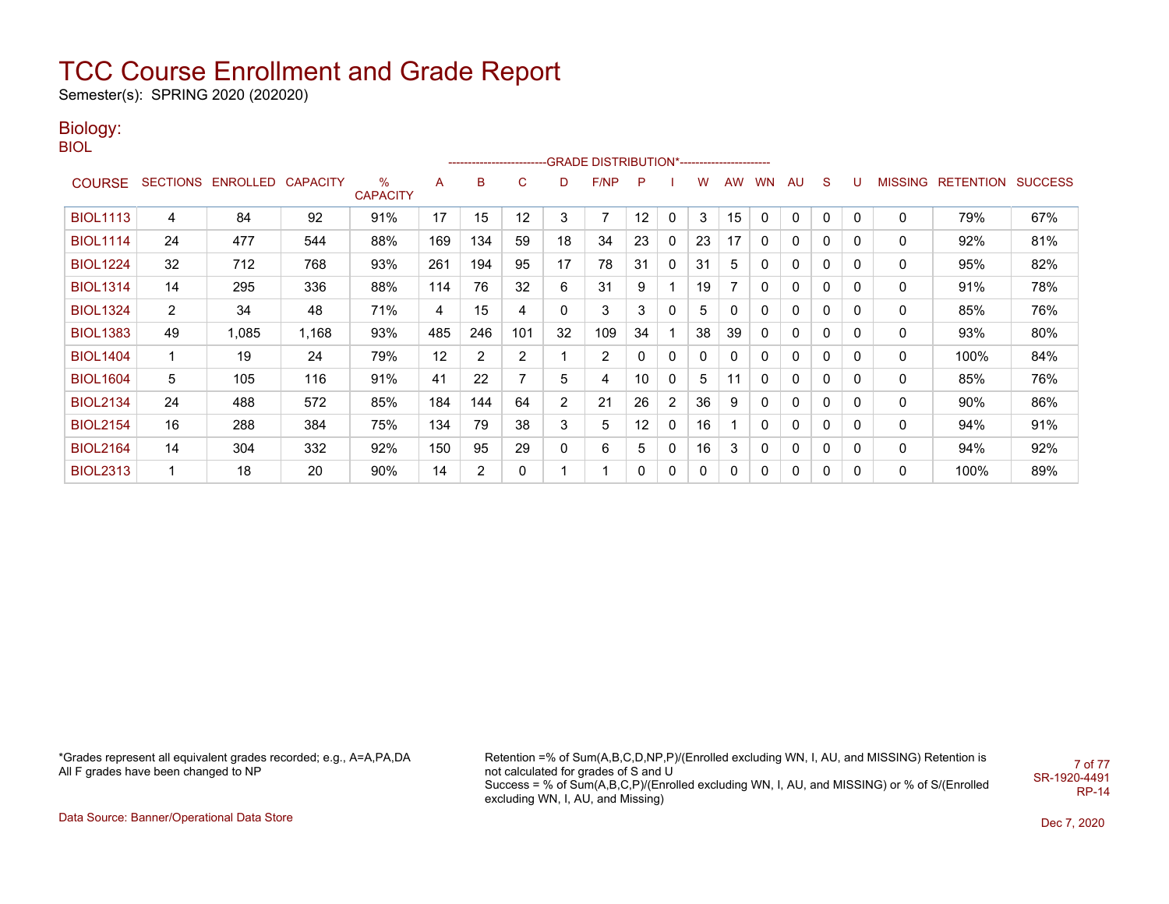Semester(s): SPRING 2020 (202020)

### Biology:

BIOL

|                 |                       |                            |       |                      |     |     |                |                | ------------------------GRADE                DISTRIBUTION*---------------------- |    |                       |    |           |              |              |              |          |                |                  |                |
|-----------------|-----------------------|----------------------------|-------|----------------------|-----|-----|----------------|----------------|----------------------------------------------------------------------------------|----|-----------------------|----|-----------|--------------|--------------|--------------|----------|----------------|------------------|----------------|
| <b>COURSE</b>   |                       | SECTIONS ENROLLED CAPACITY |       | %<br><b>CAPACITY</b> | A   | B   | C              | D              | F/NP                                                                             | P  |                       | w  | <b>AW</b> | <b>WN</b>    | AU           | S            | U        | <b>MISSING</b> | <b>RETENTION</b> | <b>SUCCESS</b> |
| <b>BIOL1113</b> | 4                     | 84                         | 92    | 91%                  | 17  | 15  | 12             | 3              | 7                                                                                | 12 | 0                     | 3  | 15        | $\mathbf{0}$ | $\mathbf{0}$ | $\mathbf{0}$ | $\Omega$ | 0              | 79%              | 67%            |
| <b>BIOL1114</b> | 24                    | 477                        | 544   | 88%                  | 169 | 134 | 59             | 18             | 34                                                                               | 23 | 0                     | 23 | 17        | 0            | 0            | 0            | 0        | 0              | 92%              | 81%            |
| <b>BIOL1224</b> | 32                    | 712                        | 768   | 93%                  | 261 | 194 | 95             | 17             | 78                                                                               | 31 | 0                     | 31 | 5         | 0            | 0            | 0            | 0        | 0              | 95%              | 82%            |
| <b>BIOL1314</b> | 14                    | 295                        | 336   | 88%                  | 114 | 76  | 32             | 6              | 31                                                                               | 9  |                       | 19 |           | 0            | 0            | $\mathbf{0}$ | 0        | 0              | 91%              | 78%            |
| <b>BIOL1324</b> | $\mathbf{2}^{\prime}$ | 34                         | 48    | 71%                  | 4   | 15  | 4              | 0              | 3                                                                                | 3  | 0                     | 5  | 0         | 0            | 0            | $\mathbf{0}$ | $\Omega$ | 0              | 85%              | 76%            |
| <b>BIOL1383</b> | 49                    | .085                       | 1,168 | 93%                  | 485 | 246 | 101            | 32             | 109                                                                              | 34 |                       | 38 | 39        | 0            | 0            | 0            | 0        | 0              | 93%              | 80%            |
| <b>BIOL1404</b> | 1                     | 19                         | 24    | 79%                  | 12  | 2   | $\overline{2}$ |                | 2                                                                                | 0  | 0                     | 0  | 0         | 0            | 0            | 0            | 0        | 0              | 100%             | 84%            |
| <b>BIOL1604</b> | 5                     | 105                        | 116   | 91%                  | 41  | 22  |                | 5              | 4                                                                                | 10 | 0                     | 5  | 11        | 0            | 0            | 0            | 0        | 0              | 85%              | 76%            |
| <b>BIOL2134</b> | 24                    | 488                        | 572   | 85%                  | 184 | 144 | 64             | $\overline{2}$ | 21                                                                               | 26 | $\mathbf{2}^{\prime}$ | 36 | 9         | 0            | 0            | $\mathbf{0}$ | $\Omega$ | 0              | 90%              | 86%            |
| <b>BIOL2154</b> | 16                    | 288                        | 384   | 75%                  | 134 | 79  | 38             | 3              | 5                                                                                | 12 | 0                     | 16 |           | 0            | 0            | 0            | 0        | 0              | 94%              | 91%            |
| <b>BIOL2164</b> | 14                    | 304                        | 332   | 92%                  | 150 | 95  | 29             | 0              | 6                                                                                | 5  | 0                     | 16 | 3         | 0            | 0            | $\mathbf{0}$ | 0        | 0              | 94%              | 92%            |
| <b>BIOL2313</b> |                       | 18                         | 20    | 90%                  | 14  | 2   | 0              |                |                                                                                  | 0  | 0                     | 0  | 0         | 0            | 0            | $\mathbf{0}$ | 0        | 0              | 100%             | 89%            |

\*Grades represent all equivalent grades recorded; e.g., A=A,PA,DA All F grades have been changed to NP

Retention =% of Sum(A,B,C,D,NP,P)/(Enrolled excluding WN, I, AU, and MISSING) Retention is not calculated for grades of S and U Success = % of Sum(A,B,C,P)/(Enrolled excluding WN, I, AU, and MISSING) or % of S/(Enrolled excluding WN, I, AU, and Missing) 7 of 77 SR-1920-4491 RP-14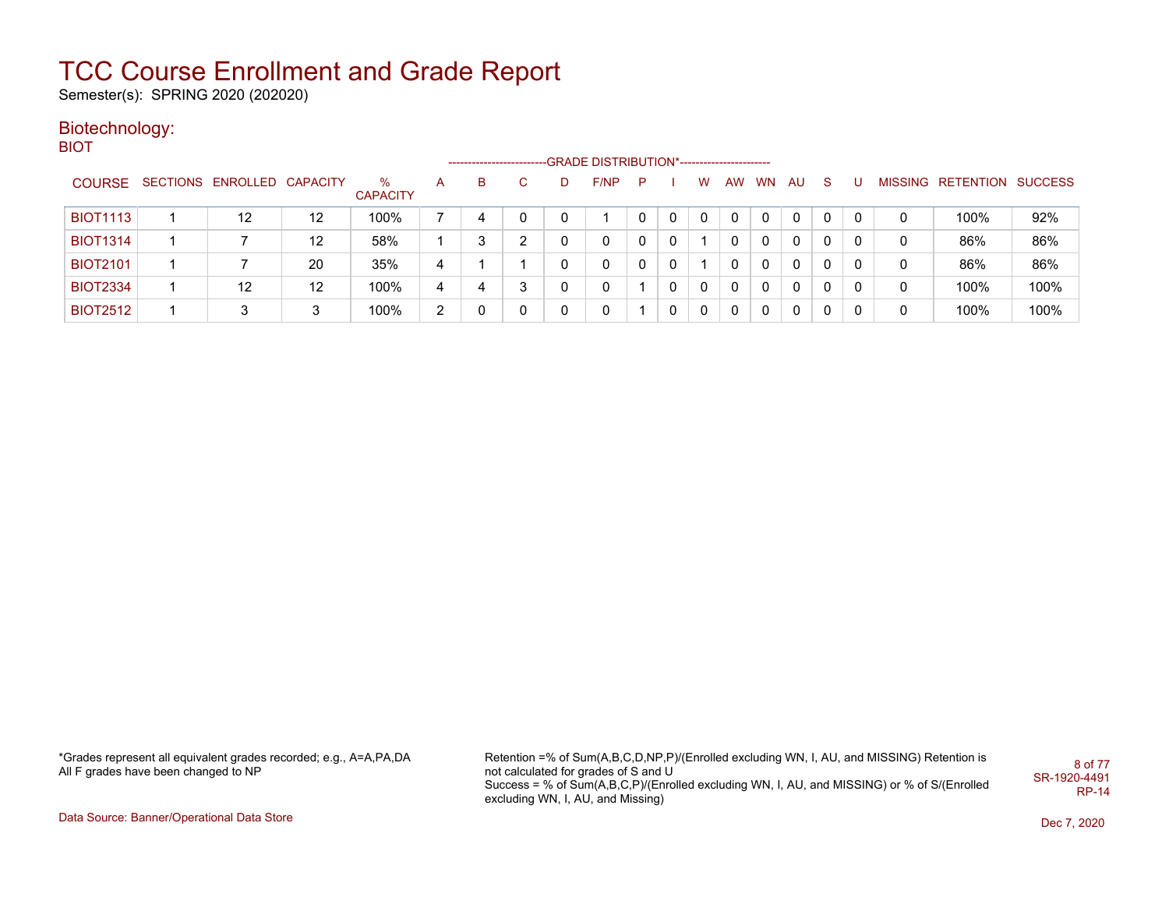Semester(s): SPRING 2020 (202020)

### Biotechnology:

BIOT

|                 |                            |    |                      |                | --------------------- |    |   | -GRADE DISTRIBUTION*----------------------- |   |   |   |    |           |     |    |   |   |                           |      |
|-----------------|----------------------------|----|----------------------|----------------|-----------------------|----|---|---------------------------------------------|---|---|---|----|-----------|-----|----|---|---|---------------------------|------|
| <b>COURSE</b>   | SECTIONS ENROLLED CAPACITY |    | ℅<br><b>CAPACITY</b> | A              | в                     | C. | D | F/NP                                        | P |   | W | AW | <b>WN</b> | AU. | -S |   |   | MISSING RETENTION SUCCESS |      |
| <b>BIOT1113</b> | 12                         | 12 | 100%                 |                |                       |    |   |                                             |   | 0 | 0 | 0  | 0         | 0   |    | 0 |   | 100%                      | 92%  |
| <b>BIOT1314</b> |                            | 12 | 58%                  |                | 3                     | ົ  |   | 0                                           |   | 0 |   |    | 0         | 0   | 0  |   | 0 | 86%                       | 86%  |
| <b>BIOT2101</b> |                            | 20 | 35%                  | 4              |                       |    |   | 0                                           |   | 0 |   |    | 0         | 0   | 0  | 0 | 0 | 86%                       | 86%  |
| <b>BIOT2334</b> | 12                         | 12 | 100%                 | 4              |                       | 3  |   | 0                                           |   | 0 | 0 | 0  | $\Omega$  | 0   | 0  | 0 | 0 | 100%                      | 100% |
| <b>BIOT2512</b> | 3                          | 3  | 100%                 | $\overline{2}$ |                       | 0  |   | 0                                           |   | 0 | 0 | 0  | 0         | 0   | 0  |   | 0 | 100%                      | 100% |

\*Grades represent all equivalent grades recorded; e.g., A=A,PA,DA All F grades have been changed to NP

Retention =% of Sum(A,B,C,D,NP,P)/(Enrolled excluding WN, I, AU, and MISSING) Retention is not calculated for grades of S and U Success = % of Sum(A,B,C,P)/(Enrolled excluding WN, I, AU, and MISSING) or % of S/(Enrolled excluding WN, I, AU, and Missing) 8 of 77 SR-1920-4491 RP-14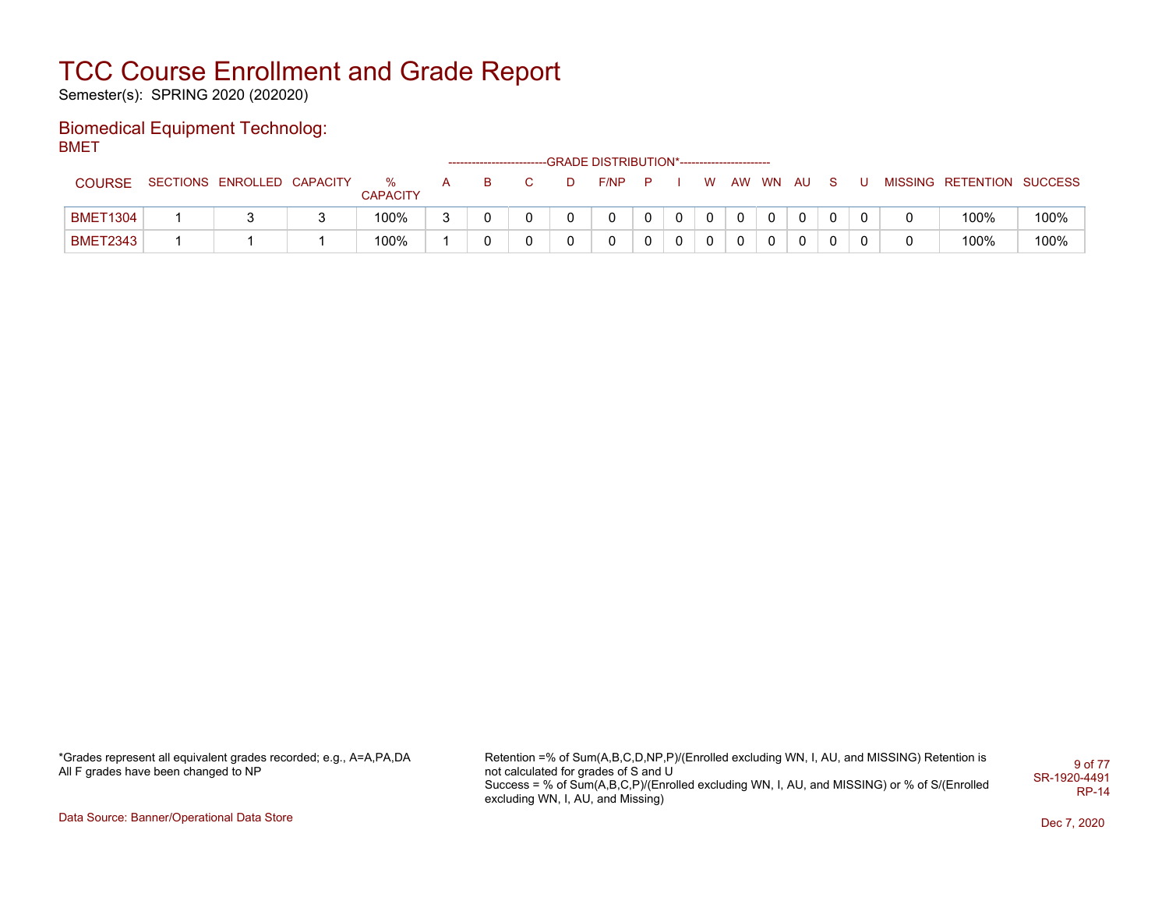Semester(s): SPRING 2020 (202020)

#### Biomedical Equipment Technolog: BMET

|                 |                            |                      |   |  |   | ------------------------GRADE DISTRIBUTION*----------------------- |  |    |           |  |  |                           |      |
|-----------------|----------------------------|----------------------|---|--|---|--------------------------------------------------------------------|--|----|-----------|--|--|---------------------------|------|
| <b>COURSE</b>   | SECTIONS ENROLLED CAPACITY | %<br><b>CAPACITY</b> | A |  | D | $F/NP$ $P$                                                         |  | W. | AW WN AUS |  |  | MISSING RETENTION SUCCESS |      |
| <b>BMET1304</b> |                            | 100%                 |   |  |   |                                                                    |  |    |           |  |  | 100%                      | 100% |
| <b>BMET2343</b> |                            | 100%                 |   |  |   |                                                                    |  |    |           |  |  | 100%                      | 100% |

\*Grades represent all equivalent grades recorded; e.g., A=A,PA,DA All F grades have been changed to NP

Retention =% of Sum(A,B,C,D,NP,P)/(Enrolled excluding WN, I, AU, and MISSING) Retention is not calculated for grades of S and U Success = % of Sum(A,B,C,P)/(Enrolled excluding WN, I, AU, and MISSING) or % of S/(Enrolled excluding WN, I, AU, and Missing) 9 of 77 SR-1920-4491 RP-14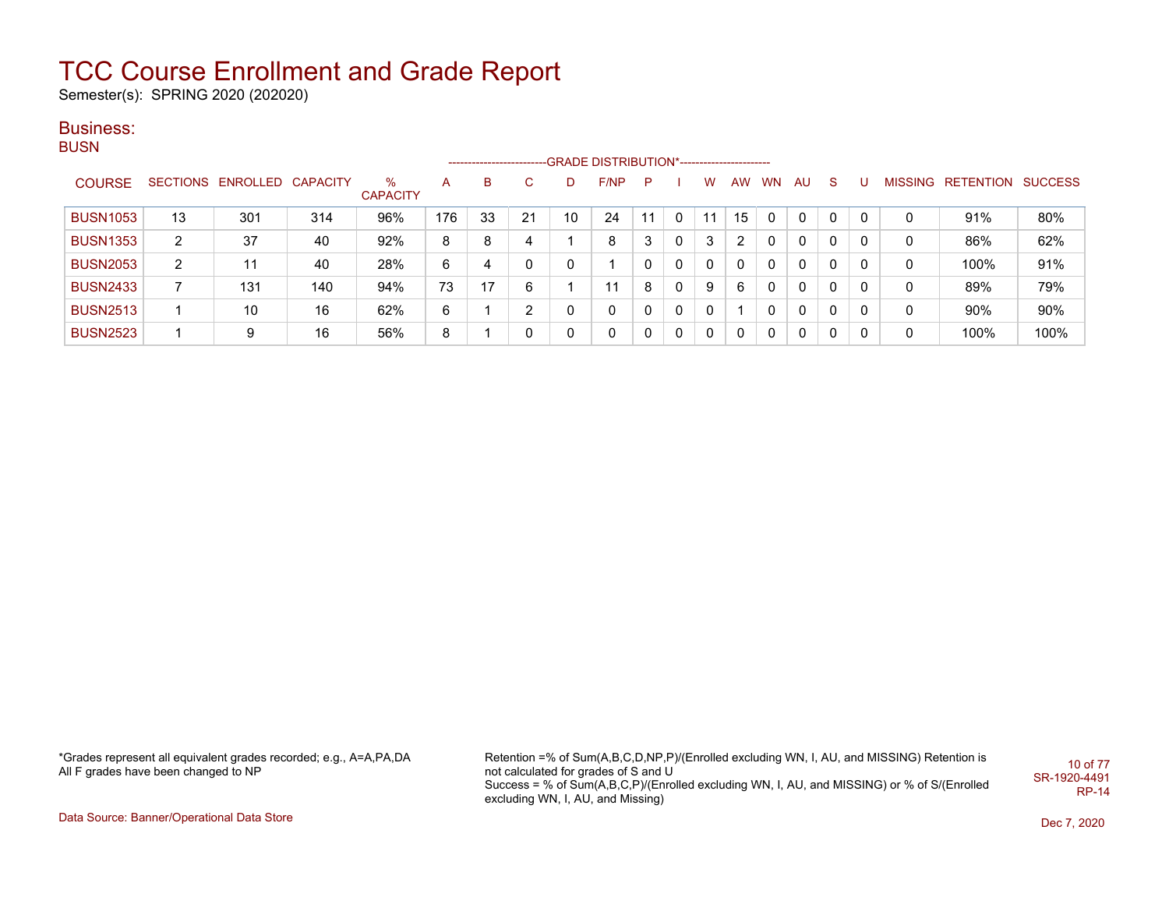Semester(s): SPRING 2020 (202020)

#### Business: **BUSN**

|                 |                |                   |     |                      |     | ------------------------ |    |    | -- GRADE DISTRIBUTION*------------------------ |    |              |    |              |           |              |              |              |                |           |                |
|-----------------|----------------|-------------------|-----|----------------------|-----|--------------------------|----|----|------------------------------------------------|----|--------------|----|--------------|-----------|--------------|--------------|--------------|----------------|-----------|----------------|
| <b>COURSE</b>   | SECTIONS       | ENROLLED CAPACITY |     | %<br><b>CAPACITY</b> | A   | B                        | C. |    | F/NP                                           | P  |              | w  | AW           | <b>WN</b> | <b>AU</b>    | <sub>S</sub> |              | <b>MISSING</b> | RETENTION | <b>SUCCESS</b> |
| <b>BUSN1053</b> | 13             | 301               | 314 | 96%                  | 176 | 33                       | 21 | 10 | 24                                             | 11 | $\mathbf{0}$ | 11 | 15           | 0         | $\mathbf{0}$ | 0            | 0            | 0              | 91%       | 80%            |
| <b>BUSN1353</b> | $\overline{2}$ | 37                | 40  | 92%                  | 8   | 8                        | 4  |    | 8                                              | 3  | 0            | 3  | 2            | 0         | $\mathbf{0}$ | 0            | $\mathbf{0}$ | 0              | 86%       | 62%            |
| <b>BUSN2053</b> | 2              | 11                | 40  | 28%                  | 6   | 4                        | 0  |    |                                                | 0  | $\mathbf{0}$ | 0  | $\mathbf{0}$ | 0         | 0            | 0            | 0            | 0              | 100%      | 91%            |
| <b>BUSN2433</b> |                | 131               | 140 | 94%                  | 73  | 17                       | 6  |    | 11                                             | 8  | $\mathbf{0}$ | 9  | 6            | 0         | 0            | 0            | 0            | 0              | 89%       | 79%            |
| <b>BUSN2513</b> |                | 10                | 16  | 62%                  | 6   |                          | 2  |    | $\mathbf{0}$                                   | 0  | 0            | 0  |              | 0         | $\mathbf{0}$ | 0            | 0            | 0              | 90%       | 90%            |
| <b>BUSN2523</b> |                | 9                 | 16  | 56%                  | 8   |                          | 0  |    | 0                                              | 0  | 0            | 0  | 0            | 0         | 0            | 0            | 0            | 0              | 100%      | 100%           |

\*Grades represent all equivalent grades recorded; e.g., A=A,PA,DA All F grades have been changed to NP

Retention =% of Sum(A,B,C,D,NP,P)/(Enrolled excluding WN, I, AU, and MISSING) Retention is not calculated for grades of S and U Success = % of Sum(A,B,C,P)/(Enrolled excluding WN, I, AU, and MISSING) or % of S/(Enrolled excluding WN, I, AU, and Missing) 10 of 77 SR-1920-4491 RP-14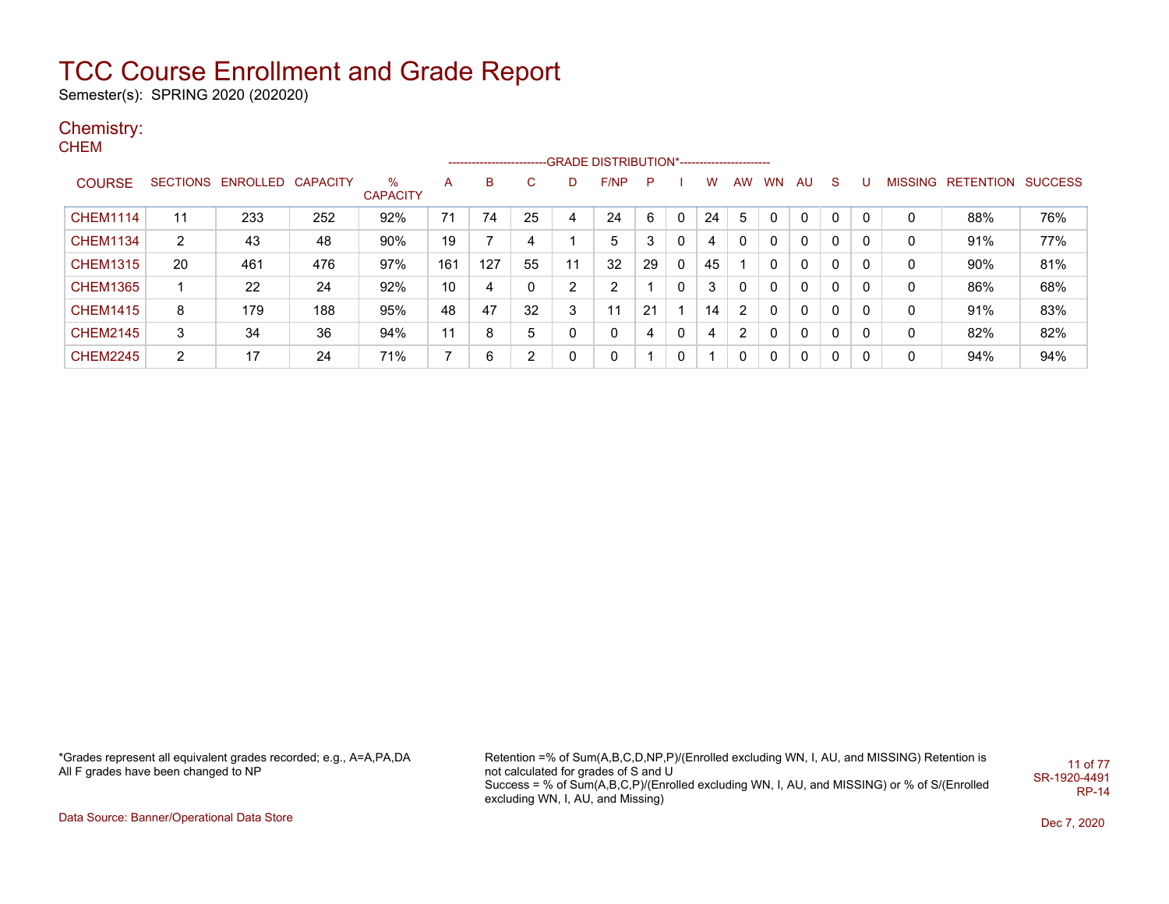Semester(s): SPRING 2020 (202020)

### Chemistry:

CHEM

|                 |    |                            |     |                         |                |     |              |              | ------------------------GRADE                DISTRIBUTION*---------------------- |    |   |    |                |           |    |             |   |   |                   |                |
|-----------------|----|----------------------------|-----|-------------------------|----------------|-----|--------------|--------------|----------------------------------------------------------------------------------|----|---|----|----------------|-----------|----|-------------|---|---|-------------------|----------------|
| <b>COURSE</b>   |    | SECTIONS ENROLLED CAPACITY |     | $\%$<br><b>CAPACITY</b> | A              | B   | $\mathbf{C}$ | D            | F/NP                                                                             | P  |   | w  | AW             | <b>WN</b> | AU | S.          | U |   | MISSING RETENTION | <b>SUCCESS</b> |
| <b>CHEM1114</b> | 11 | 233                        | 252 | 92%                     | 71             | 74  | 25           | 4            | 24                                                                               | 6  | 0 | 24 | 5              |           | 0  | $\mathbf 0$ | 0 | 0 | 88%               | 76%            |
| <b>CHEM1134</b> | 2  | 43                         | 48  | 90%                     | 19             |     | 4            |              | 5                                                                                | 3  | 0 | 4  |                | 0         | 0  | 0           |   | 0 | 91%               | 77%            |
| <b>CHEM1315</b> | 20 | 461                        | 476 | 97%                     | 161            | 127 | 55           | 11           | 32                                                                               | 29 | 0 | 45 |                | 0         | 0  | 0           | 0 | 0 | 90%               | 81%            |
| <b>CHEM1365</b> |    | 22                         | 24  | 92%                     | 10             | 4   | 0            | C            | 2                                                                                |    | 0 | 3  | 0              | 0         | 0  | 0           | 0 | 0 | 86%               | 68%            |
| <b>CHEM1415</b> | 8  | 179                        | 188 | 95%                     | 48             | 47  | 32           | 3            | 11                                                                               | 21 |   | 14 | $\overline{2}$ | 0         | 0  | 0           | 0 | 0 | 91%               | 83%            |
| <b>CHEM2145</b> | 3  | 34                         | 36  | 94%                     | 11             | 8   | 5            | 0            | 0                                                                                | 4  | 0 | 4  | $\overline{2}$ | 0         | 0  | 0           | 0 | 0 | 82%               | 82%            |
| <b>CHEM2245</b> | 2  | 17                         | 24  | 71%                     | $\overline{ }$ | 6   | 2            | $\mathbf{0}$ | 0                                                                                |    | 0 |    | 0              | 0         | 0  | 0           | 0 | 0 | 94%               | 94%            |

\*Grades represent all equivalent grades recorded; e.g., A=A,PA,DA All F grades have been changed to NP

Retention =% of Sum(A,B,C,D,NP,P)/(Enrolled excluding WN, I, AU, and MISSING) Retention is not calculated for grades of S and U Success = % of Sum(A,B,C,P)/(Enrolled excluding WN, I, AU, and MISSING) or % of S/(Enrolled excluding WN, I, AU, and Missing) 11 of 77 SR-1920-4491 RP-14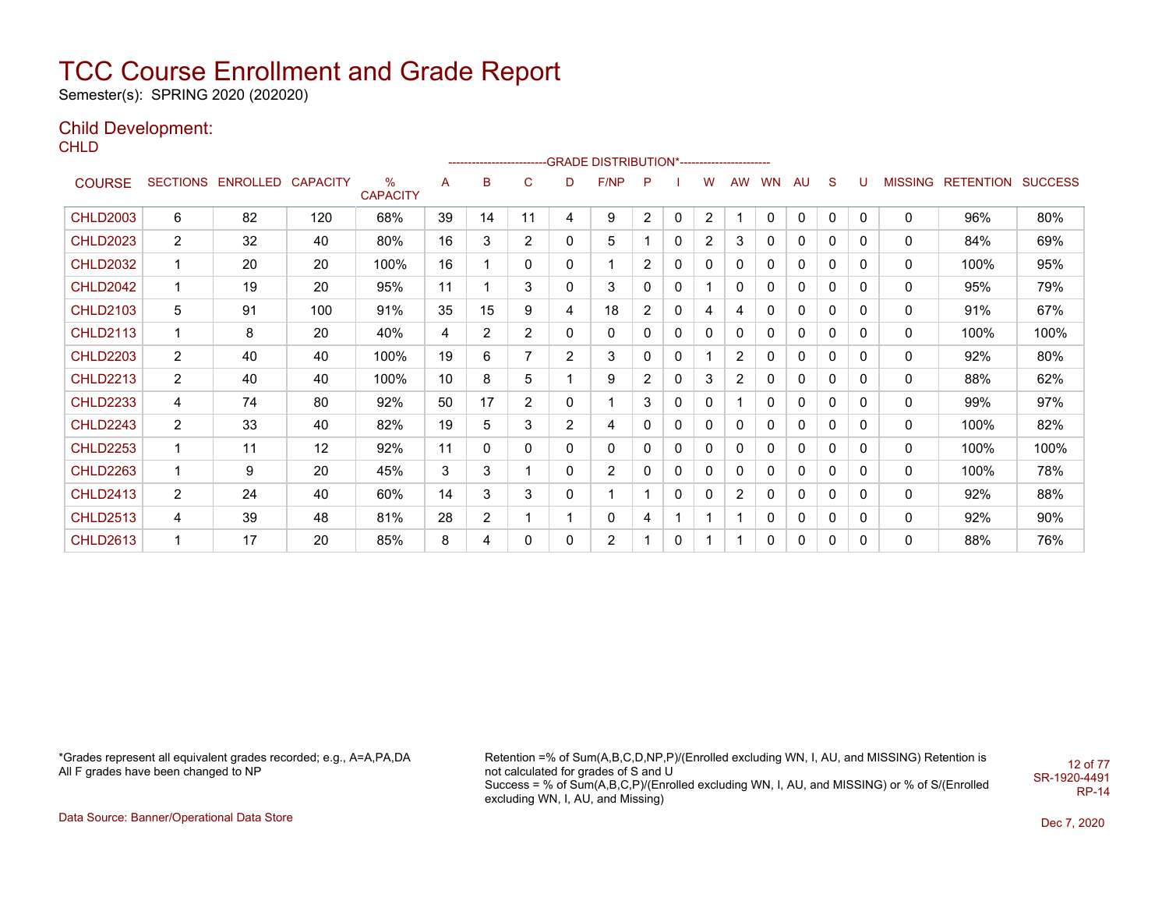Semester(s): SPRING 2020 (202020)

### Child Development:

**CHLD** 

|                 |                |                            |     |                         |                 | ----------------------- |                |                | -GRADE DISTRIBUTION*----------------------- |                |             |                |                |              |              |              |              |                |                  |                |
|-----------------|----------------|----------------------------|-----|-------------------------|-----------------|-------------------------|----------------|----------------|---------------------------------------------|----------------|-------------|----------------|----------------|--------------|--------------|--------------|--------------|----------------|------------------|----------------|
| <b>COURSE</b>   |                | SECTIONS ENROLLED CAPACITY |     | $\%$<br><b>CAPACITY</b> | Α               | в                       | C              | D              | F/NP                                        | P              |             | w              | <b>AW</b>      | <b>WN</b>    | <b>AU</b>    | S            | U            | <b>MISSING</b> | <b>RETENTION</b> | <b>SUCCESS</b> |
| <b>CHLD2003</b> | 6              | 82                         | 120 | 68%                     | 39              | 14                      | 11             | 4              | 9                                           | $\overline{2}$ | $\mathbf 0$ | $\overline{2}$ | 1              | $\mathbf{0}$ | 0            | $\mathbf{0}$ | $\Omega$     | 0              | 96%              | 80%            |
| <b>CHLD2023</b> | $\overline{c}$ | 32                         | 40  | 80%                     | 16              | 3                       | $\overline{2}$ | $\mathbf{0}$   | 5                                           |                | $\Omega$    | $\overline{2}$ | 3              | 0            | $\mathbf{0}$ | $\Omega$     | 0            | 0              | 84%              | 69%            |
| <b>CHLD2032</b> | 1              | 20                         | 20  | 100%                    | 16              |                         | 0              | 0              | 1                                           | 2              | 0           | 0              | 0              | 0            | 0            | 0            | 0            | 0              | 100%             | 95%            |
| <b>CHLD2042</b> | 1              | 19                         | 20  | 95%                     | 11              |                         | 3              | $\Omega$       | 3                                           | 0              | 0           |                | 0              | 0            | 0            | $\Omega$     | $\mathbf{0}$ | 0              | 95%              | 79%            |
| <b>CHLD2103</b> | 5              | 91                         | 100 | 91%                     | 35              | 15                      | 9              | 4              | 18                                          | $\overline{2}$ | $\Omega$    | 4              | 4              | 0            | $\mathbf{0}$ | $\Omega$     | $\mathbf{0}$ | 0              | 91%              | 67%            |
| <b>CHLD2113</b> | 1              | 8                          | 20  | 40%                     | 4               | $\overline{2}$          | $\overline{2}$ | 0              | 0                                           | 0              | 0           | 0              | 0              | 0            | 0            | 0            | 0            | 0              | 100%             | 100%           |
| <b>CHLD2203</b> | $\overline{2}$ | 40                         | 40  | 100%                    | 19              | 6                       | $\overline{7}$ | $\overline{2}$ | 3                                           | 0              | 0           |                | 2              | 0            | $\mathbf{0}$ | 0            | $\Omega$     | 0              | 92%              | 80%            |
| <b>CHLD2213</b> | $\overline{2}$ | 40                         | 40  | 100%                    | 10 <sup>1</sup> | 8                       | 5              |                | 9                                           | $\overline{2}$ | 0           | 3              | $\overline{2}$ | 0            | 0            | 0            | 0            | 0              | 88%              | 62%            |
| <b>CHLD2233</b> | 4              | 74                         | 80  | 92%                     | 50              | 17                      | $\overline{2}$ | 0              | 1                                           | 3              | 0           | 0              |                | 0            | 0            | 0            | 0            | 0              | 99%              | 97%            |
| <b>CHLD2243</b> | $\overline{2}$ | 33                         | 40  | 82%                     | 19              | 5                       | 3              | $\overline{2}$ | 4                                           | 0              | 0           | 0              | 0              | 0            | 0            | 0            | 0            | 0              | 100%             | 82%            |
| <b>CHLD2253</b> | 1              | 11                         | 12  | 92%                     | 11              | $\mathbf{0}$            | $\Omega$       | $\mathbf{0}$   | $\mathbf{0}$                                | 0              | 0           | $\Omega$       | $\mathbf{0}$   | 0            | $\mathbf{0}$ | 0            | 0            | 0              | 100%             | 100%           |
| <b>CHLD2263</b> | 1              | 9                          | 20  | 45%                     | 3               | 3                       | 1              | $\mathbf{0}$   | $\overline{2}$                              | 0              | $\Omega$    | 0              | $\mathbf{0}$   | 0            | $\mathbf{0}$ | 0            | 0            | 0              | 100%             | 78%            |
| <b>CHLD2413</b> | $\overline{2}$ | 24                         | 40  | 60%                     | 14              | 3                       | 3              | $\mathbf{0}$   | $\mathbf 1$                                 |                | $\Omega$    | 0              | $\overline{2}$ | 0            | $\mathbf{0}$ | 0            | 0            | 0              | 92%              | 88%            |
| <b>CHLD2513</b> | 4              | 39                         | 48  | 81%                     | 28              | $\overline{2}$          | $\mathbf 1$    |                | $\mathbf{0}$                                | 4              | 1           |                |                | 0            | $\mathbf{0}$ | 0            | 0            | 0              | 92%              | 90%            |
| <b>CHLD2613</b> | 1              | 17                         | 20  | 85%                     | 8               | 4                       | 0              | $\mathbf{0}$   | $\overline{2}$                              |                | 0           |                |                | 0            | 0            | 0            | $\mathbf{0}$ | 0              | 88%              | 76%            |

\*Grades represent all equivalent grades recorded; e.g., A=A,PA,DA All F grades have been changed to NP

Retention =% of Sum(A,B,C,D,NP,P)/(Enrolled excluding WN, I, AU, and MISSING) Retention is not calculated for grades of S and U Success = % of Sum(A,B,C,P)/(Enrolled excluding WN, I, AU, and MISSING) or % of S/(Enrolled excluding WN, I, AU, and Missing) SR-1920-4491

12 of 77

RP-14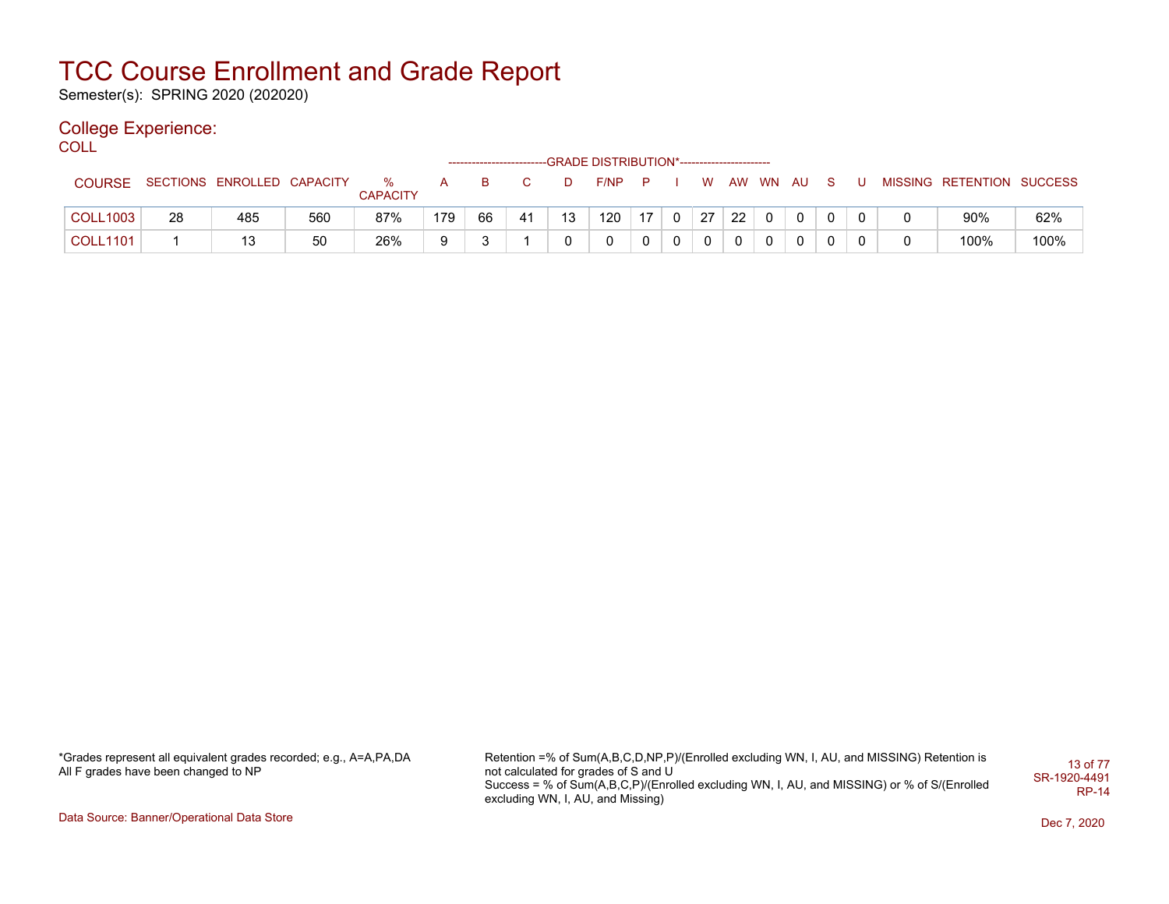Semester(s): SPRING 2020 (202020)

### College Experience:

COLL<sup>'</sup>

|                 |    |                            |     |                      |     |    | ------------------------GRADE DISTRIBUTION*----------------------- |    |      |     |              |          |    |          |     |  |                           |      |
|-----------------|----|----------------------------|-----|----------------------|-----|----|--------------------------------------------------------------------|----|------|-----|--------------|----------|----|----------|-----|--|---------------------------|------|
| <b>COURSE</b>   |    | SECTIONS ENROLLED CAPACITY |     | ℅<br><b>CAPACITY</b> |     | в  |                                                                    | D  | F/NP | - P |              | W        |    | AW WN AU | - S |  | MISSING RETENTION SUCCESS |      |
| <b>COLL1003</b> | 28 | 485                        | 560 | 87%                  | 179 | 66 | 41                                                                 | 13 | 120  | 17  | $\mathbf{0}$ | 27       | 22 |          |     |  | 90%                       | 62%  |
| <b>COLL1101</b> |    | 13                         | 50  | 26%                  | a   |    |                                                                    |    |      |     | 0            | $\Omega$ |    |          |     |  | 100%                      | 100% |

\*Grades represent all equivalent grades recorded; e.g., A=A,PA,DA All F grades have been changed to NP

Retention =% of Sum(A,B,C,D,NP,P)/(Enrolled excluding WN, I, AU, and MISSING) Retention is not calculated for grades of S and U Success = % of Sum(A,B,C,P)/(Enrolled excluding WN, I, AU, and MISSING) or % of S/(Enrolled excluding WN, I, AU, and Missing) 13 of 77 SR-1920-4491 RP-14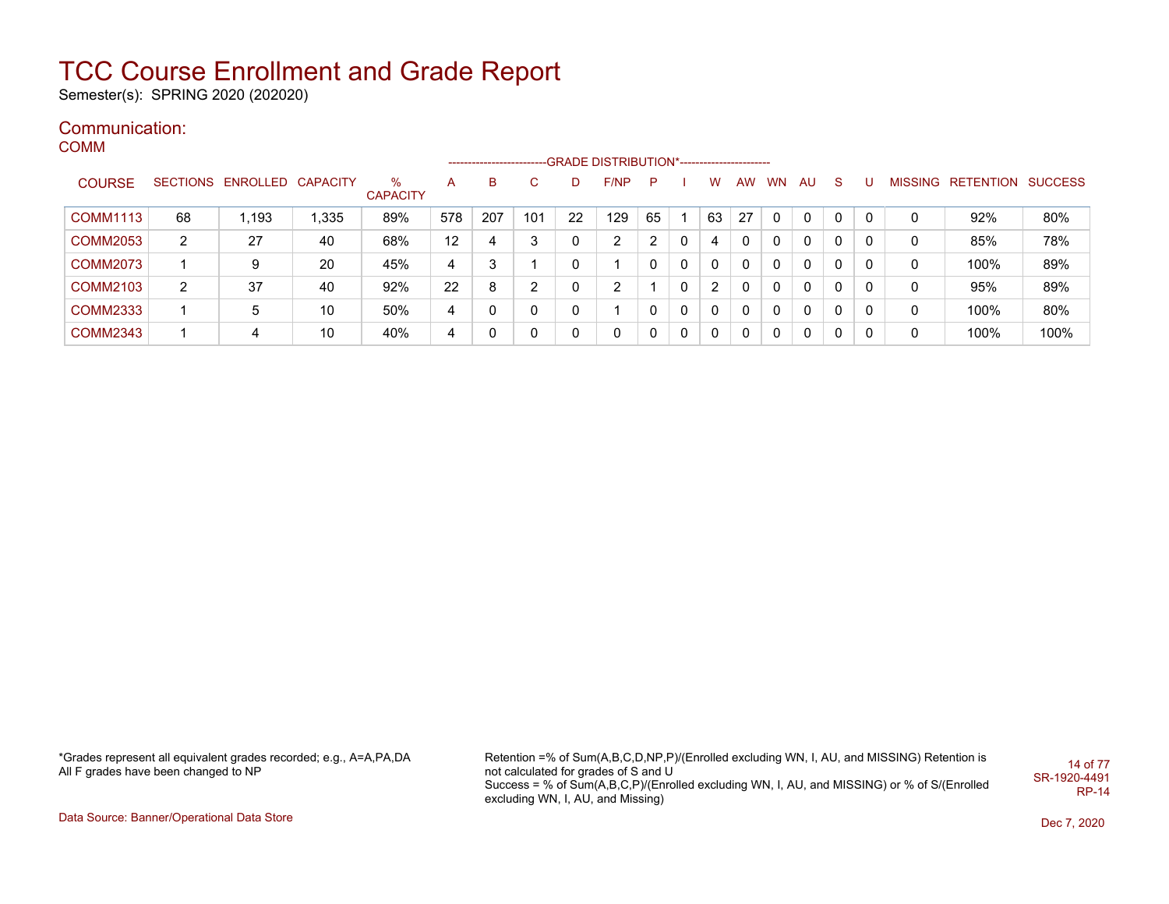Semester(s): SPRING 2020 (202020)

#### Communication: COMM

|                 |                 |          |                 |                      |     |     |              |    | -----------------------GRADE DISTRIBUTION*----------------------- |    |   |                |    |              |     |              |   |                |           |                |
|-----------------|-----------------|----------|-----------------|----------------------|-----|-----|--------------|----|-------------------------------------------------------------------|----|---|----------------|----|--------------|-----|--------------|---|----------------|-----------|----------------|
| <b>COURSE</b>   | <b>SECTIONS</b> | ENROLLED | <b>CAPACITY</b> | %<br><b>CAPACITY</b> | A   | B   | С            | D  | F/NP                                                              | P  |   | w              | AW | <b>WN</b>    | AU. | <sub>S</sub> |   | <b>MISSING</b> | RETENTION | <b>SUCCESS</b> |
| <b>COMM1113</b> | 68              | 1,193    | 1.335           | 89%                  | 578 | 207 | 101          | 22 | 129                                                               | 65 |   | 63             | 27 | $\mathbf{0}$ | 0   | 0            |   | 0              | 92%       | 80%            |
| <b>COMM2053</b> | $\overline{2}$  | 27       | 40              | 68%                  | 12  | 4   | 3            | 0  | 2                                                                 | 2  | 0 |                | 0  | 0            | 0   | 0            |   | 0              | 85%       | 78%            |
| <b>COMM2073</b> |                 | 9        | 20              | 45%                  | 4   | 3   |              | 0  |                                                                   | 0  | 0 | 0              | 0  | 0            | 0   | 0            | 0 | 0              | 100%      | 89%            |
| <b>COMM2103</b> | 2               | 37       | 40              | 92%                  | 22  | 8   | 2            | 0  | 2                                                                 |    | 0 | $\overline{2}$ |    | $\mathbf{0}$ | 0   | 0            |   | 0              | 95%       | 89%            |
| <b>COMM2333</b> |                 | 5        | 10              | 50%                  | 4   |     | $\mathbf{0}$ | 0  |                                                                   | 0  | 0 | 0              | 0  | 0            | 0   | 0            | 0 | 0              | 100%      | 80%            |
| <b>COMM2343</b> |                 | 4        | 10              | 40%                  | 4   |     | 0            | 0  | 0                                                                 | 0  | 0 | 0              | 0  | 0            | 0   | 0            |   | 0              | 100%      | 100%           |

\*Grades represent all equivalent grades recorded; e.g., A=A,PA,DA All F grades have been changed to NP

Retention =% of Sum(A,B,C,D,NP,P)/(Enrolled excluding WN, I, AU, and MISSING) Retention is not calculated for grades of S and U Success = % of Sum(A,B,C,P)/(Enrolled excluding WN, I, AU, and MISSING) or % of S/(Enrolled excluding WN, I, AU, and Missing) 14 of 77 SR-1920-4491 RP-14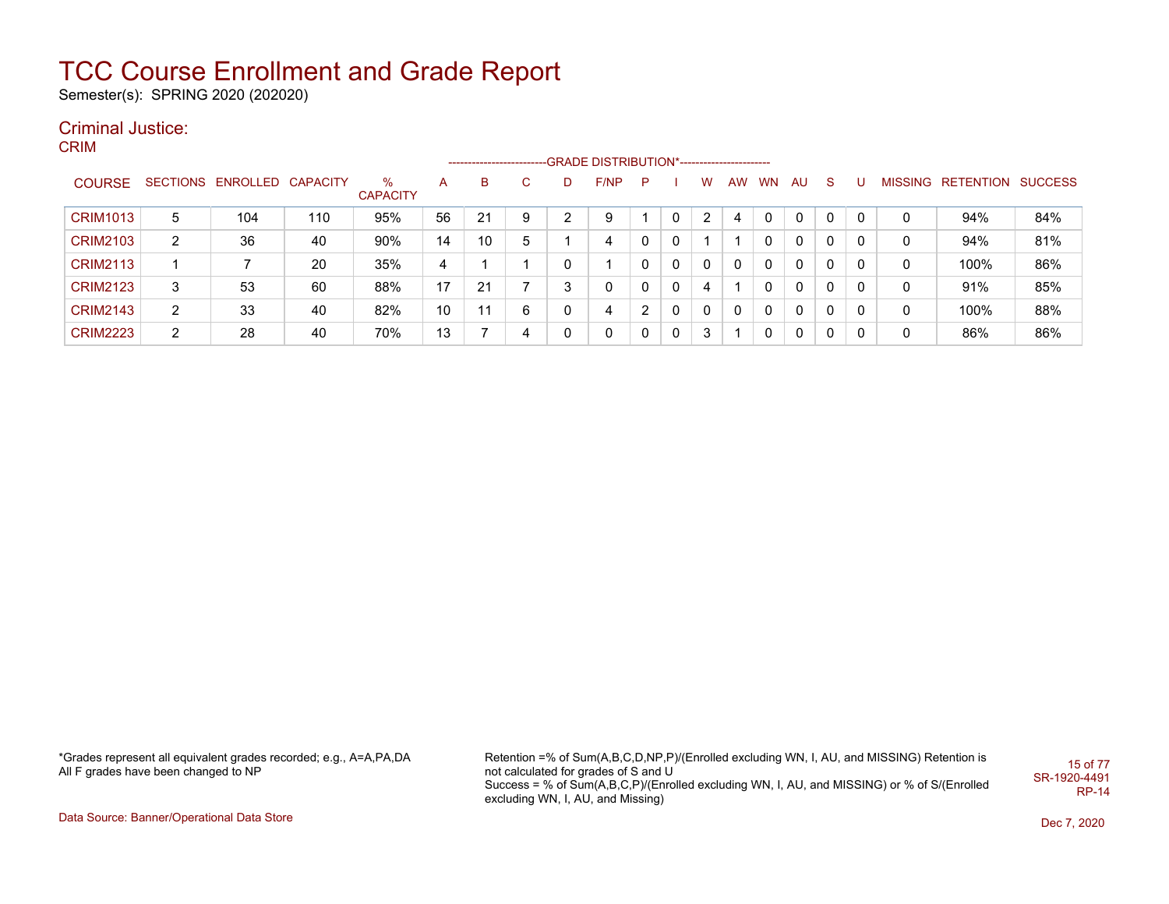Semester(s): SPRING 2020 (202020)

### Criminal Justice:

CRIM

|                 |                |                            |     |                      |    | ------------------------- |   |   | -GRADE DISTRIBUTION*----------------------- |   |              |   |              |           |    |              |   |   |                           |     |
|-----------------|----------------|----------------------------|-----|----------------------|----|---------------------------|---|---|---------------------------------------------|---|--------------|---|--------------|-----------|----|--------------|---|---|---------------------------|-----|
| <b>COURSE</b>   |                | SECTIONS ENROLLED CAPACITY |     | %<br><b>CAPACITY</b> | A  | В                         | C |   | F/NP                                        | P |              | W | AW           | <b>WN</b> | AU | <sub>S</sub> |   |   | MISSING RETENTION SUCCESS |     |
| <b>CRIM1013</b> | 5              | 104                        | 110 | 95%                  | 56 | 21                        | 9 | ◠ | 9                                           |   | 0            | 2 | 4            | 0         | 0  | 0            | 0 | 0 | 94%                       | 84% |
| <b>CRIM2103</b> | $\overline{2}$ | 36                         | 40  | 90%                  | 14 | 10                        | 5 |   | 4                                           | 0 | 0            |   |              |           | 0  | 0            | 0 | 0 | 94%                       | 81% |
| <b>CRIM2113</b> |                |                            | 20  | 35%                  | 4  |                           |   |   |                                             | 0 | $\Omega$     | 0 | $\mathbf{0}$ | 0         | 0  | 0            | 0 | 0 | 100%                      | 86% |
| <b>CRIM2123</b> | 3              | 53                         | 60  | 88%                  | 17 | 21                        |   | ີ |                                             | 0 | $\Omega$     | 4 |              | 0         | 0  | 0            | 0 | 0 | 91%                       | 85% |
| <b>CRIM2143</b> | $\overline{2}$ | 33                         | 40  | 82%                  | 10 | 11                        | 6 | 0 | 4                                           |   | 0            | 0 | 0            | 0         | 0  | 0            | 0 | 0 | 100%                      | 88% |
| <b>CRIM2223</b> | 2              | 28                         | 40  | 70%                  | 13 |                           | 4 |   | 0                                           | 0 | $\mathbf{0}$ | 3 |              | 0         | 0  | 0            | 0 | 0 | 86%                       | 86% |

\*Grades represent all equivalent grades recorded; e.g., A=A,PA,DA All F grades have been changed to NP

Retention =% of Sum(A,B,C,D,NP,P)/(Enrolled excluding WN, I, AU, and MISSING) Retention is not calculated for grades of S and U Success = % of Sum(A,B,C,P)/(Enrolled excluding WN, I, AU, and MISSING) or % of S/(Enrolled excluding WN, I, AU, and Missing) 15 of 77 SR-1920-4491 RP-14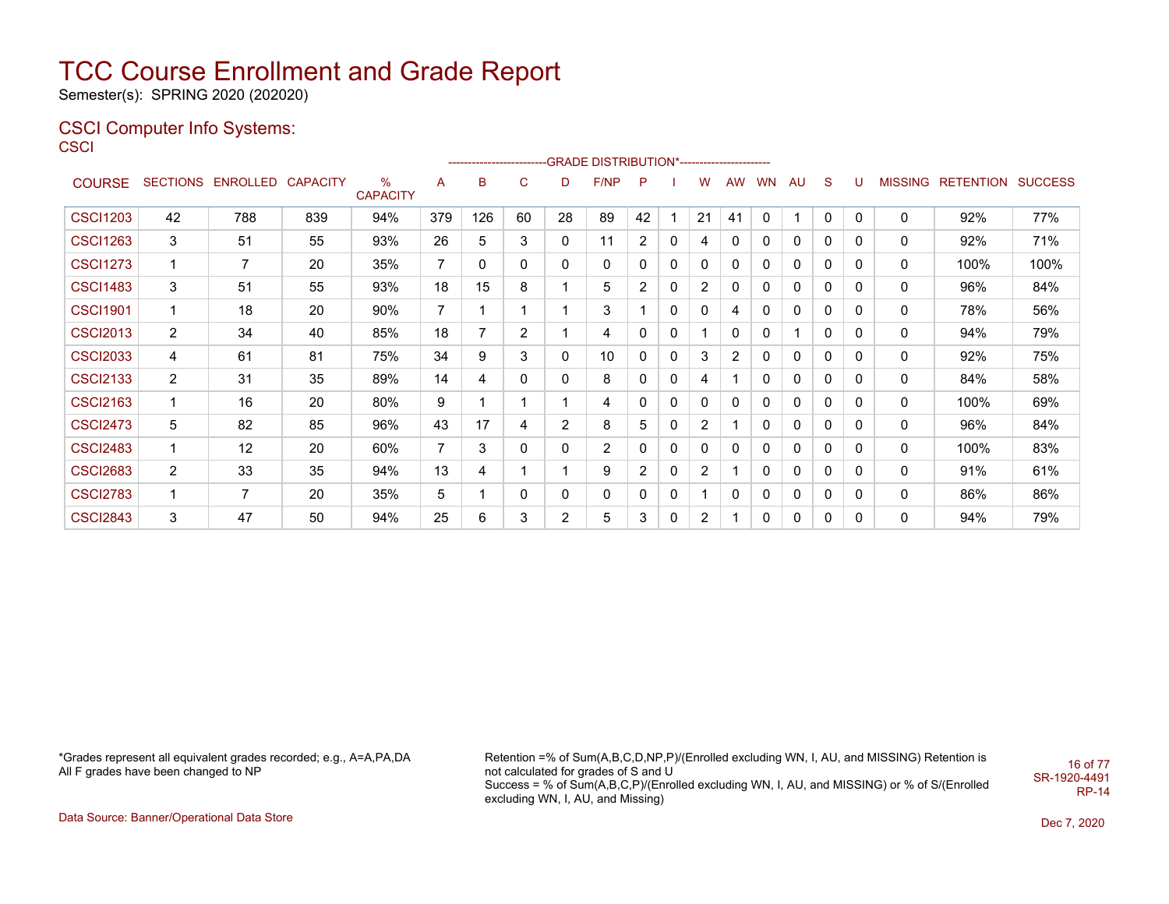Semester(s): SPRING 2020 (202020)

#### CSCI Computer Info Systems: **CSCI**

|                 |                 |                   |     |                      |     |     |    |    | -------------------------GRADE DISTRIBUTION*---------------------- |          |   |                |              |              |    |              |              |                |                  |                |
|-----------------|-----------------|-------------------|-----|----------------------|-----|-----|----|----|--------------------------------------------------------------------|----------|---|----------------|--------------|--------------|----|--------------|--------------|----------------|------------------|----------------|
| <b>COURSE</b>   | <b>SECTIONS</b> | ENROLLED CAPACITY |     | %<br><b>CAPACITY</b> | A   | в   | C. | D  | F/NP                                                               | P        |   | w              | <b>AW</b>    | <b>WN</b>    | AU | S            |              | <b>MISSING</b> | <b>RETENTION</b> | <b>SUCCESS</b> |
| <b>CSCI1203</b> | 42              | 788               | 839 | 94%                  | 379 | 126 | 60 | 28 | 89                                                                 | 42       |   | 21             | 41           | $\mathbf{0}$ |    | $\mathbf 0$  | $\mathbf{0}$ | $\mathbf{0}$   | 92%              | 77%            |
| <b>CSCI1263</b> | 3               | 51                | 55  | 93%                  | 26  | 5   | 3  | 0  | 11                                                                 | 2        | 0 | 4              | 0            | 0            | 0  | 0            | 0            | 0              | 92%              | 71%            |
| <b>CSCI1273</b> | 1               | 7                 | 20  | 35%                  | 7   | 0   | 0  | 0  | 0                                                                  | 0        | 0 | 0              | 0            | 0            | 0  | 0            | 0            | 0              | 100%             | 100%           |
| <b>CSCI1483</b> | 3               | 51                | 55  | 93%                  | 18  | 15  | 8  |    | 5                                                                  | 2        | 0 | 2              | 0            | 0            | 0  | $\mathbf{0}$ | 0            | 0              | 96%              | 84%            |
| <b>CSCI1901</b> | 1               | 18                | 20  | 90%                  | 7   |     |    |    | 3                                                                  |          | 0 | 0              | 4            | 0            | 0  | $\mathbf{0}$ | 0            | 0              | 78%              | 56%            |
| <b>CSCI2013</b> | $\overline{2}$  | 34                | 40  | 85%                  | 18  |     | 2  |    | 4                                                                  | 0        | 0 |                | $\mathbf{0}$ | 0            |    | 0            | 0            | 0              | 94%              | 79%            |
| <b>CSCI2033</b> | 4               | 61                | 81  | 75%                  | 34  | 9   | 3  | 0  | 10                                                                 | 0        | 0 | 3              | 2            | 0            | 0  | 0            | 0            | 0              | 92%              | 75%            |
| <b>CSCI2133</b> | $\overline{2}$  | 31                | 35  | 89%                  | 14  | 4   | 0  | 0  | 8                                                                  | 0        | 0 | 4              |              | 0            | 0  | 0            | 0            | 0              | 84%              | 58%            |
| <b>CSCI2163</b> | 1               | 16                | 20  | 80%                  | 9   |     |    |    | 4                                                                  | 0        | 0 | 0              | 0            | 0            | 0  | 0            | 0            | 0              | 100%             | 69%            |
| <b>CSCI2473</b> | 5               | 82                | 85  | 96%                  | 43  | 17  | 4  | 2  | 8                                                                  | 5        | 0 | $\overline{2}$ |              | 0            | 0  | $\mathbf{0}$ | 0            | 0              | 96%              | 84%            |
| <b>CSCI2483</b> | 1               | 12                | 20  | 60%                  | 7   | 3   | 0  | 0  | $\overline{2}$                                                     | $\Omega$ | 0 | $\mathbf{0}$   | 0            | 0            | 0  | 0            | 0            | $\mathbf{0}$   | 100%             | 83%            |
| <b>CSCI2683</b> | $\overline{2}$  | 33                | 35  | 94%                  | 13  | 4   |    |    | 9                                                                  | 2        | 0 | $\overline{c}$ |              | 0            | 0  | 0            | 0            | 0              | 91%              | 61%            |
| <b>CSCI2783</b> | 1               | $\overline{7}$    | 20  | 35%                  | 5   |     | 0  | 0  | 0                                                                  | 0        | 0 |                | 0            | 0            | 0  | 0            | 0            | 0              | 86%              | 86%            |
| <b>CSCI2843</b> | 3               | 47                | 50  | 94%                  | 25  | 6   | 3  | 2  | 5                                                                  | 3        | 0 | $\overline{2}$ |              | 0            | 0  | 0            | 0            | 0              | 94%              | 79%            |

\*Grades represent all equivalent grades recorded; e.g., A=A,PA,DA All F grades have been changed to NP

Retention =% of Sum(A,B,C,D,NP,P)/(Enrolled excluding WN, I, AU, and MISSING) Retention is not calculated for grades of S and U Success = % of Sum(A,B,C,P)/(Enrolled excluding WN, I, AU, and MISSING) or % of S/(Enrolled excluding WN, I, AU, and Missing) SR-1920-4491

16 of 77

RP-14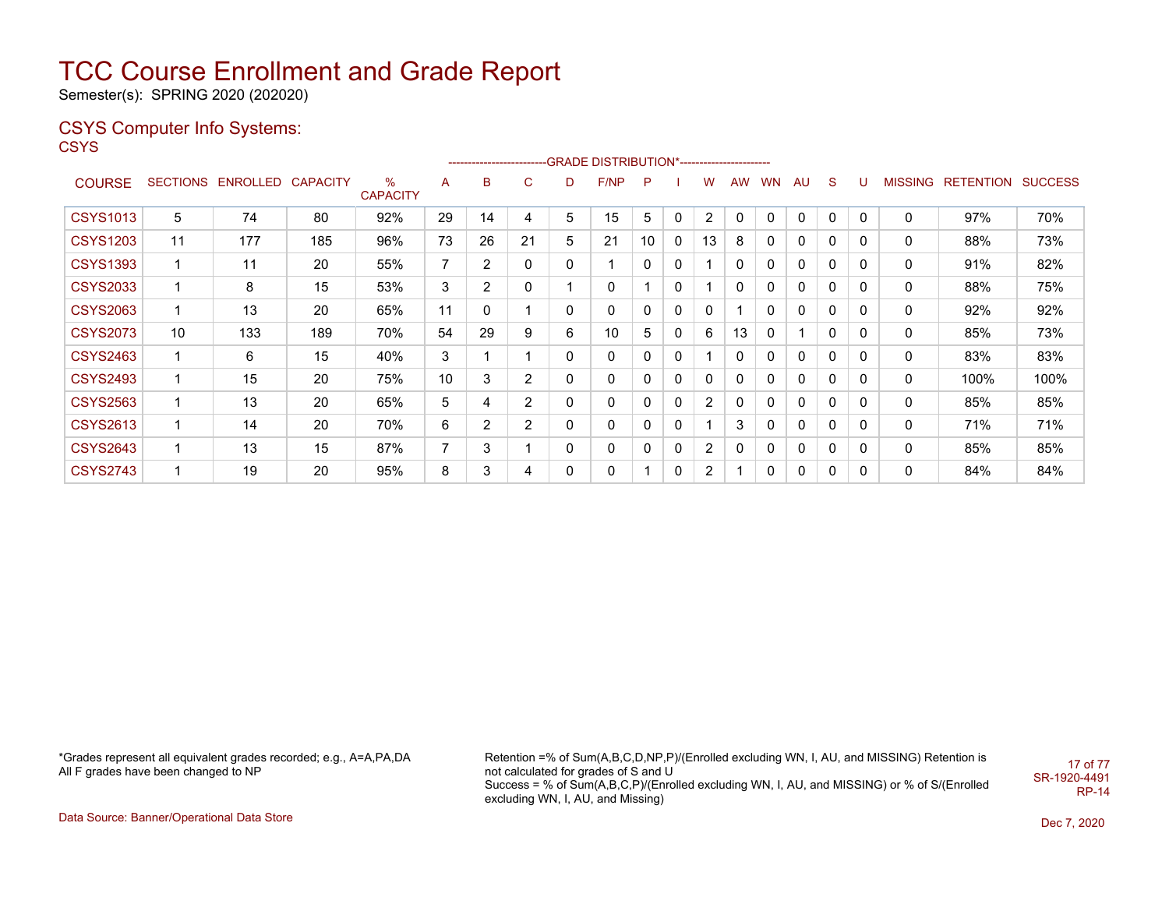Semester(s): SPRING 2020 (202020)

### CSYS Computer Info Systems:

**CSYS** 

|                 |    |                            |     |                         |                |                |                |              | ------------------------GRADE                DISTRIBUTION*---------------------- |    |              |                |    |              |          |   |          |   |                   |                |
|-----------------|----|----------------------------|-----|-------------------------|----------------|----------------|----------------|--------------|----------------------------------------------------------------------------------|----|--------------|----------------|----|--------------|----------|---|----------|---|-------------------|----------------|
| <b>COURSE</b>   |    | SECTIONS ENROLLED CAPACITY |     | $\%$<br><b>CAPACITY</b> | A              | B              | C              | D            | F/NP                                                                             | P  |              | w              | AW | <b>WN</b>    | AU       | S | U        |   | MISSING RETENTION | <b>SUCCESS</b> |
| <b>CSYS1013</b> | 5  | 74                         | 80  | 92%                     | 29             | 14             | 4              | 5            | 15                                                                               | 5  | $\mathbf{0}$ | 2              | 0  | $\mathbf{0}$ | 0        | 0 | 0        | 0 | 97%               | 70%            |
| <b>CSYS1203</b> | 11 | 177                        | 185 | 96%                     | 73             | 26             | 21             | 5            | 21                                                                               | 10 | 0            | 13             | 8  | 0            | 0        | 0 | 0        | 0 | 88%               | 73%            |
| <b>CSYS1393</b> | 1  | 11                         | 20  | 55%                     | $\overline{7}$ | $\overline{2}$ | 0              | 0            | 1                                                                                | 0  | 0            |                | 0  | 0            | 0        | 0 | 0        | 0 | 91%               | 82%            |
| <b>CSYS2033</b> | 1  | 8                          | 15  | 53%                     | 3              | $\overline{2}$ | 0              |              | 0                                                                                |    | 0            |                | 0  | 0            | 0        | 0 | 0        | 0 | 88%               | 75%            |
| <b>CSYS2063</b> | 1  | 13                         | 20  | 65%                     | 11             | 0              |                | 0            | 0                                                                                | 0  | 0            | 0              |    | 0            | 0        | 0 | 0        | 0 | 92%               | 92%            |
| <b>CSYS2073</b> | 10 | 133                        | 189 | 70%                     | 54             | 29             | 9              | 6            | 10                                                                               | 5  | $\mathbf{0}$ | 6              | 13 | 0            |          | 0 | 0        | 0 | 85%               | 73%            |
| <b>CSYS2463</b> | 1  | 6                          | 15  | 40%                     | 3              |                |                | 0            | 0                                                                                | 0  | 0            |                | 0  | 0            | 0        | 0 | 0        | 0 | 83%               | 83%            |
| <b>CSYS2493</b> | 1  | 15                         | 20  | 75%                     | 10             | 3              | $\overline{2}$ | 0            | 0                                                                                | 0  | 0            | 0              | 0  | 0            | 0        | 0 | 0        | 0 | 100%              | 100%           |
| <b>CSYS2563</b> | 1  | 13                         | 20  | 65%                     | 5              | 4              | $\overline{2}$ | $\mathbf{0}$ | 0                                                                                | 0  | $\Omega$     | $\overline{2}$ | 0  | 0            | $\Omega$ | 0 | $\Omega$ | 0 | 85%               | 85%            |
| <b>CSYS2613</b> | 1  | 14                         | 20  | 70%                     | 6              | $\overline{2}$ | $\overline{2}$ | 0            | 0                                                                                | 0  | 0            |                | 3  | 0            | 0        | 0 | 0        | 0 | 71%               | 71%            |
| <b>CSYS2643</b> | 1  | 13                         | 15  | 87%                     | $\overline{7}$ | 3              |                | $\mathbf{0}$ | 0                                                                                | 0  | $\mathbf{0}$ | $\overline{2}$ | 0  | 0            | 0        | 0 | 0        | 0 | 85%               | 85%            |
| <b>CSYS2743</b> | 1  | 19                         | 20  | 95%                     | 8              | 3              | 4              | 0            | 0                                                                                |    | 0            | 2              |    | 0            | 0        | 0 | 0        | 0 | 84%               | 84%            |

\*Grades represent all equivalent grades recorded; e.g., A=A,PA,DA All F grades have been changed to NP

Retention =% of Sum(A,B,C,D,NP,P)/(Enrolled excluding WN, I, AU, and MISSING) Retention is not calculated for grades of S and U Success = % of Sum(A,B,C,P)/(Enrolled excluding WN, I, AU, and MISSING) or % of S/(Enrolled excluding WN, I, AU, and Missing) 17 of 77 SR-1920-4491

RP-14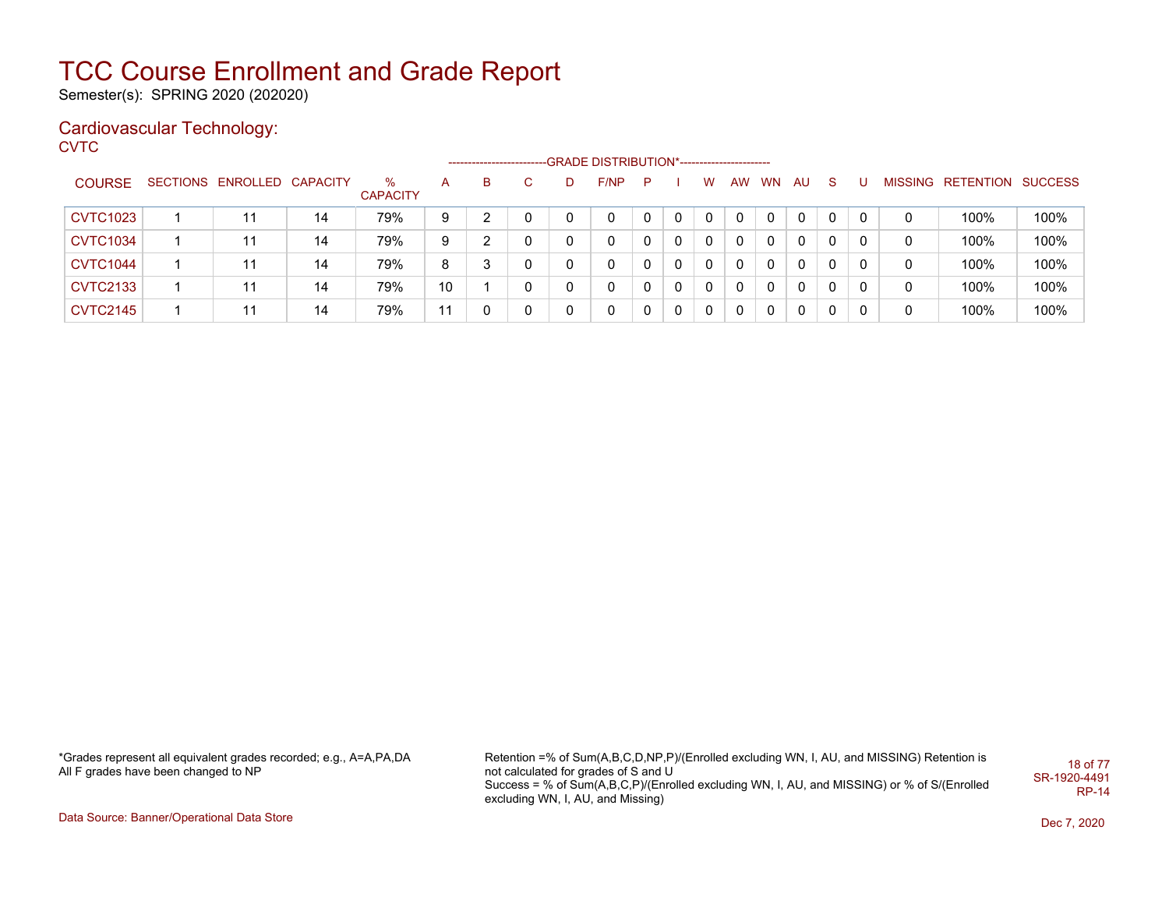Semester(s): SPRING 2020 (202020)

### Cardiovascular Technology:

**CVTC** 

|                 |                            |    |                      |    | _________________ |    | --GRADE DISTRIBUTION*---------------------- |     |              |          |    |           |              |    |   |   |                           |      |
|-----------------|----------------------------|----|----------------------|----|-------------------|----|---------------------------------------------|-----|--------------|----------|----|-----------|--------------|----|---|---|---------------------------|------|
| <b>COURSE</b>   | SECTIONS ENROLLED CAPACITY |    | %<br><b>CAPACITY</b> | А  | в                 | D. | F/NP                                        | - P |              | W        | AW | <b>WN</b> | AU.          | S. |   |   | MISSING RETENTION SUCCESS |      |
| <b>CVTC1023</b> | 11                         | 14 | 79%                  | 9  |                   |    | 0                                           |     |              | 0        |    |           | $\mathbf{0}$ | 0  | 0 | 0 | 100%                      | 100% |
| <b>CVTC1034</b> | 11                         | 14 | 79%                  | 9  |                   |    | 0                                           |     | 0            | 0        |    | $\Omega$  | $\Omega$     | 0  |   | 0 | 100%                      | 100% |
| <b>CVTC1044</b> | 11                         | 14 | 79%                  | 8  |                   |    | 0                                           |     | 0            | $\Omega$ |    | 0         | $\mathbf{0}$ | 0  |   | 0 | 100%                      | 100% |
| <b>CVTC2133</b> | 11                         | 14 | 79%                  | 10 |                   |    | 0                                           |     | $\mathbf{0}$ | - 0      |    | $\Omega$  | $\mathbf{0}$ | 0  | 0 | 0 | 100%                      | 100% |
| <b>CVTC2145</b> | 11                         | 14 | 79%                  | 11 |                   |    | 0                                           |     | $\mathbf{0}$ | $\Omega$ |    | 0         | $\Omega$     | 0  |   | 0 | 100%                      | 100% |

\*Grades represent all equivalent grades recorded; e.g., A=A,PA,DA All F grades have been changed to NP

Retention =% of Sum(A,B,C,D,NP,P)/(Enrolled excluding WN, I, AU, and MISSING) Retention is not calculated for grades of S and U Success = % of Sum(A,B,C,P)/(Enrolled excluding WN, I, AU, and MISSING) or % of S/(Enrolled excluding WN, I, AU, and Missing) 18 of 77 SR-1920-4491 RP-14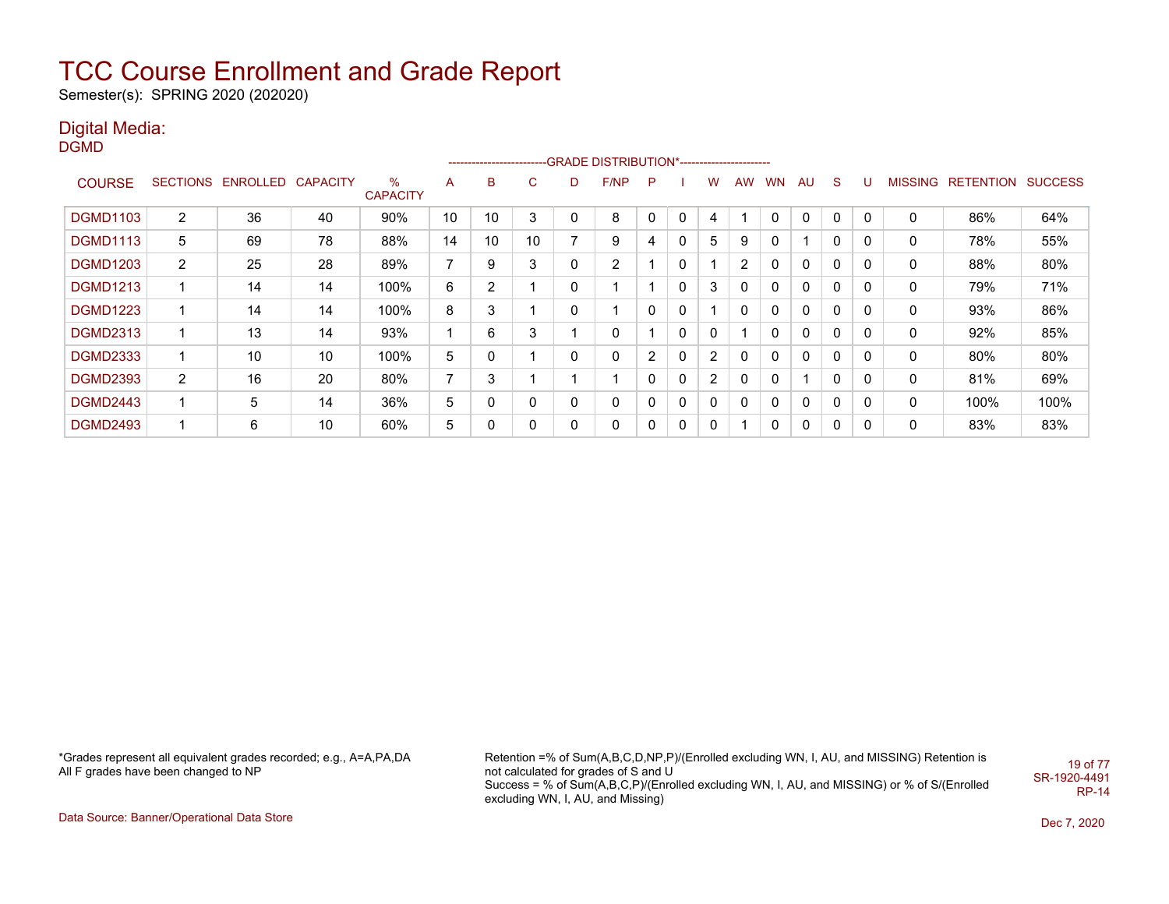Semester(s): SPRING 2020 (202020)

### Digital Media:

DGMD

|                 |                 |                   |    |                         |    |    |    |   | ------------------------GRADE                DISTRIBUTION*---------------------- |                |              |              |                |           |              |              |          |         |                          |      |
|-----------------|-----------------|-------------------|----|-------------------------|----|----|----|---|----------------------------------------------------------------------------------|----------------|--------------|--------------|----------------|-----------|--------------|--------------|----------|---------|--------------------------|------|
| <b>COURSE</b>   | <b>SECTIONS</b> | ENROLLED CAPACITY |    | $\%$<br><b>CAPACITY</b> | A  | в  | C. | D | F/NP                                                                             | P              |              | W            | <b>AW</b>      | <b>WN</b> | AU           | S            |          | MISSING | <b>RETENTION SUCCESS</b> |      |
| <b>DGMD1103</b> | $\overline{2}$  | 36                | 40 | 90%                     | 10 | 10 | 3  | 0 | 8                                                                                | 0              | 0            | 4            |                |           | 0            | 0            | 0        | 0       | 86%                      | 64%  |
| <b>DGMD1113</b> | 5               | 69                | 78 | 88%                     | 14 | 10 | 10 | 7 | 9                                                                                | 4              | 0            | 5            | 9              | 0         |              | $\Omega$     | 0        | 0       | 78%                      | 55%  |
| <b>DGMD1203</b> | $\overline{2}$  | 25                | 28 | 89%                     | 7  | 9  | 3  | 0 | 2                                                                                |                | 0            |              | $\overline{2}$ | 0         | 0            | 0            | 0        | 0       | 88%                      | 80%  |
| <b>DGMD1213</b> |                 | 14                | 14 | 100%                    | 6  | 2  |    | 0 |                                                                                  |                | 0            | 3            | 0              | 0         | $\mathbf{0}$ | $\mathbf{0}$ | $\Omega$ | 0       | 79%                      | 71%  |
| <b>DGMD1223</b> |                 | 14                | 14 | 100%                    | 8  | 3  |    | 0 |                                                                                  | 0              | 0            |              | 0              | 0         | 0            | 0            | 0        | 0       | 93%                      | 86%  |
| <b>DGMD2313</b> |                 | 13                | 14 | 93%                     | 1  | 6  | 3  |   | 0                                                                                |                | $\mathbf{0}$ | $\mathbf{0}$ |                | 0         | 0            | $\mathbf{0}$ | 0        | 0       | 92%                      | 85%  |
| <b>DGMD2333</b> |                 | 10                | 10 | 100%                    | 5  | 0  |    | 0 | 0                                                                                | $\overline{2}$ | $\mathbf{0}$ | 2            | $\Omega$       | 0         | 0            | 0            | 0        | 0       | 80%                      | 80%  |
| <b>DGMD2393</b> | $\overline{2}$  | 16                | 20 | 80%                     | 7  | 3  |    |   |                                                                                  | 0              | 0            | 2            | 0              | 0         |              | 0            | 0        | 0       | 81%                      | 69%  |
| <b>DGMD2443</b> |                 | 5                 | 14 | 36%                     | 5  | 0  | 0  | 0 | 0                                                                                | 0              | 0            | 0            | 0              | 0         | 0            | 0            | 0        | 0       | 100%                     | 100% |
| <b>DGMD2493</b> |                 | 6                 | 10 | 60%                     | 5  | 0  | 0  | 0 | $\mathbf 0$                                                                      | 0              | 0            | 0            |                |           | $\mathbf{0}$ | 0            | 0        | 0       | 83%                      | 83%  |

\*Grades represent all equivalent grades recorded; e.g., A=A,PA,DA All F grades have been changed to NP

Retention =% of Sum(A,B,C,D,NP,P)/(Enrolled excluding WN, I, AU, and MISSING) Retention is not calculated for grades of S and U Success = % of Sum(A,B,C,P)/(Enrolled excluding WN, I, AU, and MISSING) or % of S/(Enrolled excluding WN, I, AU, and Missing) 19 of 77 SR-1920-4491 RP-14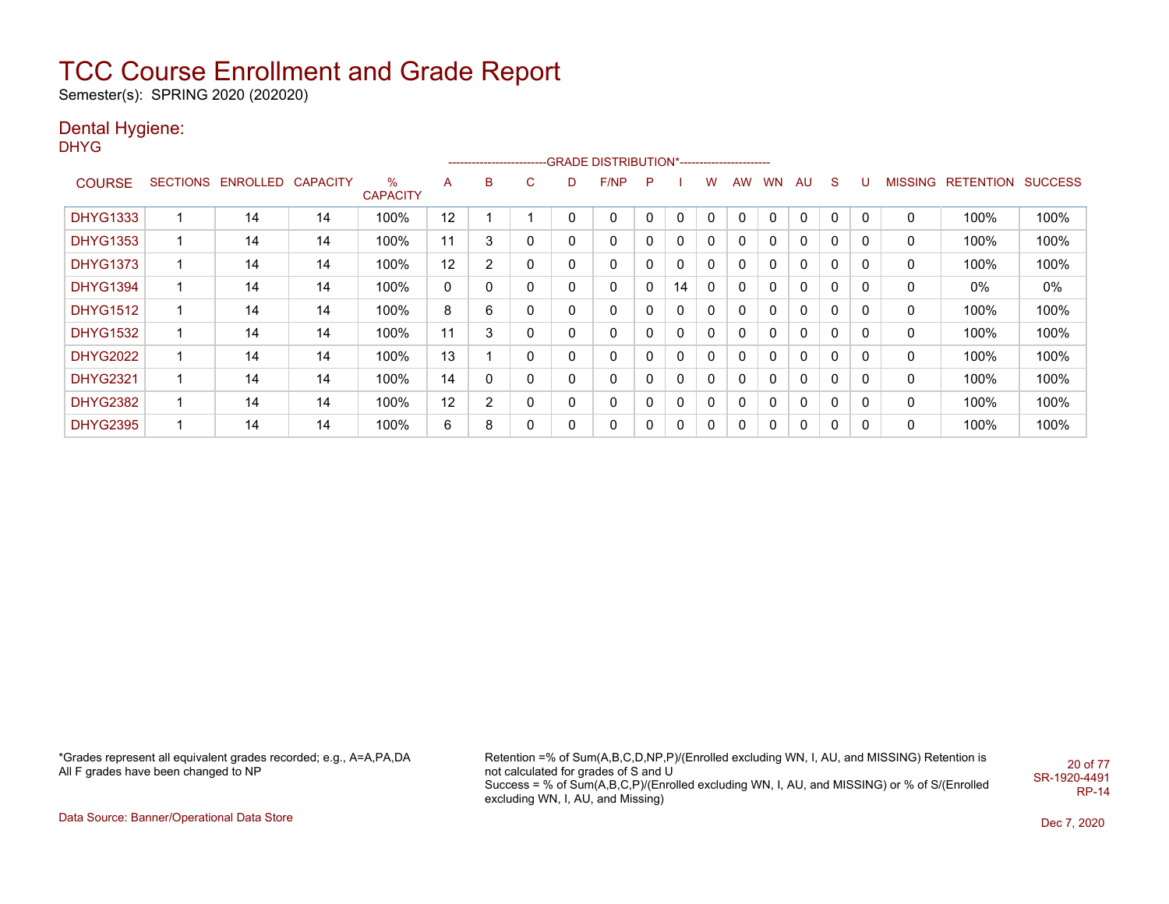Semester(s): SPRING 2020 (202020)

### Dental Hygiene:

DHYG

|                 |                            |    |                      |    |                |   |   | ------------------------GRADE DISTRIBUTION*----------------------- |   |    |             |           |           |    |              |          |   |                   |                |
|-----------------|----------------------------|----|----------------------|----|----------------|---|---|--------------------------------------------------------------------|---|----|-------------|-----------|-----------|----|--------------|----------|---|-------------------|----------------|
| <b>COURSE</b>   | SECTIONS ENROLLED CAPACITY |    | ℅<br><b>CAPACITY</b> | A  | B              | C | D | F/NP                                                               | P |    | W           | <b>AW</b> | <b>WN</b> | AU | <sub>S</sub> |          |   | MISSING RETENTION | <b>SUCCESS</b> |
| <b>DHYG1333</b> | 14                         | 14 | 100%                 | 12 |                |   | 0 | 0                                                                  | 0 | 0  | 0           | 0         | 0         | 0  | 0            | 0        | 0 | 100%              | 100%           |
| <b>DHYG1353</b> | 14                         | 14 | 100%                 | 11 | 3              | 0 | 0 | 0                                                                  | 0 | 0  | 0           | 0         | 0         | 0  | 0            | 0        | 0 | 100%              | 100%           |
| <b>DHYG1373</b> | 14                         | 14 | 100%                 | 12 | $\overline{2}$ | 0 | 0 | 0                                                                  | 0 | 0  | $\mathbf 0$ | 0         | 0         | 0  | $\mathbf 0$  | 0        | 0 | 100%              | 100%           |
| <b>DHYG1394</b> | 14                         | 14 | 100%                 | 0  | 0              | 0 | 0 | 0                                                                  | 0 | 14 | 0           | $\Omega$  | 0         | 0  | $\mathbf 0$  | $\Omega$ | 0 | 0%                | 0%             |
| <b>DHYG1512</b> | 14                         | 14 | 100%                 | 8  | 6              | 0 | 0 | $\mathbf 0$                                                        | 0 | 0  | 0           | 0         | 0         | 0  | $\mathbf 0$  | 0        | 0 | 100%              | 100%           |
| <b>DHYG1532</b> | 14                         | 14 | 100%                 | 11 | 3              | 0 | 0 | 0                                                                  |   | 0  | 0           | 0         | 0         | 0  | $\mathbf 0$  | 0        | 0 | 100%              | 100%           |
| <b>DHYG2022</b> | 14                         | 14 | 100%                 | 13 |                | 0 | 0 | 0                                                                  |   | 0  | 0           | $\Omega$  | 0         | 0  | $\mathbf 0$  | 0        | 0 | 100%              | 100%           |
| <b>DHYG2321</b> | 14                         | 14 | 100%                 | 14 | 0              | 0 | 0 | 0                                                                  | 0 | 0  | 0           | 0         | 0         | 0  | 0            | 0        | 0 | 100%              | 100%           |
| <b>DHYG2382</b> | 14                         | 14 | 100%                 | 12 | 2              | 0 | 0 | 0                                                                  | 0 | 0  | 0           | 0         | 0         | 0  | 0            | 0        | 0 | 100%              | 100%           |
| <b>DHYG2395</b> | 14                         | 14 | 100%                 | 6  | 8              | 0 | 0 | 0                                                                  |   | 0  | 0           | 0         |           | 0  | 0            | 0        | 0 | 100%              | 100%           |

\*Grades represent all equivalent grades recorded; e.g., A=A,PA,DA All F grades have been changed to NP

Retention =% of Sum(A,B,C,D,NP,P)/(Enrolled excluding WN, I, AU, and MISSING) Retention is not calculated for grades of S and U Success = % of Sum(A,B,C,P)/(Enrolled excluding WN, I, AU, and MISSING) or % of S/(Enrolled excluding WN, I, AU, and Missing) 20 of 77 SR-1920-4491 RP-14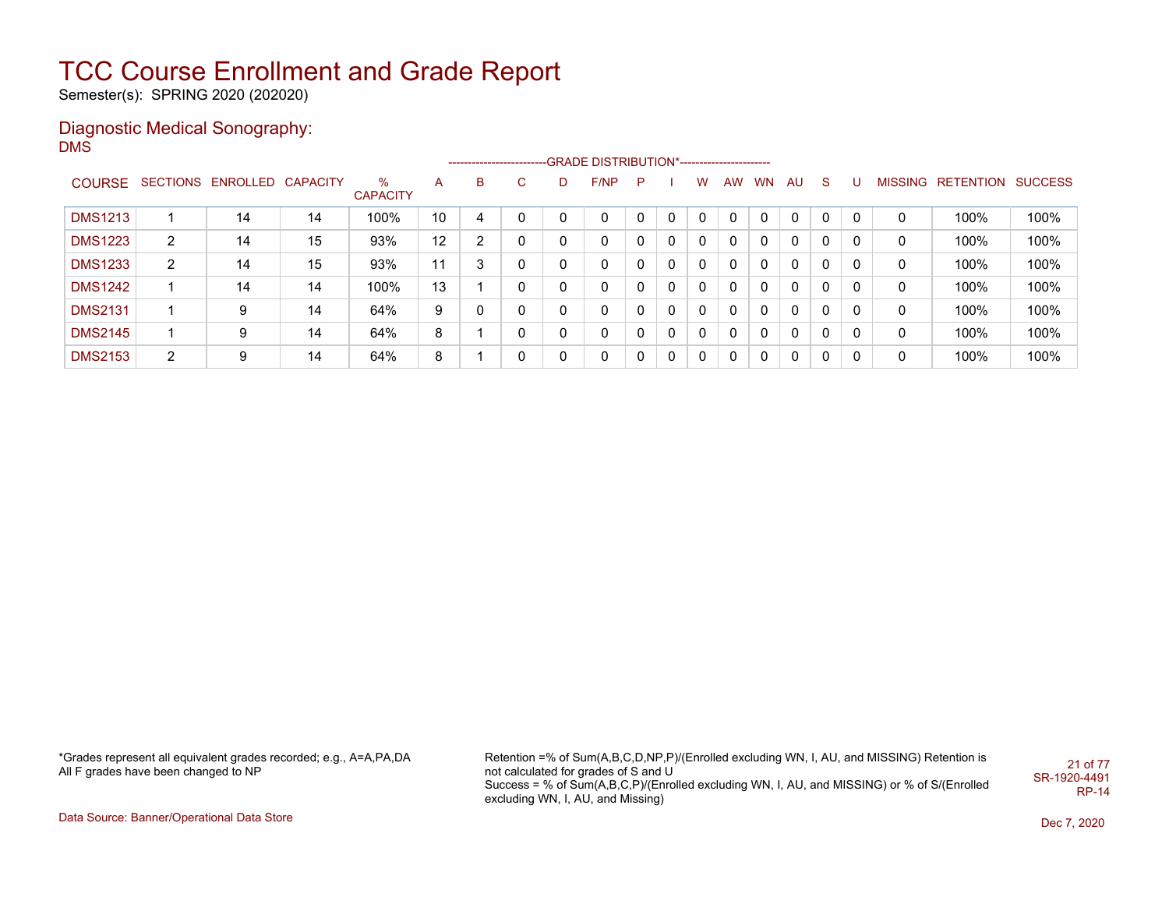Semester(s): SPRING 2020 (202020)

### Diagnostic Medical Sonography: DMS

|                |                |                            |    |                         |              |    |    |   | --------------------------GRADE DISTRIBUTION*---------------------- |   |              |              |          |              |              |              |   |                |                          |      |
|----------------|----------------|----------------------------|----|-------------------------|--------------|----|----|---|---------------------------------------------------------------------|---|--------------|--------------|----------|--------------|--------------|--------------|---|----------------|--------------------------|------|
| <b>COURSE</b>  |                | SECTIONS ENROLLED CAPACITY |    | $\%$<br><b>CAPACITY</b> | $\mathsf{A}$ | B. | C. | D | F/NP                                                                | P |              | w            | AW.      | <b>WN</b>    | AU.          | <sub>S</sub> | U | <b>MISSING</b> | <b>RETENTION SUCCESS</b> |      |
| <b>DMS1213</b> |                | 14                         | 14 | 100%                    | 10           | 4  |    |   | 0                                                                   |   | $\mathbf{0}$ | 0            | 0        |              | $\mathbf{0}$ | $\mathbf{0}$ | 0 | 0              | 100%                     | 100% |
| <b>DMS1223</b> | $\overline{2}$ | 14                         | 15 | 93%                     | 12           | 2  |    |   | 0                                                                   |   | $\Omega$     | $\mathbf{0}$ | 0        | 0            | 0            | $\mathbf{0}$ | 0 | 0              | 100%                     | 100% |
| <b>DMS1233</b> | 2              | 14                         | 15 | 93%                     | 11           | 3  |    |   | 0                                                                   |   | $\Omega$     | $\mathbf{0}$ | 0        | 0            | $\Omega$     | $\mathbf{0}$ | 0 | 0              | 100%                     | 100% |
| <b>DMS1242</b> |                | 14                         | 14 | 100%                    | 13           |    |    |   | 0                                                                   |   | $\Omega$     | $\mathbf{0}$ | 0        | 0            | $\Omega$     | $\mathbf{0}$ | 0 | 0              | 100%                     | 100% |
| <b>DMS2131</b> |                | 9                          | 14 | 64%                     | 9            |    |    |   | 0                                                                   |   | $\Omega$     | $\mathbf{0}$ | $\Omega$ | $\Omega$     | $\Omega$     | $\mathbf{0}$ | 0 | 0              | 100%                     | 100% |
| <b>DMS2145</b> |                | 9                          | 14 | 64%                     | 8            |    |    |   | 0                                                                   | 0 | $\Omega$     | $\mathbf{0}$ | 0        | $\mathbf{0}$ | 0            | $\mathbf{0}$ | 0 | 0              | 100%                     | 100% |
| <b>DMS2153</b> | 2              | 9                          | 14 | 64%                     | 8            |    |    |   | 0                                                                   | 0 | $\Omega$     | 0            | 0        | 0            | $\mathbf{0}$ | $\Omega$     | 0 | 0              | 100%                     | 100% |

\*Grades represent all equivalent grades recorded; e.g., A=A,PA,DA All F grades have been changed to NP

Retention =% of Sum(A,B,C,D,NP,P)/(Enrolled excluding WN, I, AU, and MISSING) Retention is not calculated for grades of S and U Success = % of Sum(A,B,C,P)/(Enrolled excluding WN, I, AU, and MISSING) or % of S/(Enrolled excluding WN, I, AU, and Missing) 21 of 77 SR-1920-4491 RP-14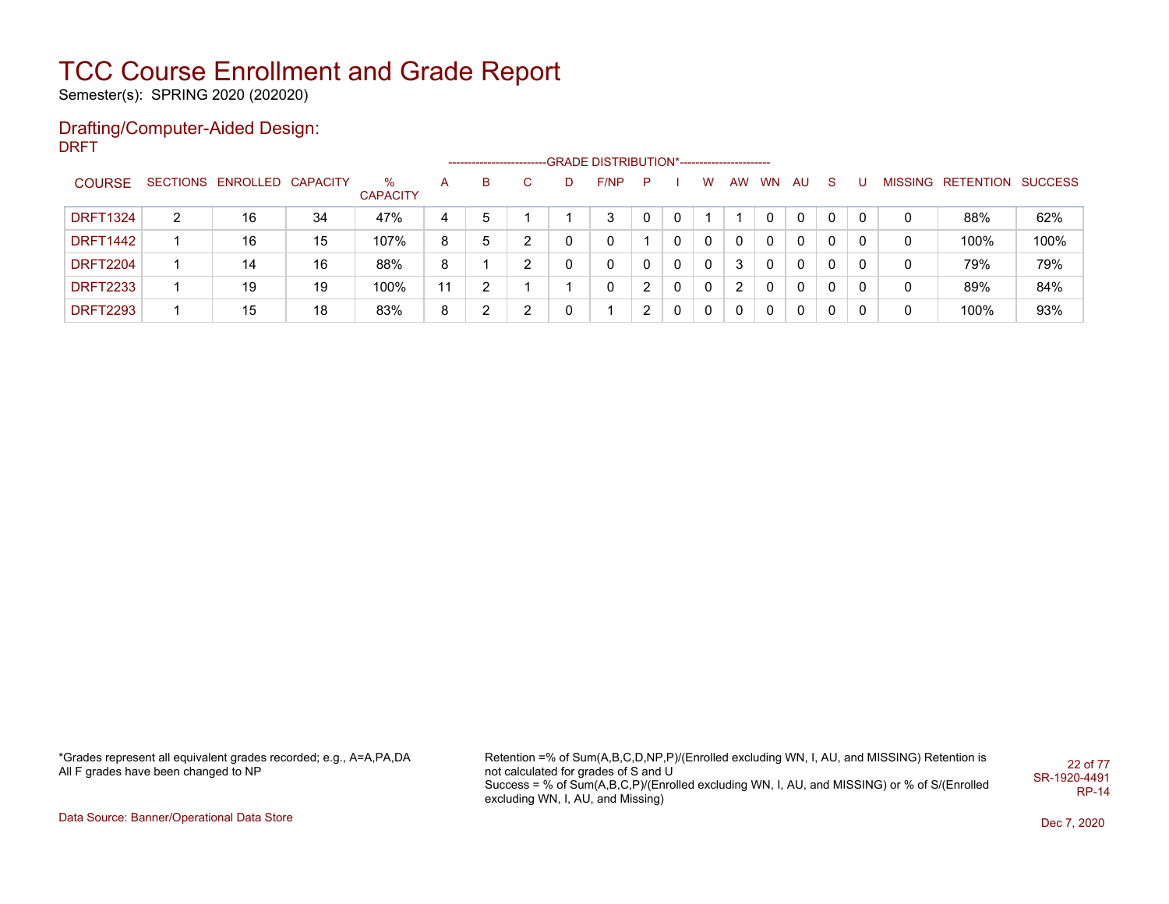Semester(s): SPRING 2020 (202020)

#### Drafting/Computer-Aided Design: DRFT

|                 |   |                            |    |                      |    | --------------------- |   |      |    |   |   |   |       |          |          |   |   |                           |      |
|-----------------|---|----------------------------|----|----------------------|----|-----------------------|---|------|----|---|---|---|-------|----------|----------|---|---|---------------------------|------|
| <b>COURSE</b>   |   | SECTIONS ENROLLED CAPACITY |    | ℅<br><b>CAPACITY</b> | A  | в                     |   | F/NP | P. |   | W |   | AW WN | AU       | -S       |   |   | MISSING RETENTION SUCCESS |      |
| <b>DRFT1324</b> | 2 | 16                         | 34 | 47%                  | 4  | 5                     |   | 3    |    | 0 |   |   |       | $\Omega$ | 0        | 0 |   | 88%                       | 62%  |
| <b>DRFT1442</b> |   | 16                         | 15 | 107%                 | 8  | 5                     | ົ | 0    |    | 0 | 0 | 0 | 0     | $\Omega$ | $\Omega$ |   | 0 | 100%                      | 100% |
| <b>DRFT2204</b> |   | 14                         | 16 | 88%                  | 8  |                       | າ | 0    |    | 0 | 0 | 3 |       |          | - 0      |   | 0 | 79%                       | 79%  |
| <b>DRFT2233</b> |   | 19                         | 19 | 100%                 | 11 | ົ                     |   | 0    |    | 0 | 0 | 2 |       | $\Omega$ | $\Omega$ | 0 | 0 | 89%                       | 84%  |
| <b>DRFT2293</b> |   | 15                         | 18 | 83%                  | 8  | ົ                     | ົ |      |    | 0 | 0 | 0 |       | $\Omega$ | $\Omega$ |   |   | 100%                      | 93%  |

\*Grades represent all equivalent grades recorded; e.g., A=A,PA,DA All F grades have been changed to NP

Retention =% of Sum(A,B,C,D,NP,P)/(Enrolled excluding WN, I, AU, and MISSING) Retention is not calculated for grades of S and U Success = % of Sum(A,B,C,P)/(Enrolled excluding WN, I, AU, and MISSING) or % of S/(Enrolled excluding WN, I, AU, and Missing) 22 of 77 SR-1920-4491 RP-14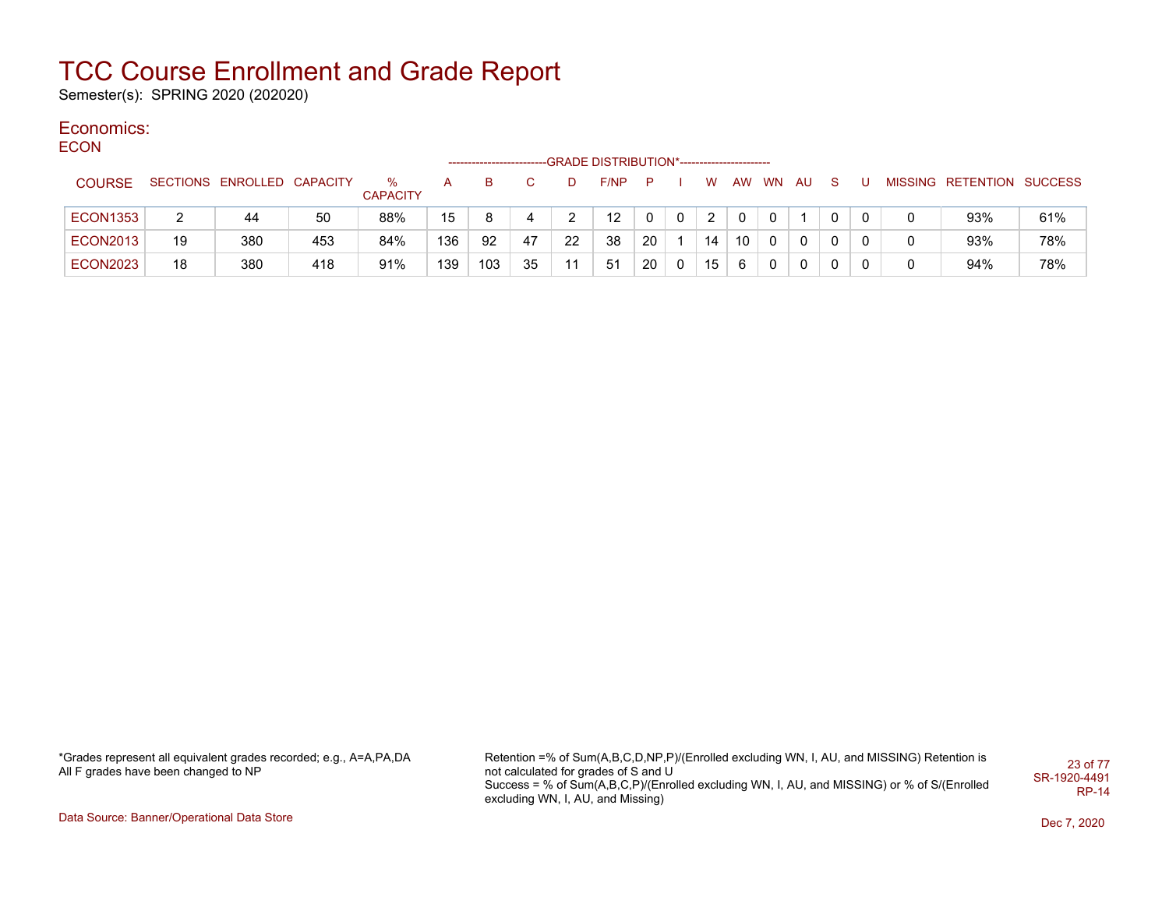Semester(s): SPRING 2020 (202020)

#### Economics: **ECON**

| -----           |    |                            |     |                      |     | -------------------- |    |    | -GRADE DISTRIBUTION*----------------------- |              |              |                |                 |          |     |              |              |                           |     |
|-----------------|----|----------------------------|-----|----------------------|-----|----------------------|----|----|---------------------------------------------|--------------|--------------|----------------|-----------------|----------|-----|--------------|--------------|---------------------------|-----|
| <b>COURSE</b>   |    | SECTIONS ENROLLED CAPACITY |     | %<br><b>CAPACITY</b> | A   | B                    |    |    | F/NP                                        | P            |              | W              | AW              | WN       | AU. | <sub>S</sub> |              | MISSING RETENTION SUCCESS |     |
| <b>ECON1353</b> | 2  | 44                         | 50  | 88%                  | 15  | 8                    | 4  |    | $12 \overline{ }$                           | $\mathbf{0}$ | $\mathbf 0$  | $\overline{2}$ | $\Omega$        | $\Omega$ |     | 0            | $\mathbf{0}$ | 93%                       | 61% |
| <b>ECON2013</b> | 19 | 380                        | 453 | 84%                  | 136 | 92                   | 47 | 22 | 38                                          | 20           |              | 14             | 10 <sup>1</sup> | 0        | 0   |              | $\mathbf{0}$ | 93%                       | 78% |
| <b>ECON2023</b> | 18 | 380                        | 418 | 91%                  | 139 | 103                  | 35 | 11 | 51                                          | 20           | $\mathbf{0}$ | 15             | -6              |          | 0   |              | 0            | 94%                       | 78% |

\*Grades represent all equivalent grades recorded; e.g., A=A,PA,DA All F grades have been changed to NP

Retention =% of Sum(A,B,C,D,NP,P)/(Enrolled excluding WN, I, AU, and MISSING) Retention is not calculated for grades of S and U Success = % of Sum(A,B,C,P)/(Enrolled excluding WN, I, AU, and MISSING) or % of S/(Enrolled excluding WN, I, AU, and Missing) 23 of 77 SR-1920-4491 RP-14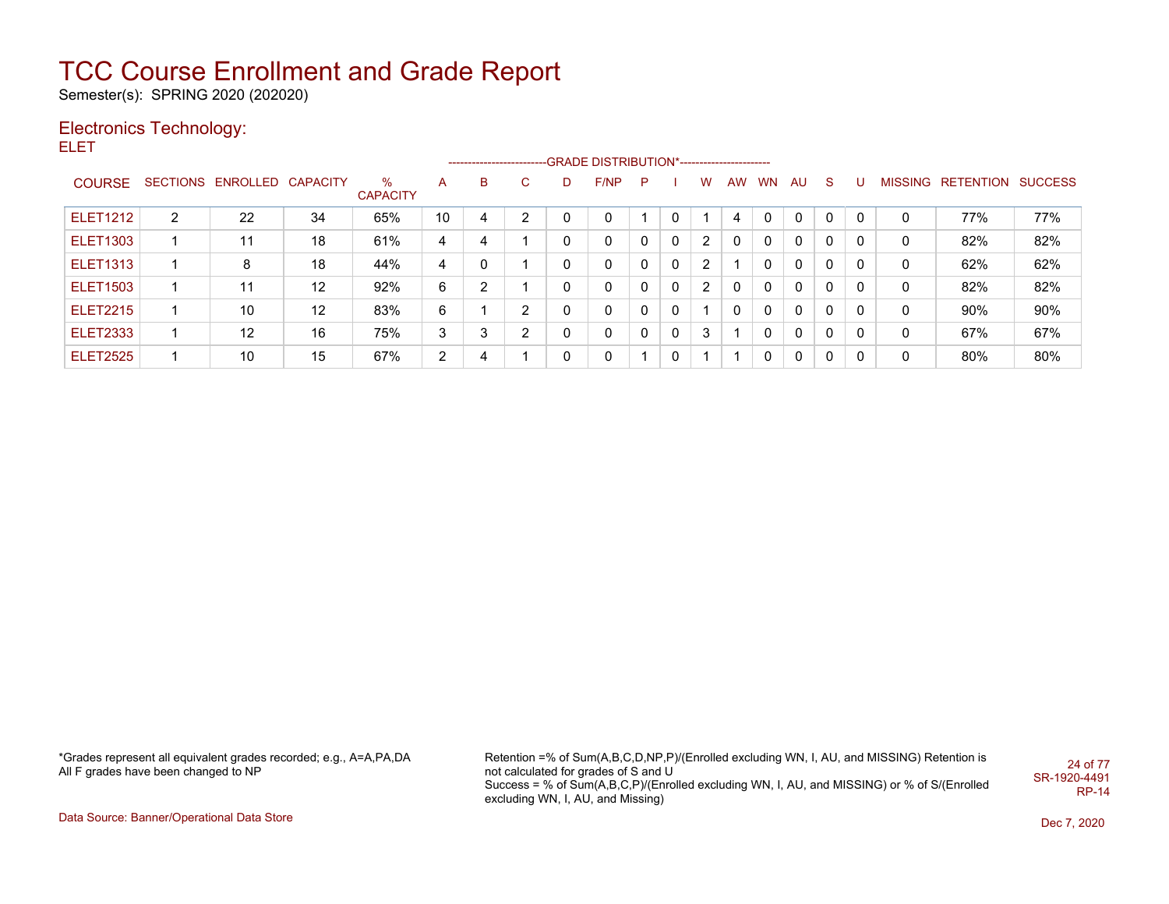Semester(s): SPRING 2020 (202020)

### Electronics Technology:

ELET

|                 |                |                            |                   |                      |    |   |                |    | ------------------------GRADE DISTRIBUTION*----------------------- |          |              |   |           |           |              |              |          |   |                   |                |
|-----------------|----------------|----------------------------|-------------------|----------------------|----|---|----------------|----|--------------------------------------------------------------------|----------|--------------|---|-----------|-----------|--------------|--------------|----------|---|-------------------|----------------|
| <b>COURSE</b>   |                | SECTIONS ENROLLED CAPACITY |                   | %<br><b>CAPACITY</b> | A  | в | C.             | D. | F/NP                                                               | P.       |              | W | <b>AW</b> | <b>WN</b> | AU.          | S.           | U        |   | MISSING RETENTION | <b>SUCCESS</b> |
| <b>ELET1212</b> | $\overline{2}$ | 22                         | 34                | 65%                  | 10 | 4 | 2              |    | 0                                                                  |          | 0            |   | 4         | $\Omega$  | $\mathbf{0}$ | $\Omega$     | $\Omega$ | 0 | 77%               | 77%            |
| <b>ELET1303</b> |                | 11                         | 18                | 61%                  | 4  | 4 |                |    | 0                                                                  | 0        | $\mathbf{0}$ | 2 | 0         |           | $\Omega$     | 0            |          | 0 | 82%               | 82%            |
| <b>ELET1313</b> |                | 8                          | 18                | 44%                  | 4  | 0 |                |    | 0                                                                  | 0        | 0            | 2 |           |           | $\Omega$     | 0            | 0        | 0 | 62%               | 62%            |
| <b>ELET1503</b> |                | 11                         | $12 \,$           | 92%                  | 6  | ົ |                |    | 0                                                                  | 0        | $\mathbf{0}$ | 2 | $\Omega$  |           | $\Omega$     | 0            | 0        | 0 | 82%               | 82%            |
| <b>ELET2215</b> |                | 10                         | $12 \overline{ }$ | 83%                  | 6  |   | $\overline{2}$ |    | 0                                                                  | $\Omega$ | $\mathbf{0}$ |   | $\Omega$  | $\Omega$  | $\mathbf{0}$ | $\mathbf{0}$ | 0        | 0 | 90%               | 90%            |
| <b>ELET2333</b> |                | 12                         | 16                | 75%                  | 3  | 3 | $\overline{2}$ |    | $\mathbf{0}$                                                       | 0        | $\mathbf{0}$ | 3 |           |           | $\mathbf{0}$ | $\Omega$     | 0        | 0 | 67%               | 67%            |
| <b>ELET2525</b> |                | 10                         | 15                | 67%                  | 2  | 4 |                | 0  | 0                                                                  |          | 0            |   |           |           | $\mathbf{0}$ | $\Omega$     | 0        | 0 | 80%               | 80%            |

\*Grades represent all equivalent grades recorded; e.g., A=A,PA,DA All F grades have been changed to NP

Retention =% of Sum(A,B,C,D,NP,P)/(Enrolled excluding WN, I, AU, and MISSING) Retention is not calculated for grades of S and U Success = % of Sum(A,B,C,P)/(Enrolled excluding WN, I, AU, and MISSING) or % of S/(Enrolled excluding WN, I, AU, and Missing) 24 of 77 SR-1920-4491 RP-14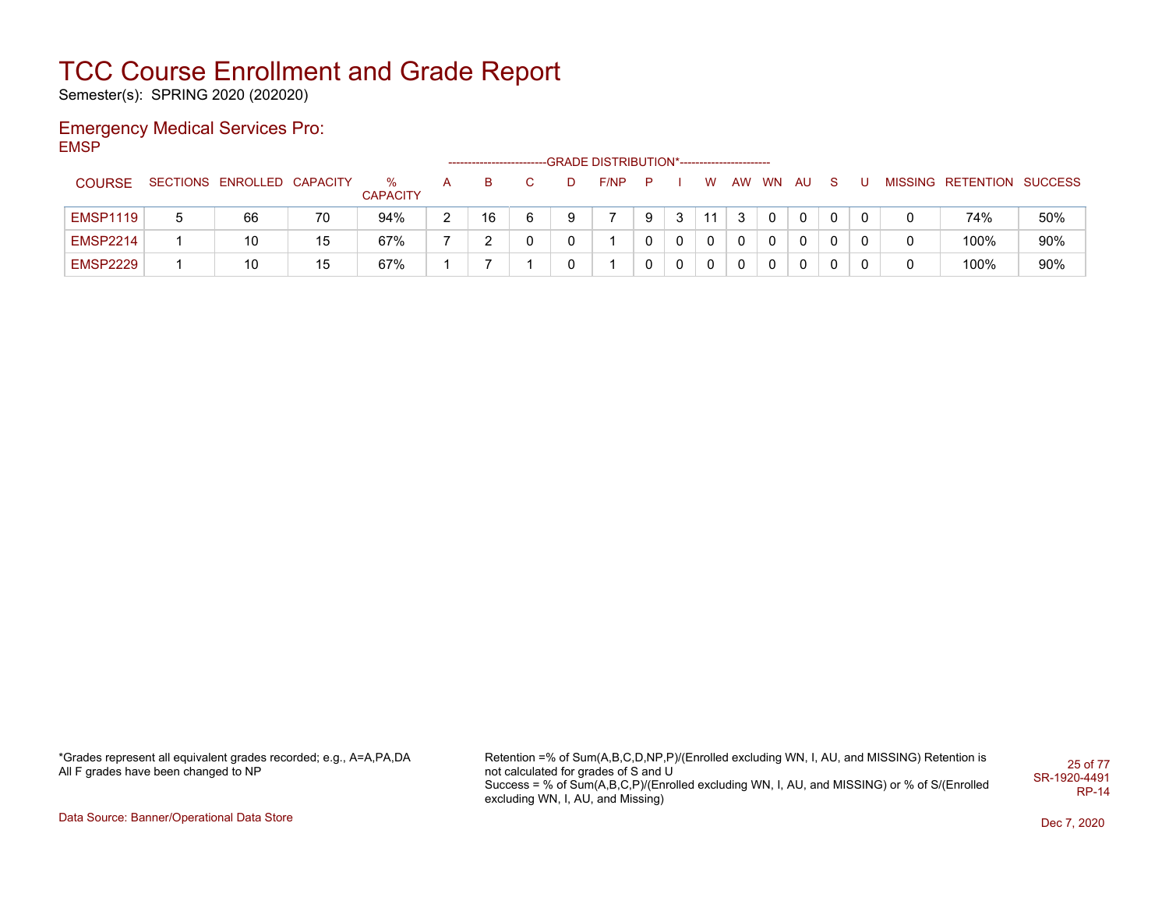Semester(s): SPRING 2020 (202020)

### Emergency Medical Services Pro: EMSP

|                 |   |                            |    |                      |               |    |   |   | -GRADE DISTRIBUTION*----------------------- |   |   |              |           |           |    |              |   |                           |     |
|-----------------|---|----------------------------|----|----------------------|---------------|----|---|---|---------------------------------------------|---|---|--------------|-----------|-----------|----|--------------|---|---------------------------|-----|
| <b>COURSE</b>   |   | SECTIONS ENROLLED CAPACITY |    | ℅<br><b>CAPACITY</b> |               |    |   |   | F/NP                                        | P |   | W            | <b>AW</b> | <b>WN</b> | AU | -S           |   | MISSING RETENTION SUCCESS |     |
| <b>EMSP1119</b> | 5 | 66                         | 70 | 94%                  | $\mathcal{D}$ | 16 | 6 | 9 |                                             | 9 | 3 | 11           | -3        | 0         | 0  | $\mathbf{0}$ | 0 | 74%                       | 50% |
| <b>EMSP2214</b> |   | 10                         | 15 | 67%                  |               |    | U |   |                                             |   | 0 | $\mathbf{0}$ | 0         | 0         | 0  | 0            |   | 100%                      | 90% |
| <b>EMSP2229</b> |   | 10                         | 15 | 67%                  |               |    |   | 0 |                                             |   | 0 | 0            | 0         | 0         | 0  | 0            | 0 | 100%                      | 90% |

\*Grades represent all equivalent grades recorded; e.g., A=A,PA,DA All F grades have been changed to NP

Retention =% of Sum(A,B,C,D,NP,P)/(Enrolled excluding WN, I, AU, and MISSING) Retention is not calculated for grades of S and U Success = % of Sum(A,B,C,P)/(Enrolled excluding WN, I, AU, and MISSING) or % of S/(Enrolled excluding WN, I, AU, and Missing) 25 of 77 SR-1920-4491 RP-14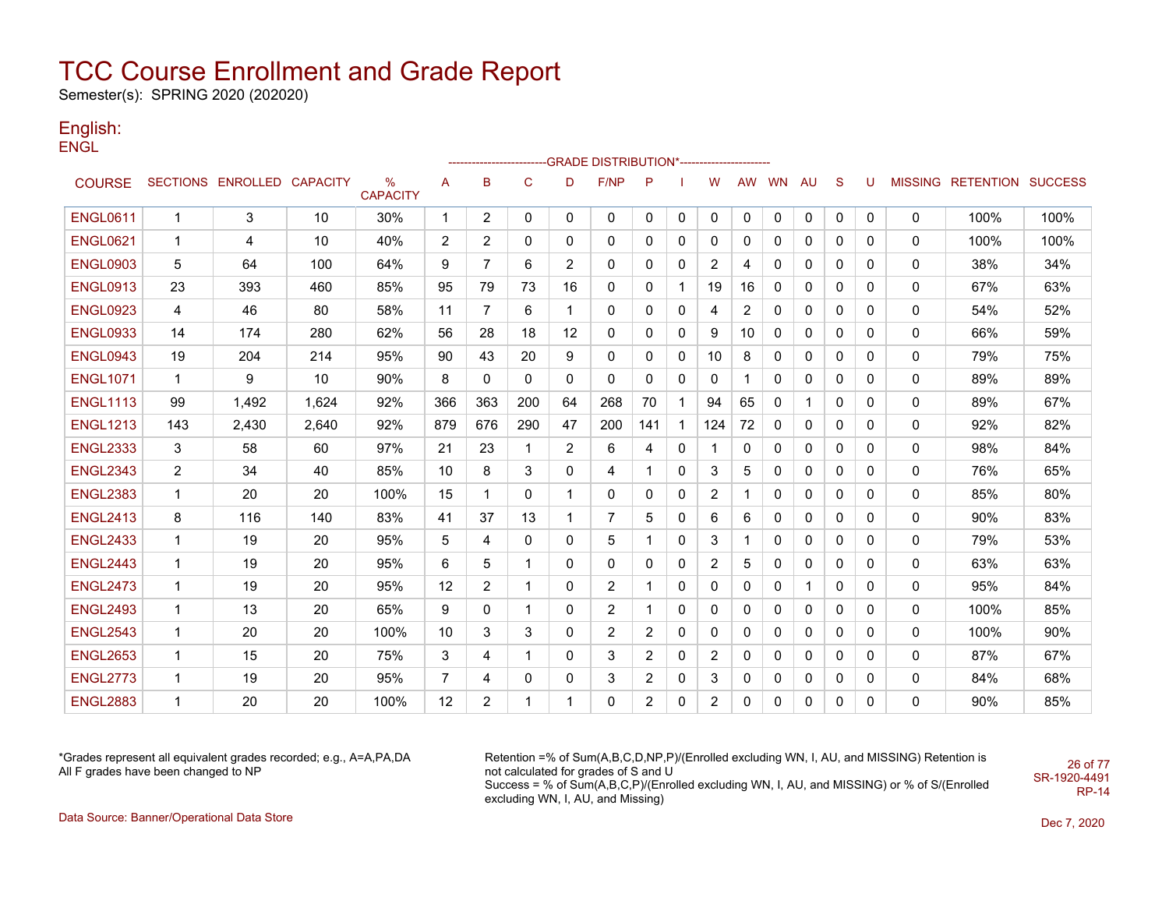Semester(s): SPRING 2020 (202020)

#### English: ENGL

|                 |                |                            |       |                                  |     |                       |     |                | ------------------------GRADE                DISTRIBUTION*---------------------- |                |             |                |    |           |              |              |              |   |                           |      |
|-----------------|----------------|----------------------------|-------|----------------------------------|-----|-----------------------|-----|----------------|----------------------------------------------------------------------------------|----------------|-------------|----------------|----|-----------|--------------|--------------|--------------|---|---------------------------|------|
| <b>COURSE</b>   |                | SECTIONS ENROLLED CAPACITY |       | $\frac{0}{0}$<br><b>CAPACITY</b> | A   | B                     | C   | D              | <b>F/NP</b>                                                                      | P              |             | W              | AW | <b>WN</b> | AU           | S            | U            |   | MISSING RETENTION SUCCESS |      |
| <b>ENGL0611</b> | 1              | 3                          | 10    | 30%                              | 1   | $\overline{2}$        | 0   | $\mathbf{0}$   | $\mathbf{0}$                                                                     | $\mathbf{0}$   | 0           | 0              | 0  | 0         | $\mathbf 0$  | $\mathbf{0}$ | $\mathbf{0}$ | 0 | 100%                      | 100% |
| <b>ENGL0621</b> | 1              | 4                          | 10    | 40%                              | 2   | $\mathbf{2}^{\prime}$ | 0   | 0              | 0                                                                                | $\mathbf{0}$   | 0           | 0              | 0  | 0         | $\mathbf{0}$ | $\mathbf{0}$ | 0            | 0 | 100%                      | 100% |
| <b>ENGL0903</b> | 5              | 64                         | 100   | 64%                              | 9   | 7                     | 6   | $\overline{2}$ | 0                                                                                | 0              | 0           | 2              | 4  | 0         | 0            | 0            | 0            | 0 | 38%                       | 34%  |
| <b>ENGL0913</b> | 23             | 393                        | 460   | 85%                              | 95  | 79                    | 73  | 16             | 0                                                                                | 0              | $\mathbf 1$ | 19             | 16 | 0         | 0            | 0            | 0            | 0 | 67%                       | 63%  |
| <b>ENGL0923</b> | 4              | 46                         | 80    | 58%                              | 11  | 7                     | 6   | 1              | 0                                                                                | 0              | 0           | 4              | 2  | 0         | 0            | 0            | 0            | 0 | 54%                       | 52%  |
| <b>ENGL0933</b> | 14             | 174                        | 280   | 62%                              | 56  | 28                    | 18  | 12             | $\mathbf{0}$                                                                     | $\mathbf{0}$   | 0           | 9              | 10 | 0         | $\mathbf{0}$ | $\mathbf{0}$ | $\Omega$     | 0 | 66%                       | 59%  |
| <b>ENGL0943</b> | 19             | 204                        | 214   | 95%                              | 90  | 43                    | 20  | 9              | 0                                                                                | 0              | 0           | 10             | 8  | 0         | $\mathbf{0}$ | $\mathbf{0}$ | 0            | 0 | 79%                       | 75%  |
| <b>ENGL1071</b> | $\mathbf{1}$   | 9                          | 10    | 90%                              | 8   | 0                     | 0   | 0              | 0                                                                                | $\mathbf{0}$   | 0           | 0              | 1  | 0         | 0            | 0            | 0            | 0 | 89%                       | 89%  |
| <b>ENGL1113</b> | 99             | 1,492                      | 1,624 | 92%                              | 366 | 363                   | 200 | 64             | 268                                                                              | 70             | $\mathbf 1$ | 94             | 65 | 0         | $\mathbf{1}$ | $\mathbf{0}$ | $\Omega$     | 0 | 89%                       | 67%  |
| <b>ENGL1213</b> | 143            | 2,430                      | 2,640 | 92%                              | 879 | 676                   | 290 | 47             | 200                                                                              | 141            | 1           | 124            | 72 | 0         | 0            | 0            | 0            | 0 | 92%                       | 82%  |
| <b>ENGL2333</b> | 3              | 58                         | 60    | 97%                              | 21  | 23                    |     | $\overline{2}$ | 6                                                                                | 4              | 0           | 1              | 0  | 0         | 0            | 0            | 0            | 0 | 98%                       | 84%  |
| <b>ENGL2343</b> | $\overline{2}$ | 34                         | 40    | 85%                              | 10  | 8                     | 3   | 0              | 4                                                                                | 1              | 0           | 3              | 5  | 0         | 0            | 0            | 0            | 0 | 76%                       | 65%  |
| <b>ENGL2383</b> | 1              | 20                         | 20    | 100%                             | 15  |                       | 0   | 1              | 0                                                                                | 0              | 0           | 2              | 1  | 0         | 0            | 0            | 0            | 0 | 85%                       | 80%  |
| <b>ENGL2413</b> | 8              | 116                        | 140   | 83%                              | 41  | 37                    | 13  | $\mathbf 1$    | 7                                                                                | 5              | 0           | 6              | 6  | 0         | $\mathbf{0}$ | $\mathbf{0}$ | 0            | 0 | 90%                       | 83%  |
| <b>ENGL2433</b> | $\mathbf 1$    | 19                         | 20    | 95%                              | 5   | 4                     | 0   | 0              | 5                                                                                | 1              | 0           | 3              | 1  | 0         | $\mathbf{0}$ | 0            | 0            | 0 | 79%                       | 53%  |
| <b>ENGL2443</b> | 1              | 19                         | 20    | 95%                              | 6   | 5                     |     | 0              | $\mathbf{0}$                                                                     | 0              | 0           | 2              | 5  | 0         | $\mathbf{0}$ | 0            | 0            | 0 | 63%                       | 63%  |
| <b>ENGL2473</b> | 1              | 19                         | 20    | 95%                              | 12  | $\overline{2}$        |     | 0              | 2                                                                                | -1             | 0           | 0              | 0  | 0         | 1            | $\mathbf{0}$ | 0            | 0 | 95%                       | 84%  |
| <b>ENGL2493</b> | 1              | 13                         | 20    | 65%                              | 9   | 0                     |     | 0              | 2                                                                                | 1              | 0           | 0              | 0  | 0         | 0            | 0            | 0            | 0 | 100%                      | 85%  |
| <b>ENGL2543</b> | 1              | 20                         | 20    | 100%                             | 10  | 3                     | 3   | 0              | 2                                                                                | 2              | 0           | 0              | 0  | 0         | 0            | 0            | 0            | 0 | 100%                      | 90%  |
| <b>ENGL2653</b> | $\mathbf 1$    | 15                         | 20    | 75%                              | 3   | 4                     |     | 0              | 3                                                                                | 2              | 0           | 2              | 0  | 0         | 0            | 0            | 0            | 0 | 87%                       | 67%  |
| <b>ENGL2773</b> | $\mathbf{1}$   | 19                         | 20    | 95%                              | 7   | 4                     | 0   | 0              | 3                                                                                | $\overline{2}$ | 0           | 3              | 0  | 0         | 0            | 0            | 0            | 0 | 84%                       | 68%  |
| <b>ENGL2883</b> | 1              | 20                         | 20    | 100%                             | 12  | $\overline{2}$        |     |                | 0                                                                                | $\overline{2}$ | 0           | $\overline{2}$ | 0  | 0         | 0            | 0            | 0            | 0 | 90%                       | 85%  |

\*Grades represent all equivalent grades recorded; e.g., A=A,PA,DA All F grades have been changed to NP

Retention =% of Sum(A,B,C,D,NP,P)/(Enrolled excluding WN, I, AU, and MISSING) Retention is not calculated for grades of S and U Success = % of Sum(A,B,C,P)/(Enrolled excluding WN, I, AU, and MISSING) or % of S/(Enrolled excluding WN, I, AU, and Missing) SR-1920-4491

26 of 77

RP-14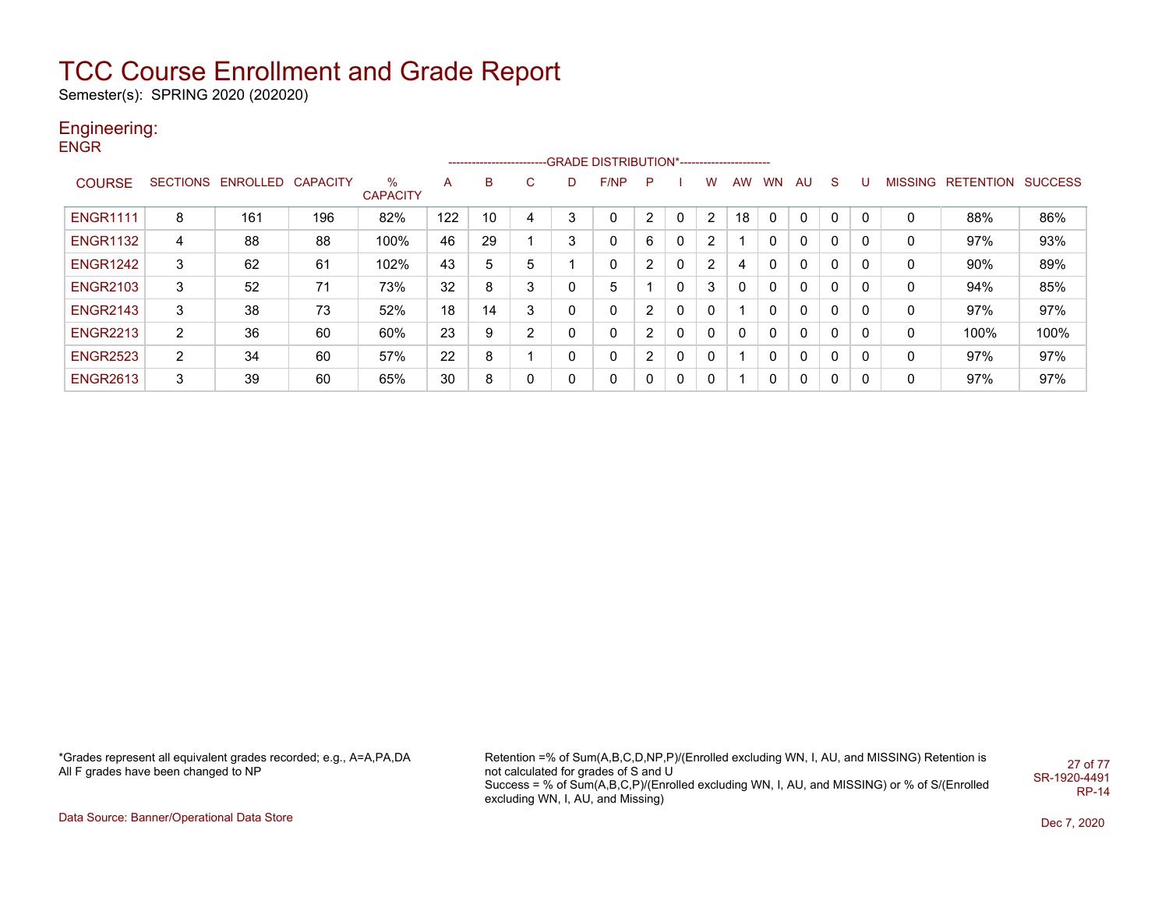Semester(s): SPRING 2020 (202020)

#### Engineering: **ENGR**

|                 |   |                            |     |                         |     |    |   |             | ------------------------GRADE                DISTRIBUTION*---------------------- |                      |              |   |     |              |              |              |   |                   |                |
|-----------------|---|----------------------------|-----|-------------------------|-----|----|---|-------------|----------------------------------------------------------------------------------|----------------------|--------------|---|-----|--------------|--------------|--------------|---|-------------------|----------------|
| <b>COURSE</b>   |   | SECTIONS ENROLLED CAPACITY |     | $\%$<br><b>CAPACITY</b> | A   | B  | C | D           | F/NP                                                                             | P                    |              | w | AW. | <b>WN</b>    | AU           | <sub>S</sub> |   | MISSING RETENTION | <b>SUCCESS</b> |
| <b>ENGR1111</b> | 8 | 161                        | 196 | 82%                     | 122 | 10 | 4 | $\sqrt{2}$  |                                                                                  | $\overline{2}$       | $\Omega$     | 2 | 18  | 0            | $\Omega$     | 0            | 0 | 88%               | 86%            |
| <b>ENGR1132</b> | 4 | 88                         | 88  | 100%                    | 46  | 29 |   | 3           | $\mathbf 0$                                                                      | 6                    | $\mathbf{0}$ | 2 |     | 0            | $\mathbf{0}$ | 0            | 0 | 97%               | 93%            |
| <b>ENGR1242</b> | 3 | 62                         | 61  | 102%                    | 43  | 5  | 5 |             | $\mathbf 0$                                                                      | 2                    | 0            | 2 | 4   | 0            | $\mathbf{0}$ | 0            | 0 | 90%               | 89%            |
| <b>ENGR2103</b> | 3 | 52                         | 71  | 73%                     | 32  | 8  | 3 | $\mathbf 0$ | 5                                                                                |                      | $\mathbf{0}$ | 3 | 0   | 0            | $\mathbf{0}$ | 0            | 0 | 94%               | 85%            |
| <b>ENGR2143</b> | 3 | 38                         | 73  | 52%                     | 18  | 14 | 3 | 0           | $\mathbf 0$                                                                      | 2                    | $\mathbf{0}$ | 0 |     | 0            | $\mathbf{0}$ | 0            | 0 | 97%               | 97%            |
| <b>ENGR2213</b> | 2 | 36                         | 60  | 60%                     | 23  | 9  | 2 | 0           | $\mathbf 0$                                                                      | $\overline{2}$       | $\mathbf{0}$ | 0 |     | $\mathbf{0}$ | $\mathbf{0}$ | 0            | 0 | 100%              | 100%           |
| <b>ENGR2523</b> | 2 | 34                         | 60  | 57%                     | 22  | 8  |   | $\Omega$    | $\mathbf 0$                                                                      | $\mathbf{2}^{\circ}$ | $\mathbf{0}$ | 0 |     | 0            | $\mathbf{0}$ | 0            | 0 | 97%               | 97%            |
| <b>ENGR2613</b> | 3 | 39                         | 60  | 65%                     | 30  | 8  | 0 | 0           | $\mathbf 0$                                                                      | $\Omega$             | 0            | 0 |     | $\Omega$     | $\mathbf{0}$ | 0            | 0 | 97%               | 97%            |

\*Grades represent all equivalent grades recorded; e.g., A=A,PA,DA All F grades have been changed to NP

Retention =% of Sum(A,B,C,D,NP,P)/(Enrolled excluding WN, I, AU, and MISSING) Retention is not calculated for grades of S and U Success = % of Sum(A,B,C,P)/(Enrolled excluding WN, I, AU, and MISSING) or % of S/(Enrolled excluding WN, I, AU, and Missing) 27 of 77 SR-1920-4491 RP-14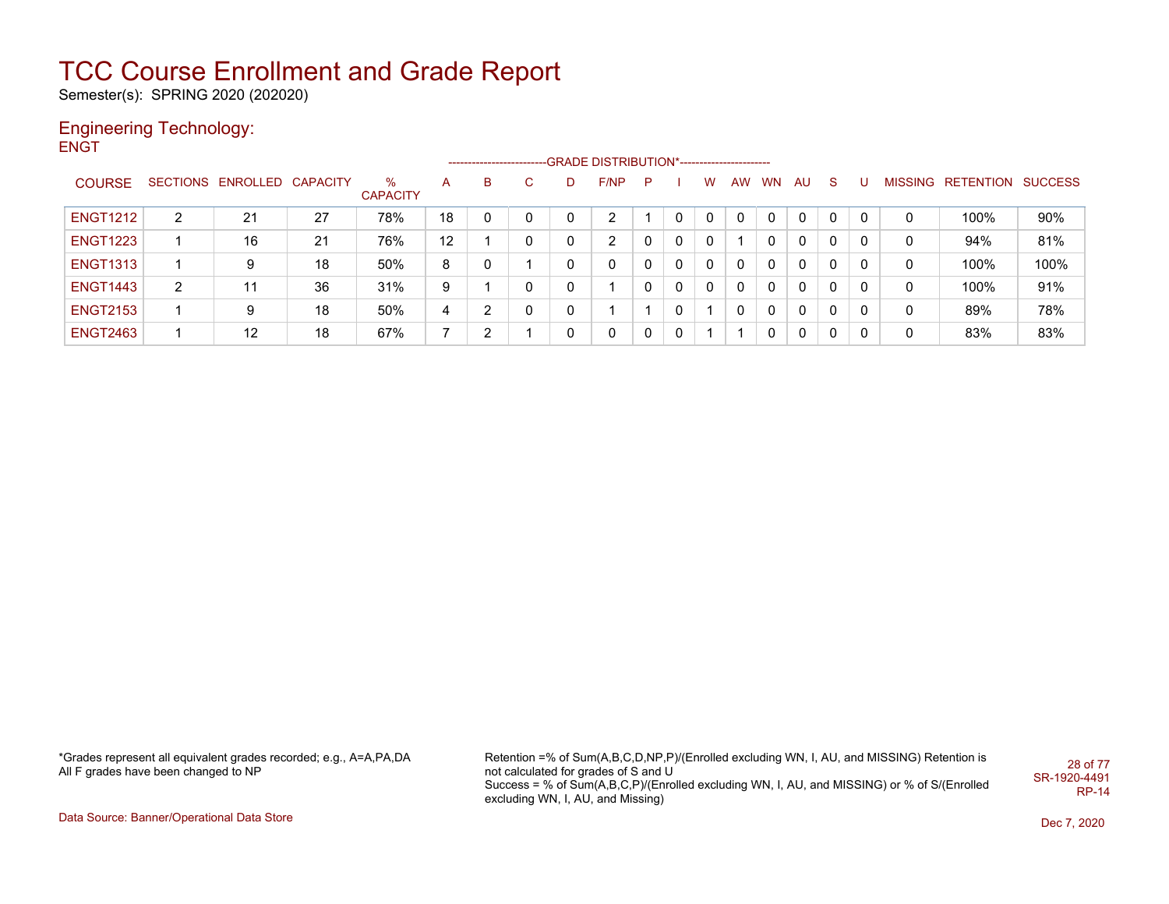Semester(s): SPRING 2020 (202020)

#### Engineering Technology: **ENGT**

|                 |   |                            |    |                      |    | ------------------------ |          |              | -GRADE DISTRIBUTION*----------------------- |              |              |          |                |           |              |              |              |                |           |                |
|-----------------|---|----------------------------|----|----------------------|----|--------------------------|----------|--------------|---------------------------------------------|--------------|--------------|----------|----------------|-----------|--------------|--------------|--------------|----------------|-----------|----------------|
| <b>COURSE</b>   |   | SECTIONS ENROLLED CAPACITY |    | ℅<br><b>CAPACITY</b> | A  | B                        | C.       |              | F/NP                                        | P            |              | w        | <b>AW</b>      | <b>WN</b> | AU           | <sub>S</sub> |              | <b>MISSING</b> | RETENTION | <b>SUCCESS</b> |
| <b>ENGT1212</b> | 2 | 21                         | 27 | 78%                  | 18 | 0                        | $\Omega$ |              | $\overline{2}$                              |              | 0            |          | $\Omega$       | 0         | $\mathbf{0}$ | $\Omega$     | $\Omega$     | 0              | 100%      | 90%            |
| <b>ENGT1223</b> |   | 16                         | 21 | 76%                  | 12 |                          | 0        | $\mathbf{0}$ | 2                                           | $\Omega$     | $\mathbf{0}$ | 0        |                | 0         | $\mathbf{0}$ | 0            | 0            | 0              | 94%       | 81%            |
| <b>ENGT1313</b> |   | 9                          | 18 | 50%                  | 8  | 0                        |          |              | 0                                           | $\Omega$     | $\mathbf{0}$ | $\Omega$ | $\overline{0}$ | 0         | $\Omega$     | 0            | 0            | 0              | 100%      | 100%           |
| <b>ENGT1443</b> | 2 | 11                         | 36 | 31%                  | 9  |                          | $\Omega$ | 0            |                                             | $\Omega$     | $\mathbf{0}$ | $\Omega$ | $\Omega$       | 0         | $\mathbf{0}$ | 0            | $\mathbf{0}$ | 0              | 100%      | 91%            |
| <b>ENGT2153</b> |   | 9                          | 18 | 50%                  | 4  | 2                        | $\Omega$ |              |                                             |              | 0            |          |                | 0         | $\mathbf{0}$ | 0            | 0            | 0              | 89%       | 78%            |
| <b>ENGT2463</b> |   | $12 \,$                    | 18 | 67%                  | 7  | 2                        |          | 0            | 0                                           | $\mathbf{0}$ | $\mathbf 0$  |          |                | 0         | $\mathbf{0}$ | 0            |              | 0              | 83%       | 83%            |

\*Grades represent all equivalent grades recorded; e.g., A=A,PA,DA All F grades have been changed to NP

Retention =% of Sum(A,B,C,D,NP,P)/(Enrolled excluding WN, I, AU, and MISSING) Retention is not calculated for grades of S and U Success = % of Sum(A,B,C,P)/(Enrolled excluding WN, I, AU, and MISSING) or % of S/(Enrolled excluding WN, I, AU, and Missing) 28 of 77 SR-1920-4491 RP-14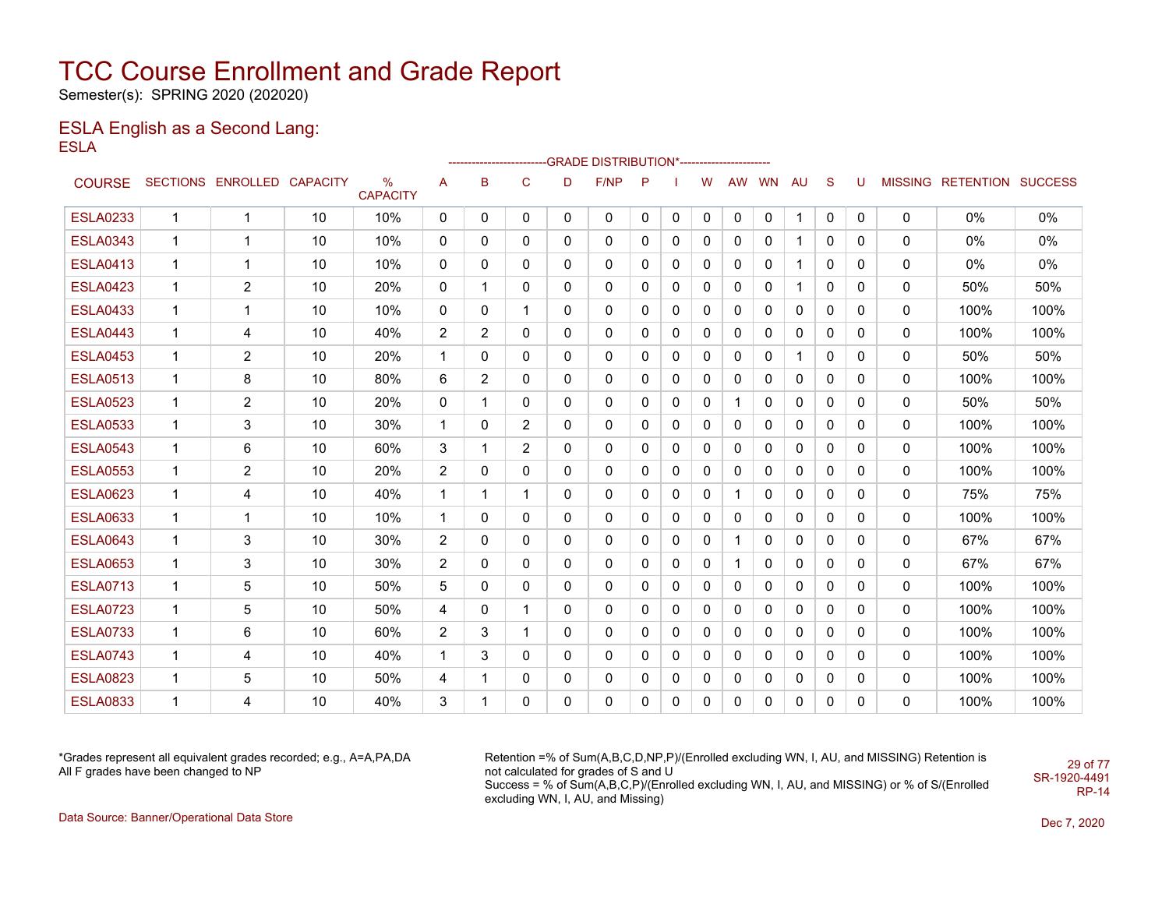Semester(s): SPRING 2020 (202020)

#### ESLA English as a Second Lang: ESLA

|                 |              |                            |    |                      |                |                |                |          | ------------------------GRADE                DISTRIBUTION*---------------------- |              |              |              |              |              |              |              |              |              |                           |      |
|-----------------|--------------|----------------------------|----|----------------------|----------------|----------------|----------------|----------|----------------------------------------------------------------------------------|--------------|--------------|--------------|--------------|--------------|--------------|--------------|--------------|--------------|---------------------------|------|
| <b>COURSE</b>   |              | SECTIONS ENROLLED CAPACITY |    | %<br><b>CAPACITY</b> | A              | в              | $\mathsf{C}$   | D        | F/NP                                                                             | P            |              | W            | AW           | <b>WN</b>    | AU           | <sub>S</sub> | U            |              | MISSING RETENTION SUCCESS |      |
| <b>ESLA0233</b> | 1            | 1                          | 10 | 10%                  | $\mathbf{0}$   | $\mathbf{0}$   | $\mathbf{0}$   | 0        | 0                                                                                | $\mathbf{0}$ | 0            | 0            | 0            | 0            | 1            | 0            | 0            | $\mathbf{0}$ | $0\%$                     | 0%   |
| <b>ESLA0343</b> | 1            | 1                          | 10 | 10%                  | 0              | $\mathbf{0}$   | $\mathbf{0}$   | 0        | 0                                                                                | $\mathbf{0}$ | 0            | 0            | $\mathbf{0}$ | $\mathbf{0}$ |              | $\mathbf{0}$ | 0            | 0            | $0\%$                     | 0%   |
| <b>ESLA0413</b> | 1            | 1                          | 10 | 10%                  | 0              | 0              | 0              | 0        | 0                                                                                | 0            | 0            | 0            | $\mathbf{0}$ | 0            |              | $\mathbf{0}$ | 0            | 0            | $0\%$                     | 0%   |
| <b>ESLA0423</b> | 1            | $\overline{2}$             | 10 | 20%                  | $\mathbf{0}$   |                | 0              | 0        | 0                                                                                | 0            | 0            | 0            | $\mathbf{0}$ | 0            | -1           | $\mathbf{0}$ | 0            | 0            | 50%                       | 50%  |
| <b>ESLA0433</b> | 1            | 1                          | 10 | 10%                  | 0              | 0              | 1              | 0        | 0                                                                                | 0            | 0            | $\mathbf 0$  | 0            | 0            | 0            | 0            | 0            | 0            | 100%                      | 100% |
| <b>ESLA0443</b> | $\mathbf{1}$ | 4                          | 10 | 40%                  | $\overline{2}$ | $\overline{2}$ | $\mathbf{0}$   | 0        | 0                                                                                | $\mathbf{0}$ | $\mathbf 0$  | $\mathbf 0$  | $\mathbf{0}$ | $\Omega$     | $\mathbf{0}$ | 0            | $\mathbf{0}$ | 0            | 100%                      | 100% |
| <b>ESLA0453</b> | 1            | 2                          | 10 | 20%                  | 1              | 0              | 0              | 0        | 0                                                                                | 0            | 0            | 0            | 0            | 0            | -1           | 0            | 0            | 0            | 50%                       | 50%  |
| <b>ESLA0513</b> | 1            | 8                          | 10 | 80%                  | 6              | 2              | $\mathbf{0}$   | 0        | 0                                                                                | $\mathbf{0}$ | $\mathbf{0}$ | $\mathbf{0}$ | $\mathbf{0}$ | 0            | 0            | $\mathbf{0}$ | $\mathbf{0}$ | 0            | 100%                      | 100% |
| <b>ESLA0523</b> | 1            | $\overline{2}$             | 10 | 20%                  | $\mathbf{0}$   |                | $\mathbf{0}$   | $\Omega$ | 0                                                                                | $\mathbf{0}$ | $\mathbf{0}$ | 0            | $\mathbf 1$  | $\mathbf{0}$ | 0            | $\mathbf{0}$ | $\mathbf{0}$ | 0            | 50%                       | 50%  |
| <b>ESLA0533</b> | 1            | 3                          | 10 | 30%                  | 1              | 0              | $\overline{2}$ | 0        | 0                                                                                | 0            | 0            | $\mathbf 0$  | $\mathbf 0$  | 0            | 0            | 0            | 0            | 0            | 100%                      | 100% |
| <b>ESLA0543</b> | 1            | 6                          | 10 | 60%                  | 3              |                | 2              | 0        | 0                                                                                | 0            | 0            | 0            | 0            | 0            | $\mathbf 0$  | 0            | $\mathbf{0}$ | 0            | 100%                      | 100% |
| <b>ESLA0553</b> | 1            | 2                          | 10 | 20%                  | $\overline{c}$ | 0              | 0              | 0        | 0                                                                                | 0            | 0            | 0            | 0            | 0            | 0            | 0            | 0            | 0            | 100%                      | 100% |
| <b>ESLA0623</b> | 1            | 4                          | 10 | 40%                  | 1              |                | 1              | $\Omega$ | 0                                                                                | 0            | 0            | 0            | 1            | 0            | 0            | 0            | $\mathbf{0}$ | 0            | 75%                       | 75%  |
| <b>ESLA0633</b> | $\mathbf{1}$ | 1                          | 10 | 10%                  | $\mathbf{1}$   | 0              | $\mathbf{0}$   | 0        | 0                                                                                | 0            | 0            | 0            | $\mathbf{0}$ | $\mathbf{0}$ | 0            | 0            | $\mathbf{0}$ | 0            | 100%                      | 100% |
| <b>ESLA0643</b> | 1            | 3                          | 10 | 30%                  | $\overline{2}$ | 0              | $\mathbf{0}$   | 0        | 0                                                                                | 0            | $\mathbf{0}$ | $\mathbf{0}$ | $\mathbf 1$  | 0            | $\mathbf{0}$ | $\mathbf{0}$ | $\mathbf{0}$ | 0            | 67%                       | 67%  |
| <b>ESLA0653</b> | 1            | 3                          | 10 | 30%                  | 2              | 0              | $\mathbf{0}$   | 0        | 0                                                                                | 0            | 0            | 0            | $\mathbf 1$  | 0            | 0            | 0            | 0            | 0            | 67%                       | 67%  |
| <b>ESLA0713</b> | 1            | 5                          | 10 | 50%                  | 5              | $\mathbf{0}$   | $\mathbf{0}$   | 0        | 0                                                                                | $\mathbf{0}$ | 0            | 0            | $\mathbf{0}$ | 0            | 0            | 0            | 0            | 0            | 100%                      | 100% |
| <b>ESLA0723</b> | 1            | 5                          | 10 | 50%                  | 4              | 0              | 1              | 0        | 0                                                                                | 0            | 0            | 0            | 0            | 0            | 0            | 0            | 0            | 0            | 100%                      | 100% |
| <b>ESLA0733</b> | 1            | 6                          | 10 | 60%                  | 2              | 3              | 1              | 0        | 0                                                                                | 0            | 0            | 0            | 0            | 0            | 0            | 0            | 0            | 0            | 100%                      | 100% |
| <b>ESLA0743</b> | 1            | 4                          | 10 | 40%                  | 1              | 3              | $\mathbf{0}$   | 0        | 0                                                                                | 0            | 0            | 0            | $\mathbf{0}$ | 0            | $\Omega$     | $\mathbf{0}$ | 0            | 0            | 100%                      | 100% |
| <b>ESLA0823</b> | $\mathbf 1$  | 5                          | 10 | 50%                  | 4              |                | 0              | 0        | 0                                                                                | 0            | 0            | 0            | 0            | 0            | 0            | 0            | 0            | 0            | 100%                      | 100% |
| <b>ESLA0833</b> | 1            | 4                          | 10 | 40%                  | 3              |                | 0              | 0        | 0                                                                                | 0            | $\Omega$     | $\Omega$     | $\mathbf{0}$ | $\Omega$     | 0            | 0            | 0            | 0            | 100%                      | 100% |

\*Grades represent all equivalent grades recorded; e.g., A=A,PA,DA All F grades have been changed to NP

Retention =% of Sum(A,B,C,D,NP,P)/(Enrolled excluding WN, I, AU, and MISSING) Retention is not calculated for grades of S and U Success = % of Sum(A,B,C,P)/(Enrolled excluding WN, I, AU, and MISSING) or % of S/(Enrolled excluding WN, I, AU, and Missing) SR-1920-4491

Data Source: Banner/Operational Data Store Dec 7, 2020

29 of 77

RP-14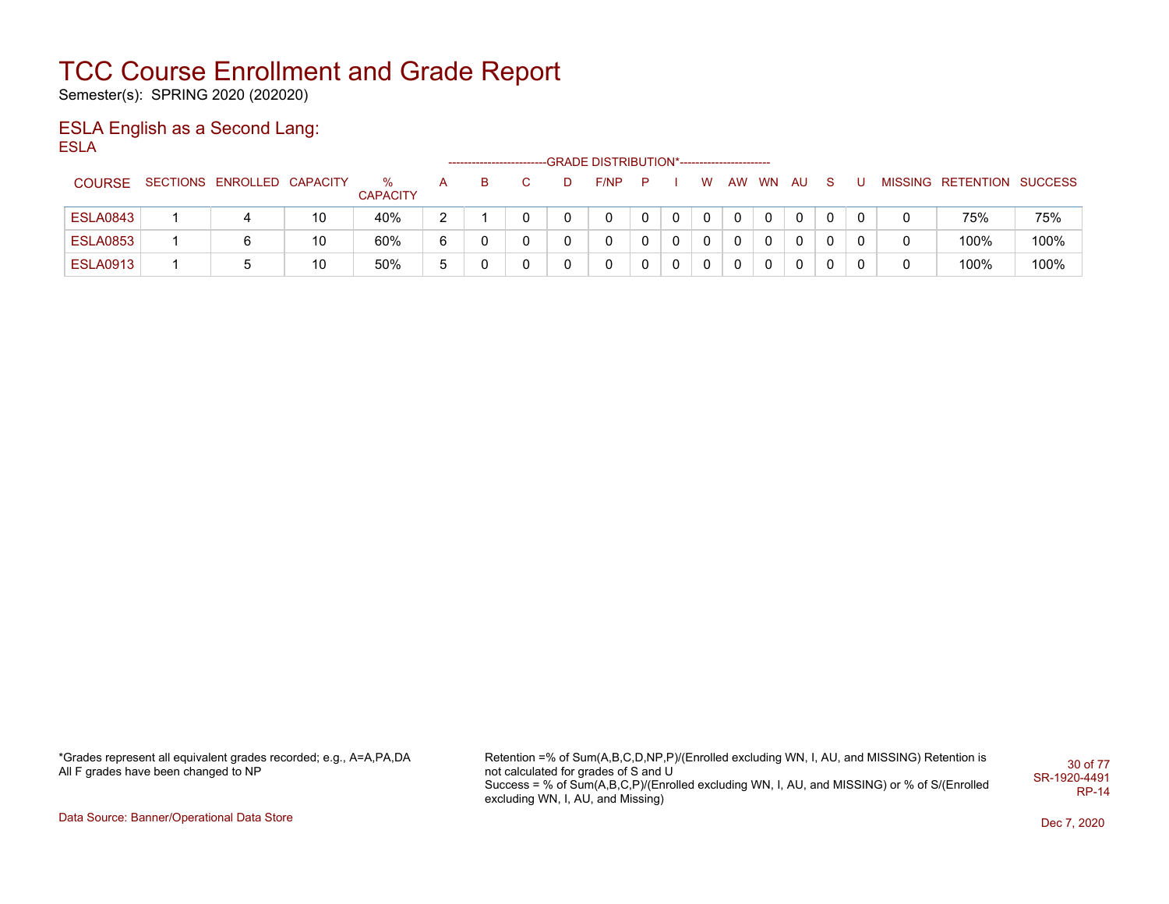Semester(s): SPRING 2020 (202020)

### ESLA English as a Second Lang: ESLA

|                 |                            |    |                         |    |   |  | -GRADE DISTRIBUTION*----------------------- |   |          |   |    |           |      |   |  |                           |      |
|-----------------|----------------------------|----|-------------------------|----|---|--|---------------------------------------------|---|----------|---|----|-----------|------|---|--|---------------------------|------|
| <b>COURSE</b>   | SECTIONS ENROLLED CAPACITY |    | $\%$<br><b>CAPACITY</b> |    | в |  | F/NP                                        | P |          | W | AW | <b>WN</b> | - AU |   |  | MISSING RETENTION SUCCESS |      |
| <b>ESLA0843</b> |                            | 10 | 40%                     | າ  |   |  |                                             |   | $\Omega$ | 0 |    |           | 0    | 0 |  | 75%                       | 75%  |
| <b>ESLA0853</b> | 6                          | 10 | 60%                     | 6  |   |  |                                             |   | 0        | 0 |    |           | 0    | 0 |  | 100%                      | 100% |
| <b>ESLA0913</b> |                            | 10 | 50%                     | г. |   |  |                                             |   | 0        | 0 |    |           |      | 0 |  | 100%                      | 100% |

\*Grades represent all equivalent grades recorded; e.g., A=A,PA,DA All F grades have been changed to NP

Retention =% of Sum(A,B,C,D,NP,P)/(Enrolled excluding WN, I, AU, and MISSING) Retention is not calculated for grades of S and U Success = % of Sum(A,B,C,P)/(Enrolled excluding WN, I, AU, and MISSING) or % of S/(Enrolled excluding WN, I, AU, and Missing) 30 of 77 SR-1920-4491 RP-14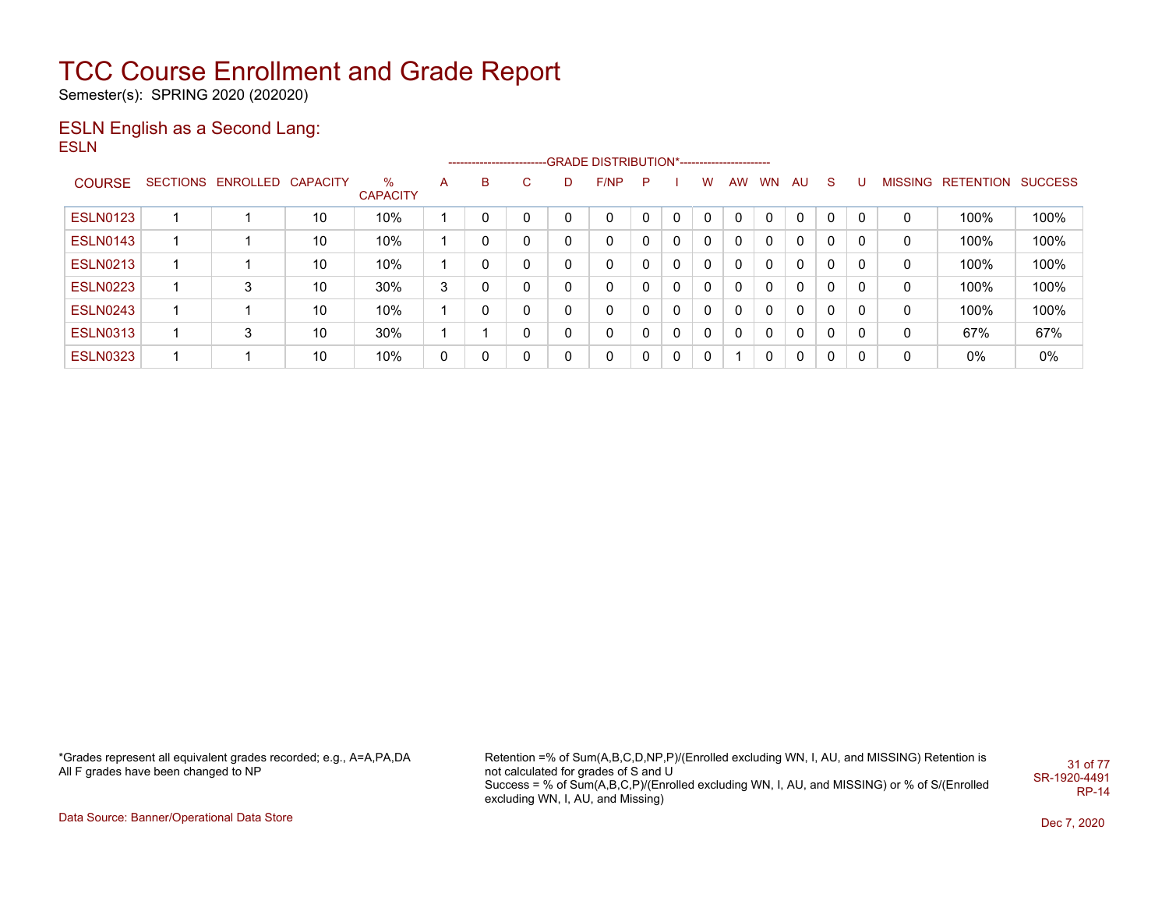Semester(s): SPRING 2020 (202020)

### ESLN English as a Second Lang: ESLN

|                 |                   |                 |                      |   |   |    |              | ------------------------GRADE                DISTRIBUTION*---------------------- |    |              |          |    |              |          |              |          |                |           |                |
|-----------------|-------------------|-----------------|----------------------|---|---|----|--------------|----------------------------------------------------------------------------------|----|--------------|----------|----|--------------|----------|--------------|----------|----------------|-----------|----------------|
| <b>COURSE</b>   | SECTIONS ENROLLED | <b>CAPACITY</b> | %<br><b>CAPACITY</b> | A | в | C. | D            | F/NP                                                                             | P. |              | W        | AW | <b>WN</b>    | AU       | <sub>S</sub> | U        | <b>MISSING</b> | RETENTION | <b>SUCCESS</b> |
| <b>ESLN0123</b> |                   | 10              | 10%                  |   |   | 0  |              | $\Omega$                                                                         | 0  | $\mathbf{0}$ | $\Omega$ | 0  | $\Omega$     | $\Omega$ | $\Omega$     | $\Omega$ | 0              | 100%      | 100%           |
| <b>ESLN0143</b> |                   | 10              | 10%                  |   |   | 0  |              | 0                                                                                | 0  | $\mathbf{0}$ | 0        | 0  | $\Omega$     | $\Omega$ | $\Omega$     | 0        | 0              | 100%      | 100%           |
| <b>ESLN0213</b> |                   | 10              | 10%                  |   |   | 0  | $\sim$       | 0                                                                                | 0  | $\mathbf{0}$ | 0        | 0  | $\mathbf{0}$ | $\Omega$ | 0            | 0        | 0              | 100%      | 100%           |
| <b>ESLN0223</b> | 3                 | 10              | 30%                  | 3 |   | 0  | <sup>n</sup> | 0                                                                                | 0  | 0            | 0        | 0  | $\mathbf{0}$ | $\Omega$ | $\Omega$     | 0        | 0              | 100%      | 100%           |
| <b>ESLN0243</b> |                   | 10              | 10%                  |   |   | 0  | ∩            | $\mathbf{0}$                                                                     | 0  | 0            | 0        | 0  | $\Omega$     | $\Omega$ | $\Omega$     | 0        | 0              | 100%      | 100%           |
| <b>ESLN0313</b> | 3                 | 10              | 30%                  |   |   | 0  |              | $\mathbf{0}$                                                                     | 0  | 0            | 0        | 0  | $\Omega$     | $\Omega$ | $\Omega$     | 0        | 0              | 67%       | 67%            |
| <b>ESLN0323</b> |                   | 10              | 10%                  | 0 |   | 0  |              | $\mathbf{0}$                                                                     | 0  | $\Omega$     | 0        |    |              | $\Omega$ | $\Omega$     | 0        | 0              | 0%        | $0\%$          |

\*Grades represent all equivalent grades recorded; e.g., A=A,PA,DA All F grades have been changed to NP

Retention =% of Sum(A,B,C,D,NP,P)/(Enrolled excluding WN, I, AU, and MISSING) Retention is not calculated for grades of S and U Success = % of Sum(A,B,C,P)/(Enrolled excluding WN, I, AU, and MISSING) or % of S/(Enrolled excluding WN, I, AU, and Missing) 31 of 77 SR-1920-4491 RP-14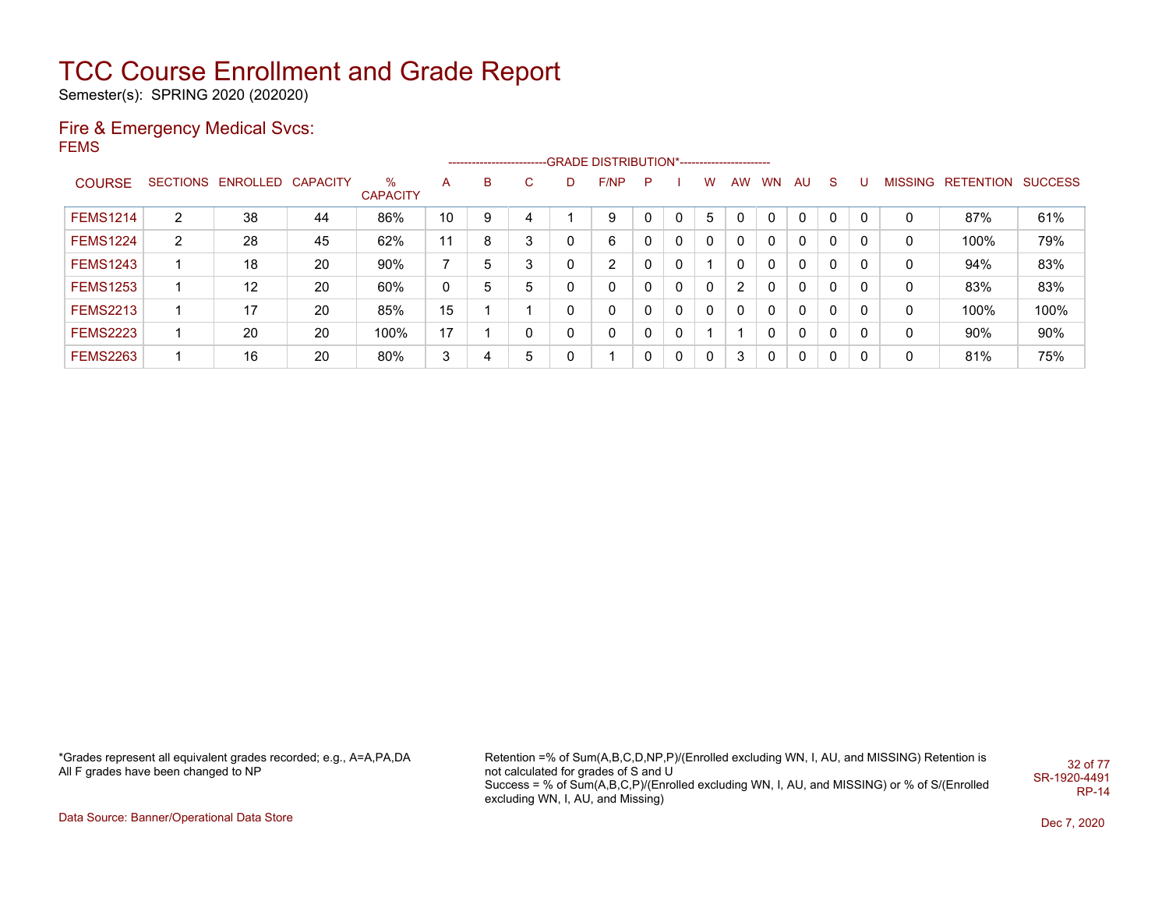Semester(s): SPRING 2020 (202020)

#### Fire & Emergency Medical Svcs: FEMS

|                 |                |                            |    |                      |              |   |   |   | ------------------------GRADE DISTRIBUTION*---------------------- |          |          |              |                |           |     |              |   |   |                   |                |
|-----------------|----------------|----------------------------|----|----------------------|--------------|---|---|---|-------------------------------------------------------------------|----------|----------|--------------|----------------|-----------|-----|--------------|---|---|-------------------|----------------|
| <b>COURSE</b>   |                | SECTIONS ENROLLED CAPACITY |    | %<br><b>CAPACITY</b> | A            | B | C | D | F/NP                                                              | P        |          | W            | <b>AW</b>      | <b>WN</b> | AU. | S.           | U |   | MISSING RETENTION | <b>SUCCESS</b> |
| <b>FEMS1214</b> | 2              | 38                         | 44 | 86%                  | 10           | 9 |   |   | 9                                                                 |          | $\Omega$ | 5            |                | $\Omega$  | 0   | $\mathbf{0}$ | 0 | 0 | 87%               | 61%            |
| <b>FEMS1224</b> | $\overline{2}$ | 28                         | 45 | 62%                  | 11           | 8 | 3 | 0 | 6                                                                 |          | 0        | 0            |                | 0         | 0   | 0            |   | 0 | 100%              | 79%            |
| <b>FEMS1243</b> |                | 18                         | 20 | 90%                  |              | 5 | 3 | 0 | 2                                                                 |          | 0        |              |                | 0         | 0   | $\mathbf{0}$ | 0 | 0 | 94%               | 83%            |
| <b>FEMS1253</b> |                | 12                         | 20 | 60%                  | $\mathbf{0}$ | 5 | 5 | 0 | 0                                                                 |          | 0        | 0            | $\overline{2}$ | 0         | 0   | $\mathbf{0}$ | 0 | 0 | 83%               | 83%            |
| <b>FEMS2213</b> |                | 17                         | 20 | 85%                  | 15           |   |   | 0 | 0                                                                 |          | 0        | $\mathbf{0}$ | 0              | $\Omega$  | 0   | $\mathbf{0}$ | 0 | 0 | 100%              | 100%           |
| <b>FEMS2223</b> |                | 20                         | 20 | 100%                 | 17           |   | 0 | 0 | 0                                                                 | $\Omega$ | 0        |              |                | 0         | 0   | 0            | 0 | 0 | 90%               | 90%            |
| <b>FEMS2263</b> |                | 16                         | 20 | 80%                  | 3            |   | 5 | 0 |                                                                   | $\Omega$ | $\Omega$ | 0            | 3              | 0         | 0   | 0            | 0 | 0 | 81%               | 75%            |

\*Grades represent all equivalent grades recorded; e.g., A=A,PA,DA All F grades have been changed to NP

Retention =% of Sum(A,B,C,D,NP,P)/(Enrolled excluding WN, I, AU, and MISSING) Retention is not calculated for grades of S and U Success = % of Sum(A,B,C,P)/(Enrolled excluding WN, I, AU, and MISSING) or % of S/(Enrolled excluding WN, I, AU, and Missing) 32 of 77 SR-1920-4491 RP-14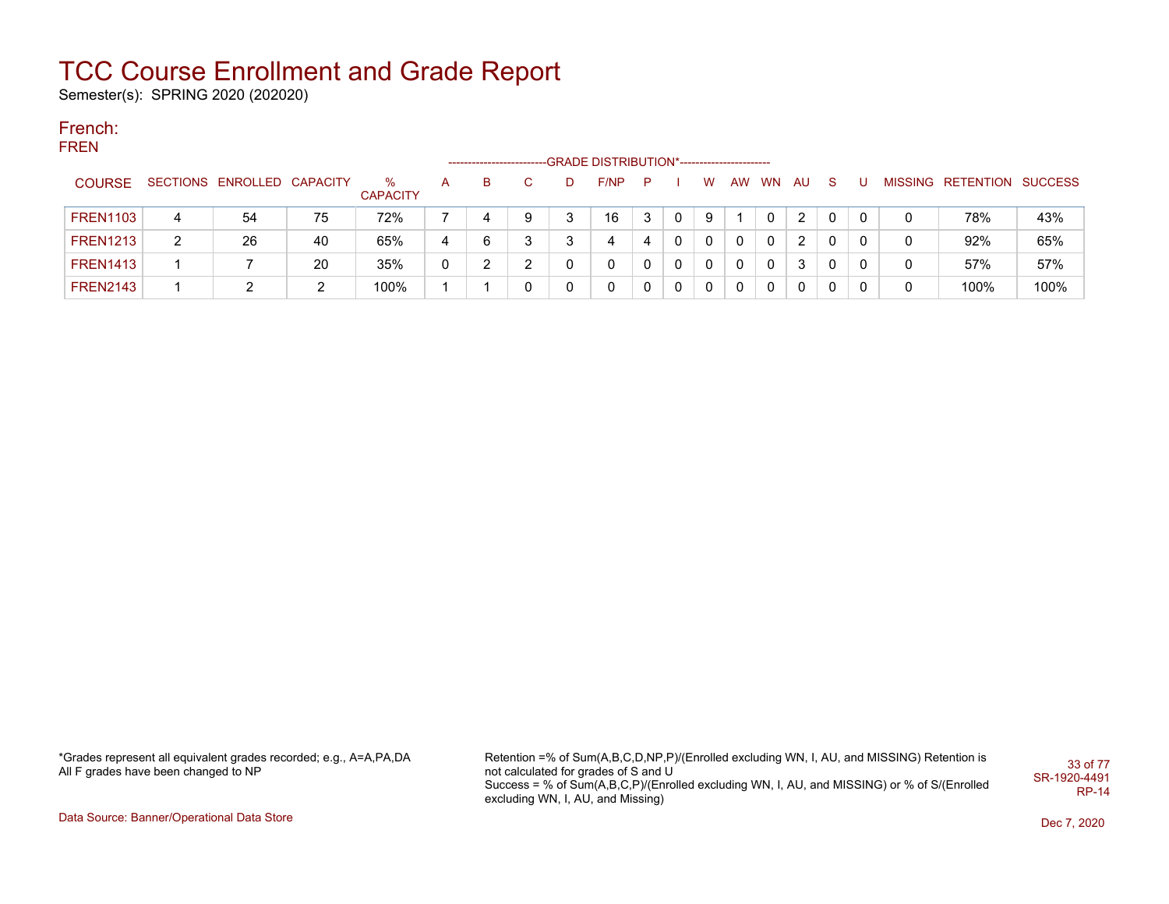Semester(s): SPRING 2020 (202020)

#### French: FREN

|                 |   |                            |    |                      |   | ------------------------ |    |   | -GRADE DISTRIBUTION*----------------------- |   |   |   |    |           |    |    |   |                           |      |
|-----------------|---|----------------------------|----|----------------------|---|--------------------------|----|---|---------------------------------------------|---|---|---|----|-----------|----|----|---|---------------------------|------|
| <b>COURSE</b>   |   | SECTIONS ENROLLED CAPACITY |    | %<br><b>CAPACITY</b> | A | в                        | C. | D | F/NP                                        | P |   | w | AW | <b>WN</b> | AU | -S |   | MISSING RETENTION SUCCESS |      |
| <b>FREN1103</b> | 4 | 54                         | 75 | 72%                  |   |                          | 9  | 3 | 16                                          | 3 | 0 | 9 |    |           | 2  |    |   | 78%                       | 43%  |
| <b>FREN1213</b> | 2 | 26                         | 40 | 65%                  | 4 | 6                        | 3  |   | 4                                           | 4 | 0 | 0 | 0  | 0         | 2  |    | 0 | 92%                       | 65%  |
| <b>FREN1413</b> |   |                            | 20 | 35%                  | 0 |                          | ົ  |   | 0                                           |   | 0 | 0 | 0  | 0         | 3  | 0  | 0 | 57%                       | 57%  |
| <b>FREN2143</b> |   |                            | 2  | 100%                 |   |                          | 0  |   | 0                                           |   | 0 | 0 | 0  | 0         | 0  |    | 0 | 100%                      | 100% |

\*Grades represent all equivalent grades recorded; e.g., A=A,PA,DA All F grades have been changed to NP

Retention =% of Sum(A,B,C,D,NP,P)/(Enrolled excluding WN, I, AU, and MISSING) Retention is not calculated for grades of S and U Success = % of Sum(A,B,C,P)/(Enrolled excluding WN, I, AU, and MISSING) or % of S/(Enrolled excluding WN, I, AU, and Missing) 33 of 77 SR-1920-4491 RP-14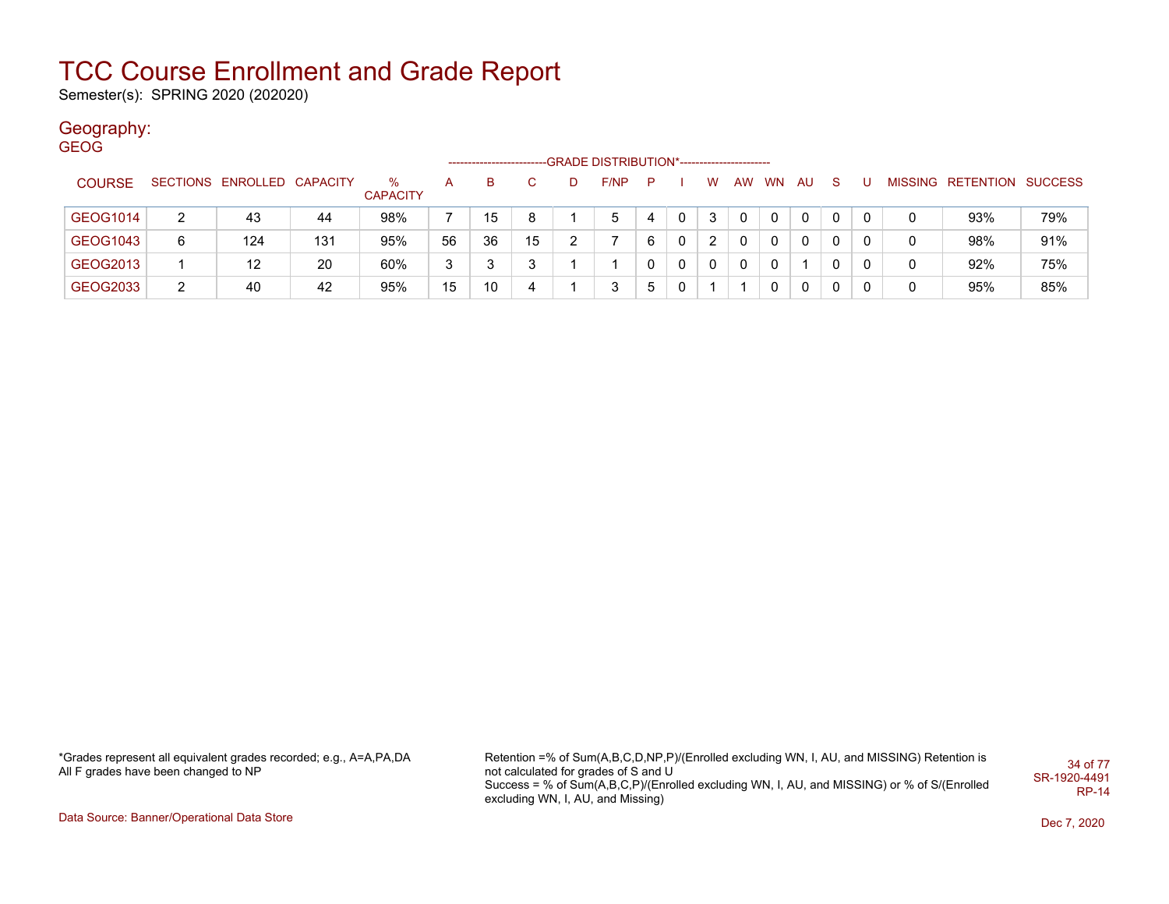Semester(s): SPRING 2020 (202020)

### Geography:

| <b>GEOG</b>   |   |                            |     |                      |    |    |    |   | -GRADE DISTRIBUTION*----------------------- |   |   |              |          |           |              |              |   |   |                           |     |
|---------------|---|----------------------------|-----|----------------------|----|----|----|---|---------------------------------------------|---|---|--------------|----------|-----------|--------------|--------------|---|---|---------------------------|-----|
| <b>COURSE</b> |   | SECTIONS ENROLLED CAPACITY |     | %<br><b>CAPACITY</b> | A  | B  |    | Ð | F/NP                                        | P |   | W            | AW       | <b>WN</b> | AU           | <b>S</b>     |   |   | MISSING RETENTION SUCCESS |     |
| GEOG1014      | 2 | 43                         | 44  | 98%                  |    | 15 | 8  |   | 5                                           | 4 | 0 | 3            | 0        | 0         | $\mathbf{0}$ | 0            | 0 | 0 | 93%                       | 79% |
| GEOG1043      | 6 | 124                        | 131 | 95%                  | 56 | 36 | 15 |   |                                             | 6 | 0 | 2            | 0        | $\Omega$  | $\mathbf{0}$ | $\mathbf{0}$ | 0 | 0 | 98%                       | 91% |
| GEOG2013      |   | 12                         | 20  | 60%                  | 3  |    | 3  |   |                                             | 0 | 0 | $\mathbf{0}$ | $\Omega$ | $\Omega$  |              | $\mathbf{0}$ | 0 | 0 | 92%                       | 75% |
| GEOG2033      | 2 | 40                         | 42  | 95%                  | 15 | 10 | 4  |   | 3                                           | 5 | 0 |              |          | 0         | 0            | 0            |   | 0 | 95%                       | 85% |

\*Grades represent all equivalent grades recorded; e.g., A=A,PA,DA All F grades have been changed to NP

Retention =% of Sum(A,B,C,D,NP,P)/(Enrolled excluding WN, I, AU, and MISSING) Retention is not calculated for grades of S and U Success = % of Sum(A,B,C,P)/(Enrolled excluding WN, I, AU, and MISSING) or % of S/(Enrolled excluding WN, I, AU, and Missing) 34 of 77 SR-1920-4491 RP-14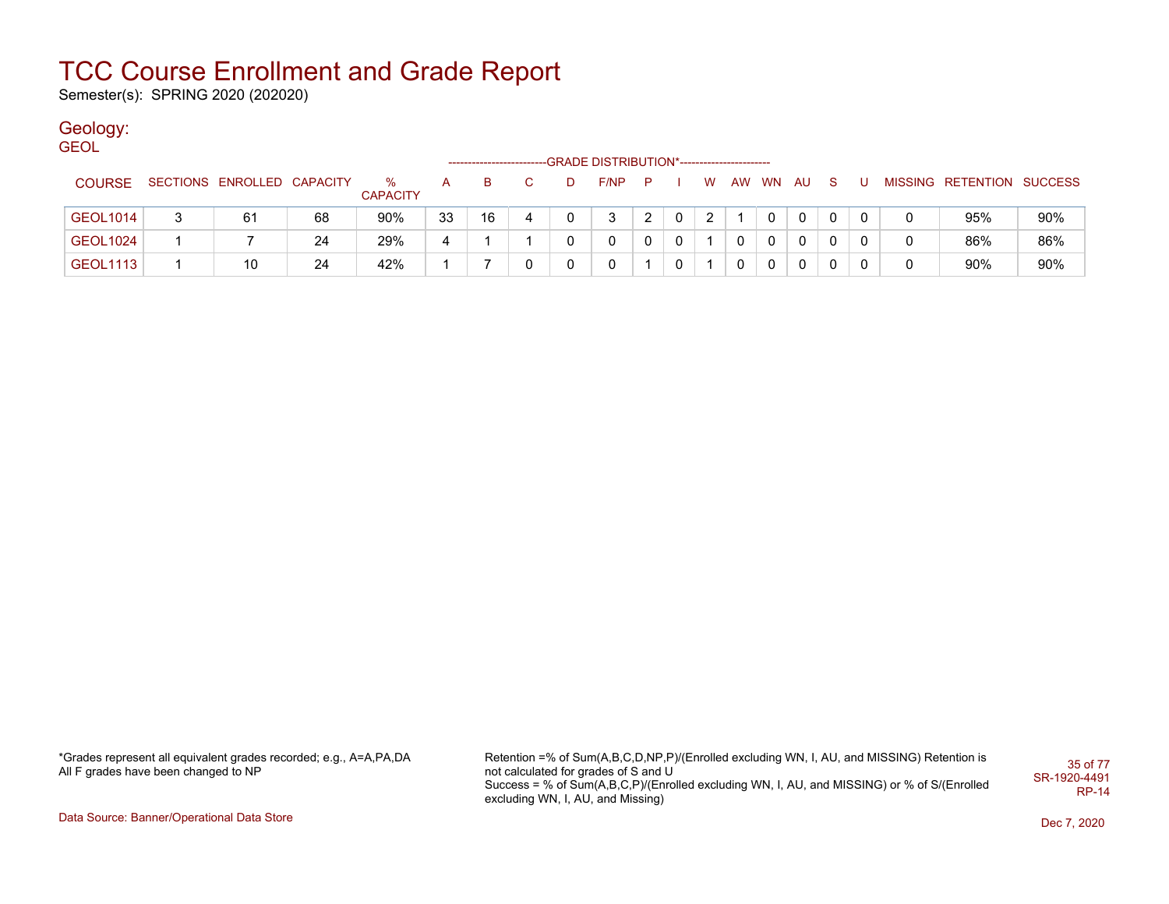Semester(s): SPRING 2020 (202020)

### Geology:

| <b>GEOL</b>     |   |                            |    |                      |    |    |    |   |      |              |   |   |    |              |     |    |   |   |                           |     |
|-----------------|---|----------------------------|----|----------------------|----|----|----|---|------|--------------|---|---|----|--------------|-----|----|---|---|---------------------------|-----|
|                 |   |                            |    |                      |    |    |    |   |      |              |   |   |    |              |     |    |   |   |                           |     |
| <b>COURSE</b>   |   | SECTIONS ENROLLED CAPACITY |    | %<br><b>CAPACITY</b> | A  | B  | C. | D | F/NP | P.           |   | W | AW | <b>WN</b>    | AU. | -S | U |   | MISSING RETENTION SUCCESS |     |
| <b>GEOL1014</b> | 3 | 61                         | 68 | 90%                  | 33 | 16 | 4  |   | 3    | $\mathbf{2}$ | 0 | 2 |    | 0            | 0   |    |   | 0 | 95%                       | 90% |
| <b>GEOL1024</b> |   |                            | 24 | 29%                  | 4  |    |    |   | 0    |              | 0 |   |    | $\mathbf{0}$ | 0   |    |   | 0 | 86%                       | 86% |
| <b>GEOL1113</b> |   | 10                         | 24 | 42%                  |    |    | 0  |   | 0    |              | 0 |   |    | $\mathbf 0$  | 0   |    | 0 | 0 | 90%                       | 90% |
|                 |   |                            |    |                      |    |    |    |   |      |              |   |   |    |              |     |    |   |   |                           |     |

\*Grades represent all equivalent grades recorded; e.g., A=A,PA,DA All F grades have been changed to NP

Retention =% of Sum(A,B,C,D,NP,P)/(Enrolled excluding WN, I, AU, and MISSING) Retention is not calculated for grades of S and U Success = % of Sum(A,B,C,P)/(Enrolled excluding WN, I, AU, and MISSING) or % of S/(Enrolled excluding WN, I, AU, and Missing) 35 of 77 SR-1920-4491 RP-14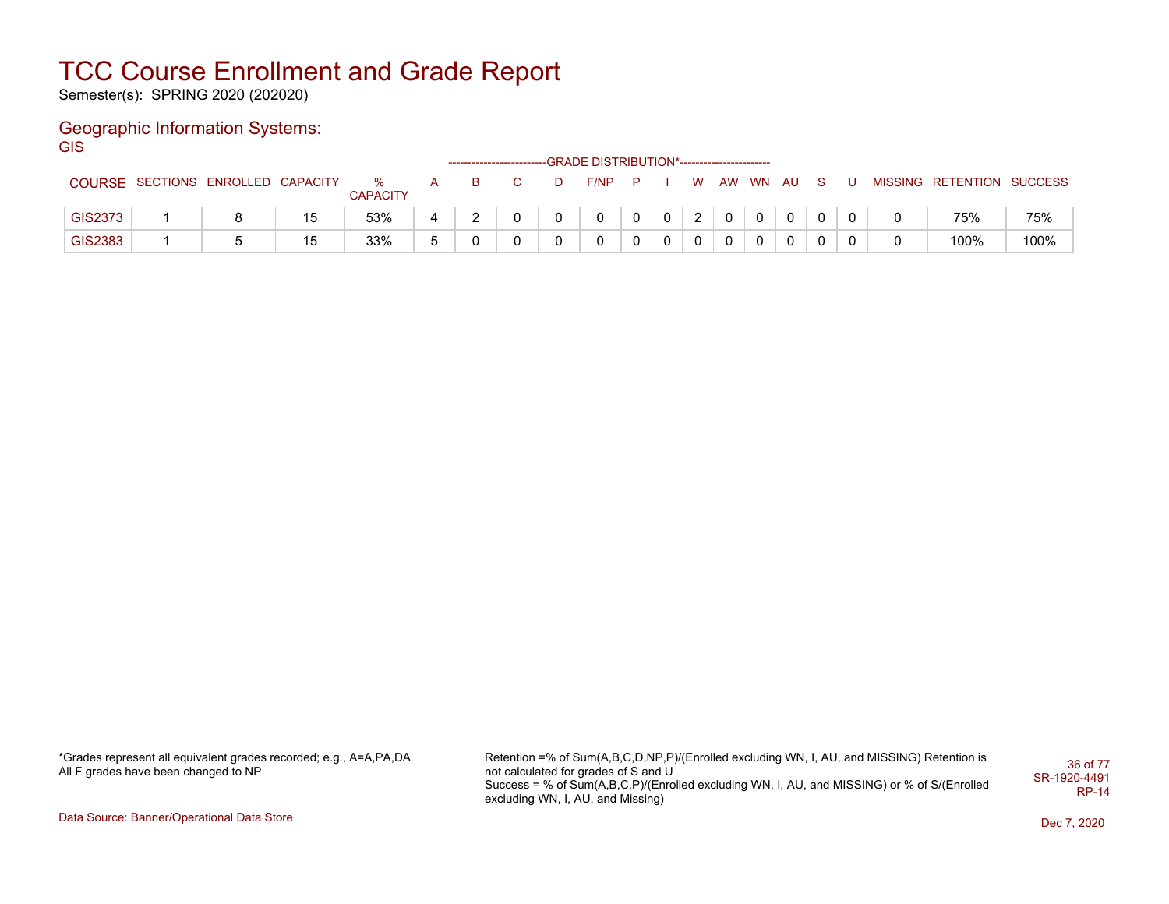Semester(s): SPRING 2020 (202020)

### Geographic Information Systems: **GIS**

|                |                                   |    |                      |              |          |  | -GRADE DISTRIBUTION*----------------------- |   |    |          |          |    |   |                           |      |
|----------------|-----------------------------------|----|----------------------|--------------|----------|--|---------------------------------------------|---|----|----------|----------|----|---|---------------------------|------|
|                | COURSE SECTIONS ENROLLED CAPACITY |    | %<br><b>CAPACITY</b> | $\mathsf{A}$ | <b>B</b> |  | F/NP                                        | P | W  | AW WN AU |          | S. |   | MISSING RETENTION SUCCESS |      |
| <b>GIS2373</b> |                                   | 15 | 53%                  |              |          |  |                                             |   | C. |          |          |    |   | 75%                       | 75%  |
| GIS2383        |                                   | 15 | 33%                  |              |          |  |                                             |   |    |          | $\Omega$ | 0  | 0 | 100%                      | 100% |

\*Grades represent all equivalent grades recorded; e.g., A=A,PA,DA All F grades have been changed to NP

Retention =% of Sum(A,B,C,D,NP,P)/(Enrolled excluding WN, I, AU, and MISSING) Retention is not calculated for grades of S and U Success = % of Sum(A,B,C,P)/(Enrolled excluding WN, I, AU, and MISSING) or % of S/(Enrolled excluding WN, I, AU, and Missing) 36 of 77 SR-1920-4491 RP-14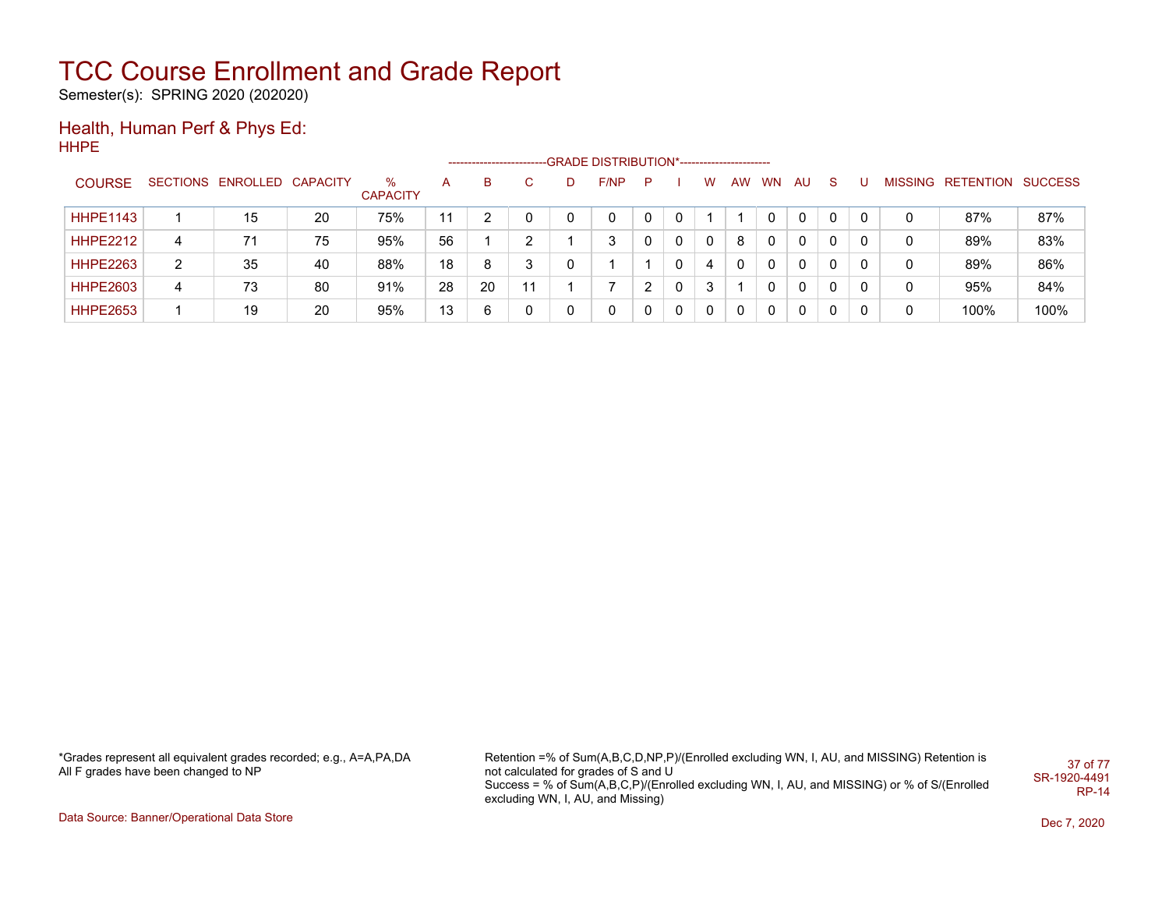Semester(s): SPRING 2020 (202020)

#### Health, Human Perf & Phys Ed: HHPE

|                 |   |                            |    |                      |    |    |    |   | ------------------------GRADE                DISTRIBUTION*---------------------- |   |   |          |    |              |              |              |   |                   |                |
|-----------------|---|----------------------------|----|----------------------|----|----|----|---|----------------------------------------------------------------------------------|---|---|----------|----|--------------|--------------|--------------|---|-------------------|----------------|
| <b>COURSE</b>   |   | SECTIONS ENROLLED CAPACITY |    | %<br><b>CAPACITY</b> | А  | В  | C  | D | F/NP                                                                             | P |   | W        | AW | <b>WN</b>    | AU.          | <sub>S</sub> |   | MISSING RETENTION | <b>SUCCESS</b> |
| <b>HHPE1143</b> |   | 15                         | 20 | 75%                  | 11 |    | 0  |   | 0                                                                                |   |   |          |    |              | $\mathbf{0}$ | 0            | 0 | 87%               | 87%            |
| <b>HHPE2212</b> | 4 | 71                         | 75 | 95%                  | 56 |    | າ  |   | 3                                                                                |   | 0 | 0        | 8  | 0            | 0            | 0            | 0 | 89%               | 83%            |
| <b>HHPE2263</b> | 2 | 35                         | 40 | 88%                  | 18 | 8  | 3  |   |                                                                                  |   |   | 4        |    | 0            | 0            | 0            | 0 | 89%               | 86%            |
| <b>HHPE2603</b> | 4 | 73                         | 80 | 91%                  | 28 | 20 | 11 |   |                                                                                  |   | 0 | 3        |    | <sup>n</sup> | $\mathbf{0}$ | 0            | 0 | 95%               | 84%            |
| <b>HHPE2653</b> |   | 19                         | 20 | 95%                  | 13 | 6  | 0  |   | 0                                                                                |   | 0 | $\Omega$ |    | 0            | 0            | 0            | 0 | 100%              | 100%           |

\*Grades represent all equivalent grades recorded; e.g., A=A,PA,DA All F grades have been changed to NP

Retention =% of Sum(A,B,C,D,NP,P)/(Enrolled excluding WN, I, AU, and MISSING) Retention is not calculated for grades of S and U Success = % of Sum(A,B,C,P)/(Enrolled excluding WN, I, AU, and MISSING) or % of S/(Enrolled excluding WN, I, AU, and Missing) 37 of 77 SR-1920-4491 RP-14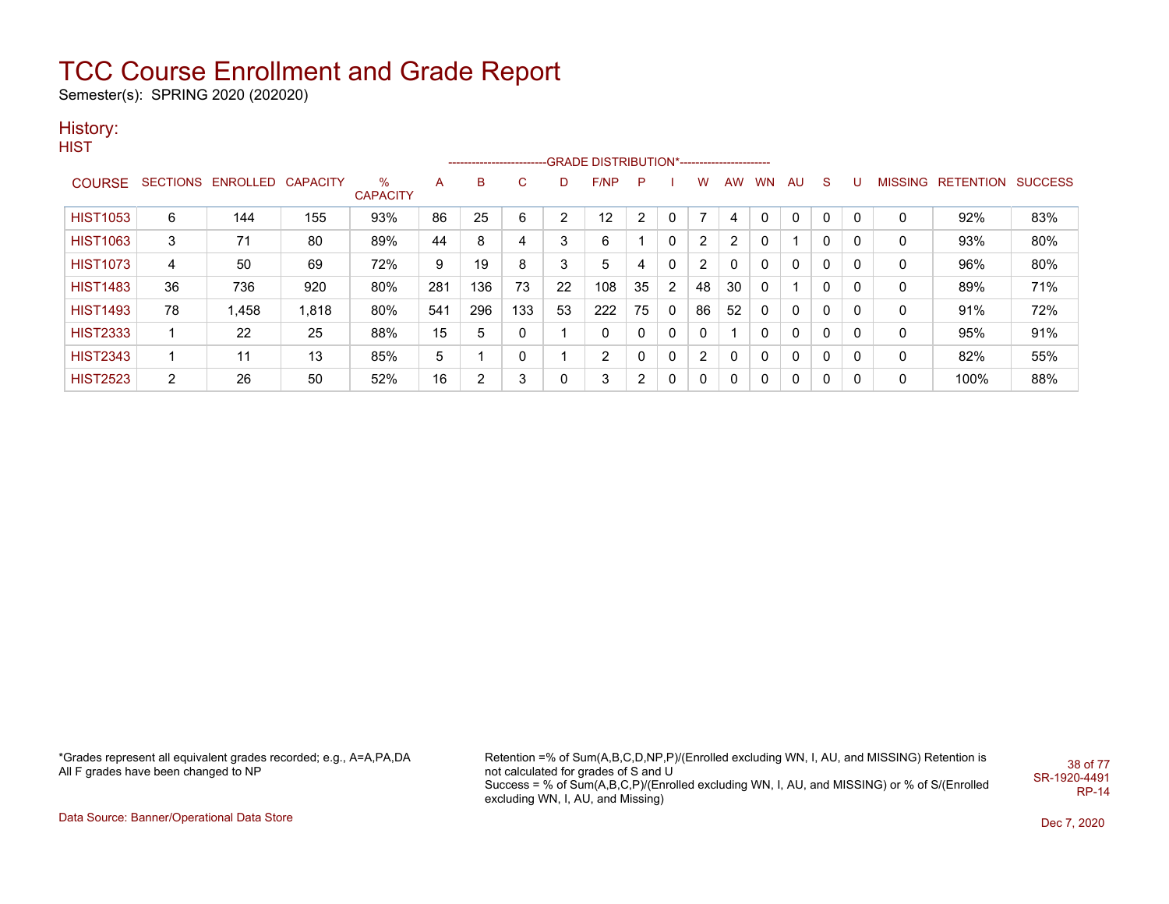Semester(s): SPRING 2020 (202020)

### History:

**HIST** 

|                 |                |                            |       |                 |     | ------------------------- |     |    | -GRADE DISTRIBUTION*---------------------- |                |                |    |                |           |              |              |   |                |                          |     |
|-----------------|----------------|----------------------------|-------|-----------------|-----|---------------------------|-----|----|--------------------------------------------|----------------|----------------|----|----------------|-----------|--------------|--------------|---|----------------|--------------------------|-----|
| <b>COURSE</b>   |                | SECTIONS ENROLLED CAPACITY |       | $\%$            | A   | B                         | C   | D. | F/NP                                       | -P             |                | w  | AW.            | <b>WN</b> | - AU         | <sub>S</sub> |   | <b>MISSING</b> | <b>RETENTION SUCCESS</b> |     |
|                 |                |                            |       | <b>CAPACITY</b> |     |                           |     |    |                                            |                |                |    |                |           |              |              |   |                |                          |     |
| <b>HIST1053</b> | 6              | 144                        | 155   | 93%             | 86  | 25                        | 6   | ົ  | 12                                         | 2              |                | ⇁  | 4              |           | $\mathbf{0}$ | $\Omega$     | 0 | C              | 92%                      | 83% |
| <b>HIST1063</b> | 3              | 71                         | 80    | 89%             | 44  | 8                         | 4   | 3  | 6                                          |                | 0              | 2  | $\overline{2}$ |           |              | 0            | 0 | 0              | 93%                      | 80% |
| <b>HIST1073</b> | 4              | 50                         | 69    | 72%             | 9   | 19                        | 8   | 3  | 5                                          | 4              | 0              | 2  | 0              |           | $\Omega$     | 0            | 0 | 0              | 96%                      | 80% |
| <b>HIST1483</b> | 36             | 736                        | 920   | 80%             | 281 | 136                       | 73  | 22 | 108                                        | 35             | $\overline{2}$ | 48 | 30             | 0         |              | 0            | 0 | 0              | 89%                      | 71% |
| <b>HIST1493</b> | 78             | .458                       | 1,818 | 80%             | 541 | 296                       | 133 | 53 | 222                                        | 75             | 0              | 86 | 52             | 0         | $\Omega$     | 0            | 0 | 0              | 91%                      | 72% |
| <b>HIST2333</b> |                | 22                         | 25    | 88%             | 15  |                           |     |    | 0                                          | 0              | 0              | 0  |                |           | 0            | 0            | 0 | 0              | 95%                      | 91% |
| <b>HIST2343</b> |                | 11                         | 13    | 85%             | 5   |                           | 0   |    | 2                                          | 0              |                | 2  | 0              | 0         | $\mathbf{0}$ | 0            | 0 | 0              | 82%                      | 55% |
| <b>HIST2523</b> | $\overline{2}$ | 26                         | 50    | 52%             | 16  |                           | 3   | 0  | 3                                          | $\overline{2}$ |                | 0  | 0              | 0         | $\Omega$     | 0            | 0 | 0              | 100%                     | 88% |

\*Grades represent all equivalent grades recorded; e.g., A=A,PA,DA All F grades have been changed to NP

Retention =% of Sum(A,B,C,D,NP,P)/(Enrolled excluding WN, I, AU, and MISSING) Retention is not calculated for grades of S and U Success = % of Sum(A,B,C,P)/(Enrolled excluding WN, I, AU, and MISSING) or % of S/(Enrolled excluding WN, I, AU, and Missing) 38 of 77 SR-1920-4491 RP-14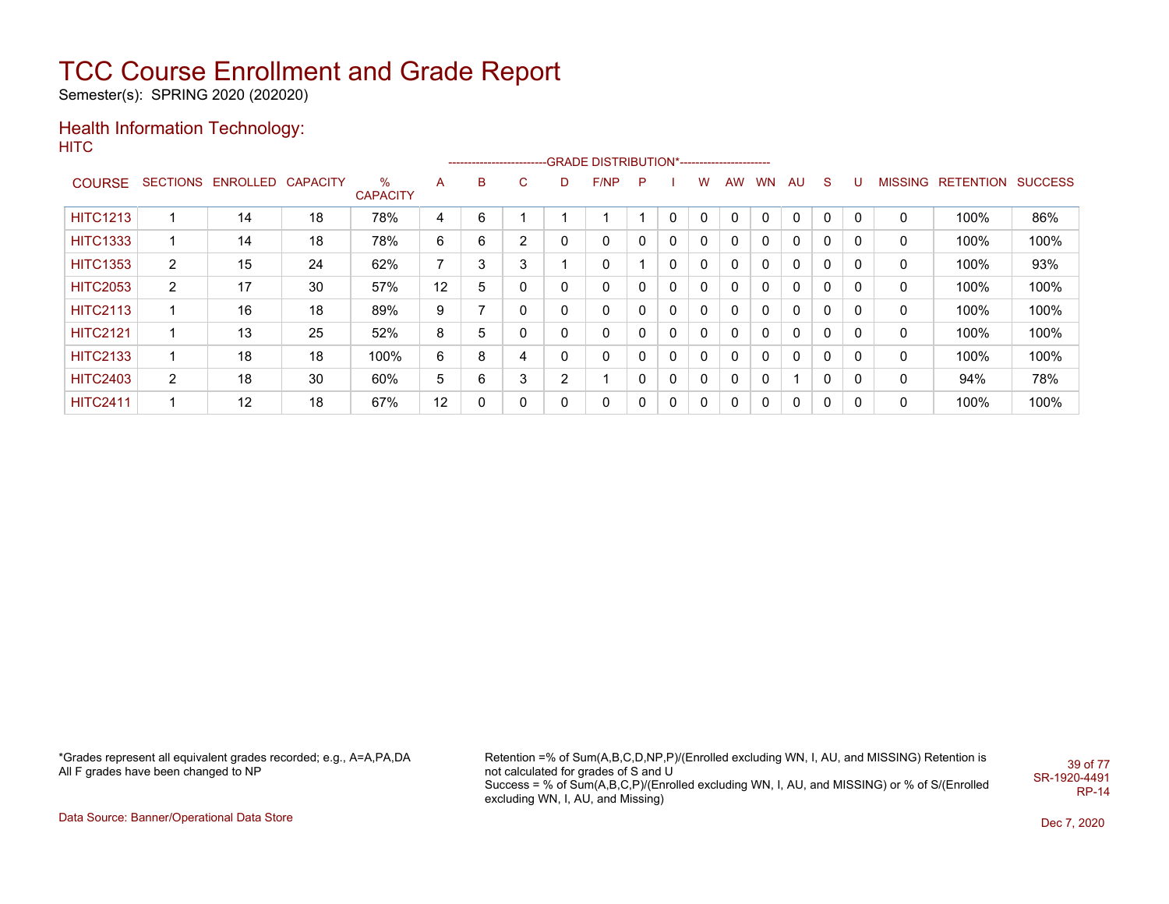Semester(s): SPRING 2020 (202020)

#### Health Information Technology: **HITC**

|                 |                |                   |                 |                      |    |            |                |   | --------------------------GRADE DISTRIBUTION*---------------------- |   |              |              |              |           |    |              |   |                |           |                |
|-----------------|----------------|-------------------|-----------------|----------------------|----|------------|----------------|---|---------------------------------------------------------------------|---|--------------|--------------|--------------|-----------|----|--------------|---|----------------|-----------|----------------|
| <b>COURSE</b>   |                | SECTIONS ENROLLED | <b>CAPACITY</b> | %<br><b>CAPACITY</b> | A  | B          | $\sim$<br>U    | D | F/NP                                                                | P |              | w            | <b>AW</b>    | <b>WN</b> | AU | <sub>S</sub> | υ | <b>MISSING</b> | RETENTION | <b>SUCCESS</b> |
| <b>HITC1213</b> |                | 14                | 18              | 78%                  | 4  | 6          |                |   |                                                                     |   |              | $\Omega$     | $\mathbf{0}$ | $\Omega$  | 0  | 0            | 0 | 0              | 100%      | 86%            |
| <b>HITC1333</b> |                | 14                | 18              | 78%                  | 6  | 6          | $\overline{2}$ | 0 | 0                                                                   | 0 | 0            | $\mathbf{0}$ | 0            | 0         | 0  | 0            | 0 | 0              | 100%      | 100%           |
| <b>HITC1353</b> | $\overline{2}$ | 15                | 24              | 62%                  | 7  | $\sqrt{2}$ | 3              |   | 0                                                                   |   | 0            | $\mathbf{0}$ | 0            | 0         | 0  | $\mathbf{0}$ | 0 | 0              | 100%      | 93%            |
| <b>HITC2053</b> | $\overline{2}$ | 17                | 30              | 57%                  | 12 | 5          |                |   | 0                                                                   | 0 | 0            | 0            | 0            | 0         | 0  | 0            | 0 | 0              | 100%      | 100%           |
| <b>HITC2113</b> |                | 16                | 18              | 89%                  | 9  |            |                |   | 0                                                                   | 0 | $\mathbf{0}$ | $\mathbf{0}$ | 0            | 0         | 0  | 0            | 0 | 0              | 100%      | 100%           |
| <b>HITC2121</b> |                | 13                | 25              | 52%                  | 8  |            |                | 0 | 0                                                                   | 0 | 0            | 0            | 0            | $\Omega$  | 0  | $\mathbf{0}$ | 0 | 0              | 100%      | 100%           |
| <b>HITC2133</b> |                | 18                | 18              | 100%                 | 6  | 8          | 4              |   | 0                                                                   | 0 | 0            | 0            | 0            | 0         | 0  | 0            | 0 | 0              | 100%      | 100%           |
| <b>HITC2403</b> | $\overline{2}$ | 18                | 30              | 60%                  | 5  | 6          | 3              | ົ |                                                                     | 0 | 0            | $\mathbf{0}$ | 0            | 0         |    | $\mathbf{0}$ | 0 | 0              | 94%       | 78%            |
| <b>HITC2411</b> |                | 12                | 18              | 67%                  | 12 |            |                | 0 | 0                                                                   | 0 | 0            | 0            | 0            | $\Omega$  | 0  | $\mathbf{0}$ | 0 | 0              | 100%      | 100%           |

\*Grades represent all equivalent grades recorded; e.g., A=A,PA,DA All F grades have been changed to NP

Retention =% of Sum(A,B,C,D,NP,P)/(Enrolled excluding WN, I, AU, and MISSING) Retention is not calculated for grades of S and U Success = % of Sum(A,B,C,P)/(Enrolled excluding WN, I, AU, and MISSING) or % of S/(Enrolled excluding WN, I, AU, and Missing) 39 of 77 SR-1920-4491 RP-14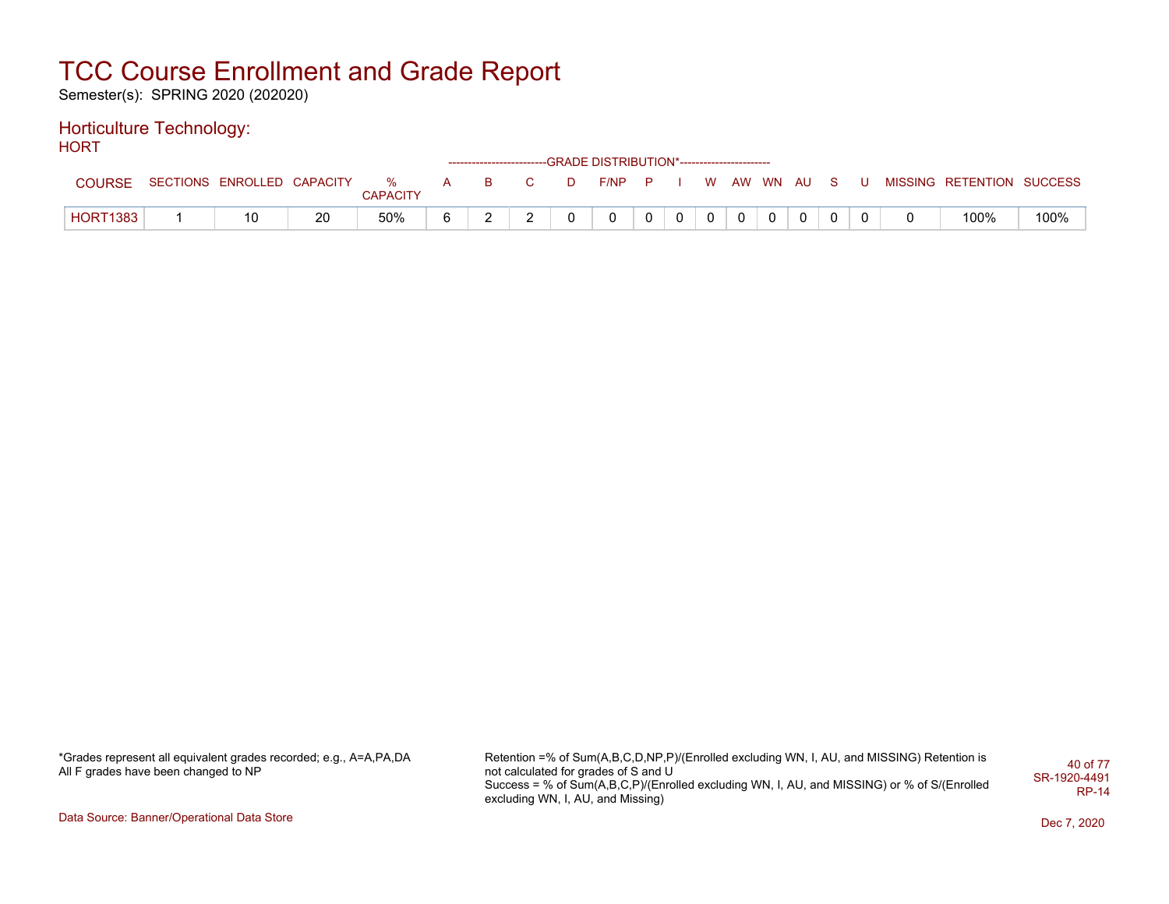Semester(s): SPRING 2020 (202020)

#### Horticulture Technology: HORT

| .               |                                |    |                 |          |                         |   | ------------------------GRADE DISTRIBUTION*----------------------- |          |                |            |              |     |   |                           |      |
|-----------------|--------------------------------|----|-----------------|----------|-------------------------|---|--------------------------------------------------------------------|----------|----------------|------------|--------------|-----|---|---------------------------|------|
| COURSE          | SECTIONS ENROLLED CAPACITY % A |    | <b>CAPACITY</b> | <b>B</b> | $\overline{\mathbf{C}}$ | D | $F/NP$ $P$ $I$                                                     |          |                | W AW WN AU |              | - S | U | MISSING RETENTION SUCCESS |      |
| <b>HORT1383</b> | 10                             | 20 | 50%             |          | <u>_</u>                |   |                                                                    | $\Omega$ | 0 <sup>1</sup> |            | $\mathbf{0}$ |     |   | 100%                      | 100% |

\*Grades represent all equivalent grades recorded; e.g., A=A,PA,DA All F grades have been changed to NP

Retention =% of Sum(A,B,C,D,NP,P)/(Enrolled excluding WN, I, AU, and MISSING) Retention is not calculated for grades of S and U Success = % of Sum(A,B,C,P)/(Enrolled excluding WN, I, AU, and MISSING) or % of S/(Enrolled excluding WN, I, AU, and Missing) 40 of 77 SR-1920-4491 RP-14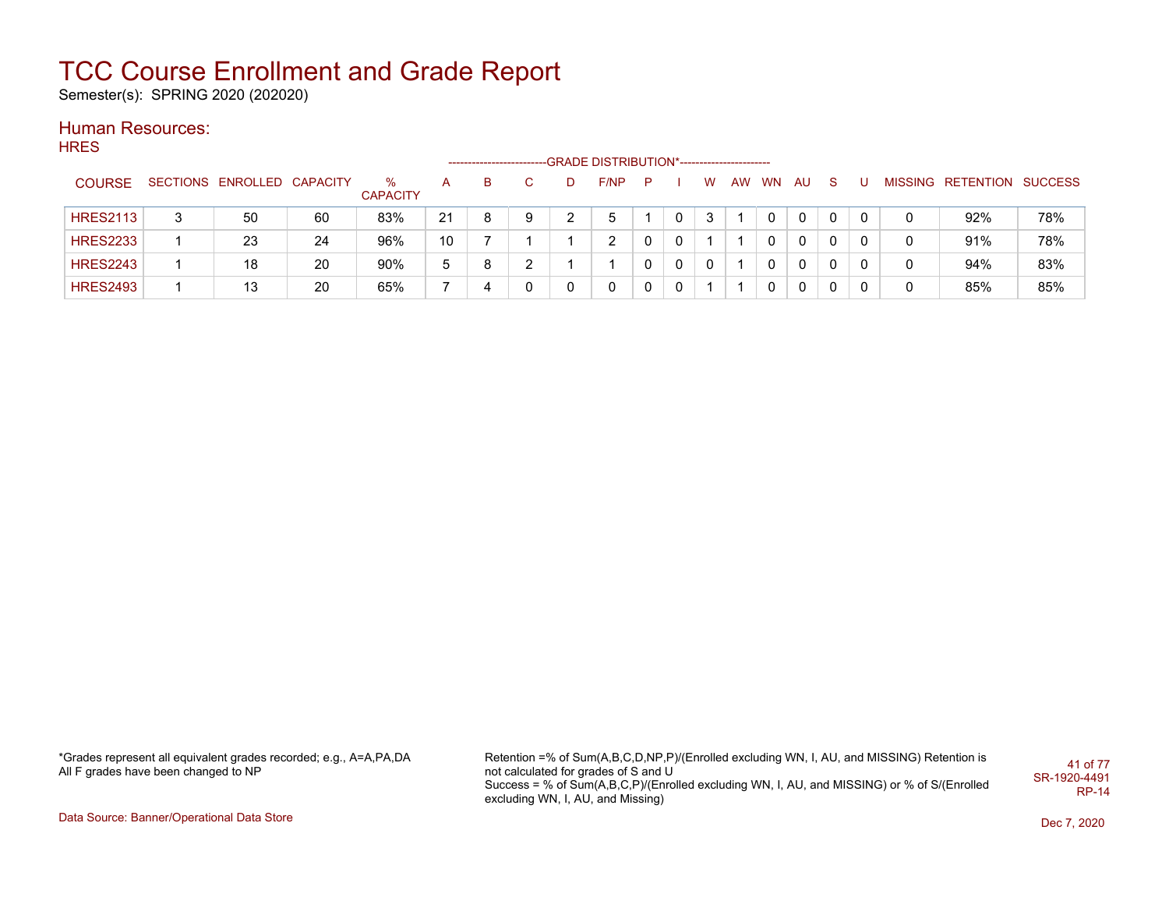Semester(s): SPRING 2020 (202020)

### Human Resources:

| <b>HRES</b>     |   |                            |    |                         |    |   |   |   |                                             |   |   |   |    |              |              |    |   |   |                           |     |
|-----------------|---|----------------------------|----|-------------------------|----|---|---|---|---------------------------------------------|---|---|---|----|--------------|--------------|----|---|---|---------------------------|-----|
|                 |   |                            |    |                         |    |   |   |   | -GRADE DISTRIBUTION*----------------------- |   |   |   |    |              |              |    |   |   |                           |     |
| <b>COURSE</b>   |   | SECTIONS ENROLLED CAPACITY |    | $\%$<br><b>CAPACITY</b> | A  | B | C | D | F/NP                                        | P |   | W | AW | <b>WN</b>    | AU.          | -S |   |   | MISSING RETENTION SUCCESS |     |
| <b>HRES2113</b> | 3 | 50                         | 60 | 83%                     | 21 | 8 | 9 |   | 5                                           |   | 0 | 3 |    | 0            | $\mathbf{0}$ |    | 0 | 0 | 92%                       | 78% |
| <b>HRES2233</b> |   | 23                         | 24 | 96%                     | 10 |   |   |   | 2                                           | 0 | 0 |   |    | 0            | 0            | 0  | 0 | 0 | 91%                       | 78% |
| <b>HRES2243</b> |   | 18                         | 20 | 90%                     | 5  | 8 | 2 |   |                                             | 0 | 0 | 0 |    | 0            | 0            | 0  | 0 | 0 | 94%                       | 83% |
| <b>HRES2493</b> |   | 13                         | 20 | 65%                     |    | 4 | 0 | 0 | 0                                           | 0 | 0 |   |    | $\mathbf{0}$ | 0            | 0  | 0 | 0 | 85%                       | 85% |
|                 |   |                            |    |                         |    |   |   |   |                                             |   |   |   |    |              |              |    |   |   |                           |     |

\*Grades represent all equivalent grades recorded; e.g., A=A,PA,DA All F grades have been changed to NP

Retention =% of Sum(A,B,C,D,NP,P)/(Enrolled excluding WN, I, AU, and MISSING) Retention is not calculated for grades of S and U Success = % of Sum(A,B,C,P)/(Enrolled excluding WN, I, AU, and MISSING) or % of S/(Enrolled excluding WN, I, AU, and Missing) 41 of 77 SR-1920-4491 RP-14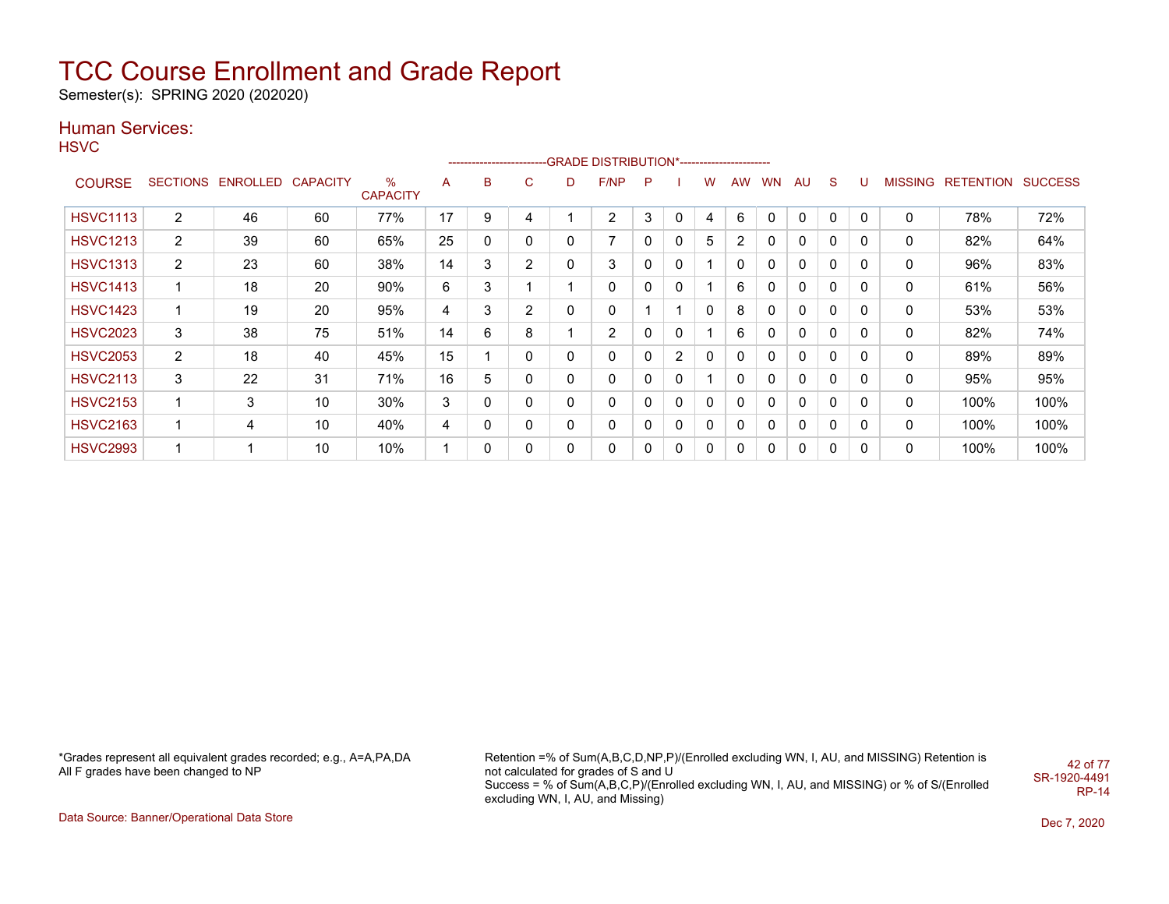Semester(s): SPRING 2020 (202020)

### Human Services:

**HSVC** 

|                 |                 |          |          |                         |    |   |                |              | -------------------------GRADE                DISTRIBUTION*---------------------- |              |   |              |           |           |              |              |             |         |           |                |
|-----------------|-----------------|----------|----------|-------------------------|----|---|----------------|--------------|-----------------------------------------------------------------------------------|--------------|---|--------------|-----------|-----------|--------------|--------------|-------------|---------|-----------|----------------|
| <b>COURSE</b>   | <b>SECTIONS</b> | ENROLLED | CAPACITY | $\%$<br><b>CAPACITY</b> | A  | B | C              | D            | F/NP                                                                              | P            |   | w            | <b>AW</b> | <b>WN</b> | AU           | <sub>S</sub> | υ           | MISSING | RETENTION | <b>SUCCESS</b> |
| <b>HSVC1113</b> | 2               | 46       | 60       | 77%                     | 17 | 9 | 4              |              | 2                                                                                 | 3            | 0 |              | 6         | 0         | 0            | 0            | $\mathbf 0$ | 0       | 78%       | 72%            |
| <b>HSVC1213</b> | $\overline{2}$  | 39       | 60       | 65%                     | 25 | 0 | 0              | 0            | 7                                                                                 | $\mathbf{0}$ | 0 | 5            | 2         | 0         | 0            | 0            | 0           | 0       | 82%       | 64%            |
| <b>HSVC1313</b> | $\overline{2}$  | 23       | 60       | 38%                     | 14 | 3 | $\overline{2}$ | $\mathbf{0}$ | 3                                                                                 | 0            | 0 |              | 0         | 0         | $\mathbf{0}$ | $\mathbf{0}$ | $\Omega$    | 0       | 96%       | 83%            |
| <b>HSVC1413</b> | -1              | 18       | 20       | 90%                     | 6  | 3 |                |              | 0                                                                                 | 0            | 0 |              | 6         | 0         | $\mathbf{0}$ | $\mathbf{0}$ | 0           | 0       | 61%       | 56%            |
| <b>HSVC1423</b> | 1               | 19       | 20       | 95%                     | 4  | 3 | 2              | 0            | 0                                                                                 |              |   | 0            | 8         | 0         | 0            | 0            | 0           | 0       | 53%       | 53%            |
| <b>HSVC2023</b> | 3               | 38       | 75       | 51%                     | 14 | 6 | 8              |              | 2                                                                                 | 0            | 0 |              | 6         | 0         | $\mathbf{0}$ | 0            | 0           | 0       | 82%       | 74%            |
| <b>HSVC2053</b> | $\overline{2}$  | 18       | 40       | 45%                     | 15 |   | 0              | $\mathbf{0}$ | $\mathbf 0$                                                                       | 0            | 2 | 0            | 0         | 0         | $\mathbf{0}$ | $\mathbf{0}$ | 0           | 0       | 89%       | 89%            |
| <b>HSVC2113</b> | 3               | 22       | 31       | 71%                     | 16 | 5 | 0              | $\mathbf{0}$ | 0                                                                                 | 0            | 0 |              | 0         | 0         | $\mathbf{0}$ | $\mathbf{0}$ | 0           | 0       | 95%       | 95%            |
| <b>HSVC2153</b> |                 | 3        | 10       | 30%                     | 3  | 0 | 0              | 0            | 0                                                                                 | 0            | 0 | $\mathbf{0}$ | 0         | 0         | $\mathbf{0}$ | 0            | 0           | 0       | 100%      | 100%           |
| <b>HSVC2163</b> |                 | 4        | 10       | 40%                     | 4  | 0 | 0              | 0            | 0                                                                                 | 0            | 0 | 0            | 0         | 0         | 0            | 0            | 0           | 0       | 100%      | 100%           |
| <b>HSVC2993</b> |                 |          | 10       | 10%                     |    | 0 | 0              | 0            | 0                                                                                 | 0            | 0 | 0            | 0         | 0         | 0            | 0            | 0           | 0       | 100%      | 100%           |

\*Grades represent all equivalent grades recorded; e.g., A=A,PA,DA All F grades have been changed to NP

Retention =% of Sum(A,B,C,D,NP,P)/(Enrolled excluding WN, I, AU, and MISSING) Retention is not calculated for grades of S and U Success = % of Sum(A,B,C,P)/(Enrolled excluding WN, I, AU, and MISSING) or % of S/(Enrolled excluding WN, I, AU, and Missing) 42 of 77 SR-1920-4491 RP-14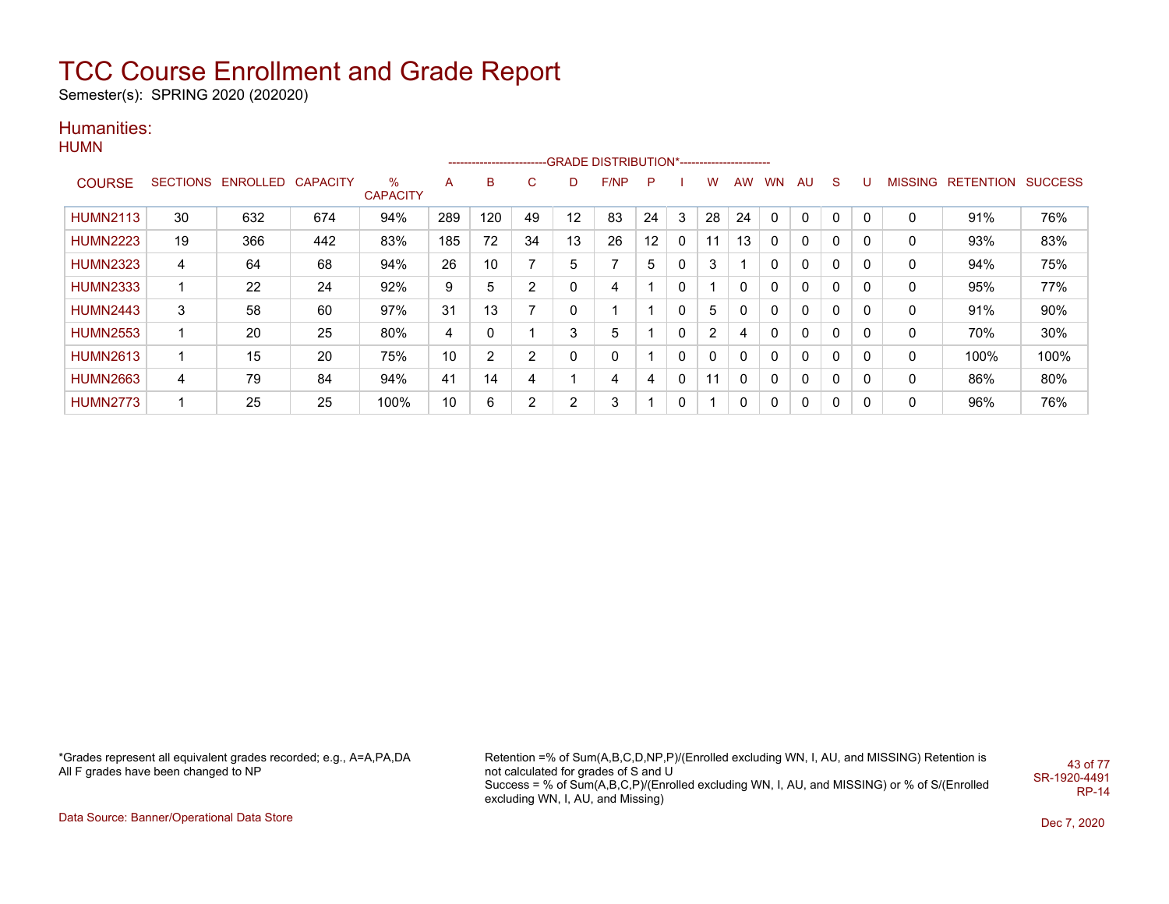Semester(s): SPRING 2020 (202020)

### Humanities:

|  | HUMN |
|--|------|
|--|------|

|                 |                 |          |                 |                      |                |                |    |    | -------------------------GRADE DISTRIBUTION*----------------------- |                 |   |          |           |           |              |              |          |                |           |                |
|-----------------|-----------------|----------|-----------------|----------------------|----------------|----------------|----|----|---------------------------------------------------------------------|-----------------|---|----------|-----------|-----------|--------------|--------------|----------|----------------|-----------|----------------|
| <b>COURSE</b>   | <b>SECTIONS</b> | ENROLLED | <b>CAPACITY</b> | %<br><b>CAPACITY</b> | A              | B              | C  | D  | F/NP                                                                | P               |   | w        | <b>AW</b> | <b>WN</b> | AU           | <sub>S</sub> | U        | <b>MISSING</b> | RETENTION | <b>SUCCESS</b> |
| <b>HUMN2113</b> | 30              | 632      | 674             | 94%                  | 289            | 120            | 49 | 12 | 83                                                                  | 24              | 3 | 28       | 24        |           | $\Omega$     | $\Omega$     | 0        | 0              | 91%       | 76%            |
| <b>HUMN2223</b> | 19              | 366      | 442             | 83%                  | 185            | 72             | 34 | 13 | 26                                                                  | 12 <sup>°</sup> | 0 | 11       | 13        |           | 0            | 0            | 0        | 0              | 93%       | 83%            |
| <b>HUMN2323</b> | 4               | 64       | 68              | 94%                  | 26             | 10             | 7  | 5  | 7                                                                   | 5.              | 0 | 3        |           |           | $\mathbf{0}$ | 0            | 0        | 0              | 94%       | 75%            |
| <b>HUMN2333</b> |                 | 22       | 24              | 92%                  | 9              | 5              | 2  | 0  | 4                                                                   |                 | 0 |          |           |           | $\mathbf{0}$ | $\mathbf{0}$ | 0        | 0              | 95%       | 77%            |
| <b>HUMN2443</b> | 3               | 58       | 60              | 97%                  | 31             | 13             | 7  | 0  |                                                                     |                 | 0 | 5        |           |           | $\mathbf{0}$ | $\Omega$     | $\Omega$ | 0              | 91%       | 90%            |
| <b>HUMN2553</b> |                 | 20       | 25              | 80%                  | $\overline{4}$ | 0              |    | 3  | 5                                                                   |                 | 0 | 2        | 4         |           | $\mathbf{0}$ | 0            | 0        | 0              | 70%       | 30%            |
| <b>HUMN2613</b> | -4              | 15       | 20              | 75%                  | 10             | $\overline{2}$ | 2  | 0  | 0                                                                   |                 | 0 | $\Omega$ | 0         |           | $\mathbf{0}$ | $\Omega$     | 0        | 0              | 100%      | 100%           |
| <b>HUMN2663</b> | 4               | 79       | 84              | 94%                  | 41             | 14             | 4  |    | 4                                                                   | 4               | 0 | 11       | $\Omega$  | $\Omega$  | $\mathbf{0}$ | $\Omega$     | 0        | 0              | 86%       | 80%            |
| <b>HUMN2773</b> |                 | 25       | 25              | 100%                 | 10             | 6              | 2  | 2  | 3                                                                   |                 | 0 |          | 0         |           | 0            | 0            | 0        | 0              | 96%       | 76%            |

\*Grades represent all equivalent grades recorded; e.g., A=A,PA,DA All F grades have been changed to NP

Retention =% of Sum(A,B,C,D,NP,P)/(Enrolled excluding WN, I, AU, and MISSING) Retention is not calculated for grades of S and U Success = % of Sum(A,B,C,P)/(Enrolled excluding WN, I, AU, and MISSING) or % of S/(Enrolled excluding WN, I, AU, and Missing) 43 of 77 SR-1920-4491 RP-14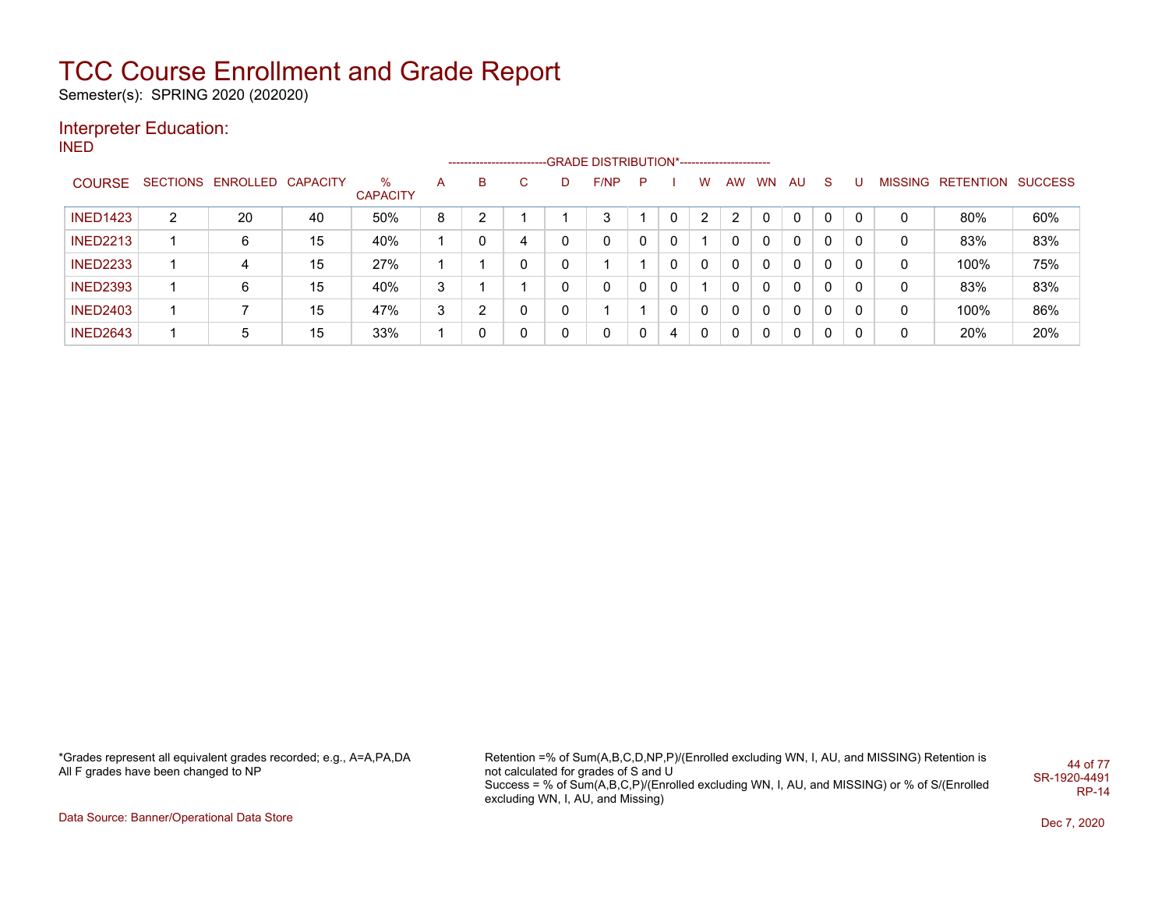Semester(s): SPRING 2020 (202020)

### Interpreter Education:

INED

|                 |   |                            |    |                 |   | ------------------------- |    |   | -GRADE DISTRIBUTION*----------------------- |   |          |   |              |              |          |              |              |   |                   |                |
|-----------------|---|----------------------------|----|-----------------|---|---------------------------|----|---|---------------------------------------------|---|----------|---|--------------|--------------|----------|--------------|--------------|---|-------------------|----------------|
| <b>COURSE</b>   |   | SECTIONS ENROLLED CAPACITY |    | %               | A | B                         | C. | D | F/NP                                        | P |          | W | AW           | WN           | AU       | -S           | U            |   | MISSING RETENTION | <b>SUCCESS</b> |
|                 |   |                            |    | <b>CAPACITY</b> |   |                           |    |   |                                             |   |          |   |              |              |          |              |              |   |                   |                |
| <b>INED1423</b> | 2 | 20                         | 40 | 50%             | 8 | ົ                         |    |   | 3                                           |   | $\Omega$ | 2 | 2            |              | $\Omega$ | $\Omega$     | $\mathbf{0}$ | 0 | 80%               | 60%            |
| <b>INED2213</b> |   | 6                          | 15 | 40%             |   |                           | 4  | 0 | $\Omega$                                    | 0 | $\Omega$ |   |              | 0            | $\Omega$ | $\Omega$     | 0            | 0 | 83%               | 83%            |
| <b>INED2233</b> |   | 4                          | 15 | 27%             |   |                           | 0  |   |                                             |   | 0        | 0 | $\mathbf{0}$ | $\mathbf{0}$ | $\Omega$ | $\Omega$     | 0            | 0 | 100%              | 75%            |
| <b>INED2393</b> |   | 6                          | 15 | 40%             | 3 |                           |    |   | 0                                           | 0 | 0        |   | 0            | 0            | $\Omega$ | $\Omega$     | -0           | 0 | 83%               | 83%            |
| <b>INED2403</b> |   |                            | 15 | 47%             | 3 | ⌒                         | 0  | 0 |                                             |   | $\Omega$ | 0 | $\mathbf{0}$ | $\mathbf{0}$ | $\Omega$ | $\mathbf{0}$ | $\mathbf{0}$ | 0 | 100%              | 86%            |
| <b>INED2643</b> |   | 5                          | 15 | 33%             |   |                           | 0  | 0 | $\mathbf{0}$                                | 0 | 4        | 0 | 0            | 0            | $\Omega$ | 0            | 0            | 0 | 20%               | 20%            |

\*Grades represent all equivalent grades recorded; e.g., A=A,PA,DA All F grades have been changed to NP

Retention =% of Sum(A,B,C,D,NP,P)/(Enrolled excluding WN, I, AU, and MISSING) Retention is not calculated for grades of S and U Success = % of Sum(A,B,C,P)/(Enrolled excluding WN, I, AU, and MISSING) or % of S/(Enrolled excluding WN, I, AU, and Missing) 44 of 77 SR-1920-4491 RP-14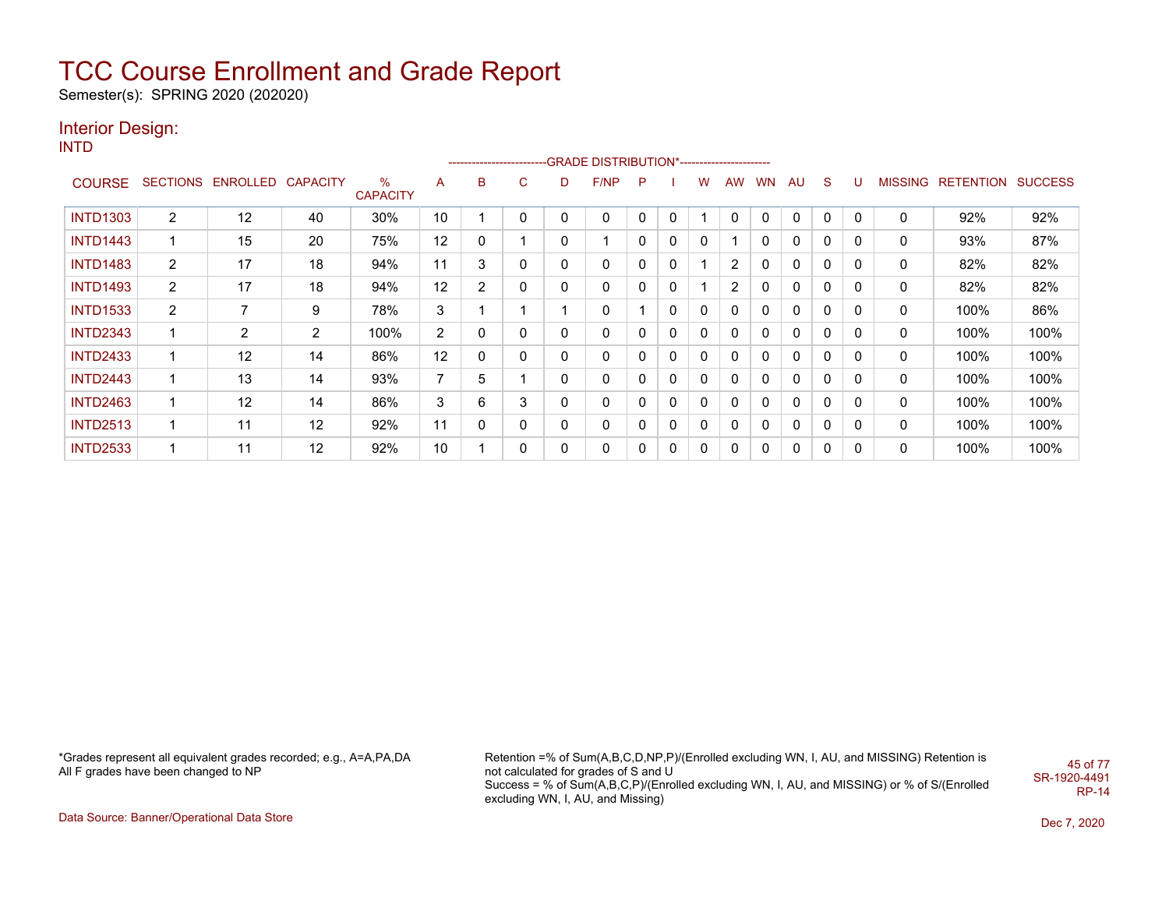Semester(s): SPRING 2020 (202020)

### Interior Design:

INTD

|                 |                |                            |                |                         |                | ----------------------- |   |   |      |          |              |              |                |           |    |              |   |                |                  |                |
|-----------------|----------------|----------------------------|----------------|-------------------------|----------------|-------------------------|---|---|------|----------|--------------|--------------|----------------|-----------|----|--------------|---|----------------|------------------|----------------|
| <b>COURSE</b>   |                | SECTIONS ENROLLED CAPACITY |                | $\%$<br><b>CAPACITY</b> | A              | в                       | С | D | F/NP | P        |              | w            | <b>AW</b>      | <b>WN</b> | AU | <sub>S</sub> | U | <b>MISSING</b> | <b>RETENTION</b> | <b>SUCCESS</b> |
| <b>INTD1303</b> | $\overline{2}$ | 12                         | 40             | 30%                     | 10             |                         | 0 | 0 | 0    | $\Omega$ | $\mathbf{0}$ |              | $\mathbf{0}$   | $\Omega$  | 0  | 0            | 0 | $\Omega$       | 92%              | 92%            |
| <b>INTD1443</b> |                | 15                         | 20             | 75%                     | 12             | 0                       |   | 0 |      | $\Omega$ | 0            | 0            |                | 0         | 0  | 0            | 0 | 0              | 93%              | 87%            |
| <b>INTD1483</b> | $\overline{2}$ | 17                         | 18             | 94%                     | 11             | 3                       | 0 | 0 | 0    | 0        | 0            |              | 2              | 0         | 0  | $\mathbf{0}$ | 0 | 0              | 82%              | 82%            |
| <b>INTD1493</b> | $\overline{2}$ | 17                         | 18             | 94%                     | 12             | $\overline{2}$          | 0 | 0 | 0    | 0        | 0            |              | $\overline{2}$ | 0         | 0  | $\mathbf{0}$ | 0 | 0              | 82%              | 82%            |
| <b>INTD1533</b> | $\overline{2}$ | $\overline{\phantom{a}}$   | 9              | 78%                     | 3              |                         |   |   | 0    |          | $\mathbf{0}$ | $\mathbf 0$  | $\mathbf{0}$   | 0         | 0  | $\mathbf{0}$ | 0 | 0              | 100%             | 86%            |
| <b>INTD2343</b> |                | 2                          | $\overline{2}$ | 100%                    | $\overline{2}$ | 0                       | 0 | 0 | 0    | 0        | 0            | $\mathbf{0}$ | 0              | 0         | 0  | $\mathbf{0}$ | 0 | 0              | 100%             | 100%           |
| <b>INTD2433</b> |                | 12                         | 14             | 86%                     | 12             | 0                       | 0 | 0 | 0    | 0        | 0            | $\mathbf{0}$ | 0              | 0         | 0  | 0            | 0 | 0              | 100%             | 100%           |
| <b>INTD2443</b> |                | 13                         | 14             | 93%                     | 7              | 5                       |   | 0 | 0    | 0        | 0            | 0            | 0              | $\Omega$  | 0  | $\mathbf{0}$ | 0 | 0              | 100%             | 100%           |
| <b>INTD2463</b> | 1              | 12                         | 14             | 86%                     | 3              | 6                       | 3 | 0 | 0    | 0        | 0            | $\mathbf{0}$ | 0              | $\Omega$  | 0  | $\mathbf{0}$ | 0 | 0              | 100%             | 100%           |
| <b>INTD2513</b> | 1              | 11                         | 12             | 92%                     | 11             | 0                       | 0 | 0 | 0    | 0        | 0            | $\mathbf{0}$ | 0              | $\Omega$  | 0  | $\mathbf{0}$ | 0 | 0              | 100%             | 100%           |
| <b>INTD2533</b> |                | 11                         | 12             | 92%                     | 10             |                         | 0 | 0 | 0    | 0        | 0            | 0            | 0              | 0         | 0  | $\mathbf{0}$ | 0 | 0              | 100%             | 100%           |

\*Grades represent all equivalent grades recorded; e.g., A=A,PA,DA All F grades have been changed to NP

Retention =% of Sum(A,B,C,D,NP,P)/(Enrolled excluding WN, I, AU, and MISSING) Retention is not calculated for grades of S and U Success = % of Sum(A,B,C,P)/(Enrolled excluding WN, I, AU, and MISSING) or % of S/(Enrolled excluding WN, I, AU, and Missing) 45 of 77 SR-1920-4491 RP-14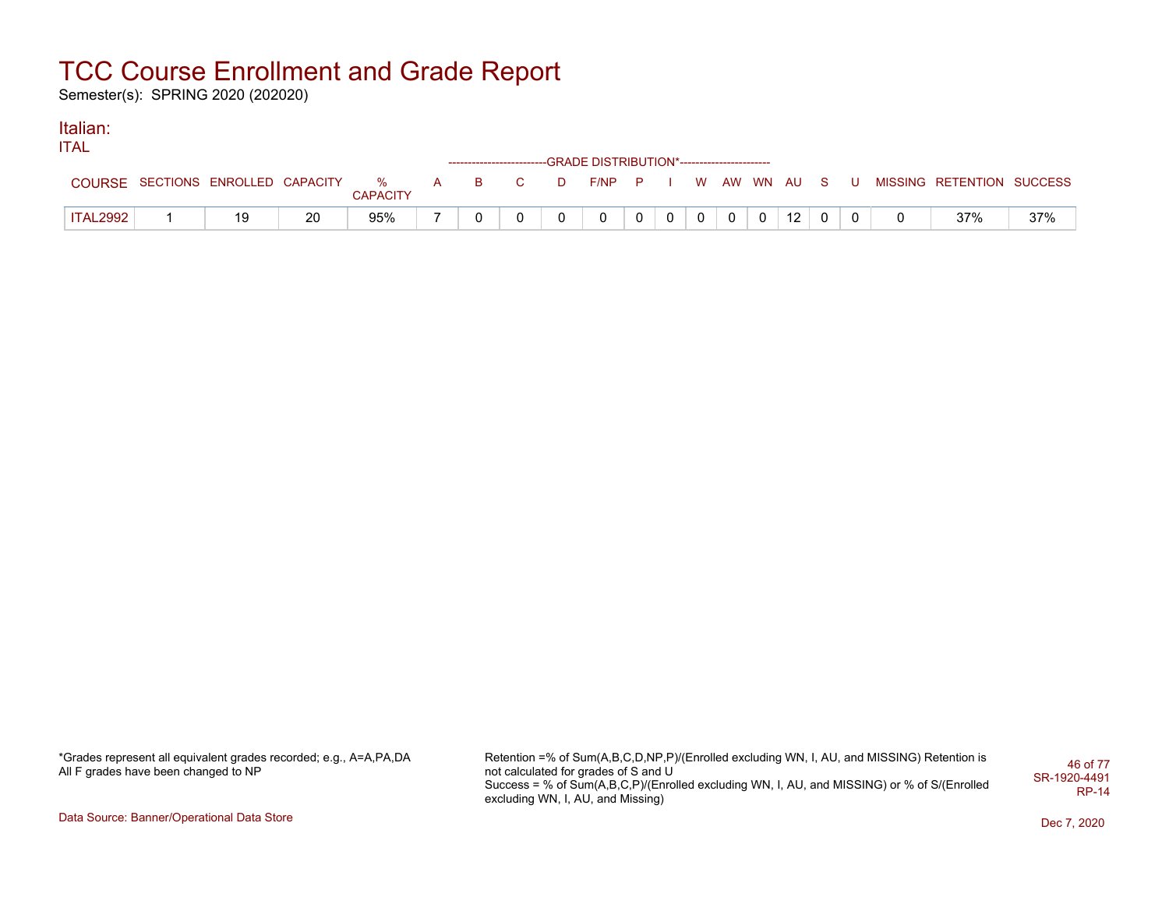Semester(s): SPRING 2020 (202020)

#### Italian: ITAL

| ப∸ட           |                                    |    |                 |  |              | ------------------------GRADE DISTRIBUTION*----------------------- |                |                |  |                 |  |                                          |     |
|---------------|------------------------------------|----|-----------------|--|--------------|--------------------------------------------------------------------|----------------|----------------|--|-----------------|--|------------------------------------------|-----|
| <b>COURSE</b> | SECTIONS ENROLLED CAPACITY % A B C |    | <b>CAPACITY</b> |  | D            | $F/NP$ P I                                                         |                |                |  |                 |  | W AW WN AU S U MISSING RETENTION SUCCESS |     |
| ITAL2992      | 19                                 | 20 | 95%             |  | <sup>n</sup> | $\Omega$                                                           | 0 <sup>1</sup> | 0 <sup>1</sup> |  | 12 <sup>1</sup> |  | 37%                                      | 37% |

\*Grades represent all equivalent grades recorded; e.g., A=A,PA,DA All F grades have been changed to NP

Retention =% of Sum(A,B,C,D,NP,P)/(Enrolled excluding WN, I, AU, and MISSING) Retention is not calculated for grades of S and U Success = % of Sum(A,B,C,P)/(Enrolled excluding WN, I, AU, and MISSING) or % of S/(Enrolled excluding WN, I, AU, and Missing) 46 of 77 SR-1920-4491 RP-14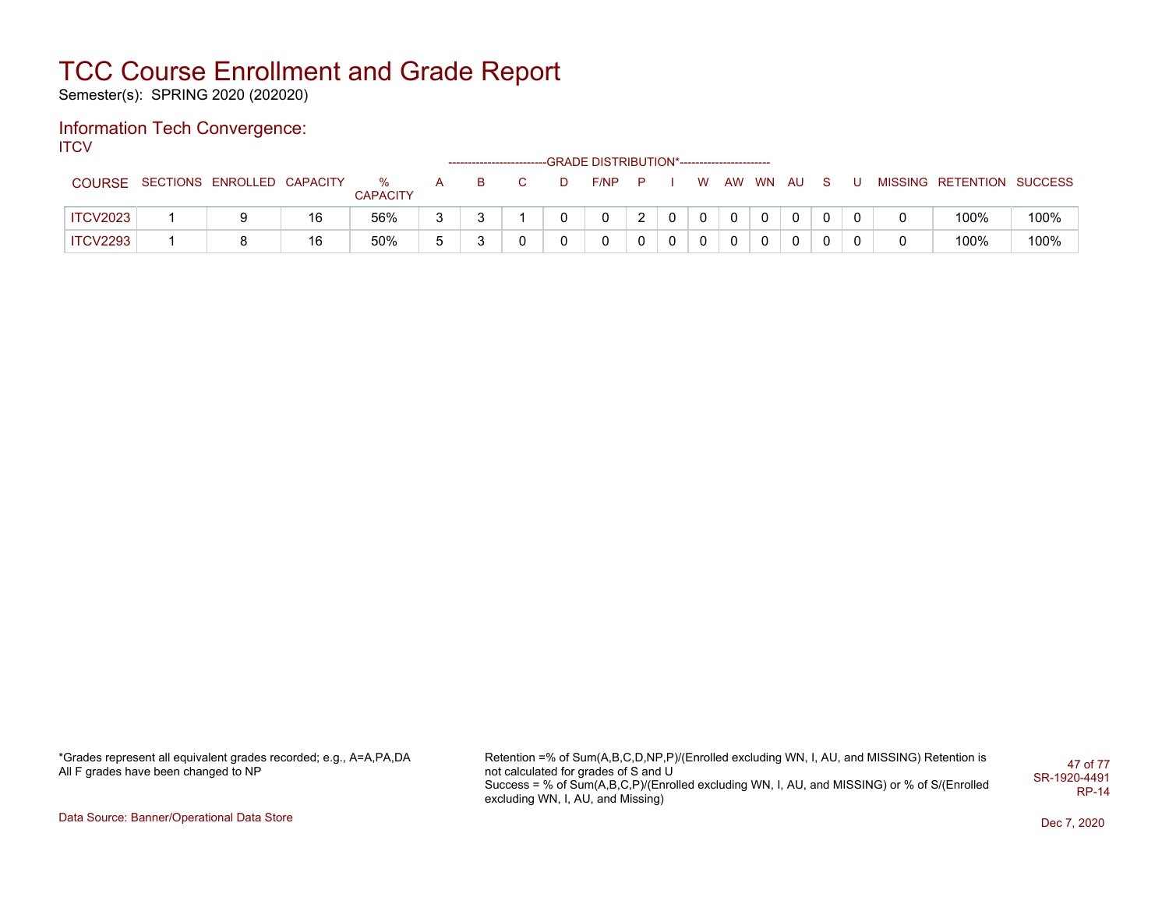Semester(s): SPRING 2020 (202020)

#### Information Tech Convergence: **ITCV**

|                 |                            |    |                      |   | ------------------------- |    | -GRADE DISTRIBUTION*----------------------- |   |              |          |       |    |  |                           |      |
|-----------------|----------------------------|----|----------------------|---|---------------------------|----|---------------------------------------------|---|--------------|----------|-------|----|--|---------------------------|------|
| <b>COURSE</b>   | SECTIONS ENROLLED CAPACITY |    | %<br><b>CAPACITY</b> | A | в.                        | D. | F/NP                                        |   | W            | AW       | WN AU | S. |  | MISSING RETENTION SUCCESS |      |
| <b>ITCV2023</b> |                            | 16 | 56%                  |   |                           |    | 0                                           | _ | $\mathbf{0}$ | $\Omega$ |       | 0  |  | 100%                      | 100% |
| <b>ITCV2293</b> |                            | 16 | 50%                  |   |                           |    |                                             |   |              |          |       | 0  |  | 100%                      | 100% |

\*Grades represent all equivalent grades recorded; e.g., A=A,PA,DA All F grades have been changed to NP

Retention =% of Sum(A,B,C,D,NP,P)/(Enrolled excluding WN, I, AU, and MISSING) Retention is not calculated for grades of S and U Success = % of Sum(A,B,C,P)/(Enrolled excluding WN, I, AU, and MISSING) or % of S/(Enrolled excluding WN, I, AU, and Missing) 47 of 77 SR-1920-4491 RP-14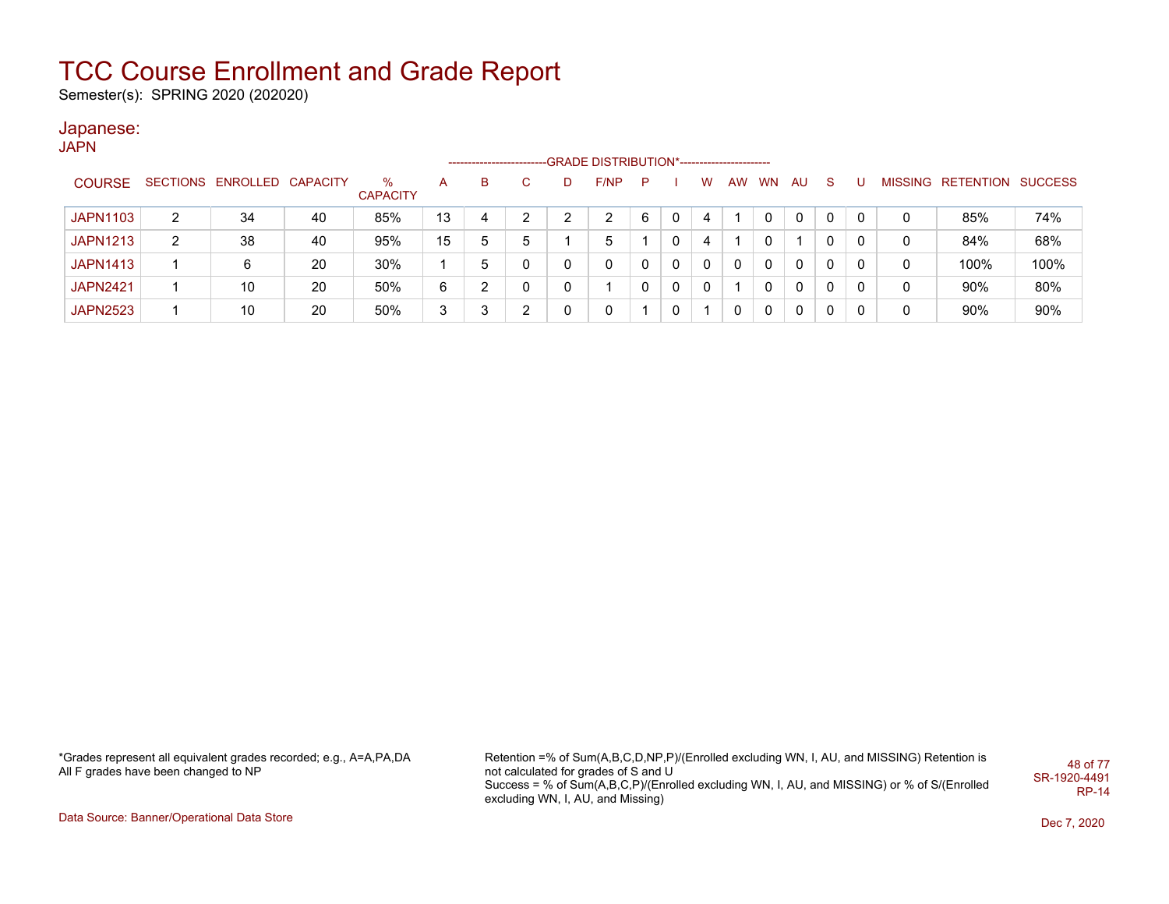Semester(s): SPRING 2020 (202020)

### Japanese:

JAPN

|                 |   |                            |    |                         |    |   |   | -GRADE DISTRIBUTION*----------------------- |   |   |              |           |    |              |          |   |   |                           |      |
|-----------------|---|----------------------------|----|-------------------------|----|---|---|---------------------------------------------|---|---|--------------|-----------|----|--------------|----------|---|---|---------------------------|------|
| <b>COURSE</b>   |   | SECTIONS ENROLLED CAPACITY |    | $\%$<br><b>CAPACITY</b> | А  | в |   | F/NP                                        | P |   | w            | <b>AW</b> | WN | AU.          | -S       |   |   | MISSING RETENTION SUCCESS |      |
| <b>JAPN1103</b> | 2 | 34                         | 40 | 85%                     | 13 | 4 | ົ | ົ                                           | 6 | 0 | 4            |           |    | 0            | 0        | 0 | 0 | 85%                       | 74%  |
| <b>JAPN1213</b> | 2 | 38                         | 40 | 95%                     | 15 | 5 | 5 | 5                                           |   | 0 | 4            |           |    |              | 0        |   |   | 84%                       | 68%  |
| <b>JAPN1413</b> |   | 6                          | 20 | 30%                     |    | h | 0 | 0                                           |   | 0 | $\mathbf{0}$ | 0         | 0  | $\mathbf{0}$ | 0        | 0 | 0 | 100%                      | 100% |
| <b>JAPN2421</b> |   | 10                         | 20 | 50%                     | 6  | ◠ | 0 |                                             | 0 | 0 | $\mathbf{0}$ |           | 0  | $\Omega$     | 0        | 0 | 0 | 90%                       | 80%  |
| <b>JAPN2523</b> |   | 10                         | 20 | 50%                     | 3  | ົ | ົ | 0                                           |   | 0 |              | 0         | 0  | $\Omega$     | $\Omega$ | 0 |   | 90%                       | 90%  |

\*Grades represent all equivalent grades recorded; e.g., A=A,PA,DA All F grades have been changed to NP

Retention =% of Sum(A,B,C,D,NP,P)/(Enrolled excluding WN, I, AU, and MISSING) Retention is not calculated for grades of S and U Success = % of Sum(A,B,C,P)/(Enrolled excluding WN, I, AU, and MISSING) or % of S/(Enrolled excluding WN, I, AU, and Missing) 48 of 77 SR-1920-4491 RP-14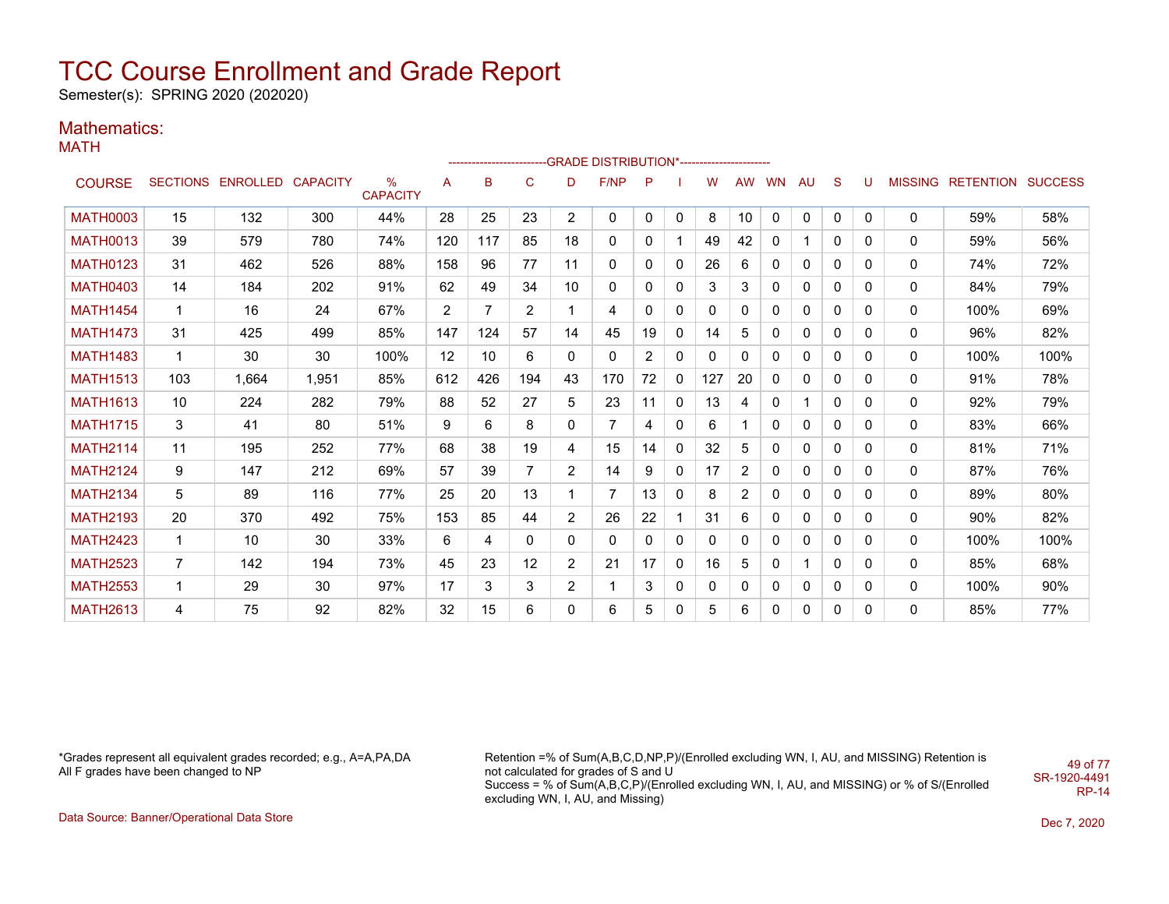Semester(s): SPRING 2020 (202020)

### Mathematics:

MATH

|                 |                |                            |       |                      |                |     |                |                | -------------------------GRADE DISTRIBUTION*---------------------- |          |             |     |              |              |              |              |              |   |                                  |      |
|-----------------|----------------|----------------------------|-------|----------------------|----------------|-----|----------------|----------------|--------------------------------------------------------------------|----------|-------------|-----|--------------|--------------|--------------|--------------|--------------|---|----------------------------------|------|
| <b>COURSE</b>   |                | SECTIONS ENROLLED CAPACITY |       | %<br><b>CAPACITY</b> | A              | B   | C              | D              | <b>F/NP</b>                                                        | P        |             | W   | <b>AW</b>    | WN           | AU           | S            | U            |   | <b>MISSING RETENTION SUCCESS</b> |      |
| <b>MATH0003</b> | 15             | 132                        | 300   | 44%                  | 28             | 25  | 23             | $\overline{2}$ | 0                                                                  | $\Omega$ | $\Omega$    | 8   | 10           | $\mathbf 0$  | 0            | 0            | $\mathbf{0}$ | 0 | 59%                              | 58%  |
| <b>MATH0013</b> | 39             | 579                        | 780   | 74%                  | 120            | 117 | 85             | 18             | 0                                                                  | 0        |             | 49  | 42           | 0            |              | 0            | 0            | 0 | 59%                              | 56%  |
| <b>MATH0123</b> | 31             | 462                        | 526   | 88%                  | 158            | 96  | 77             | 11             | 0                                                                  | 0        | 0           | 26  | 6            | 0            | 0            | $\Omega$     | $\Omega$     | 0 | 74%                              | 72%  |
| <b>MATH0403</b> | 14             | 184                        | 202   | 91%                  | 62             | 49  | 34             | 10             | 0                                                                  | 0        | 0           | 3   | 3            | 0            | 0            | 0            | 0            | 0 | 84%                              | 79%  |
| <b>MATH1454</b> | 1              | 16                         | 24    | 67%                  | $\overline{2}$ | 7   | $\overline{2}$ |                | 4                                                                  | 0        | 0           | 0   | 0            | $\Omega$     | 0            | 0            | $\mathbf 0$  | 0 | 100%                             | 69%  |
| <b>MATH1473</b> | 31             | 425                        | 499   | 85%                  | 147            | 124 | 57             | 14             | 45                                                                 | 19       | 0           | 14  | 5            | 0            | 0            | 0            | 0            | 0 | 96%                              | 82%  |
| <b>MATH1483</b> | 1              | 30                         | 30    | 100%                 | 12             | 10  | 6              | 0              | 0                                                                  | 2        | 0           | 0   | $\Omega$     | $\Omega$     | $\mathbf{0}$ | $\Omega$     | 0            | 0 | 100%                             | 100% |
| <b>MATH1513</b> | 103            | 1.664                      | 1,951 | 85%                  | 612            | 426 | 194            | 43             | 170                                                                | 72       | 0           | 127 | 20           | $\Omega$     | $\mathbf{0}$ | 0            | 0            | 0 | 91%                              | 78%  |
| <b>MATH1613</b> | 10             | 224                        | 282   | 79%                  | 88             | 52  | 27             | 5              | 23                                                                 | 11       | $\mathbf 0$ | 13  | 4            | $\Omega$     |              | $\Omega$     | $\Omega$     | 0 | 92%                              | 79%  |
| <b>MATH1715</b> | 3              | 41                         | 80    | 51%                  | 9              | 6   | 8              | 0              | $\overline{7}$                                                     | 4        | 0           | 6   |              | 0            | 0            | 0            | 0            | 0 | 83%                              | 66%  |
| <b>MATH2114</b> | 11             | 195                        | 252   | 77%                  | 68             | 38  | 19             | 4              | 15                                                                 | 14       | $\Omega$    | 32  | 5            | $\mathbf{0}$ | $\mathbf{0}$ | $\Omega$     | 0            | 0 | 81%                              | 71%  |
| <b>MATH2124</b> | 9              | 147                        | 212   | 69%                  | 57             | 39  | $\overline{7}$ | $\overline{2}$ | 14                                                                 | 9        | 0           | 17  | 2            | $\Omega$     | $\mathbf{0}$ | 0            | 0            | 0 | 87%                              | 76%  |
| <b>MATH2134</b> | 5              | 89                         | 116   | 77%                  | 25             | 20  | 13             |                | 7                                                                  | 13       | 0           | 8   | 2            | $\Omega$     | $\mathbf{0}$ | 0            | 0            | 0 | 89%                              | 80%  |
| <b>MATH2193</b> | 20             | 370                        | 492   | 75%                  | 153            | 85  | 44             | 2              | 26                                                                 | 22       |             | 31  | 6            | $\Omega$     | 0            | $\mathbf{0}$ | $\Omega$     | 0 | 90%                              | 82%  |
| <b>MATH2423</b> | $\mathbf 1$    | 10                         | 30    | 33%                  | 6              | 4   | 0              | 0              | 0                                                                  | 0        | $\Omega$    | 0   | $\Omega$     | $\Omega$     | 0            | $\Omega$     | $\Omega$     | 0 | 100%                             | 100% |
| <b>MATH2523</b> | $\overline{7}$ | 142                        | 194   | 73%                  | 45             | 23  | 12             | $\overline{2}$ | 21                                                                 | 17       | 0           | 16  | 5            | $\Omega$     |              | 0            | 0            | 0 | 85%                              | 68%  |
| <b>MATH2553</b> | $\mathbf{1}$   | 29                         | 30    | 97%                  | 17             | 3   | 3              | $\overline{2}$ | $\mathbf{1}$                                                       | 3        | 0           | 0   | $\mathbf{0}$ | 0            | 0            | 0            | 0            | 0 | 100%                             | 90%  |
| <b>MATH2613</b> | 4              | 75                         | 92    | 82%                  | 32             | 15  | 6              | 0              | 6                                                                  | 5        | 0           | 5   | 6            | 0            | 0            | 0            | $\Omega$     | 0 | 85%                              | 77%  |

\*Grades represent all equivalent grades recorded; e.g., A=A,PA,DA All F grades have been changed to NP

Retention =% of Sum(A,B,C,D,NP,P)/(Enrolled excluding WN, I, AU, and MISSING) Retention is not calculated for grades of S and U Success = % of Sum(A,B,C,P)/(Enrolled excluding WN, I, AU, and MISSING) or % of S/(Enrolled excluding WN, I, AU, and Missing) SR-1920-4491

49 of 77

RP-14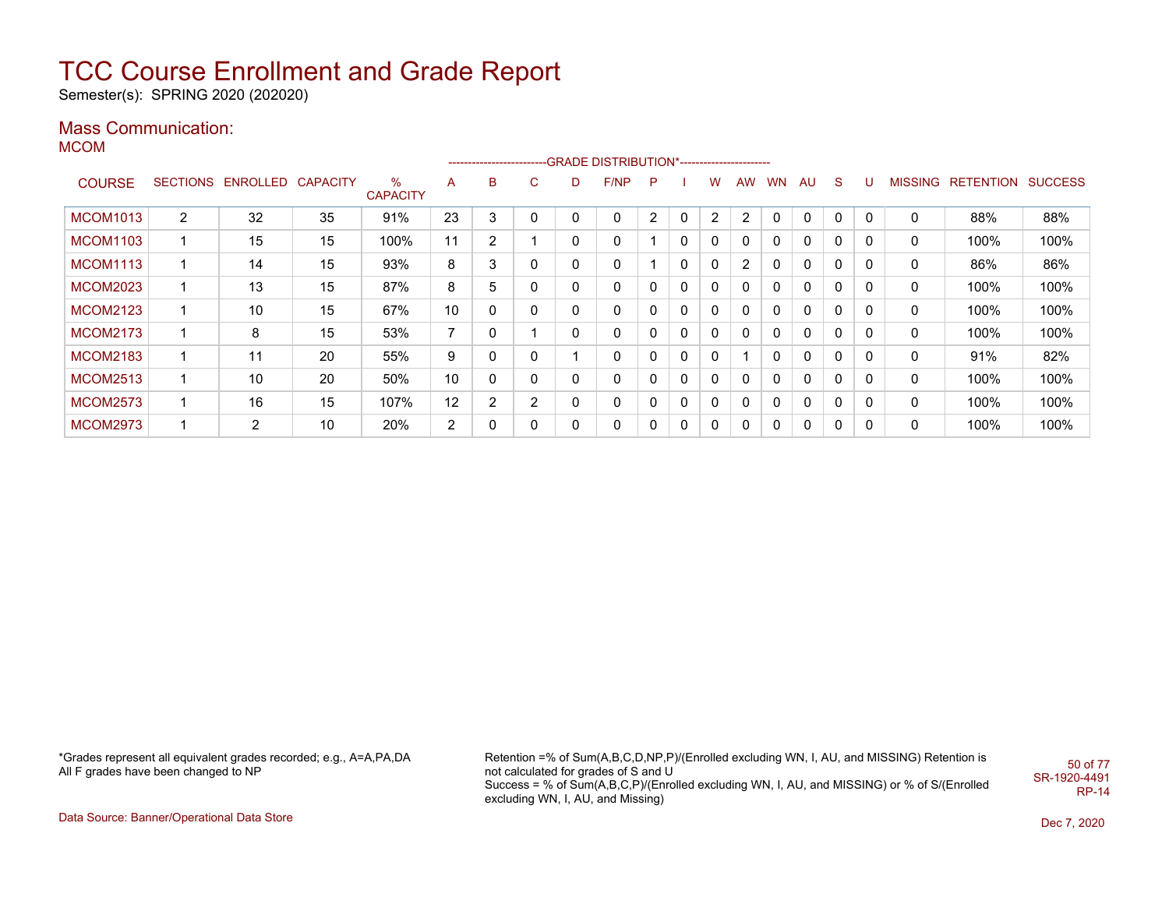Semester(s): SPRING 2020 (202020)

### Mass Communication:

MCOM

|                 |                 |                |                 |                         |                          | ---------------------- |                |          | -GRADE DISTRIBUTION*---------------------- |              |              |   |                |           |              |              |          |                |                  |                |
|-----------------|-----------------|----------------|-----------------|-------------------------|--------------------------|------------------------|----------------|----------|--------------------------------------------|--------------|--------------|---|----------------|-----------|--------------|--------------|----------|----------------|------------------|----------------|
| <b>COURSE</b>   | <b>SECTIONS</b> | ENROLLED       | <b>CAPACITY</b> | $\%$<br><b>CAPACITY</b> | A                        | B                      | $\mathbf{C}$   | D        | F/NP                                       | P            |              | w | <b>AW</b>      | <b>WN</b> | AU           | <sub>S</sub> |          | <b>MISSING</b> | <b>RETENTION</b> | <b>SUCCESS</b> |
| <b>MCOM1013</b> | $\overline{2}$  | 32             | 35              | 91%                     | 23                       | 3                      | 0              | 0        | 0                                          | 2            | 0            | 2 | 2              | 0         | $\Omega$     | $\Omega$     | $\Omega$ | 0              | 88%              | 88%            |
| <b>MCOM1103</b> |                 | 15             | 15              | 100%                    | 11                       | $\overline{2}$         |                | 0        | 0                                          |              | $\Omega$     | 0 | 0              | 0         | $\mathbf{0}$ | 0            | 0        | 0              | 100%             | 100%           |
| <b>MCOM1113</b> |                 | 14             | 15              | 93%                     | 8                        | 3                      | 0              | $\Omega$ | 0                                          |              | $\mathbf{0}$ | 0 | $\overline{2}$ | 0         | $\mathbf{0}$ | 0            | 0        | 0              | 86%              | 86%            |
| <b>MCOM2023</b> |                 | 13             | 15              | 87%                     | 8                        | 5                      | 0              | 0        | 0                                          | 0            | 0            | 0 | 0              | 0         | $\mathbf{0}$ | 0            | 0        | 0              | 100%             | 100%           |
| <b>MCOM2123</b> |                 | 10             | 15              | 67%                     | 10                       | 0                      | 0              | $\Omega$ | 0                                          | 0            | 0            | 0 | 0              | 0         | $\mathbf{0}$ | 0            | 0        | 0              | 100%             | 100%           |
| <b>MCOM2173</b> |                 | 8              | 15              | 53%                     | $\overline{\phantom{a}}$ | 0                      |                | $\Omega$ | 0                                          | 0            | 0            | 0 | 0              | 0         | $\mathbf{0}$ | 0            | 0        | 0              | 100%             | 100%           |
| <b>MCOM2183</b> |                 | 11             | 20              | 55%                     | 9                        | 0                      | 0              |          | 0                                          | 0            | 0            | 0 |                | 0         | 0            | 0            | 0        | 0              | 91%              | 82%            |
| <b>MCOM2513</b> |                 | 10             | 20              | 50%                     | 10                       | 0                      | 0              | $\Omega$ | 0                                          | $\mathbf{0}$ | 0            | 0 | 0              | 0         | $\mathbf{0}$ | 0            | 0        | 0              | 100%             | 100%           |
| <b>MCOM2573</b> |                 | 16             | 15              | 107%                    | 12                       | 2                      | $\overline{2}$ | 0        | 0                                          | 0            | 0            | 0 | 0              | 0         | $\mathbf{0}$ | 0            | 0        | 0              | 100%             | 100%           |
| <b>MCOM2973</b> |                 | $\overline{2}$ | 10              | 20%                     | 2                        | 0                      | 0              | 0        | 0                                          | $\mathbf{0}$ | $\Omega$     | 0 | 0              | 0         | $\mathbf{0}$ | 0            | 0        | 0              | 100%             | 100%           |

\*Grades represent all equivalent grades recorded; e.g., A=A,PA,DA All F grades have been changed to NP

Retention =% of Sum(A,B,C,D,NP,P)/(Enrolled excluding WN, I, AU, and MISSING) Retention is not calculated for grades of S and U Success = % of Sum(A,B,C,P)/(Enrolled excluding WN, I, AU, and MISSING) or % of S/(Enrolled excluding WN, I, AU, and Missing) 50 of 77 SR-1920-4491 RP-14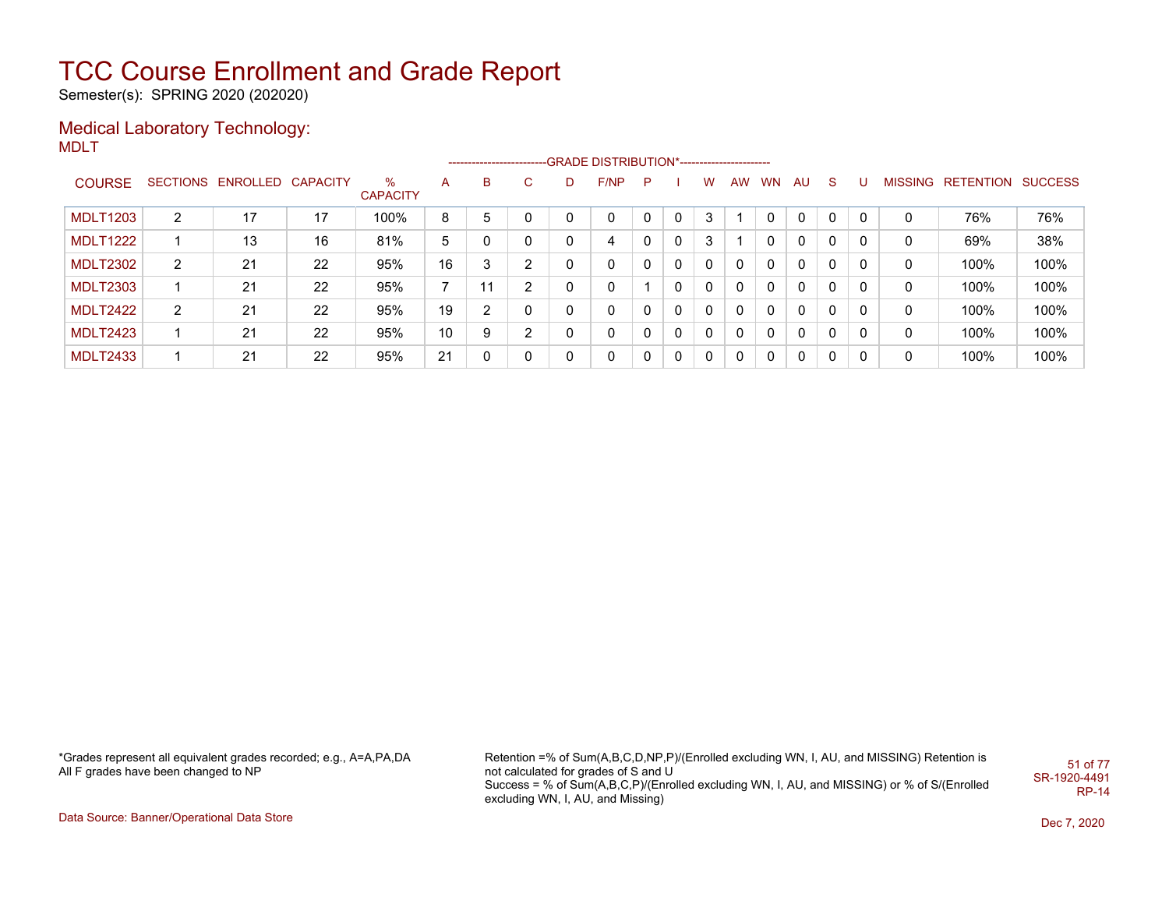Semester(s): SPRING 2020 (202020)

#### Medical Laboratory Technology: MDLT

|                 |                |                            |    |                      |                |    |                |              | -------------------------GRADE DISTRIBUTION*---------------------- |   |          |              |           |           |              |             |              |   |                   |                |
|-----------------|----------------|----------------------------|----|----------------------|----------------|----|----------------|--------------|--------------------------------------------------------------------|---|----------|--------------|-----------|-----------|--------------|-------------|--------------|---|-------------------|----------------|
| <b>COURSE</b>   |                | SECTIONS ENROLLED CAPACITY |    | %<br><b>CAPACITY</b> | A              | B  | C              | D            | F/NP                                                               | P |          | w            | <b>AW</b> | <b>WN</b> | AU           | S.          | U            |   | MISSING RETENTION | <b>SUCCESS</b> |
| <b>MDLT1203</b> | $\overline{2}$ | 17                         | 17 | 100%                 | 8              | 5  | 0              | 0            | $\Omega$                                                           |   | $\Omega$ | 3            |           |           | $\mathbf{0}$ | $\mathbf 0$ | $\mathbf{0}$ | 0 | 76%               | 76%            |
| <b>MDLT1222</b> |                | 13                         | 16 | 81%                  | 5              |    | 0              | $\mathbf{0}$ | 4                                                                  |   | 0        | 3            |           | 0         | 0            | 0           |              | 0 | 69%               | 38%            |
| <b>MDLT2302</b> | 2              | 21                         | 22 | 95%                  | 16             | 3  | 2              | 0            | 0                                                                  |   | 0        | 0            |           | $\Omega$  | $\mathbf{0}$ | 0           |              | 0 | 100%              | 100%           |
| <b>MDLT2303</b> |                | 21                         | 22 | 95%                  | $\overline{ }$ | 11 | 2              | 0            | 0                                                                  |   | 0        | 0            |           | $\Omega$  | 0            | 0           | 0            | 0 | 100%              | 100%           |
| MDLT2422        | 2              | 21                         | 22 | 95%                  | 19             | ົ  | 0              | 0            | 0                                                                  |   | 0        | $\mathbf{0}$ | 0         | $\Omega$  | $\mathbf{0}$ | 0           | 0            | 0 | 100%              | 100%           |
| <b>MDLT2423</b> |                | 21                         | 22 | 95%                  | 10             | 9  | $\overline{2}$ | 0            | 0                                                                  |   | 0        | 0            | 0         | $\Omega$  | $\mathbf{0}$ | 0           | 0            | 0 | 100%              | 100%           |
| <b>MDLT2433</b> |                | 21                         | 22 | 95%                  | 21             |    | 0              | 0            | 0                                                                  |   | 0        | 0            | 0         | $\Omega$  | 0            | 0           | 0            | 0 | 100%              | 100%           |

\*Grades represent all equivalent grades recorded; e.g., A=A,PA,DA All F grades have been changed to NP

Retention =% of Sum(A,B,C,D,NP,P)/(Enrolled excluding WN, I, AU, and MISSING) Retention is not calculated for grades of S and U Success = % of Sum(A,B,C,P)/(Enrolled excluding WN, I, AU, and MISSING) or % of S/(Enrolled excluding WN, I, AU, and Missing) 51 of 77 SR-1920-4491 RP-14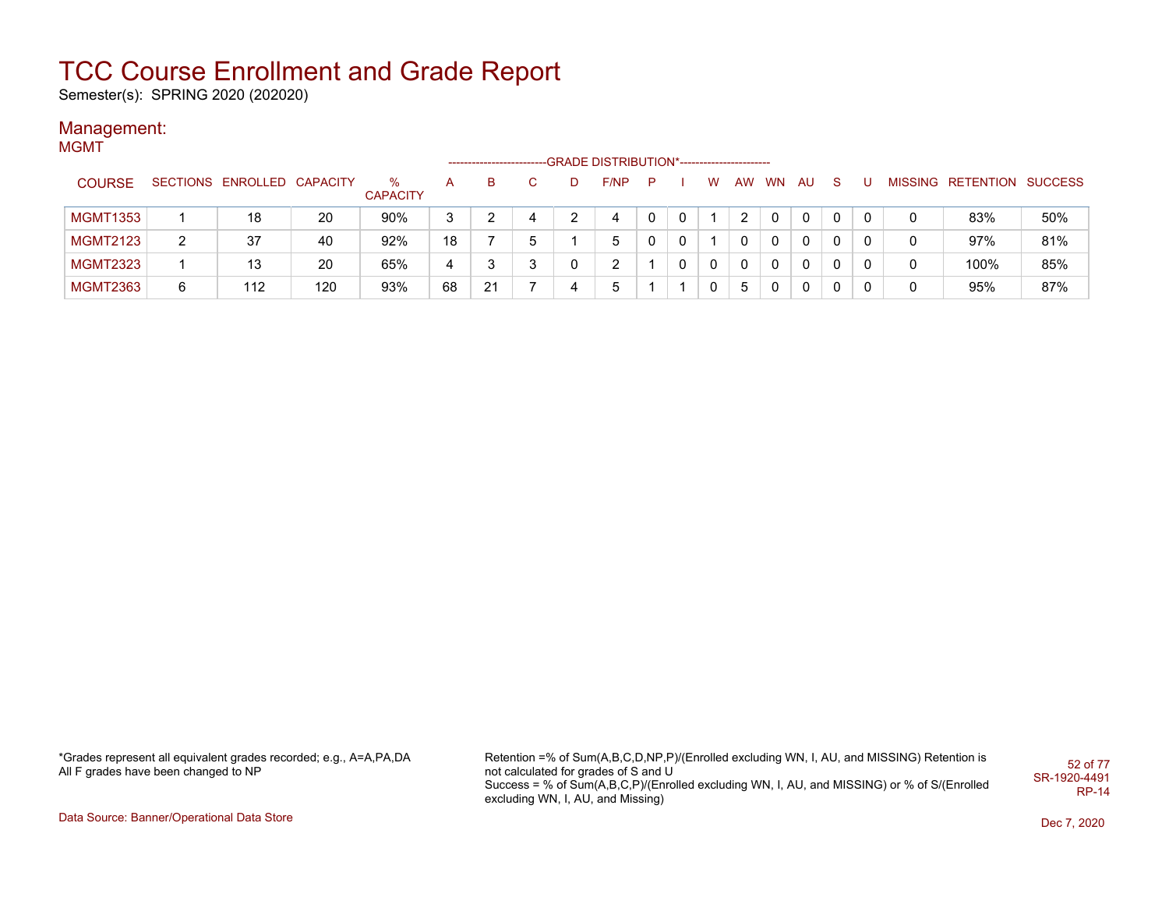Semester(s): SPRING 2020 (202020)

#### Management: **MGMT**

|                 |   |                            |     |                      |    |    |   |   | -GRADE DISTRIBUTION*---------------------- |              |   |   |           |           |    |    |  |                           |     |
|-----------------|---|----------------------------|-----|----------------------|----|----|---|---|--------------------------------------------|--------------|---|---|-----------|-----------|----|----|--|---------------------------|-----|
| <b>COURSE</b>   |   | SECTIONS ENROLLED CAPACITY |     | %<br><b>CAPACITY</b> | A  | в  |   | D | F/NP                                       | P            |   | w | <b>AW</b> | <b>WN</b> | AU | -S |  | MISSING RETENTION SUCCESS |     |
| <b>MGMT1353</b> |   | 18                         | 20  | 90%                  | 3  |    | 4 |   | 4                                          | 0            | 0 |   |           | $\Omega$  | 0  |    |  | 83%                       | 50% |
| <b>MGMT2123</b> | 2 | 37                         | 40  | 92%                  | 18 |    | 5 |   | 5                                          | $\mathbf{0}$ | 0 |   | 0         | 0         | 0  |    |  | 97%                       | 81% |
| <b>MGMT2323</b> |   | 13                         | 20  | 65%                  | 4  |    |   |   |                                            |              | 0 | 0 | 0         | 0         | 0  |    |  | 100%                      | 85% |
| <b>MGMT2363</b> | 6 | 112                        | 120 | 93%                  | 68 | 21 |   |   |                                            |              |   |   | ა         | 0         | 0  |    |  | 95%                       | 87% |

\*Grades represent all equivalent grades recorded; e.g., A=A,PA,DA All F grades have been changed to NP

Retention =% of Sum(A,B,C,D,NP,P)/(Enrolled excluding WN, I, AU, and MISSING) Retention is not calculated for grades of S and U Success = % of Sum(A,B,C,P)/(Enrolled excluding WN, I, AU, and MISSING) or % of S/(Enrolled excluding WN, I, AU, and Missing) 52 of 77 SR-1920-4491 RP-14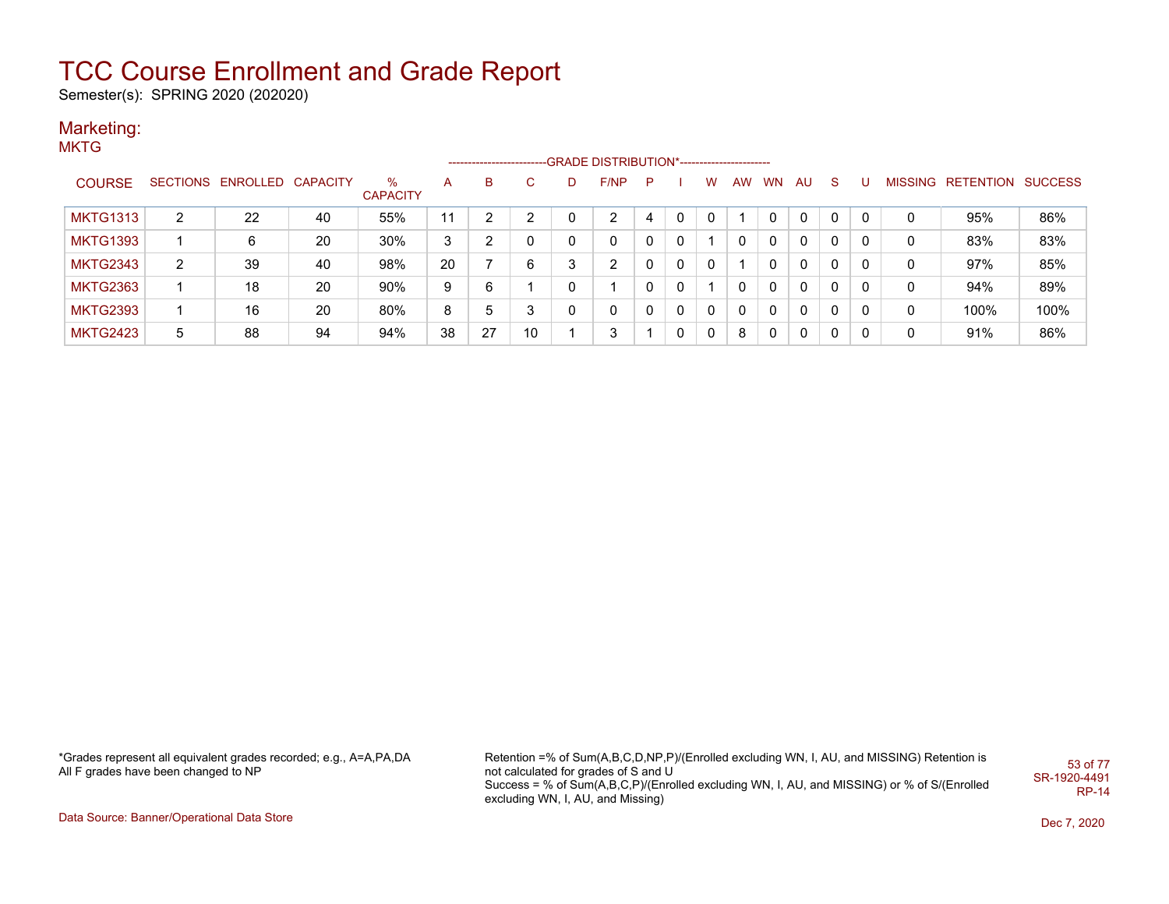Semester(s): SPRING 2020 (202020)

#### Marketing: **MKTG**

|                 |                |                            |    |                         |    |    |              |   | ------------------------GRADE                DISTRIBUTION*---------------------- |              |              |   |           |              |          |             |          |         |           |                |
|-----------------|----------------|----------------------------|----|-------------------------|----|----|--------------|---|----------------------------------------------------------------------------------|--------------|--------------|---|-----------|--------------|----------|-------------|----------|---------|-----------|----------------|
| <b>COURSE</b>   |                | SECTIONS ENROLLED CAPACITY |    | $\%$<br><b>CAPACITY</b> | A  | B  | $\mathbf{C}$ |   | F/NP                                                                             | P            |              | W | <b>AW</b> | <b>WN</b>    | AU       | -S          |          | MISSING | RETENTION | <b>SUCCESS</b> |
| <b>MKTG1313</b> | $\overline{2}$ | 22                         | 40 | 55%                     | 11 | 2  | 2            |   |                                                                                  | 4            | $\mathbf{0}$ | 0 |           | 0            | 0        | 0           | $\Omega$ | 0       | 95%       | 86%            |
| <b>MKTG1393</b> |                | 6                          | 20 | 30%                     | 3  | 2  | 0            | 0 | $\mathbf 0$                                                                      | $\mathbf{0}$ | 0            |   | 0         | 0            | 0        | 0           | 0        | 0       | 83%       | 83%            |
| <b>MKTG2343</b> | $\overline{2}$ | 39                         | 40 | 98%                     | 20 |    | 6            | 3 | 2                                                                                | $\mathbf{0}$ | $\Omega$     | 0 |           | $\Omega$     | 0        | 0           | 0        | 0       | 97%       | 85%            |
| <b>MKTG2363</b> |                | 18                         | 20 | 90%                     | 9  | 6  |              | 0 |                                                                                  | 0            | 0            |   | 0         | $\Omega$     | $\Omega$ | 0           | 0        | 0       | 94%       | 89%            |
| <b>MKTG2393</b> |                | 16                         | 20 | 80%                     | 8  | 5  | 3            |   | 0                                                                                | $\mathbf{0}$ | 0            | 0 | 0         | $\Omega$     | 0        | 0           | 0        | 0       | 100%      | 100%           |
| MKTG2423        | 5              | 88                         | 94 | 94%                     | 38 | 27 | 10           |   | 3                                                                                |              | 0            | 0 | 8         | $\mathbf{0}$ | $\Omega$ | $\mathbf 0$ | 0        | 0       | 91%       | 86%            |

\*Grades represent all equivalent grades recorded; e.g., A=A,PA,DA All F grades have been changed to NP

Retention =% of Sum(A,B,C,D,NP,P)/(Enrolled excluding WN, I, AU, and MISSING) Retention is not calculated for grades of S and U Success = % of Sum(A,B,C,P)/(Enrolled excluding WN, I, AU, and MISSING) or % of S/(Enrolled excluding WN, I, AU, and Missing) 53 of 77 SR-1920-4491 RP-14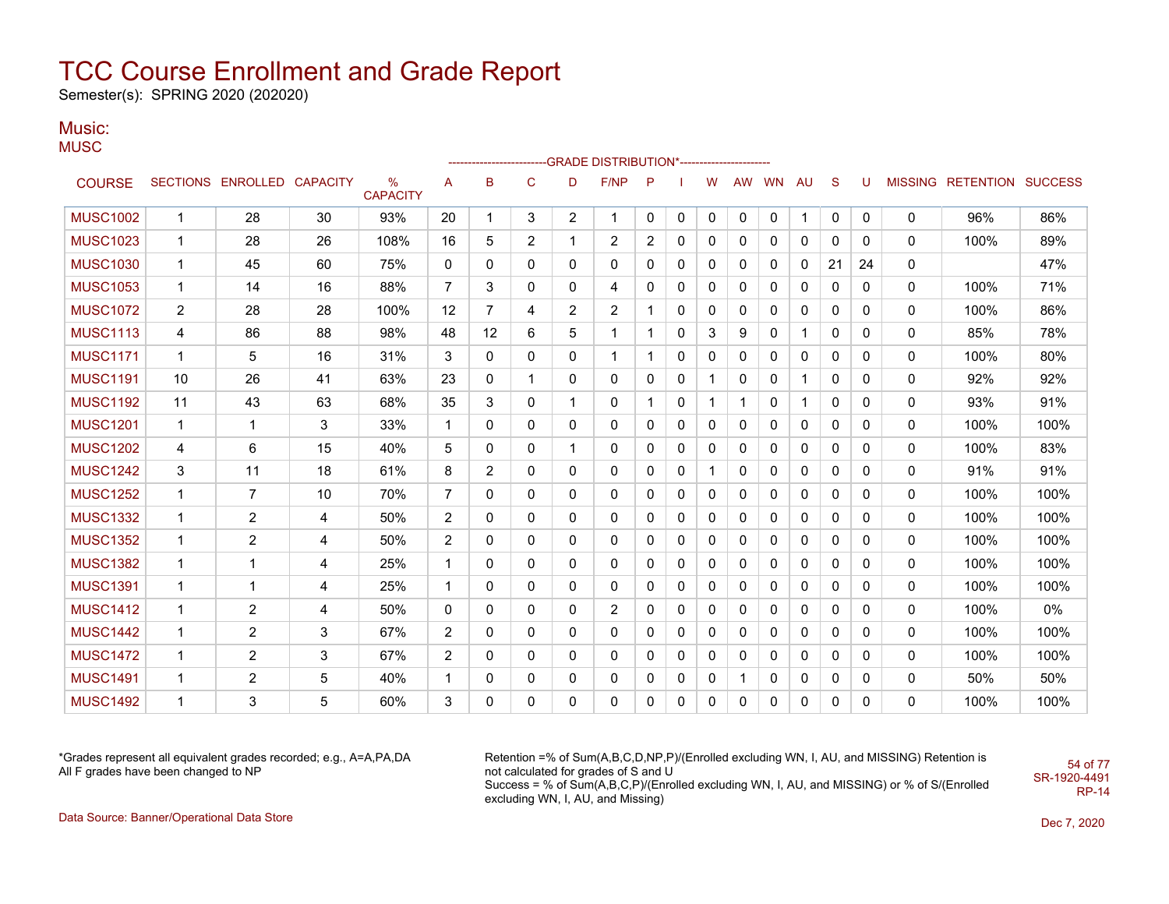Semester(s): SPRING 2020 (202020)

### Music:

**MUSC** 

|                 |                |                            |    |                         |                   |                |                |                | ------------------------GRADE                DISTRIBUTION*---------------------- |              |              |              |          |              |              |              |              |              |                           |      |
|-----------------|----------------|----------------------------|----|-------------------------|-------------------|----------------|----------------|----------------|----------------------------------------------------------------------------------|--------------|--------------|--------------|----------|--------------|--------------|--------------|--------------|--------------|---------------------------|------|
| <b>COURSE</b>   |                | SECTIONS ENROLLED CAPACITY |    | $\%$<br><b>CAPACITY</b> | A                 | B              | $\mathbf C$    | D              | F/NP                                                                             | P            |              | w            | AW       | <b>WN</b>    | AU           | <sub>S</sub> | U            |              | MISSING RETENTION SUCCESS |      |
| <b>MUSC1002</b> | $\mathbf{1}$   | 28                         | 30 | 93%                     | 20                | 1              | 3              | $\overline{2}$ | $\mathbf{1}$                                                                     | $\mathbf{0}$ | 0            | 0            | $\Omega$ | 0            | $\mathbf{1}$ | 0            | $\mathbf{0}$ | $\mathbf{0}$ | 96%                       | 86%  |
| <b>MUSC1023</b> | $\mathbf{1}$   | 28                         | 26 | 108%                    | 16                | 5              | $\overline{2}$ | 1              | 2                                                                                | 2            | 0            | $\mathbf{0}$ | $\Omega$ | 0            | 0            | $\Omega$     | $\Omega$     | 0            | 100%                      | 89%  |
| <b>MUSC1030</b> | $\mathbf{1}$   | 45                         | 60 | 75%                     | 0                 | $\mathbf{0}$   | $\mathbf{0}$   | $\mathbf{0}$   | $\mathbf{0}$                                                                     | 0            | 0            | 0            | $\Omega$ | $\Omega$     | 0            | 21           | 24           | 0            |                           | 47%  |
| <b>MUSC1053</b> | $\mathbf{1}$   | 14                         | 16 | 88%                     | $\overline{7}$    | 3              | $\mathbf{0}$   | $\mathbf{0}$   | 4                                                                                | 0            | 0            | $\mathbf{0}$ | $\Omega$ | 0            | 0            | 0            | 0            | 0            | 100%                      | 71%  |
| <b>MUSC1072</b> | $\overline{2}$ | 28                         | 28 | 100%                    | $12 \overline{ }$ | $\overline{7}$ | 4              | 2              | 2                                                                                |              | 0            | 0            | 0        | 0            | 0            | $\mathbf{0}$ | 0            | 0            | 100%                      | 86%  |
| <b>MUSC1113</b> | 4              | 86                         | 88 | 98%                     | 48                | 12             | 6              | 5              | 1                                                                                |              | 0            | 3            | 9        | 0            | $\mathbf 1$  | 0            | $\Omega$     | 0            | 85%                       | 78%  |
| <b>MUSC1171</b> | $\mathbf{1}$   | 5                          | 16 | 31%                     | 3                 | 0              | 0              | 0              | $\mathbf{1}$                                                                     |              | 0            | 0            | $\Omega$ | 0            | 0            | $\mathbf 0$  | 0            | 0            | 100%                      | 80%  |
| <b>MUSC1191</b> | 10             | 26                         | 41 | 63%                     | 23                | $\Omega$       | $\mathbf{1}$   | $\mathbf{0}$   | $\Omega$                                                                         | 0            | $\mathbf{0}$ | 1            | $\Omega$ | $\mathbf{0}$ | $\mathbf 1$  | $\mathbf{0}$ | $\Omega$     | 0            | 92%                       | 92%  |
| <b>MUSC1192</b> | 11             | 43                         | 63 | 68%                     | 35                | 3              | $\mathbf{0}$   | $\mathbf{1}$   | 0                                                                                |              | 0            | 1            | 1        | $\mathbf{0}$ | 1            | $\mathbf{0}$ | $\Omega$     | 0            | 93%                       | 91%  |
| <b>MUSC1201</b> | $\mathbf{1}$   | $\mathbf{1}$               | 3  | 33%                     | $\mathbf{1}$      | 0              | $\mathbf{0}$   | $\mathbf{0}$   | 0                                                                                | 0            | 0            | 0            | $\Omega$ | $\mathbf{0}$ | 0            | $\mathbf{0}$ | 0            | 0            | 100%                      | 100% |
| <b>MUSC1202</b> | 4              | 6                          | 15 | 40%                     | 5                 | 0              | 0              | $\mathbf 1$    | 0                                                                                | 0            | 0            | 0            | $\Omega$ | 0            | 0            | $\mathbf{0}$ | 0            | 0            | 100%                      | 83%  |
| <b>MUSC1242</b> | 3              | 11                         | 18 | 61%                     | 8                 | 2              | 0              | 0              | 0                                                                                | 0            | 0            |              | $\Omega$ | $\Omega$     | 0            | 0            | 0            | 0            | 91%                       | 91%  |
| <b>MUSC1252</b> | $\mathbf{1}$   | 7                          | 10 | 70%                     | $\overline{7}$    | $\mathbf{0}$   | $\mathbf{0}$   | $\mathbf{0}$   | 0                                                                                | 0            | 0            | 0            | 0        | 0            | 0            | 0            | 0            | 0            | 100%                      | 100% |
| <b>MUSC1332</b> | $\mathbf{1}$   | 2                          | 4  | 50%                     | $\overline{2}$    | $\mathbf{0}$   | 0              | $\mathbf{0}$   | 0                                                                                | 0            | 0            | 0            | 0        | 0            | 0            | $\mathbf{0}$ | 0            | 0            | 100%                      | 100% |
| <b>MUSC1352</b> | $\mathbf{1}$   | $\overline{2}$             | 4  | 50%                     | $\overline{2}$    | $\mathbf{0}$   | 0              | $\mathbf{0}$   | $\mathbf{0}$                                                                     | 0            | 0            | 0            | 0        | $\mathbf{0}$ | $\Omega$     | $\mathbf{0}$ | $\Omega$     | 0            | 100%                      | 100% |
| <b>MUSC1382</b> | $\mathbf{1}$   | 1                          | 4  | 25%                     | $\mathbf{1}$      | 0              | $\mathbf{0}$   | $\mathbf{0}$   | 0                                                                                | 0            | 0            | 0            | 0        | 0            | 0            | 0            | 0            | 0            | 100%                      | 100% |
| <b>MUSC1391</b> | $\mathbf{1}$   | $\mathbf 1$                | 4  | 25%                     | $\mathbf{1}$      | $\Omega$       | $\mathbf{0}$   | $\mathbf{0}$   | $\mathbf{0}$                                                                     | 0            | $\mathbf{0}$ | 0            | $\Omega$ | $\mathbf{0}$ | $\mathbf{0}$ | $\mathbf{0}$ | $\Omega$     | 0            | 100%                      | 100% |
| <b>MUSC1412</b> | $\mathbf{1}$   | 2                          | 4  | 50%                     | 0                 | 0              | $\mathbf{0}$   | $\mathbf{0}$   | $\overline{2}$                                                                   | 0            | 0            | 0            | $\Omega$ | $\mathbf{0}$ | $\mathbf{0}$ | $\mathbf{0}$ | $\Omega$     | 0            | 100%                      | 0%   |
| <b>MUSC1442</b> | $\mathbf{1}$   | 2                          | 3  | 67%                     | 2                 | $\mathbf{0}$   | $\mathbf{0}$   | $\mathbf{0}$   | $\mathbf{0}$                                                                     | 0            | 0            | $\mathbf{0}$ | $\Omega$ | $\Omega$     | 0            | $\mathbf{0}$ | $\Omega$     | 0            | 100%                      | 100% |
| <b>MUSC1472</b> | $\mathbf{1}$   | 2                          | 3  | 67%                     | $\overline{2}$    | 0              | $\mathbf{0}$   | $\mathbf{0}$   | $\mathbf{0}$                                                                     | 0            | 0            | 0            | $\Omega$ | $\mathbf{0}$ | 0            | $\mathbf{0}$ | 0            | 0            | 100%                      | 100% |
| <b>MUSC1491</b> | $\mathbf{1}$   | 2                          | 5  | 40%                     | $\mathbf{1}$      | 0              | 0              | 0              | 0                                                                                | 0            | 0            | 0            |          | 0            | 0            | 0            | 0            | 0            | 50%                       | 50%  |
| <b>MUSC1492</b> | $\mathbf{1}$   | 3                          | 5  | 60%                     | 3                 | $\Omega$       | $\mathbf{0}$   | $\Omega$       | 0                                                                                | $\Omega$     | 0            | $\Omega$     | $\Omega$ | $\Omega$     | $\Omega$     | $\mathbf{0}$ | 0            | 0            | 100%                      | 100% |

\*Grades represent all equivalent grades recorded; e.g., A=A,PA,DA All F grades have been changed to NP

Retention =% of Sum(A,B,C,D,NP,P)/(Enrolled excluding WN, I, AU, and MISSING) Retention is not calculated for grades of S and U Success = % of Sum(A,B,C,P)/(Enrolled excluding WN, I, AU, and MISSING) or % of S/(Enrolled excluding WN, I, AU, and Missing)

Data Source: Banner/Operational Data Store Dec 7, 2020

54 of 77 SR-1920-4491 RP-14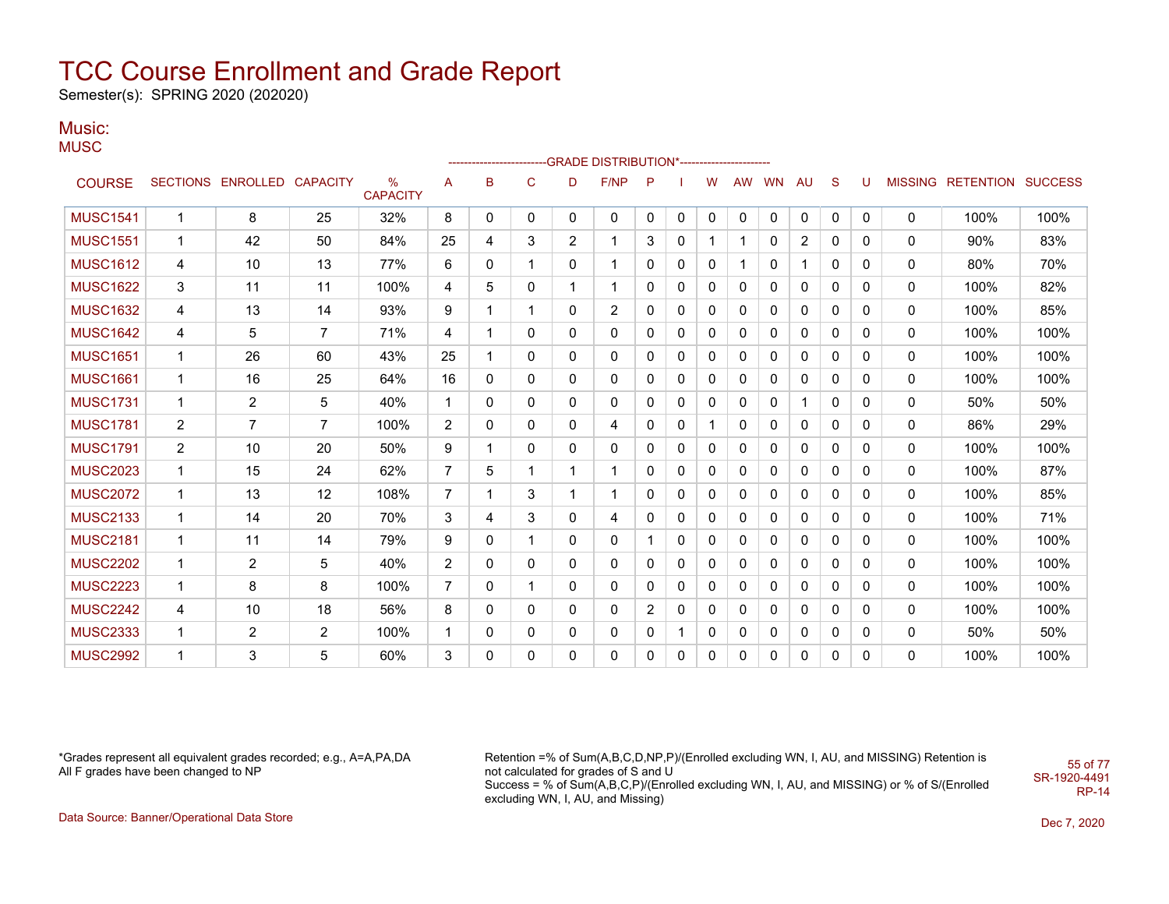Semester(s): SPRING 2020 (202020)

### Music:

**MUSC** 

|                 |                |                   |                 |                                  |                |              |              |                | ------------------------GRADE                DISTRIBUTION*---------------------- |                |              |              |              |           |              |              |          |                |                          |      |
|-----------------|----------------|-------------------|-----------------|----------------------------------|----------------|--------------|--------------|----------------|----------------------------------------------------------------------------------|----------------|--------------|--------------|--------------|-----------|--------------|--------------|----------|----------------|--------------------------|------|
| <b>COURSE</b>   |                | SECTIONS ENROLLED | <b>CAPACITY</b> | $\frac{9}{6}$<br><b>CAPACITY</b> | A              | B            | $\mathsf{C}$ | D              | F/NP                                                                             | P              |              | w            | <b>AW</b>    | <b>WN</b> | AU           | S            | U        | <b>MISSING</b> | <b>RETENTION SUCCESS</b> |      |
| <b>MUSC1541</b> | $\mathbf{1}$   | 8                 | 25              | 32%                              | 8              | 0            | 0            | 0              | 0                                                                                | 0              | 0            | 0            | $\mathbf{0}$ | 0         | 0            | 0            | 0        | 0              | 100%                     | 100% |
| <b>MUSC1551</b> | $\mathbf 1$    | 42                | 50              | 84%                              | 25             | 4            | 3            | $\overline{2}$ | 1                                                                                | 3              | 0            |              |              | 0         | 2            | $\mathbf{0}$ | 0        | $\mathbf{0}$   | 90%                      | 83%  |
| <b>MUSC1612</b> | 4              | 10                | 13              | 77%                              | 6              | $\mathbf{0}$ | 1            | $\mathbf{0}$   | 1                                                                                | $\mathbf{0}$   | $\mathbf{0}$ | 0            |              | 0         | 1            | 0            | 0        | $\mathbf{0}$   | 80%                      | 70%  |
| <b>MUSC1622</b> | 3              | 11                | 11              | 100%                             | 4              | 5            | 0            | 1              | 1                                                                                | 0              | 0            | 0            | 0            | 0         | 0            | 0            | 0        | 0              | 100%                     | 82%  |
| <b>MUSC1632</b> | 4              | 13                | 14              | 93%                              | 9              | 1            | 1            | 0              | $\overline{2}$                                                                   | 0              | 0            | 0            | 0            | 0         | 0            | 0            | 0        | $\mathbf{0}$   | 100%                     | 85%  |
| <b>MUSC1642</b> | 4              | 5                 | $\overline{7}$  | 71%                              | 4              | 1            | $\mathbf{0}$ | 0              | 0                                                                                | 0              | 0            | $\mathbf{0}$ | 0            | 0         | 0            | 0            | 0        | $\mathbf{0}$   | 100%                     | 100% |
| <b>MUSC1651</b> | $\mathbf{1}$   | 26                | 60              | 43%                              | 25             | 1            | $\mathbf{0}$ | $\mathbf{0}$   | 0                                                                                | 0              | 0            | 0            | 0            | 0         | 0            | $\Omega$     | 0        | 0              | 100%                     | 100% |
| <b>MUSC1661</b> | $\mathbf{1}$   | 16                | 25              | 64%                              | 16             | $\mathbf{0}$ | $\mathbf{0}$ | 0              | $\mathbf{0}$                                                                     | 0              | 0            | $\mathbf{0}$ | 0            | 0         | $\mathbf{0}$ | $\mathbf{0}$ | 0        | $\mathbf{0}$   | 100%                     | 100% |
| <b>MUSC1731</b> | $\mathbf{1}$   | 2                 | 5               | 40%                              | $\mathbf 1$    | 0            | 0            | $\mathbf{0}$   | 0                                                                                | $\mathbf{0}$   | 0            | $\mathbf 0$  | 0            | 0         |              | $\mathbf{0}$ | 0        | 0              | 50%                      | 50%  |
| <b>MUSC1781</b> | 2              | $\overline{7}$    | $\overline{7}$  | 100%                             | $\overline{2}$ | 0            | 0            | 0              | 4                                                                                | 0              | 0            | 1            | 0            | 0         | 0            | 0            | 0        | 0              | 86%                      | 29%  |
| <b>MUSC1791</b> | $\overline{2}$ | 10                | 20              | 50%                              | 9              | 1            | $\mathbf{0}$ | 0              | 0                                                                                | 0              | 0            | 0            | 0            | 0         | 0            | 0            | 0        | 0              | 100%                     | 100% |
| <b>MUSC2023</b> | $\mathbf{1}$   | 15                | 24              | 62%                              | $\overline{7}$ | 5            | 1            | 1              | 1                                                                                | 0              | 0            | 0            | 0            | 0         | 0            | 0            | $\Omega$ | 0              | 100%                     | 87%  |
| <b>MUSC2072</b> | $\mathbf{1}$   | 13                | 12              | 108%                             | $\overline{7}$ | $\mathbf{1}$ | 3            | $\mathbf{1}$   | $\mathbf{1}$                                                                     | $\mathbf{0}$   | 0            | $\mathbf 0$  | $\Omega$     | 0         | 0            | $\mathbf{0}$ | $\Omega$ | 0              | 100%                     | 85%  |
| <b>MUSC2133</b> | $\mathbf{1}$   | 14                | 20              | 70%                              | 3              | 4            | 3            | $\mathbf{0}$   | 4                                                                                | $\mathbf{0}$   | 0            | 0            | 0            | 0         | 0            | $\Omega$     | 0        | $\mathbf{0}$   | 100%                     | 71%  |
| <b>MUSC2181</b> | $\mathbf{1}$   | 11                | 14              | 79%                              | 9              | 0            | $\mathbf 1$  | 0              | 0                                                                                |                | 0            | 0            | 0            | 0         | 0            | 0            | 0        | 0              | 100%                     | 100% |
| <b>MUSC2202</b> | $\mathbf{1}$   | $\overline{2}$    | 5               | 40%                              | $\overline{2}$ | 0            | 0            | 0              | 0                                                                                | 0              | $\mathbf{0}$ | 0            | 0            | 0         | 0            | 0            | 0        | $\mathbf{0}$   | 100%                     | 100% |
| <b>MUSC2223</b> | $\mathbf{1}$   | 8                 | 8               | 100%                             | $\overline{7}$ | $\mathbf{0}$ | $\mathbf 1$  | $\mathbf{0}$   | 0                                                                                | 0              | 0            | 0            | 0            | 0         | 0            | 0            | $\Omega$ | 0              | 100%                     | 100% |
| <b>MUSC2242</b> | 4              | 10                | 18              | 56%                              | 8              | 0            | $\mathbf{0}$ | $\mathbf{0}$   | $\mathbf{0}$                                                                     | $\overline{2}$ | 0            | 0            | 0            | 0         | 0            | $\Omega$     | $\Omega$ | 0              | 100%                     | 100% |
| <b>MUSC2333</b> | $\mathbf 1$    | 2                 | $\overline{2}$  | 100%                             | 1              | $\mathbf{0}$ | $\mathbf{0}$ | $\mathbf{0}$   | 0                                                                                | $\mathbf{0}$   | 1            | $\mathbf{0}$ | 0            | 0         | 0            | $\mathbf{0}$ | $\Omega$ | $\mathbf{0}$   | 50%                      | 50%  |
| <b>MUSC2992</b> | $\overline{1}$ | 3                 | 5               | 60%                              | 3              | $\mathbf{0}$ | $\Omega$     | $\Omega$       | 0                                                                                | $\mathbf{0}$   | 0            | 0            | $\Omega$     | 0         | 0            | $\Omega$     | $\Omega$ | $\Omega$       | 100%                     | 100% |

\*Grades represent all equivalent grades recorded; e.g., A=A,PA,DA All F grades have been changed to NP

Retention =% of Sum(A,B,C,D,NP,P)/(Enrolled excluding WN, I, AU, and MISSING) Retention is not calculated for grades of S and U Success = % of Sum(A,B,C,P)/(Enrolled excluding WN, I, AU, and MISSING) or % of S/(Enrolled excluding WN, I, AU, and Missing) SR-1920-4491

Data Source: Banner/Operational Data Store Dec 7, 2020

55 of 77

RP-14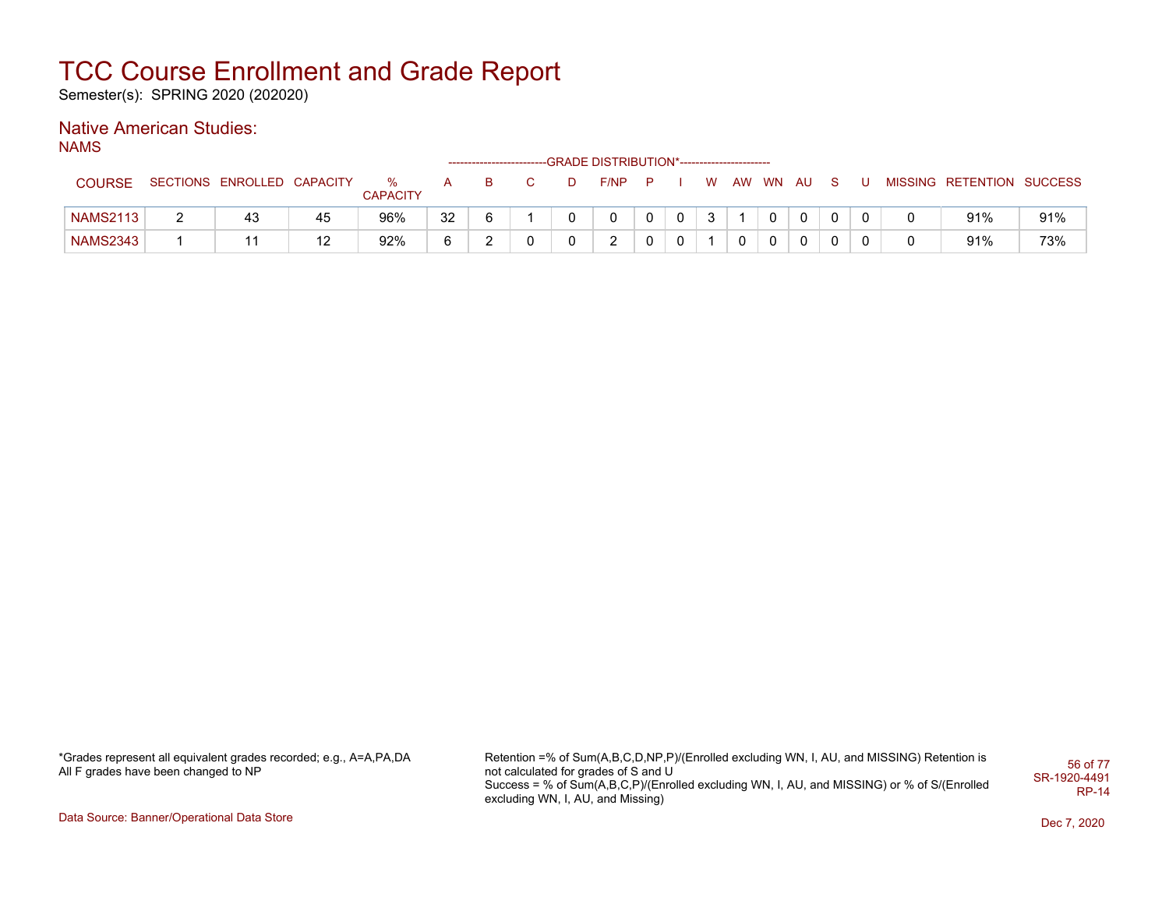Semester(s): SPRING 2020 (202020)

### Native American Studies:

NAMS

|                 |                            |    |                      |     |    |   | ------------------------GRADE DISTRIBUTION*----------------------- |             |   |          |    |  |                           |     |
|-----------------|----------------------------|----|----------------------|-----|----|---|--------------------------------------------------------------------|-------------|---|----------|----|--|---------------------------|-----|
| <b>COURSE</b>   | SECTIONS ENROLLED CAPACITY |    | %<br><b>CAPACITY</b> | A a | в. | D | $F/NP$ $P$ $I$                                                     |             | W | AW WN AU | -S |  | MISSING RETENTION SUCCESS |     |
| <b>NAMS2113</b> | 43                         | 45 | 96%                  | 32  |    | 0 | 0                                                                  | $\mathbf 0$ | 3 |          |    |  | 91%                       | 91% |
| <b>NAMS2343</b> |                            | 12 | 92%                  |     |    | 0 | າ                                                                  | $\mathbf 0$ |   |          |    |  | 91%                       | 73% |

\*Grades represent all equivalent grades recorded; e.g., A=A,PA,DA All F grades have been changed to NP

Retention =% of Sum(A,B,C,D,NP,P)/(Enrolled excluding WN, I, AU, and MISSING) Retention is not calculated for grades of S and U Success = % of Sum(A,B,C,P)/(Enrolled excluding WN, I, AU, and MISSING) or % of S/(Enrolled excluding WN, I, AU, and Missing) 56 of 77 SR-1920-4491 RP-14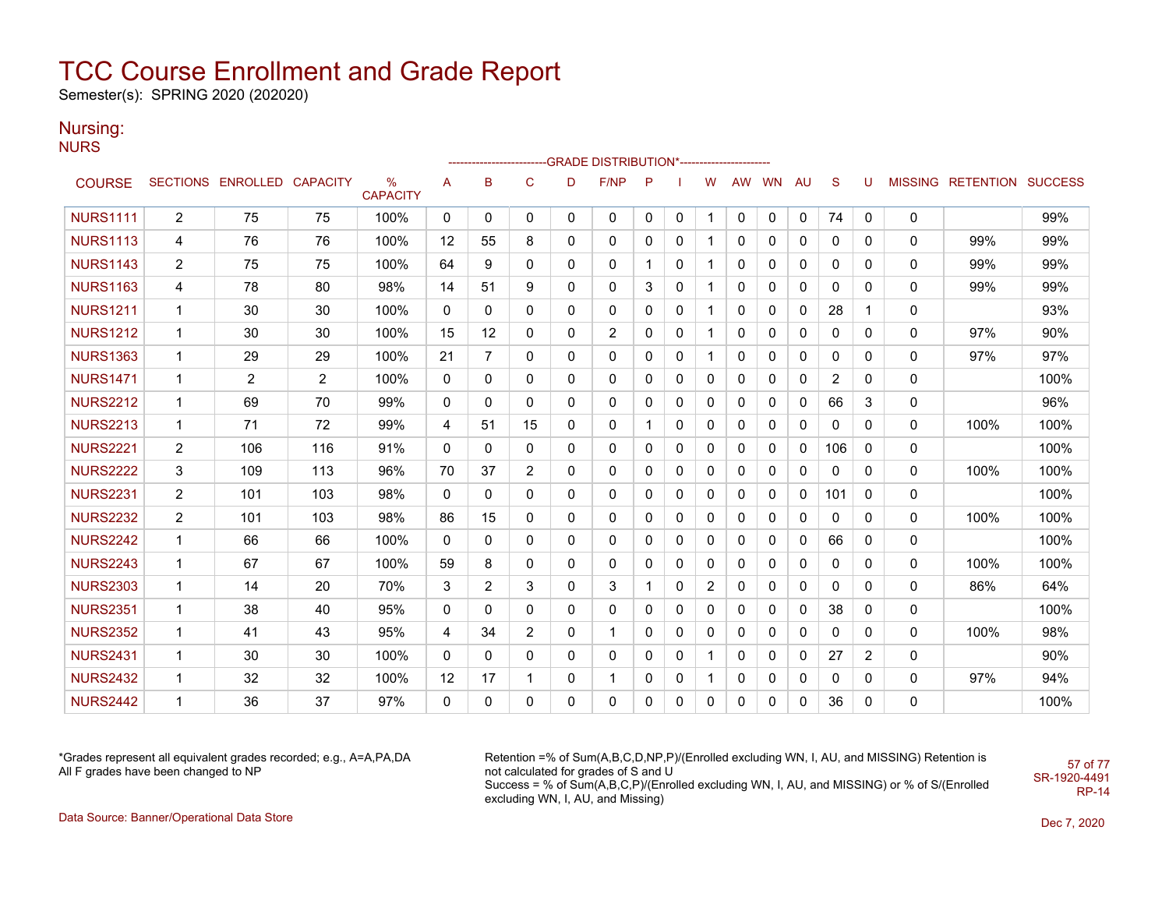Semester(s): SPRING 2020 (202020)

### Nursing:

**NURS** 

|                 |                |                            |     |                                  |              |                |                |              | -----------------------GRADE                    DISTRIBUTION*--------------------- |              |              |                |              |           |              |              |                |              |                           |      |
|-----------------|----------------|----------------------------|-----|----------------------------------|--------------|----------------|----------------|--------------|------------------------------------------------------------------------------------|--------------|--------------|----------------|--------------|-----------|--------------|--------------|----------------|--------------|---------------------------|------|
| <b>COURSE</b>   |                | SECTIONS ENROLLED CAPACITY |     | $\frac{0}{0}$<br><b>CAPACITY</b> | A            | в              | C              | D            | F/NP                                                                               | P            |              | W              | AW           | <b>WN</b> | <b>AU</b>    | S            | U              |              | MISSING RETENTION SUCCESS |      |
| <b>NURS1111</b> | $\overline{2}$ | 75                         | 75  | 100%                             | $\mathbf{0}$ | 0              | 0              | $\mathbf{0}$ | $\mathbf{0}$                                                                       | $\mathbf{0}$ | 0            | 1              | 0            | 0         | $\mathbf{0}$ | 74           | 0              | 0            |                           | 99%  |
| <b>NURS1113</b> | 4              | 76                         | 76  | 100%                             | 12           | 55             | 8              | $\mathbf{0}$ | 0                                                                                  | $\Omega$     | $\mathbf{0}$ | $\mathbf 1$    | 0            | $\Omega$  | 0            | 0            | 0              | 0            | 99%                       | 99%  |
| <b>NURS1143</b> | $\overline{2}$ | 75                         | 75  | 100%                             | 64           | 9              | 0              | $\mathbf{0}$ | 0                                                                                  |              | 0            | 1              | $\mathbf{0}$ | 0         | 0            | 0            | 0              | 0            | 99%                       | 99%  |
| <b>NURS1163</b> | 4              | 78                         | 80  | 98%                              | 14           | 51             | 9              | 0            | 0                                                                                  | 3            | $\Omega$     | $\mathbf{1}$   | $\mathbf{0}$ | 0         | 0            | 0            | 0              | 0            | 99%                       | 99%  |
| <b>NURS1211</b> | 1              | 30                         | 30  | 100%                             | 0            | 0              | 0              | 0            | 0                                                                                  | 0            | 0            | $\mathbf{1}$   | 0            | 0         | 0            | 28           | 1              | 0            |                           | 93%  |
| <b>NURS1212</b> | 1              | 30                         | 30  | 100%                             | 15           | 12             | 0              | $\mathbf{0}$ | $\overline{2}$                                                                     | $\Omega$     | $\mathbf{0}$ | $\mathbf 1$    | $\mathbf{0}$ | 0         | $\mathbf{0}$ | 0            | $\Omega$       | $\mathbf{0}$ | 97%                       | 90%  |
| <b>NURS1363</b> | $\mathbf{1}$   | 29                         | 29  | 100%                             | 21           | $\overline{7}$ | 0              | $\mathbf{0}$ | 0                                                                                  | 0            | 0            | $\mathbf 1$    | $\mathbf{0}$ | 0         | $\mathbf{0}$ | 0            | 0              | 0            | 97%                       | 97%  |
| <b>NURS1471</b> | $\mathbf 1$    | $\overline{2}$             | 2   | 100%                             | $\mathbf{0}$ | 0              | 0              | $\mathbf{0}$ | $\mathbf{0}$                                                                       | $\Omega$     | $\mathbf{0}$ | $\mathbf{0}$   | $\mathbf{0}$ | 0         | 0            | 2            | $\mathbf{0}$   | 0            |                           | 100% |
| <b>NURS2212</b> | 1              | 69                         | 70  | 99%                              | 0            | 0              | 0              | $\mathbf{0}$ | $\mathbf{0}$                                                                       | $\Omega$     | $\mathbf{0}$ | 0              | $\mathbf{0}$ | 0         | 0            | 66           | 3              | 0            |                           | 96%  |
| <b>NURS2213</b> | 1              | 71                         | 72  | 99%                              | 4            | 51             | 15             | 0            | 0                                                                                  |              | 0            | $\mathbf 0$    | $\mathbf 0$  | 0         | 0            | 0            | $\mathbf 0$    | 0            | 100%                      | 100% |
| <b>NURS2221</b> | $\overline{2}$ | 106                        | 116 | 91%                              | 0            | 0              | 0              | $\mathbf{0}$ | 0                                                                                  | 0            | 0            | 0              | 0            | 0         | 0            | 106          | 0              | 0            |                           | 100% |
| <b>NURS2222</b> | 3              | 109                        | 113 | 96%                              | 70           | 37             | $\overline{2}$ | 0            | 0                                                                                  | 0            | 0            | 0              | 0            | 0         | 0            | 0            | $\mathbf{0}$   | 0            | 100%                      | 100% |
| <b>NURS2231</b> | $\overline{2}$ | 101                        | 103 | 98%                              | $\Omega$     | 0              | 0              | $\mathbf{0}$ | 0                                                                                  | 0            | $\mathbf{0}$ | $\mathbf 0$    | $\mathbf{0}$ | 0         | $\mathbf{0}$ | 101          | $\mathbf{0}$   | 0            |                           | 100% |
| <b>NURS2232</b> | $\overline{2}$ | 101                        | 103 | 98%                              | 86           | 15             | 0              | 0            | 0                                                                                  | $\mathbf{0}$ | 0            | 0              | 0            | 0         | 0            | 0            | $\mathbf{0}$   | 0            | 100%                      | 100% |
| <b>NURS2242</b> | $\mathbf{1}$   | 66                         | 66  | 100%                             | 0            | 0              | 0              | $\Omega$     | $\mathbf{0}$                                                                       | 0            | $\mathbf{0}$ | $\mathbf{0}$   | $\mathbf{0}$ | 0         | 0            | 66           | $\mathbf{0}$   | 0            |                           | 100% |
| <b>NURS2243</b> | 1              | 67                         | 67  | 100%                             | 59           | 8              | 0              | $\mathbf{0}$ | $\mathbf{0}$                                                                       | $\Omega$     | $\mathbf{0}$ | 0              | 0            | 0         | $\mathbf{0}$ | $\mathbf{0}$ | $\mathbf{0}$   | 0            | 100%                      | 100% |
| <b>NURS2303</b> | 1              | 14                         | 20  | 70%                              | 3            | $\overline{2}$ | 3              | $\Omega$     | 3                                                                                  |              | 0            | $\overline{2}$ | 0            | 0         | 0            | $\Omega$     | $\Omega$       | 0            | 86%                       | 64%  |
| <b>NURS2351</b> | 1              | 38                         | 40  | 95%                              | 0            | 0              | 0              | $\mathbf{0}$ | $\mathbf{0}$                                                                       | $\Omega$     | 0            | $\mathbf 0$    | 0            | 0         | 0            | 38           | 0              | 0            |                           | 100% |
| <b>NURS2352</b> | 1              | 41                         | 43  | 95%                              | 4            | 34             | $\overline{2}$ | 0            | 1                                                                                  | 0            | 0            | 0              | 0            | 0         | 0            | 0            | 0              | 0            | 100%                      | 98%  |
| <b>NURS2431</b> | 1              | 30                         | 30  | 100%                             | $\mathbf{0}$ | 0              | 0              | $\mathbf{0}$ | 0                                                                                  | 0            | $\mathbf{0}$ | $\mathbf{1}$   | $\mathbf{0}$ | 0         | $\mathbf{0}$ | 27           | $\overline{2}$ | 0            |                           | 90%  |
| <b>NURS2432</b> | 1              | 32                         | 32  | 100%                             | 12           | 17             | 1              | 0            | $\mathbf{1}$                                                                       | 0            | 0            | $\mathbf{1}$   | $\mathbf 0$  | 0         | 0            | 0            | 0              | 0            | 97%                       | 94%  |
| <b>NURS2442</b> | 1              | 36                         | 37  | 97%                              | 0            | 0              | 0              | $\mathbf{0}$ | $\Omega$                                                                           | $\Omega$     | $\Omega$     | $\Omega$       | 0            | $\Omega$  | $\Omega$     | 36           | $\Omega$       | 0            |                           | 100% |

\*Grades represent all equivalent grades recorded; e.g., A=A,PA,DA All F grades have been changed to NP

Retention =% of Sum(A,B,C,D,NP,P)/(Enrolled excluding WN, I, AU, and MISSING) Retention is not calculated for grades of S and U Success = % of Sum(A,B,C,P)/(Enrolled excluding WN, I, AU, and MISSING) or % of S/(Enrolled excluding WN, I, AU, and Missing) SR-1920-4491

57 of 77

RP-14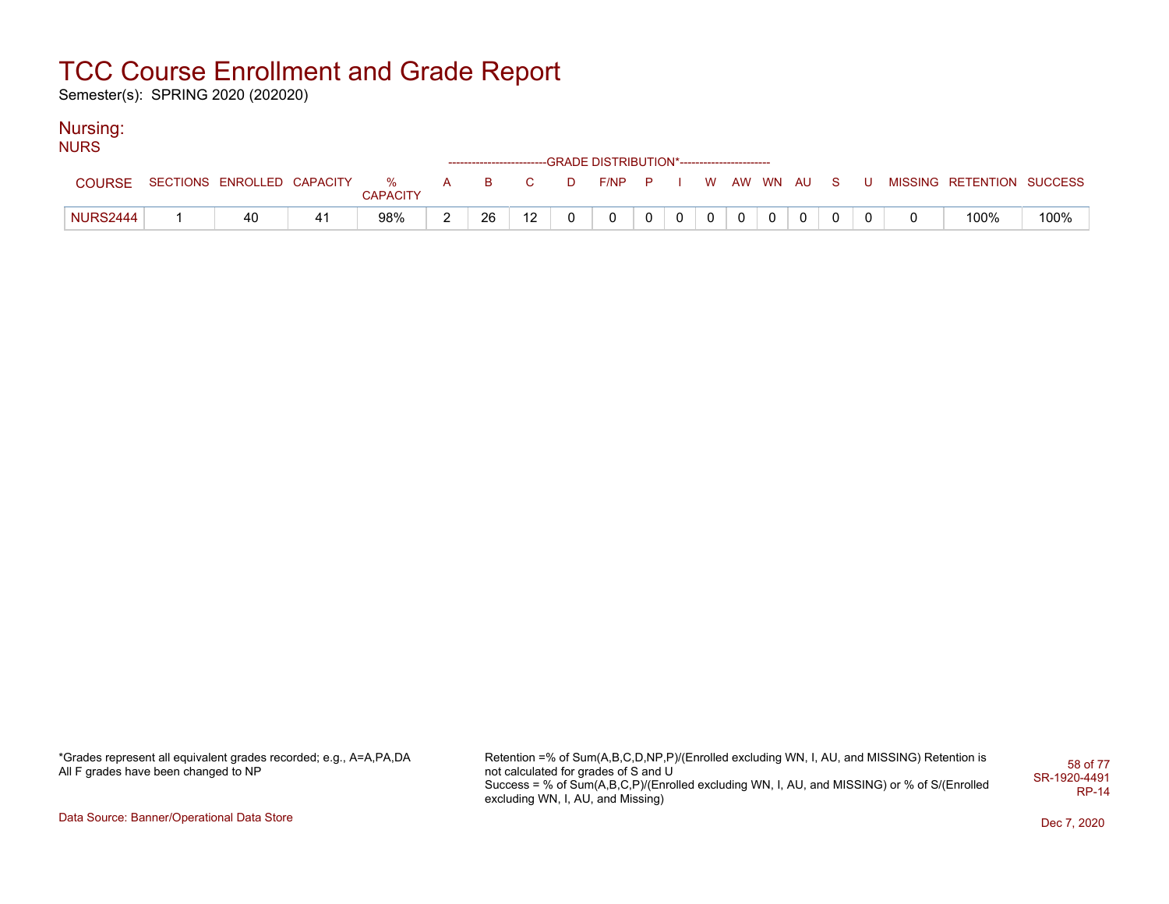Semester(s): SPRING 2020 (202020)

### Nursing:

| <b>NURS</b>     |                                |                 |   |    |     |          |                                                                    |  |  |             |  |                           |      |
|-----------------|--------------------------------|-----------------|---|----|-----|----------|--------------------------------------------------------------------|--|--|-------------|--|---------------------------|------|
|                 |                                |                 |   |    |     |          | ------------------------GRADE DISTRIBUTION*----------------------- |  |  |             |  |                           |      |
| <b>COURSE</b>   | SECTIONS ENROLLED CAPACITY % A | <b>CAPACITY</b> |   |    | B C | D        | F/NP P I W AW WN AU S U                                            |  |  |             |  | MISSING RETENTION SUCCESS |      |
| <b>NURS2444</b> | 40                             | 98%             | ົ | 26 | 12  | $\Omega$ | $\mathbf{0}$                                                       |  |  | $\mathbf 0$ |  | 100%                      | 100% |

\*Grades represent all equivalent grades recorded; e.g., A=A,PA,DA All F grades have been changed to NP

Retention =% of Sum(A,B,C,D,NP,P)/(Enrolled excluding WN, I, AU, and MISSING) Retention is not calculated for grades of S and U Success = % of Sum(A,B,C,P)/(Enrolled excluding WN, I, AU, and MISSING) or % of S/(Enrolled excluding WN, I, AU, and Missing) 58 of 77 SR-1920-4491 RP-14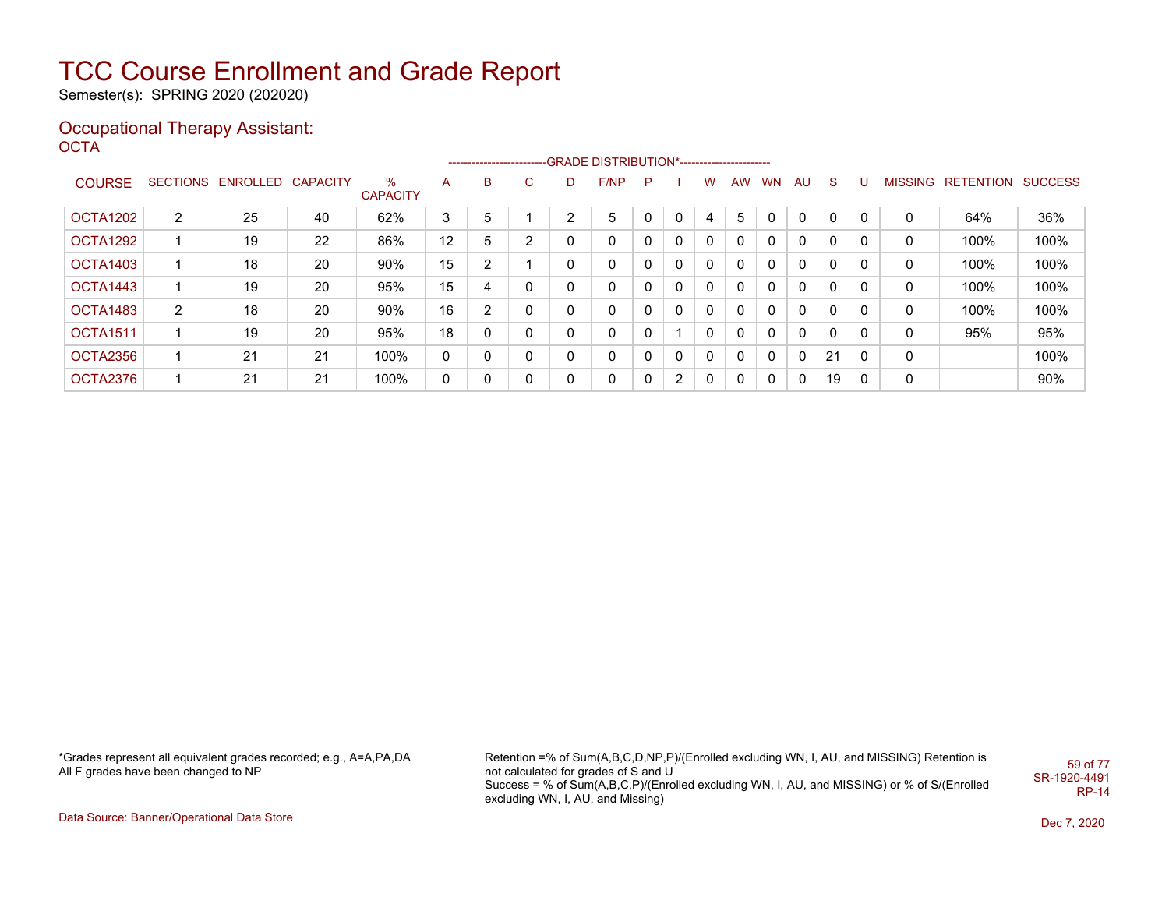Semester(s): SPRING 2020 (202020)

#### Occupational Therapy Assistant: OCTA<sup>'</sup>

|                 |   |                            |    |                      |                 |   |                |                | -------------------------GRADE DISTRIBUTION*---------------------- |    |                |             |           |          |              |              |   |   |                   |                |
|-----------------|---|----------------------------|----|----------------------|-----------------|---|----------------|----------------|--------------------------------------------------------------------|----|----------------|-------------|-----------|----------|--------------|--------------|---|---|-------------------|----------------|
| <b>COURSE</b>   |   | SECTIONS ENROLLED CAPACITY |    | %<br><b>CAPACITY</b> | A               | в | C              | D.             | F/NP                                                               | -P |                | w           | <b>AW</b> | WN.      | AU           | <sub>S</sub> | υ |   | MISSING RETENTION | <b>SUCCESS</b> |
| OCTA1202        | 2 | 25                         | 40 | 62%                  | 3               | 5 |                | $\overline{2}$ | 5                                                                  |    | 0              |             | 5         |          | 0            | 0            | 0 | 0 | 64%               | 36%            |
| OCTA1292        |   | 19                         | 22 | 86%                  | 12 <sup>2</sup> | 5 | $\overline{2}$ | 0              | 0                                                                  |    | 0              | $\Omega$    |           | $\Omega$ | 0            | 0            | 0 | 0 | 100%              | 100%           |
| OCTA1403        |   | 18                         | 20 | 90%                  | 15              | ົ |                | 0              | 0                                                                  |    | 0              | 0           |           | $\Omega$ | 0            | $\mathbf{0}$ | 0 | 0 | 100%              | 100%           |
| OCTA1443        |   | 19                         | 20 | 95%                  | 15              | 4 | 0              | 0              | 0                                                                  |    | 0              | $\mathbf 0$ |           | $\Omega$ | 0            | $\mathbf{0}$ | 0 | 0 | 100%              | 100%           |
| OCTA1483        | 2 | 18                         | 20 | 90%                  | 16              | ົ | 0              | 0              | 0                                                                  |    | 0              | $\Omega$    |           | $\Omega$ | 0            | 0            | 0 | 0 | 100%              | 100%           |
| <b>OCTA1511</b> |   | 19                         | 20 | 95%                  | 18              |   | 0              | 0              | 0                                                                  |    |                | $\Omega$    |           | $\Omega$ | 0            | 0            | 0 | 0 | 95%               | 95%            |
| OCTA2356        |   | 21                         | 21 | 100%                 | 0               | 0 | 0              | 0              | 0                                                                  |    | 0              | 0           |           | $\Omega$ | 0            | 21           | 0 | 0 |                   | 100%           |
| OCTA2376        |   | 21                         | 21 | 100%                 | 0               | 0 | 0              | 0              | 0                                                                  |    | $\overline{2}$ | $\Omega$    | 0         | $\Omega$ | $\mathbf{0}$ | 19           | 0 | 0 |                   | 90%            |

\*Grades represent all equivalent grades recorded; e.g., A=A,PA,DA All F grades have been changed to NP

Retention =% of Sum(A,B,C,D,NP,P)/(Enrolled excluding WN, I, AU, and MISSING) Retention is not calculated for grades of S and U Success = % of Sum(A,B,C,P)/(Enrolled excluding WN, I, AU, and MISSING) or % of S/(Enrolled excluding WN, I, AU, and Missing) 59 of 77 SR-1920-4491 RP-14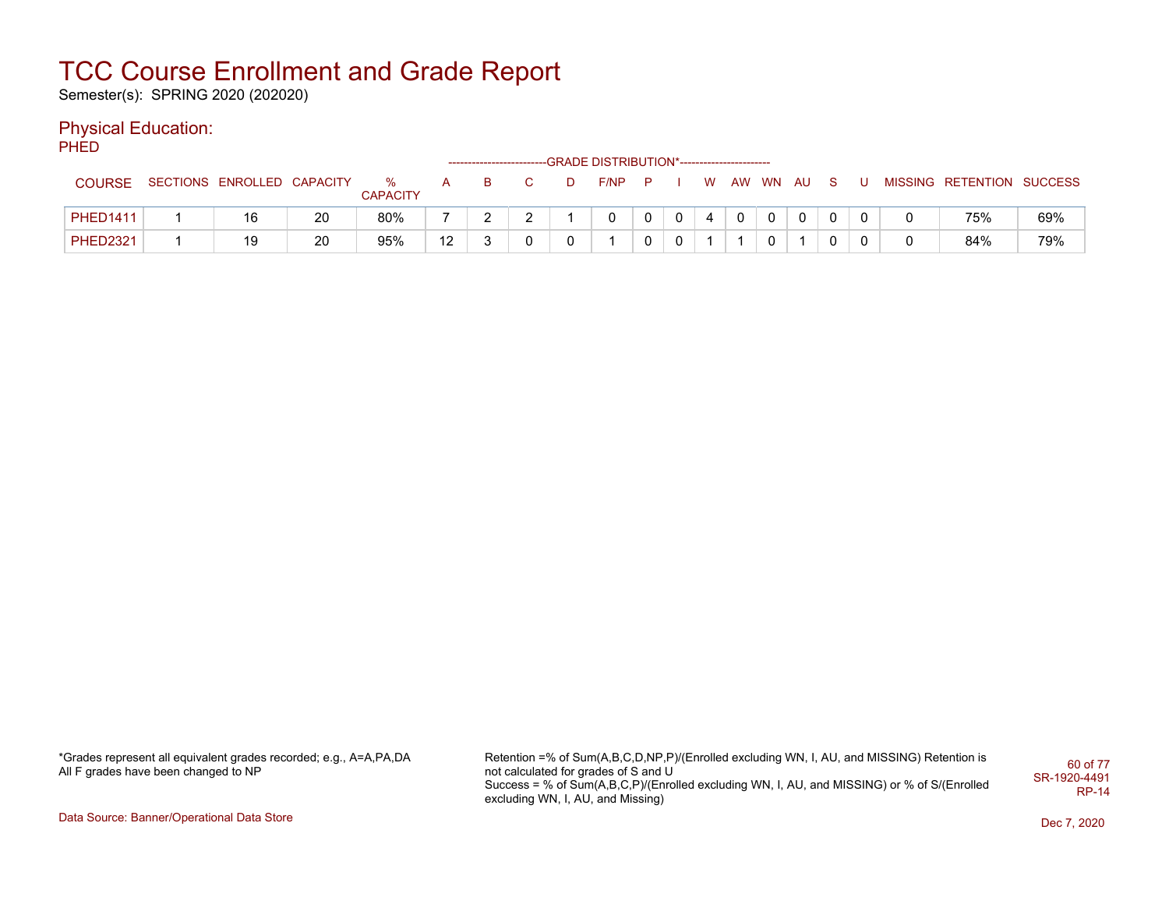Semester(s): SPRING 2020 (202020)

### Physical Education:

**PHED** 

|                 |                            |    |                      |    |  |   | ------------------------GRADE DISTRIBUTION*----------------------- |             |    |          |    |  |                           |     |
|-----------------|----------------------------|----|----------------------|----|--|---|--------------------------------------------------------------------|-------------|----|----------|----|--|---------------------------|-----|
| <b>COURSE</b>   | SECTIONS ENROLLED CAPACITY |    | %<br><b>CAPACITY</b> |    |  | D | $F/NP$ $P$                                                         |             | W. | AW WN AU | S. |  | MISSING RETENTION SUCCESS |     |
| <b>PHED1411</b> | 16                         | 20 | 80%                  |    |  |   |                                                                    | $\mathbf 0$ | 4  |          | 0  |  | 75%                       | 69% |
| <b>PHED2321</b> | 19                         | 20 | 95%                  | 12 |  |   |                                                                    |             |    |          | 0  |  | 84%                       | 79% |

\*Grades represent all equivalent grades recorded; e.g., A=A,PA,DA All F grades have been changed to NP

Retention =% of Sum(A,B,C,D,NP,P)/(Enrolled excluding WN, I, AU, and MISSING) Retention is not calculated for grades of S and U Success = % of Sum(A,B,C,P)/(Enrolled excluding WN, I, AU, and MISSING) or % of S/(Enrolled excluding WN, I, AU, and Missing) 60 of 77 SR-1920-4491 RP-14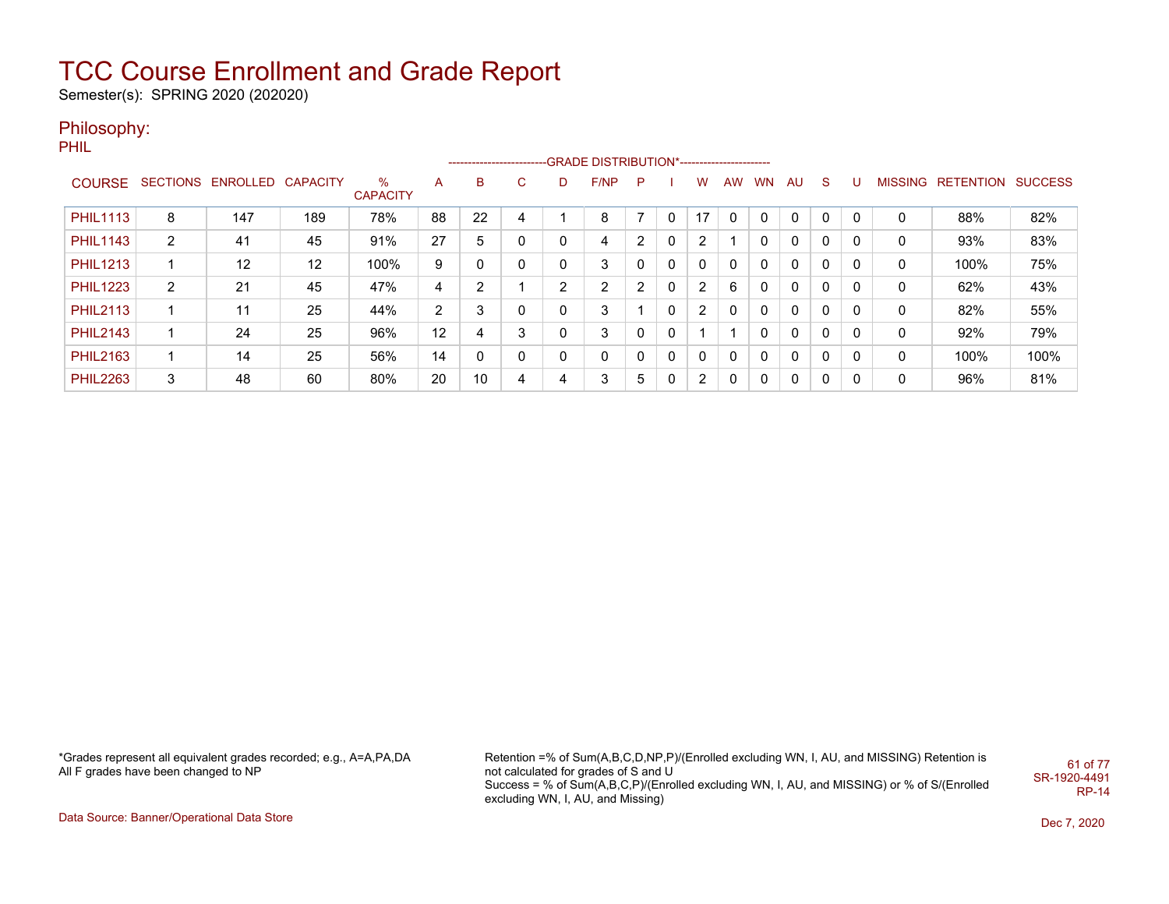Semester(s): SPRING 2020 (202020)

### Philosophy:

PHIL

|                 |                |                            |                   |                         |    | ------------------------- |    |   | -GRADE DISTRIBUTION*----------------------- |   |              |                |     |           |              |              |   |   |                   |                |
|-----------------|----------------|----------------------------|-------------------|-------------------------|----|---------------------------|----|---|---------------------------------------------|---|--------------|----------------|-----|-----------|--------------|--------------|---|---|-------------------|----------------|
| <b>COURSE</b>   |                | SECTIONS ENROLLED CAPACITY |                   | $\%$<br><b>CAPACITY</b> | A  | B                         | C. | D | F/NP                                        | P |              | w              | AW. | <b>WN</b> | AU           | S.           | υ |   | MISSING RETENTION | <b>SUCCESS</b> |
| <b>PHIL1113</b> | 8              | 147                        | 189               | 78%                     | 88 | 22                        |    |   | 8                                           |   | 0            | 17             | 0   | $\Omega$  | 0            | 0            | 0 |   | 88%               | 82%            |
| <b>PHIL1143</b> | 2              | 41                         | 45                | 91%                     | 27 | 5                         |    | 0 | 4                                           | 2 | 0            | 2              |     | 0         | 0            | 0            | 0 | 0 | 93%               | 83%            |
| <b>PHIL1213</b> |                | $12 \overline{ }$          | $12 \overline{ }$ | 100%                    | 9  |                           |    |   | 3                                           | 0 | 0            | 0              | 0   | 0         | 0            | 0            | 0 | 0 | 100%              | 75%            |
| <b>PHIL1223</b> | $\overline{2}$ | 21                         | 45                | 47%                     | 4  | C.                        |    | ົ | $\overline{2}$                              | 2 | 0            | $\overline{2}$ | 6   | 0         | 0            | 0            | 0 | 0 | 62%               | 43%            |
| <b>PHIL2113</b> |                | 11                         | 25                | 44%                     | 2  |                           |    |   | 3                                           |   | 0            | 2              | 0   | 0         | 0            | 0            | 0 | 0 | 82%               | 55%            |
| <b>PHIL2143</b> |                | 24                         | 25                | 96%                     | 12 | 4                         | 3  |   | 3                                           | 0 | $\mathbf{0}$ |                |     | 0         | 0            | 0            | 0 | 0 | 92%               | 79%            |
| <b>PHIL2163</b> |                | 14                         | 25                | 56%                     | 14 |                           | 0  |   | 0                                           | 0 | 0            | $\mathbf{0}$   | 0   | 0         | $\mathbf{0}$ | 0            | 0 | 0 | 100%              | 100%           |
| <b>PHIL2263</b> | 3              | 48                         | 60                | 80%                     | 20 | 10                        | 4  | 4 | 3                                           | 5 | 0            | 2              | 0   | 0         | 0            | $\mathbf{0}$ | 0 | 0 | 96%               | 81%            |

\*Grades represent all equivalent grades recorded; e.g., A=A,PA,DA All F grades have been changed to NP

Retention =% of Sum(A,B,C,D,NP,P)/(Enrolled excluding WN, I, AU, and MISSING) Retention is not calculated for grades of S and U Success = % of Sum(A,B,C,P)/(Enrolled excluding WN, I, AU, and MISSING) or % of S/(Enrolled excluding WN, I, AU, and Missing) 61 of 77 SR-1920-4491 RP-14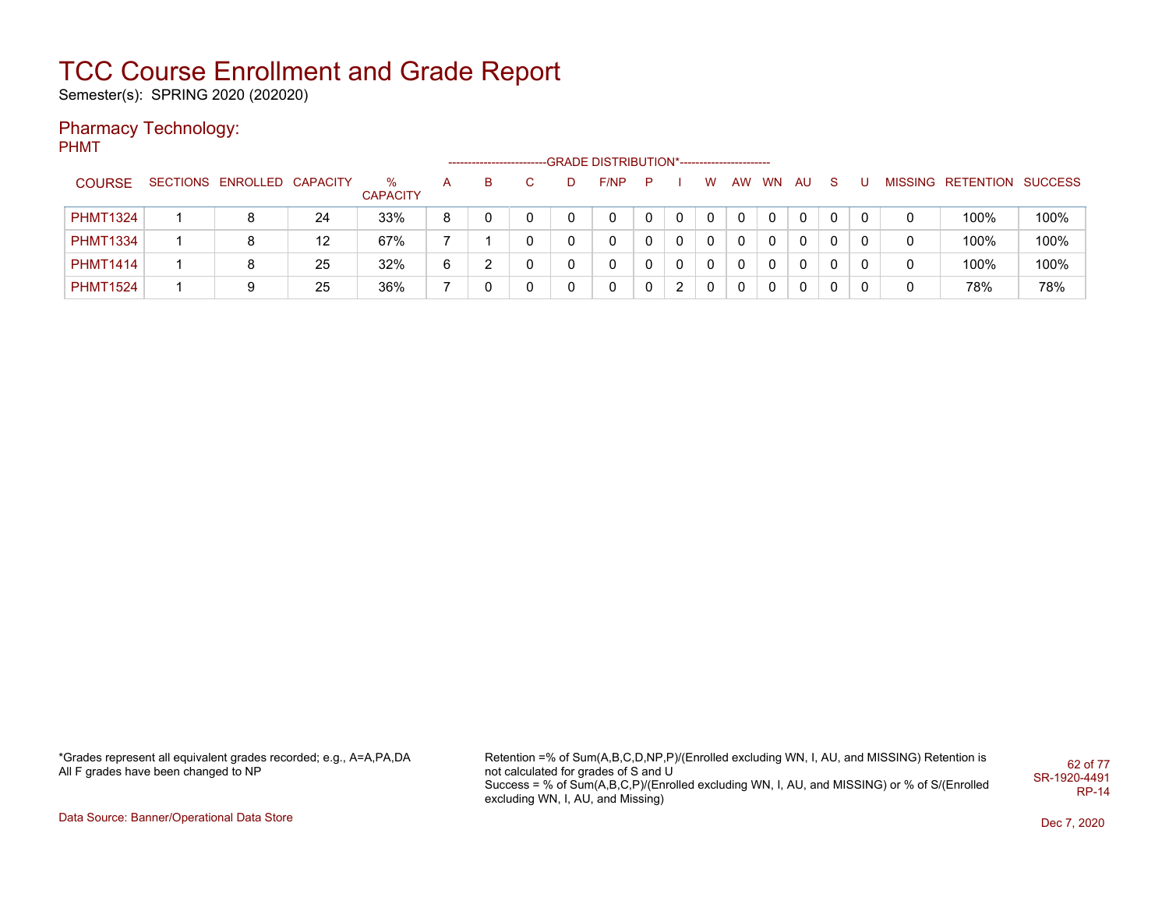Semester(s): SPRING 2020 (202020)

### Pharmacy Technology:

PHMT

|                 |                            |    |                         |   | --------------------- |    |   | -GRADE DISTRIBUTION*----------------------- |   |   |   |    |          |          |              |   |   |                           |      |
|-----------------|----------------------------|----|-------------------------|---|-----------------------|----|---|---------------------------------------------|---|---|---|----|----------|----------|--------------|---|---|---------------------------|------|
| <b>COURSE</b>   | SECTIONS ENROLLED CAPACITY |    | $\%$<br><b>CAPACITY</b> | A | B.                    | C. | D | F/NP                                        | P |   | w | AW | WN       | AU       | -S           | υ |   | MISSING RETENTION SUCCESS |      |
| <b>PHMT1324</b> |                            | 24 | 33%                     | 8 |                       |    |   | 0                                           |   | 0 | 0 | 0  | 0        | 0        |              |   |   | 100%                      | 100% |
| <b>PHMT1334</b> |                            | 12 | 67%                     |   |                       | 0  |   | 0                                           |   | 0 | 0 | 0  | 0        | $\Omega$ | $\mathbf{0}$ |   |   | 100%                      | 100% |
| <b>PHMT1414</b> |                            | 25 | 32%                     | 6 |                       | 0  |   | 0                                           |   | 0 |   | 0  | 0        | 0        |              |   | 0 | 100%                      | 100% |
| <b>PHMT1524</b> |                            | 25 | 36%                     |   |                       | 0  |   | 0                                           | 0 | 2 | 0 | 0  | $\Omega$ | $\Omega$ | $\mathbf{0}$ |   | 0 | 78%                       | 78%  |

\*Grades represent all equivalent grades recorded; e.g., A=A,PA,DA All F grades have been changed to NP

Retention =% of Sum(A,B,C,D,NP,P)/(Enrolled excluding WN, I, AU, and MISSING) Retention is not calculated for grades of S and U Success = % of Sum(A,B,C,P)/(Enrolled excluding WN, I, AU, and MISSING) or % of S/(Enrolled excluding WN, I, AU, and Missing) 62 of 77 SR-1920-4491 RP-14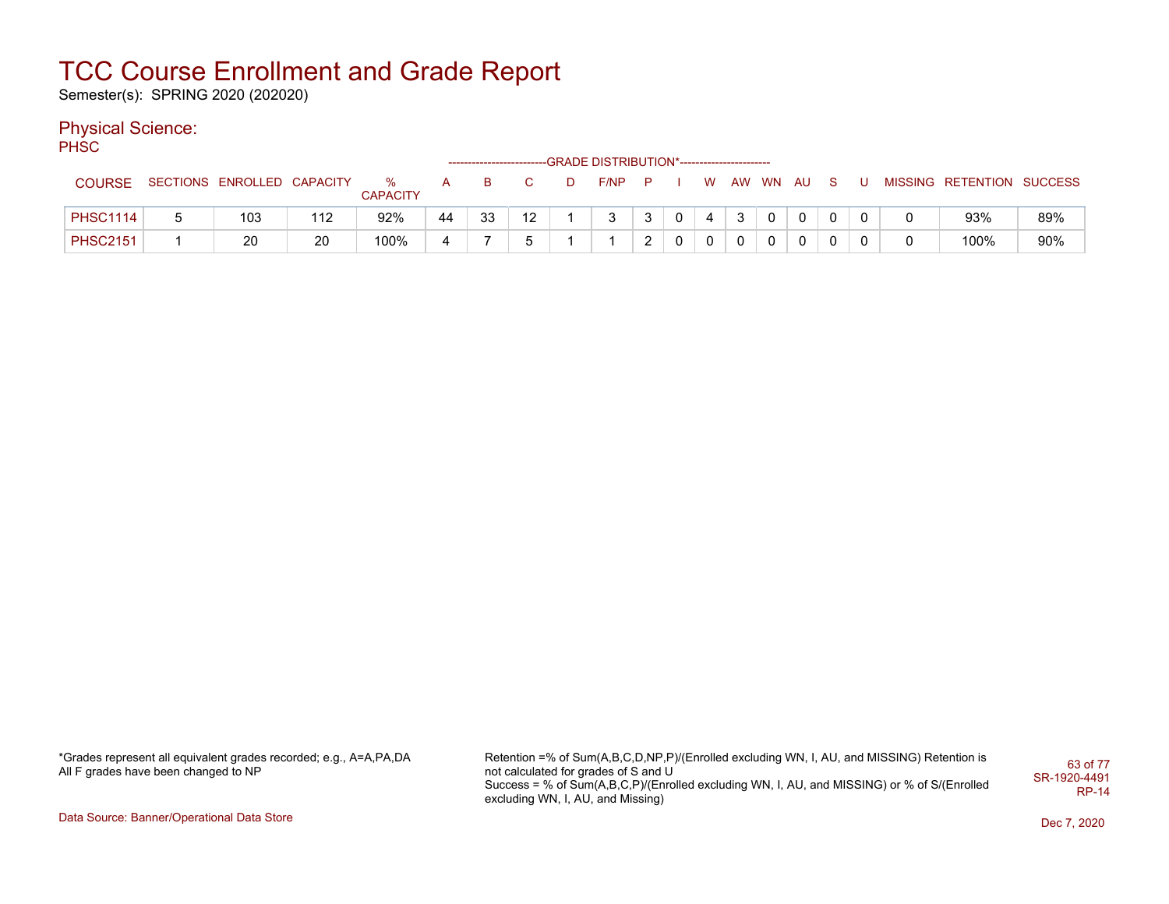Semester(s): SPRING 2020 (202020)

### Physical Science:

PH<sub>SC</sub>

|                 |   |                            |     |                      |                |    |    | --GRADE DISTRIBUTION*----------------------- |     |              |             |   |                |              |          |   |                           |     |
|-----------------|---|----------------------------|-----|----------------------|----------------|----|----|----------------------------------------------|-----|--------------|-------------|---|----------------|--------------|----------|---|---------------------------|-----|
| <b>COURSE</b>   |   | SECTIONS ENROLLED CAPACITY |     | ℅<br><b>CAPACITY</b> |                | в  |    | F/NP                                         | - P |              | W           |   | AW WN AU       |              | S.       |   | MISSING RETENTION SUCCESS |     |
| <b>PHSC1114</b> | b | 103                        | 112 | 92%                  | 44             | 33 | 12 |                                              | 3   | $\mathbf{0}$ | 4           | 3 | $\overline{0}$ | $\mathbf{0}$ | $\Omega$ |   | 93%                       | 89% |
| <b>PHSC2151</b> |   | 20                         | 20  | 100%                 | $\overline{a}$ |    |    |                                              | ົ   | $\mathbf{0}$ | $\mathbf 0$ | 0 |                | $\Omega$     | 0        | 0 | 100%                      | 90% |

\*Grades represent all equivalent grades recorded; e.g., A=A,PA,DA All F grades have been changed to NP

Retention =% of Sum(A,B,C,D,NP,P)/(Enrolled excluding WN, I, AU, and MISSING) Retention is not calculated for grades of S and U Success = % of Sum(A,B,C,P)/(Enrolled excluding WN, I, AU, and MISSING) or % of S/(Enrolled excluding WN, I, AU, and Missing) 63 of 77 SR-1920-4491 RP-14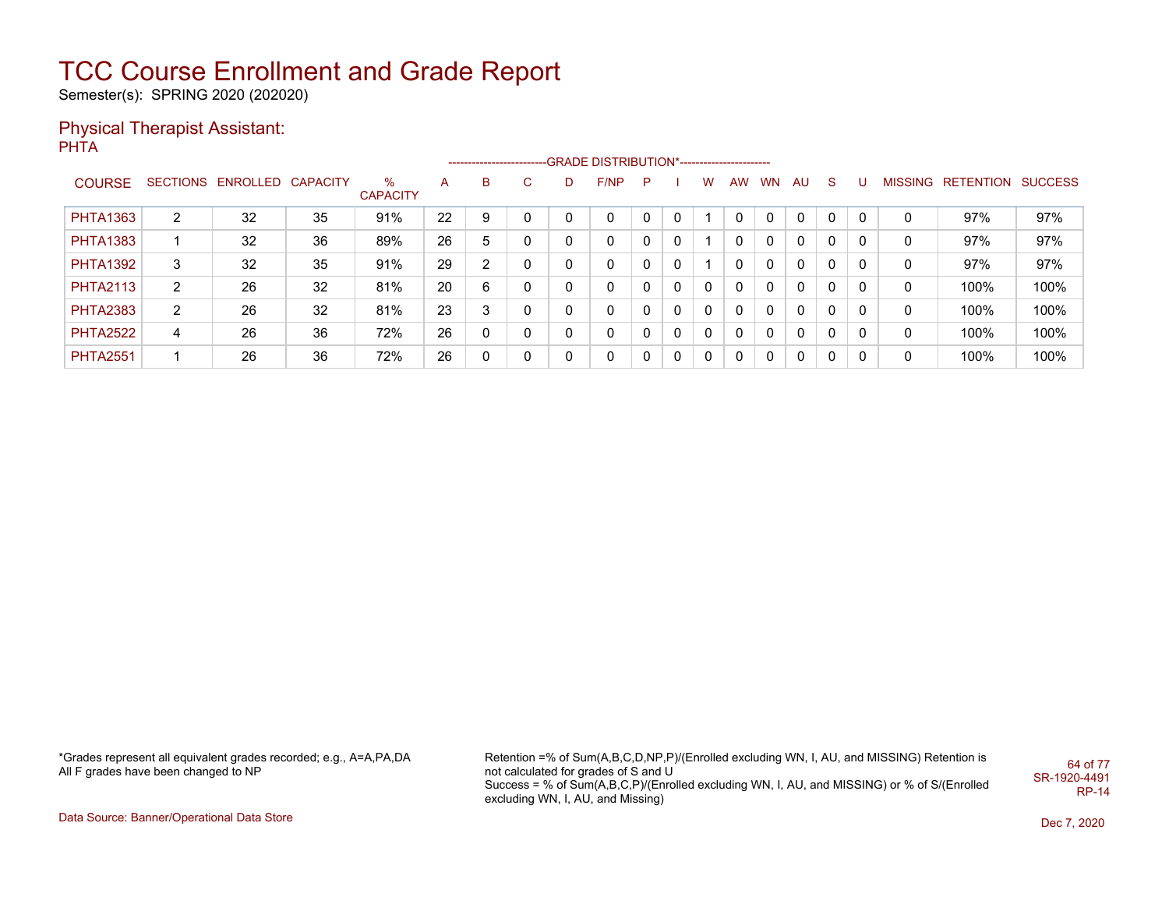Semester(s): SPRING 2020 (202020)

#### Physical Therapist Assistant: **PHTA**

|                 |                |                            |    |                      |    |    |              |   | -------------------------GRADE DISTRIBUTION*---------------------- |    |              |          |           |           |              |              |          |   |                                  |      |
|-----------------|----------------|----------------------------|----|----------------------|----|----|--------------|---|--------------------------------------------------------------------|----|--------------|----------|-----------|-----------|--------------|--------------|----------|---|----------------------------------|------|
| <b>COURSE</b>   |                | SECTIONS ENROLLED CAPACITY |    | %<br><b>CAPACITY</b> | A  | B  | C.           | D | F/NP                                                               | P. |              | w        | <b>AW</b> | <b>WN</b> | AU.          | S.           | J.       |   | <b>MISSING RETENTION SUCCESS</b> |      |
| <b>PHTA1363</b> | $\overline{2}$ | 32                         | 35 | 91%                  | 22 | 9  |              | 0 | 0                                                                  |    | $\Omega$     |          |           | $\Omega$  | $\mathbf{0}$ | 0            | $\Omega$ | 0 | 97%                              | 97%  |
| <b>PHTA1383</b> |                | 32                         | 36 | 89%                  | 26 | 5  |              | 0 | 0                                                                  |    | $\Omega$     |          |           | $\Omega$  | 0            | 0            |          | 0 | 97%                              | 97%  |
| <b>PHTA1392</b> | 3              | 32                         | 35 | 91%                  | 29 | C. |              | 0 | 0                                                                  |    | $\mathbf{0}$ |          |           | 0         | $\mathbf{0}$ | $\mathbf{0}$ |          | 0 | 97%                              | 97%  |
| <b>PHTA2113</b> | $\overline{2}$ | 26                         | 32 | 81%                  | 20 | 6  | 0            | 0 | 0                                                                  |    | $\Omega$     | $\Omega$ |           | $\Omega$  | $\mathbf{0}$ | $\mathbf{0}$ |          | 0 | 100%                             | 100% |
| <b>PHTA2383</b> | $\overline{2}$ | 26                         | 32 | 81%                  | 23 | 3  | 0            | 0 | 0                                                                  |    | $\Omega$     | 0        |           | $\Omega$  | $\mathbf{0}$ | $\mathbf{0}$ | 0        | 0 | 100%                             | 100% |
| <b>PHTA2522</b> | 4              | 26                         | 36 | 72%                  | 26 | 0  | $\mathbf{0}$ | 0 | 0                                                                  |    | $\Omega$     | 0        | 0         | $\Omega$  | $\mathbf{0}$ | $\mathbf{0}$ | 0        | 0 | 100%                             | 100% |
| <b>PHTA2551</b> |                | 26                         | 36 | 72%                  | 26 | 0  | $\mathbf{0}$ | 0 | 0                                                                  |    | $\mathbf{0}$ | 0        | 0         | $\Omega$  | 0            | 0            | 0        | 0 | 100%                             | 100% |

\*Grades represent all equivalent grades recorded; e.g., A=A,PA,DA All F grades have been changed to NP

Retention =% of Sum(A,B,C,D,NP,P)/(Enrolled excluding WN, I, AU, and MISSING) Retention is not calculated for grades of S and U Success = % of Sum(A,B,C,P)/(Enrolled excluding WN, I, AU, and MISSING) or % of S/(Enrolled excluding WN, I, AU, and Missing) 64 of 77 SR-1920-4491 RP-14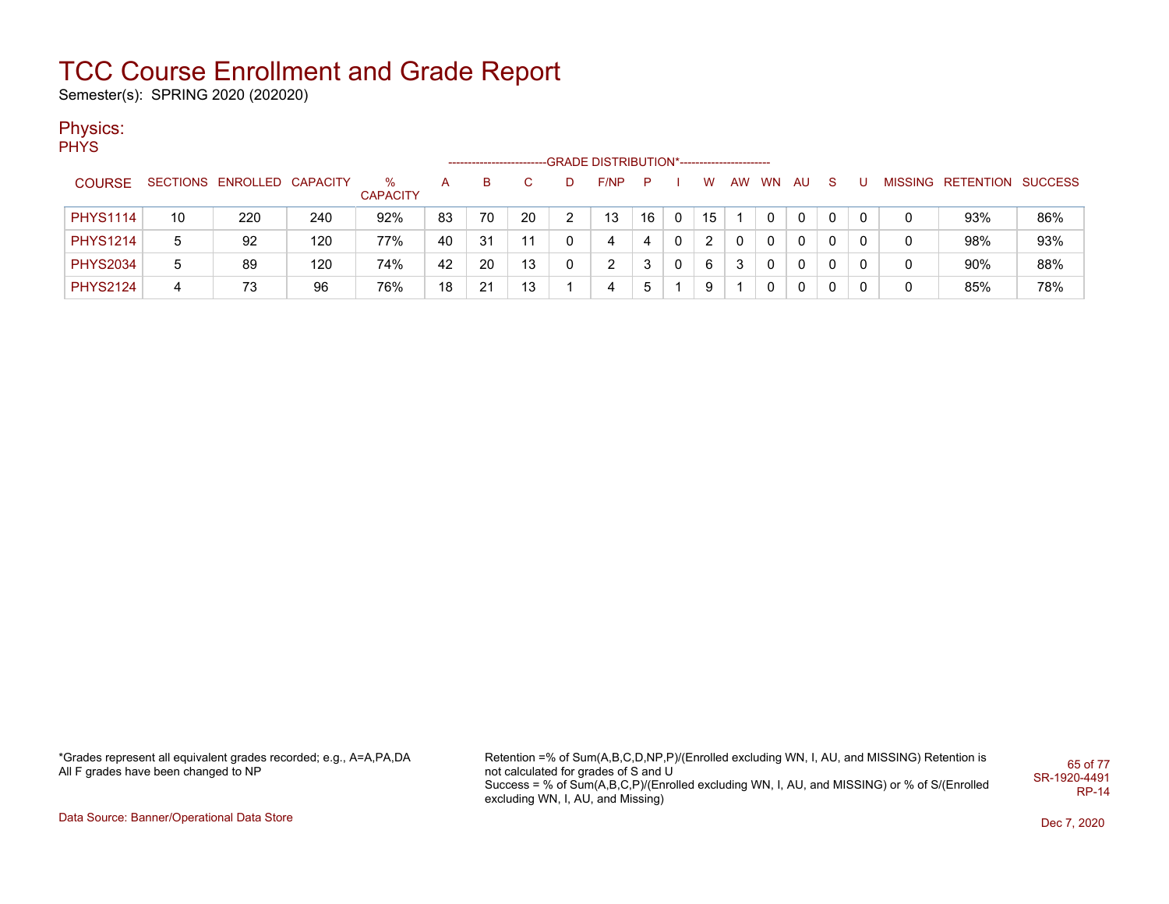Semester(s): SPRING 2020 (202020)

### Physics:

PHYS

|                 |    |                            |     |                      |    | ------------------------ |    |   | -GRADE DISTRIBUTION*----------------------- |    |              |    |    |           |    |          |   |                           |     |
|-----------------|----|----------------------------|-----|----------------------|----|--------------------------|----|---|---------------------------------------------|----|--------------|----|----|-----------|----|----------|---|---------------------------|-----|
| <b>COURSE</b>   |    | SECTIONS ENROLLED CAPACITY |     | %<br><b>CAPACITY</b> | А  | в                        |    |   | F/NP                                        | P. |              | W  | AW | <b>WN</b> | AU | -S       |   | MISSING RETENTION SUCCESS |     |
| <b>PHYS1114</b> | 10 | 220                        | 240 | 92%                  | 83 | 70                       | 20 |   | 13                                          | 16 |              | 15 |    |           |    |          |   | 93%                       | 86% |
| <b>PHYS1214</b> | 5  | 92                         | 120 | 77%                  | 40 | 31                       | 11 |   |                                             | 4  | $\mathbf{0}$ |    |    |           |    | - 0      |   | 98%                       | 93% |
| <b>PHYS2034</b> | 5  | 89                         | 120 | 74%                  | 42 | 20                       | 13 | 0 | C                                           |    |              | 6  |    |           |    | $\Omega$ |   | 90%                       | 88% |
| <b>PHYS2124</b> | 4  | 73                         | 96  | 76%                  | 18 | 21                       | 13 |   |                                             |    |              | 9  |    |           |    |          | 0 | 85%                       | 78% |

\*Grades represent all equivalent grades recorded; e.g., A=A,PA,DA All F grades have been changed to NP

Retention =% of Sum(A,B,C,D,NP,P)/(Enrolled excluding WN, I, AU, and MISSING) Retention is not calculated for grades of S and U Success = % of Sum(A,B,C,P)/(Enrolled excluding WN, I, AU, and MISSING) or % of S/(Enrolled excluding WN, I, AU, and Missing) 65 of 77 SR-1920-4491 RP-14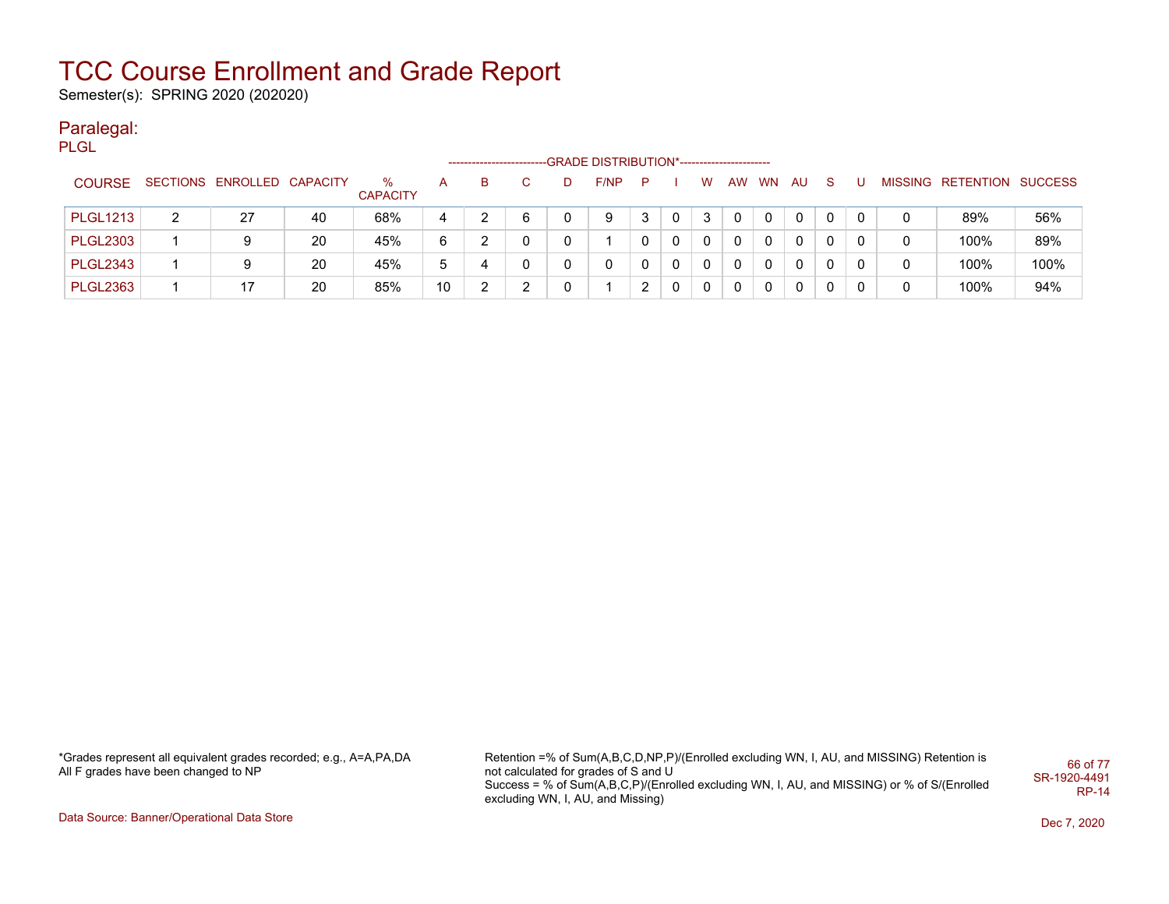Semester(s): SPRING 2020 (202020)

#### Paralegal:

|                 |   |                            |    |                         |    | --------------------- |    |   | -GRADE DISTRIBUTION*----------------------- |    |   |   |             |   |            |   |   |   |                           |      |
|-----------------|---|----------------------------|----|-------------------------|----|-----------------------|----|---|---------------------------------------------|----|---|---|-------------|---|------------|---|---|---|---------------------------|------|
| <b>COURSE</b>   |   | SECTIONS ENROLLED CAPACITY |    | $\%$<br><b>CAPACITY</b> | A  | B.                    | C. | D | F/NP                                        | P. |   | W |             |   | AW WN AU S |   | U |   | MISSING RETENTION SUCCESS |      |
| <b>PLGL1213</b> | 2 | 27                         | 40 | 68%                     | 4  |                       | 6  | 0 | 9                                           | 3  |   |   |             | 0 | 0          |   | 0 |   | 89%                       | 56%  |
| <b>PLGL2303</b> |   | 9                          | 20 | 45%                     | 6  | っ                     |    | 0 |                                             | 0  |   |   | 0           | 0 | 0          | 0 | 0 | 0 | 100%                      | 89%  |
| <b>PLGL2343</b> |   | 9                          | 20 | 45%                     | 5  | 4                     |    | 0 |                                             | 0  |   |   | 0           | 0 | 0          | 0 | 0 | 0 | 100%                      | 100% |
| <b>PLGL2363</b> |   | 17                         | 20 | 85%                     | 10 | 2<br>∠                |    | 0 |                                             | 2  | 0 |   | $\mathbf 0$ | 0 | 0          | 0 | 0 | 0 | 100%                      | 94%  |

\*Grades represent all equivalent grades recorded; e.g., A=A,PA,DA All F grades have been changed to NP

Retention =% of Sum(A,B,C,D,NP,P)/(Enrolled excluding WN, I, AU, and MISSING) Retention is not calculated for grades of S and U Success = % of Sum(A,B,C,P)/(Enrolled excluding WN, I, AU, and MISSING) or % of S/(Enrolled excluding WN, I, AU, and Missing) 66 of 77 SR-1920-4491 RP-14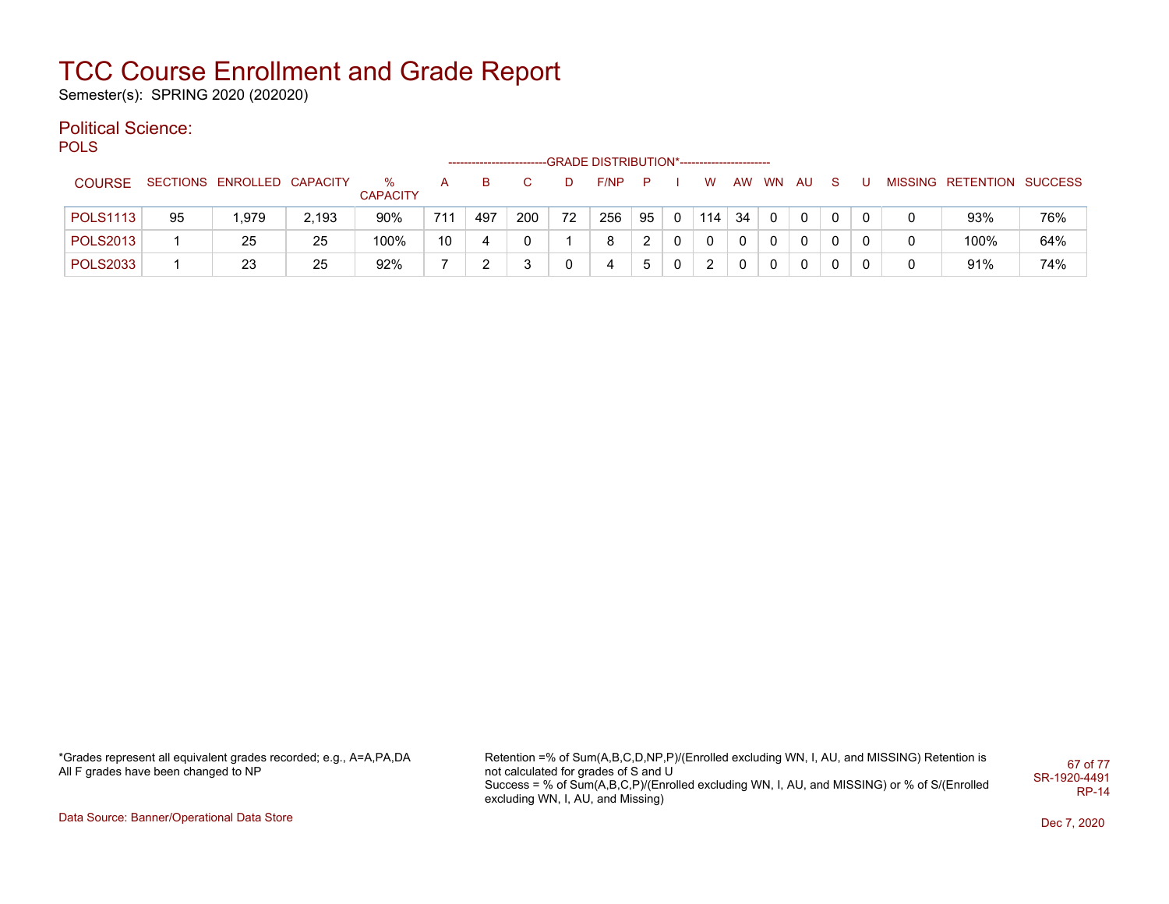Semester(s): SPRING 2020 (202020)

### Political Science:

**POLS** 

|                 |    |                            |       |                      |     |     |     |    | -GRADE DISTRIBUTION*----------------------- |    |          |     |           |           |          |   |  |                           |     |
|-----------------|----|----------------------------|-------|----------------------|-----|-----|-----|----|---------------------------------------------|----|----------|-----|-----------|-----------|----------|---|--|---------------------------|-----|
| <b>COURSE</b>   |    | SECTIONS ENROLLED CAPACITY |       | %<br><b>CAPACITY</b> |     | в   |     | D  | F/NP                                        | P  |          | w   | <b>AW</b> | <b>WN</b> | AU       |   |  | MISSING RETENTION SUCCESS |     |
| <b>POLS1113</b> | 95 | 1.979                      | 2,193 | 90%                  | 711 | 497 | 200 | 72 | 256                                         | 95 | 0        | 114 | -34       | $\Omega$  | $\Omega$ | 0 |  | 93%                       | 76% |
| <b>POLS2013</b> |    | 25                         | 25    | 100%                 | 10  |     |     |    | 8                                           | ົ  | $\Omega$ | 0   | 0         | $\Omega$  | 0        | 0 |  | 100%                      | 64% |
| <b>POLS2033</b> |    | 23                         | 25    | 92%                  |     |     |     |    |                                             | 5  | 0        | ົ   | 0         | 0         |          | 0 |  | 91%                       | 74% |

\*Grades represent all equivalent grades recorded; e.g., A=A,PA,DA All F grades have been changed to NP

Retention =% of Sum(A,B,C,D,NP,P)/(Enrolled excluding WN, I, AU, and MISSING) Retention is not calculated for grades of S and U Success = % of Sum(A,B,C,P)/(Enrolled excluding WN, I, AU, and MISSING) or % of S/(Enrolled excluding WN, I, AU, and Missing) 67 of 77 SR-1920-4491 RP-14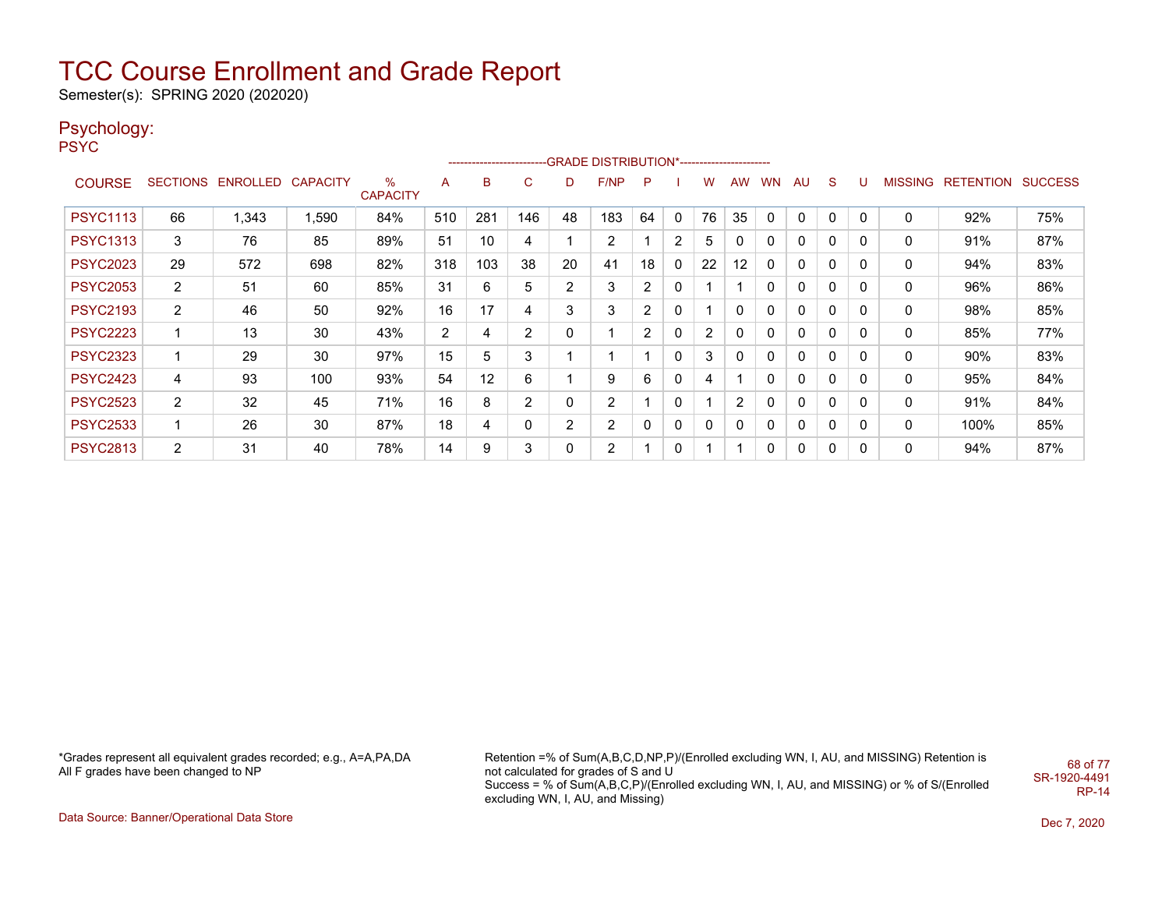Semester(s): SPRING 2020 (202020)

### Psychology:

PSYC

|                 |                |                   |          |                      |     |     |                |    | ------------------------GRADE                DISTRIBUTION*---------------------- |                |   |    |           |           |              |             |             |         |           |                |
|-----------------|----------------|-------------------|----------|----------------------|-----|-----|----------------|----|----------------------------------------------------------------------------------|----------------|---|----|-----------|-----------|--------------|-------------|-------------|---------|-----------|----------------|
| <b>COURSE</b>   |                | SECTIONS ENROLLED | CAPACITY | %<br><b>CAPACITY</b> | A   | в   | C              | D  | F/NP                                                                             | P              |   | w  | <b>AW</b> | <b>WN</b> | AU           | S.          | U           | MISSING | RETENTION | <b>SUCCESS</b> |
| <b>PSYC1113</b> | 66             | ,343              | 1,590    | 84%                  | 510 | 281 | 146            | 48 | 183                                                                              | 64             | 0 | 76 | 35        |           | 0            |             | C           | 0       | 92%       | 75%            |
| <b>PSYC1313</b> | 3              | 76                | 85       | 89%                  | 51  | 10  | 4              |    | $\overline{2}$                                                                   |                | 2 | 5  | 0         | 0         | 0            | 0           | 0           | 0       | 91%       | 87%            |
| <b>PSYC2023</b> | 29             | 572               | 698      | 82%                  | 318 | 103 | 38             | 20 | 41                                                                               | 18             | 0 | 22 | 12        | 0         | 0            | $\mathbf 0$ | $\mathbf 0$ | 0       | 94%       | 83%            |
| <b>PSYC2053</b> | 2              | 51                | 60       | 85%                  | 31  | 6   | 5              | 2  | 3                                                                                | $\overline{2}$ | 0 |    |           | 0         | 0            | 0           | $\Omega$    | 0       | 96%       | 86%            |
| <b>PSYC2193</b> | $\overline{2}$ | 46                | 50       | 92%                  | 16  | 17  | $\overline{4}$ | 3  | 3                                                                                | $\overline{2}$ | 0 |    | 0         | 0         | 0            | 0           | 0           | 0       | 98%       | 85%            |
| <b>PSYC2223</b> | 1              | 13                | 30       | 43%                  | 2   | 4   | $\overline{2}$ | 0  |                                                                                  | $\overline{2}$ | 0 | 2  | 0         | 0         | 0            | 0           | 0           | 0       | 85%       | 77%            |
| <b>PSYC2323</b> | 1              | 29                | 30       | 97%                  | 15  | 5   | 3              |    |                                                                                  |                | 0 | 3  | 0         | 0         | 0            | $\mathbf 0$ | 0           | 0       | 90%       | 83%            |
| <b>PSYC2423</b> | 4              | 93                | 100      | 93%                  | 54  | 12  | 6              |    | 9                                                                                | 6              | 0 | 4  |           | 0         | $\mathbf{0}$ | 0           | 0           | 0       | 95%       | 84%            |
| <b>PSYC2523</b> | $\overline{2}$ | 32                | 45       | 71%                  | 16  | 8   | $\overline{2}$ | 0  | $\overline{2}$                                                                   |                | 0 |    | 2         | 0         | 0            | $\mathbf 0$ | $\Omega$    | 0       | 91%       | 84%            |
| <b>PSYC2533</b> | 1              | 26                | 30       | 87%                  | 18  | 4   | 0              | 2  | 2                                                                                | 0              | 0 | 0  | 0         | 0         | 0            | 0           | 0           | 0       | 100%      | 85%            |
| <b>PSYC2813</b> | 2              | 31                | 40       | 78%                  | 14  | 9   | 3              | 0  | 2                                                                                |                | 0 |    |           | 0         | 0            | 0           | 0           | 0       | 94%       | 87%            |

\*Grades represent all equivalent grades recorded; e.g., A=A,PA,DA All F grades have been changed to NP

Retention =% of Sum(A,B,C,D,NP,P)/(Enrolled excluding WN, I, AU, and MISSING) Retention is not calculated for grades of S and U Success = % of Sum(A,B,C,P)/(Enrolled excluding WN, I, AU, and MISSING) or % of S/(Enrolled excluding WN, I, AU, and Missing) 68 of 77 SR-1920-4491

RP-14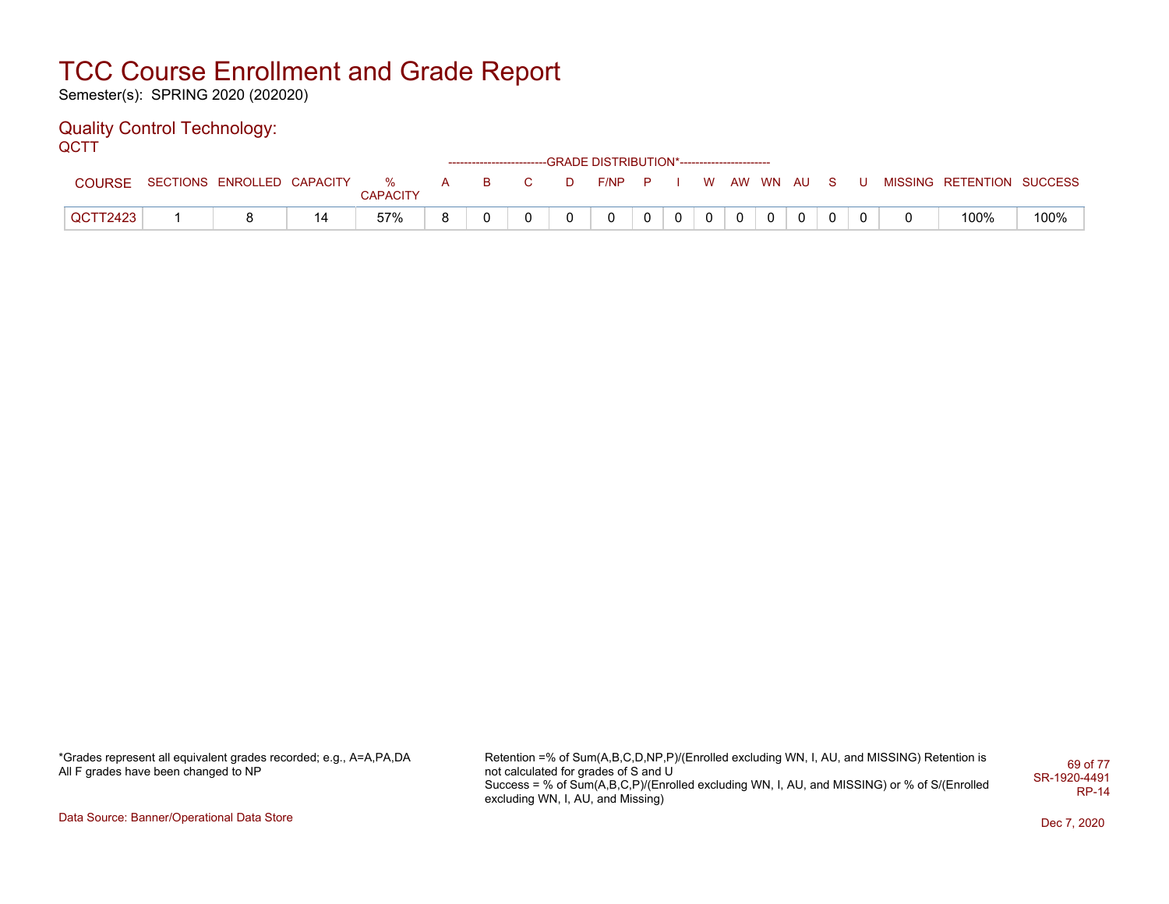Semester(s): SPRING 2020 (202020)

#### Quality Control Technology: **QCTT**

| ----     |                              |    |          |   |          |                                                     |   | ------------------------GRADE DISTRIBUTION*----------------------- |              |          |                |             |          |                |  |                           |      |
|----------|------------------------------|----|----------|---|----------|-----------------------------------------------------|---|--------------------------------------------------------------------|--------------|----------|----------------|-------------|----------|----------------|--|---------------------------|------|
| COURSE.  | SECTIONS ENROLLED CAPACITY % |    | CAPACITY | A | <b>B</b> | $\overline{\mathbf{C}}$ and $\overline{\mathbf{C}}$ | D | $F/NP$ $P$ $I$                                                     |              |          |                | WAW WN AUSU |          |                |  | MISSING RETENTION SUCCESS |      |
| QCTT2423 |                              | 14 | 57%      |   |          |                                                     |   | 0                                                                  | $\mathbf{0}$ | $\Omega$ | $\overline{0}$ |             | $\Omega$ | $\overline{0}$ |  | 100%                      | 100% |

\*Grades represent all equivalent grades recorded; e.g., A=A,PA,DA All F grades have been changed to NP

Retention =% of Sum(A,B,C,D,NP,P)/(Enrolled excluding WN, I, AU, and MISSING) Retention is not calculated for grades of S and U Success = % of Sum(A,B,C,P)/(Enrolled excluding WN, I, AU, and MISSING) or % of S/(Enrolled excluding WN, I, AU, and Missing) 69 of 77 SR-1920-4491 RP-14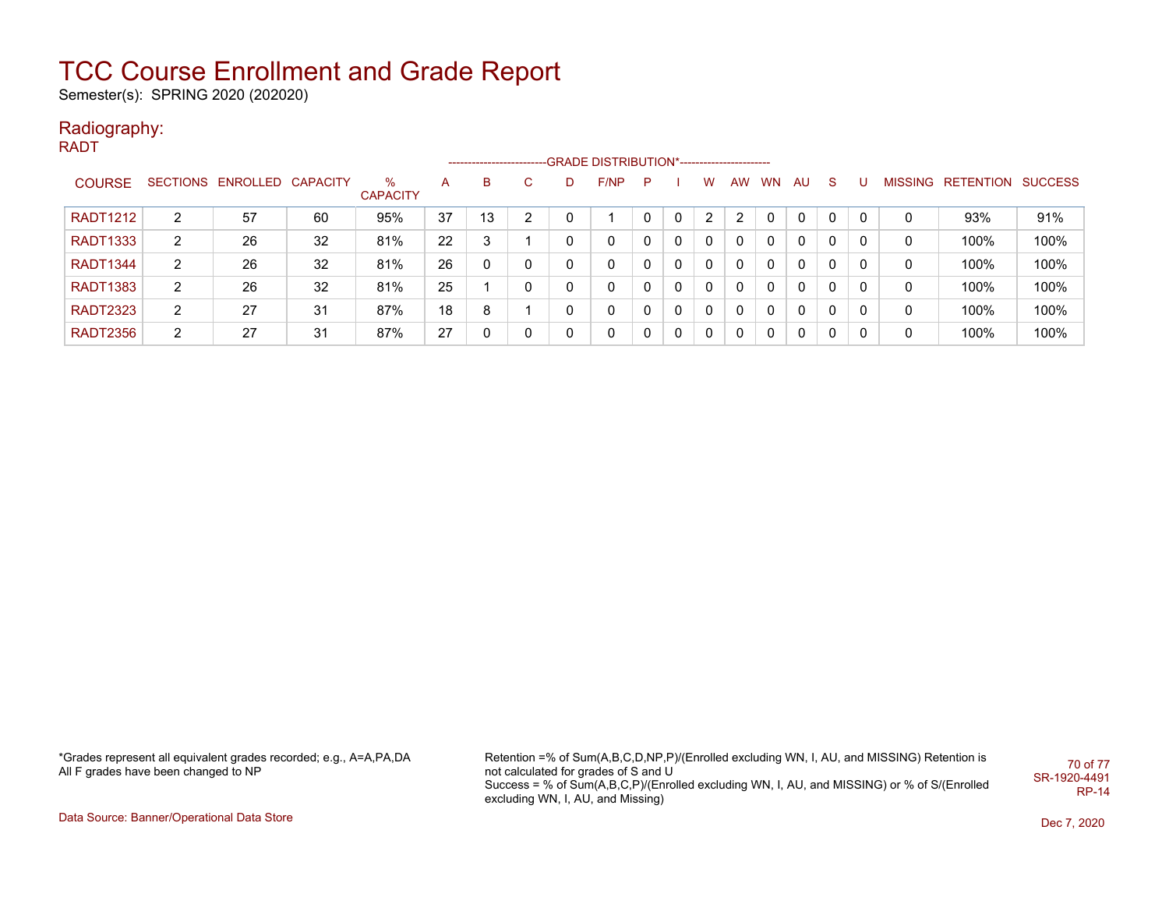Semester(s): SPRING 2020 (202020)

### Radiography:

RADT

|                 |   |                            |    |                      |    |    |    |              | ------------------------GRADE DISTRIBUTION*----------------------- |   |              |          |              |           |    |              |   |   |                           |      |
|-----------------|---|----------------------------|----|----------------------|----|----|----|--------------|--------------------------------------------------------------------|---|--------------|----------|--------------|-----------|----|--------------|---|---|---------------------------|------|
| <b>COURSE</b>   |   | SECTIONS ENROLLED CAPACITY |    | %<br><b>CAPACITY</b> | А  | B  | C. | D            | F/NP                                                               | P |              | W        | AW           | <b>WN</b> | AU | <sub>S</sub> |   |   | MISSING RETENTION SUCCESS |      |
| <b>RADT1212</b> | 2 | 57                         | 60 | 95%                  | 37 | 13 | 2  |              |                                                                    |   | 0            | 2        | 2            |           | 0  | 0            | 0 | 0 | 93%                       | 91%  |
| <b>RADT1333</b> | 2 | 26                         | 32 | 81%                  | 22 | 3  |    | 0            | 0                                                                  | 0 | $\Omega$     | 0        | $\mathbf{0}$ | 0         | 0  | 0            | 0 | 0 | 100%                      | 100% |
| <b>RADT1344</b> | 2 | 26                         | 32 | 81%                  | 26 | 0  | 0  | $\mathbf{0}$ | $\mathbf{0}$                                                       | 0 | $\Omega$     | $\Omega$ | $\mathbf{0}$ | 0         | 0  | 0            | 0 | 0 | 100%                      | 100% |
| <b>RADT1383</b> | 2 | 26                         | 32 | 81%                  | 25 |    | 0  | 0            | 0                                                                  | 0 | $\Omega$     | 0        | 0            | 0         | 0  | 0            | 0 | 0 | 100%                      | 100% |
| <b>RADT2323</b> | 2 | 27                         | 31 | 87%                  | 18 | 8  |    | 0            | 0                                                                  | 0 | $\mathbf{0}$ | 0        | $\mathbf{0}$ | 0         | 0  | 0            | 0 | 0 | 100%                      | 100% |
| <b>RADT2356</b> | 2 | 27                         | 31 | 87%                  | 27 |    | 0  | 0            | 0                                                                  | 0 | $\Omega$     | 0        | 0            | 0         | 0  | 0            |   | 0 | 100%                      | 100% |

\*Grades represent all equivalent grades recorded; e.g., A=A,PA,DA All F grades have been changed to NP

Retention =% of Sum(A,B,C,D,NP,P)/(Enrolled excluding WN, I, AU, and MISSING) Retention is not calculated for grades of S and U Success = % of Sum(A,B,C,P)/(Enrolled excluding WN, I, AU, and MISSING) or % of S/(Enrolled excluding WN, I, AU, and Missing) 70 of 77 SR-1920-4491 RP-14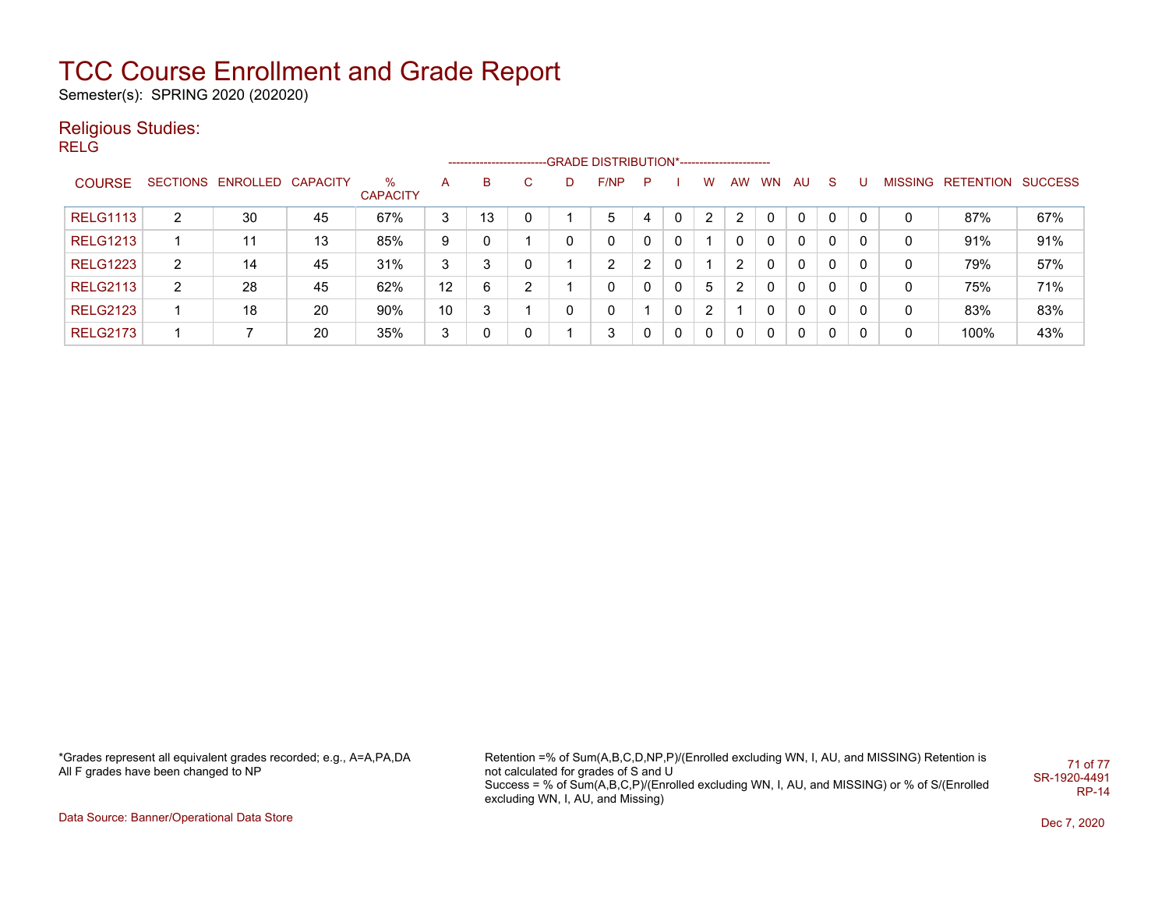Semester(s): SPRING 2020 (202020)

### Religious Studies:

**RELG** 

|                 |   |                            |    |                      |    | ------------------------- |    |   | -GRADE DISTRIBUTION*----------------------- |   |   |   |    |           |     |              |   |   |                           |     |
|-----------------|---|----------------------------|----|----------------------|----|---------------------------|----|---|---------------------------------------------|---|---|---|----|-----------|-----|--------------|---|---|---------------------------|-----|
| <b>COURSE</b>   |   | SECTIONS ENROLLED CAPACITY |    | %<br><b>CAPACITY</b> | A  | B                         | C. | D | F/NP                                        | P |   | W | AW | <b>WN</b> | AU. | <sub>S</sub> |   |   | MISSING RETENTION SUCCESS |     |
| <b>RELG1113</b> | 2 | 30                         | 45 | 67%                  | 3  | 13                        | 0  |   | 5                                           | 4 | 0 | 2 | 2  |           | 0   | 0            | 0 | 0 | 87%                       | 67% |
| <b>RELG1213</b> |   | 11                         | 13 | 85%                  | 9  | 0                         |    | 0 | 0                                           | 0 | 0 |   |    |           | 0   | 0            | 0 | 0 | 91%                       | 91% |
| <b>RELG1223</b> | 2 | 14                         | 45 | 31%                  | 3  | 3                         | 0  |   | 2                                           | າ | 0 |   | 2  | 0         | 0   | 0            | 0 | 0 | 79%                       | 57% |
| <b>RELG2113</b> | 2 | 28                         | 45 | 62%                  | 12 | 6                         | 2  |   | 0                                           | 0 | 0 | 5 | 2  | 0         | 0   | 0            | 0 | 0 | 75%                       | 71% |
| <b>RELG2123</b> |   | 18                         | 20 | 90%                  | 10 | 3                         |    | 0 | 0                                           |   | 0 | 2 |    |           | 0   | 0            | 0 | 0 | 83%                       | 83% |
| <b>RELG2173</b> |   |                            | 20 | 35%                  | 3  | 0                         | 0  |   | 3                                           |   | 0 | 0 |    |           | 0   | 0            | 0 | 0 | 100%                      | 43% |

\*Grades represent all equivalent grades recorded; e.g., A=A,PA,DA All F grades have been changed to NP

Retention =% of Sum(A,B,C,D,NP,P)/(Enrolled excluding WN, I, AU, and MISSING) Retention is not calculated for grades of S and U Success = % of Sum(A,B,C,P)/(Enrolled excluding WN, I, AU, and MISSING) or % of S/(Enrolled excluding WN, I, AU, and Missing) 71 of 77 SR-1920-4491 RP-14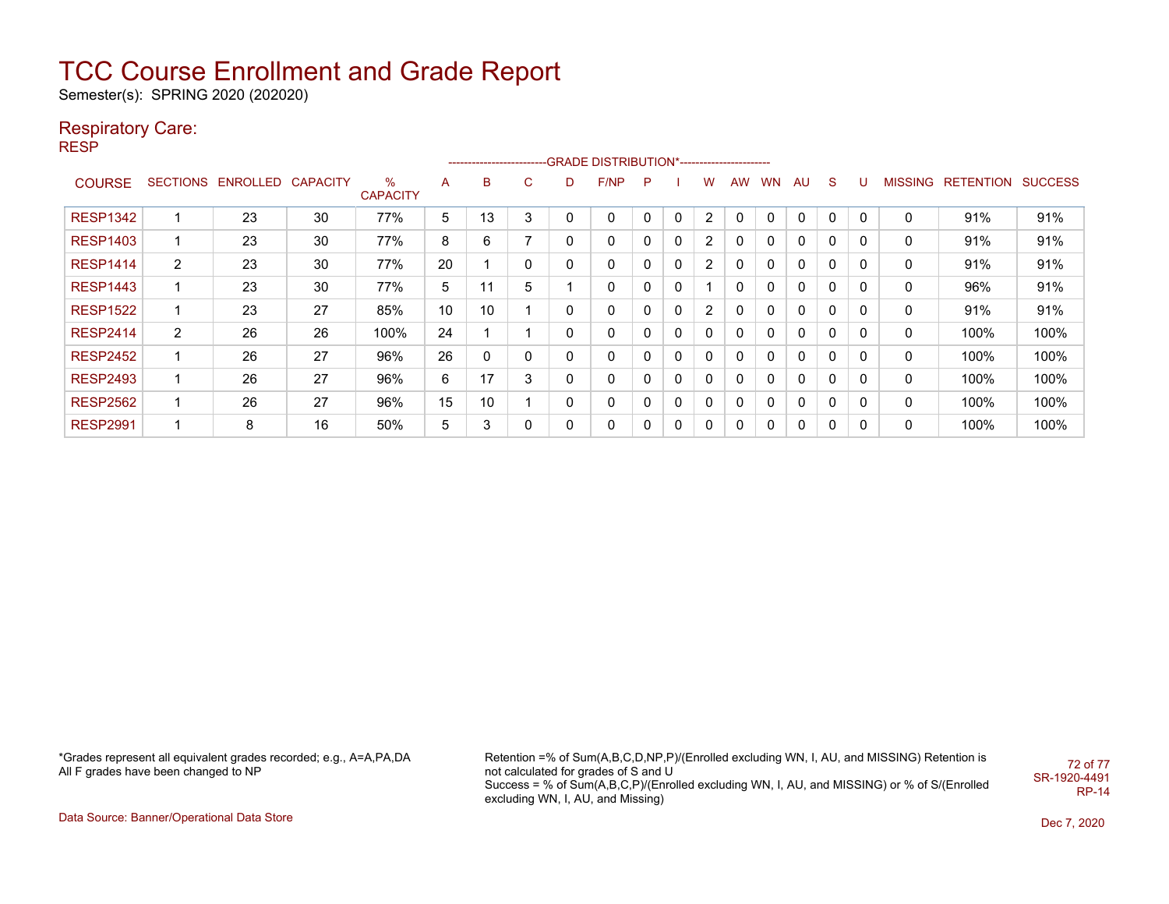Semester(s): SPRING 2020 (202020)

### Respiratory Care:

RESP

|                 | -----------------------GRADE DISTRIBUTION*---------------------- |                            |    |                      |    |    |   |              |          |   |              |                |           |           |    |             |          |   |                   |                |
|-----------------|------------------------------------------------------------------|----------------------------|----|----------------------|----|----|---|--------------|----------|---|--------------|----------------|-----------|-----------|----|-------------|----------|---|-------------------|----------------|
| <b>COURSE</b>   |                                                                  | SECTIONS ENROLLED CAPACITY |    | %<br><b>CAPACITY</b> | A  | B  | C | D            | F/NP     | P |              | W              | <b>AW</b> | <b>WN</b> | AU | S           |          |   | MISSING RETENTION | <b>SUCCESS</b> |
| <b>RESP1342</b> |                                                                  | 23                         | 30 | 77%                  | 5  | 13 | 3 | 0            | $\Omega$ | 0 | 0            | $\overline{2}$ | 0         | 0         | 0  | 0           | 0        | 0 | 91%               | 91%            |
| <b>RESP1403</b> | 1                                                                | 23                         | 30 | 77%                  | 8  | 6  | 7 | 0            | 0        | 0 | $\mathbf{0}$ | 2              | 0         | 0         | 0  | $\mathbf 0$ | 0        | 0 | 91%               | 91%            |
| <b>RESP1414</b> | $\overline{2}$                                                   | 23                         | 30 | 77%                  | 20 |    | 0 | 0            | 0        | 0 | 0            | 2              | $\Omega$  | 0         | 0  | $\mathbf 0$ | $\Omega$ | 0 | 91%               | 91%            |
| <b>RESP1443</b> | 1                                                                | 23                         | 30 | 77%                  | 5  | 11 | 5 |              | 0        | 0 | 0            |                | 0         | 0         | 0  | $\mathbf 0$ | 0        | 0 | 96%               | 91%            |
| <b>RESP1522</b> | 4                                                                | 23                         | 27 | 85%                  | 10 | 10 |   | 0            | 0        | 0 | 0            | 2              | 0         | 0         | 0  | $\mathbf 0$ | 0        | 0 | 91%               | 91%            |
| <b>RESP2414</b> | $\overline{2}$                                                   | 26                         | 26 | 100%                 | 24 |    |   | $\mathbf{0}$ | 0        |   | 0            | $\Omega$       | 0         | 0         | 0  | 0           | 0        | 0 | 100%              | 100%           |
| <b>RESP2452</b> | 1                                                                | 26                         | 27 | 96%                  | 26 | 0  | 0 | 0            | 0        | 0 | 0            | $\Omega$       | 0         | 0         | 0  | $\mathbf 0$ | 0        | 0 | 100%              | 100%           |
| <b>RESP2493</b> | 1                                                                | 26                         | 27 | 96%                  | 6  | 17 | 3 | 0            | 0        | 0 | 0            | 0              | 0         | 0         | 0  | 0           | 0        | 0 | 100%              | 100%           |
| <b>RESP2562</b> | 1                                                                | 26                         | 27 | 96%                  | 15 | 10 |   | 0            | 0        | 0 | 0            | 0              | 0         | 0         | 0  | 0           | 0        | 0 | 100%              | 100%           |
| <b>RESP2991</b> | и                                                                | 8                          | 16 | 50%                  | 5  | 3  | 0 | 0            | 0        | 0 | 0            | 0              | 0         |           | 0  | 0           | 0        | 0 | 100%              | 100%           |

\*Grades represent all equivalent grades recorded; e.g., A=A,PA,DA All F grades have been changed to NP

Retention =% of Sum(A,B,C,D,NP,P)/(Enrolled excluding WN, I, AU, and MISSING) Retention is not calculated for grades of S and U Success = % of Sum(A,B,C,P)/(Enrolled excluding WN, I, AU, and MISSING) or % of S/(Enrolled excluding WN, I, AU, and Missing) 72 of 77 SR-1920-4491 RP-14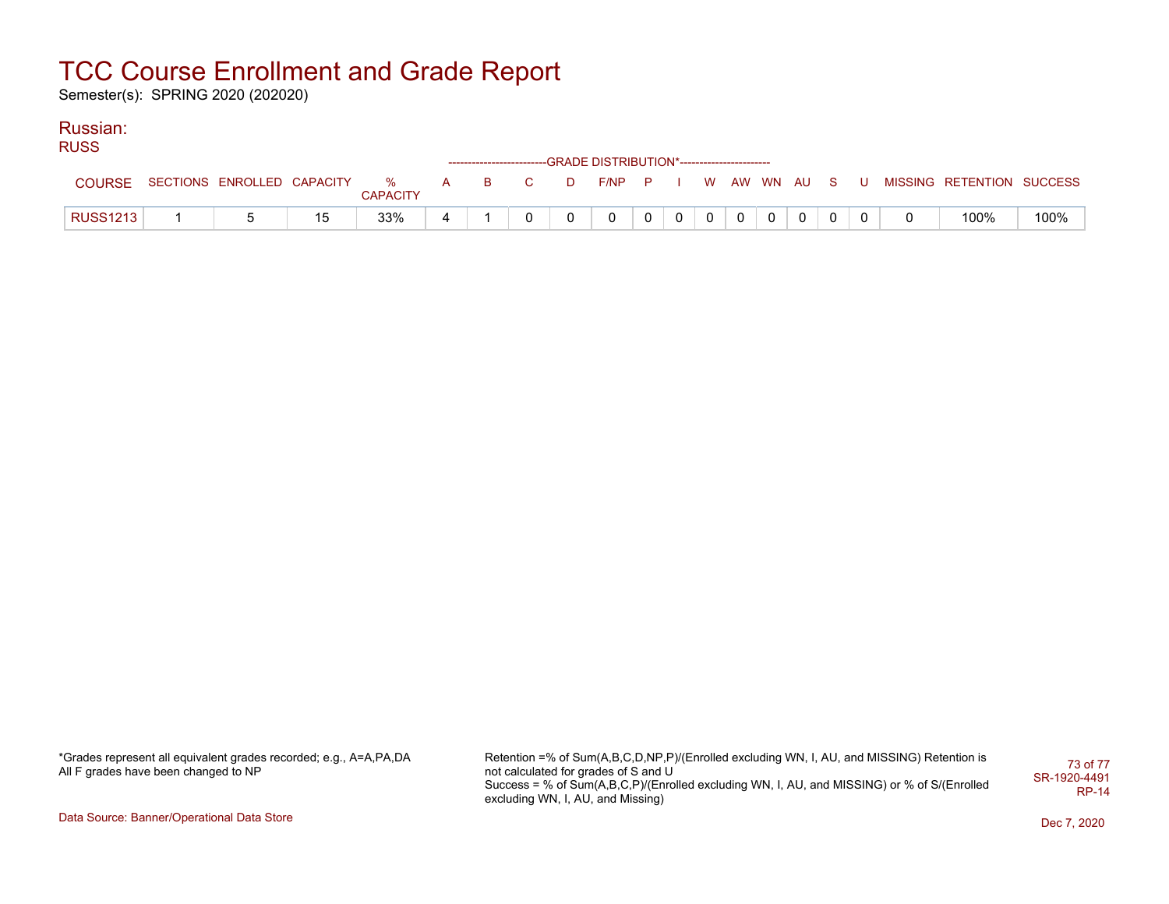Semester(s): SPRING 2020 (202020)

### Russian:

RUSS

|                 |                              |    |                 |     |              |    | ------------------------GRADE DISTRIBUTION*----------------------- |  |  |             |  |  |                           |      |
|-----------------|------------------------------|----|-----------------|-----|--------------|----|--------------------------------------------------------------------|--|--|-------------|--|--|---------------------------|------|
| COURSE          | SECTIONS ENROLLED CAPACITY % |    | <b>CAPACITY</b> | A B | $\mathbf{C}$ | D. | $F/NP$ $P$ $I$                                                     |  |  | WAW WN AUSU |  |  | MISSING RETENTION SUCCESS |      |
| <b>RUSS1213</b> |                              | 15 | 33%             |     |              |    |                                                                    |  |  |             |  |  | 100%                      | 100% |

\*Grades represent all equivalent grades recorded; e.g., A=A,PA,DA All F grades have been changed to NP

Retention =% of Sum(A,B,C,D,NP,P)/(Enrolled excluding WN, I, AU, and MISSING) Retention is not calculated for grades of S and U Success = % of Sum(A,B,C,P)/(Enrolled excluding WN, I, AU, and MISSING) or % of S/(Enrolled excluding WN, I, AU, and Missing) 73 of 77 SR-1920-4491 RP-14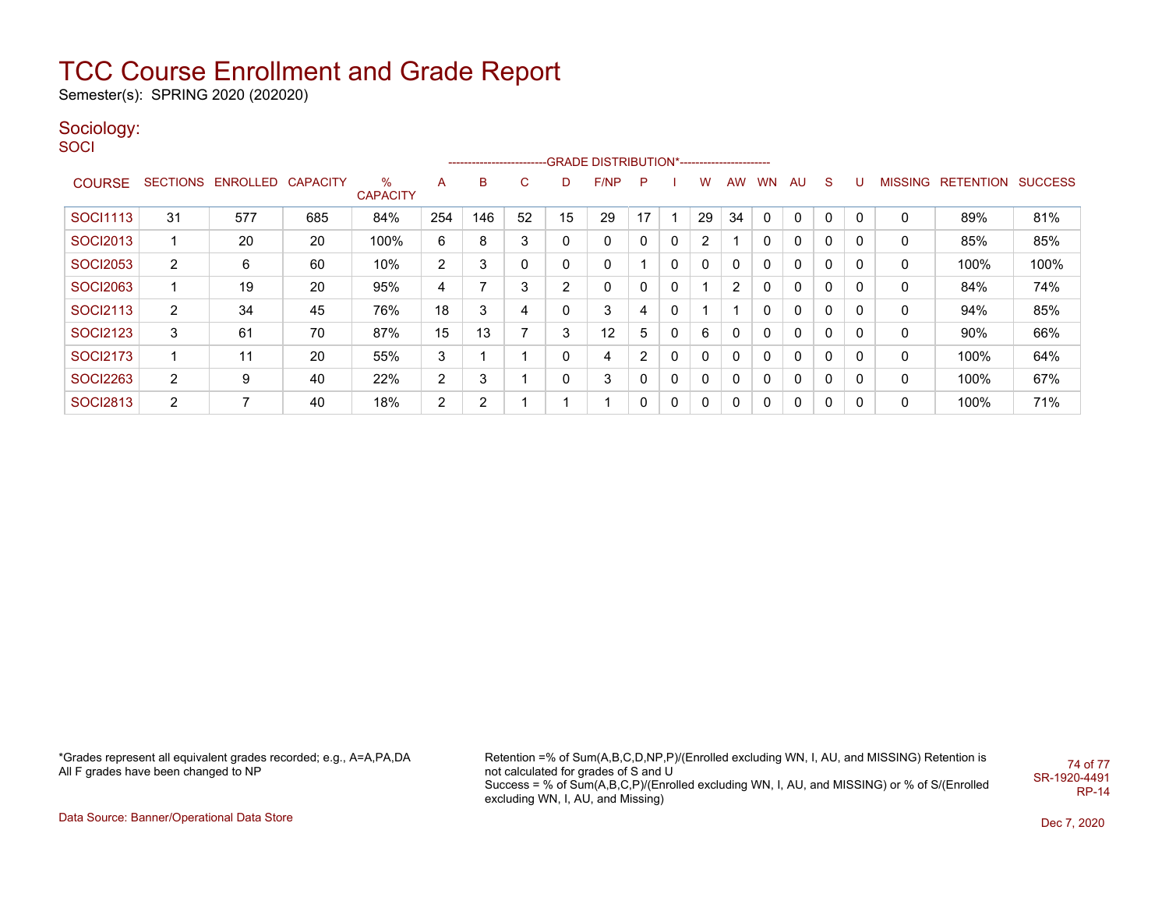Semester(s): SPRING 2020 (202020)

### Sociology:

**SOCI** 

|                 |                       | --------------------------GRADE DISTRIBUTION*---------------------- |                 |                         |                |     |        |    |      |    |   |              |           |              |    |              |   |                |           |                |
|-----------------|-----------------------|---------------------------------------------------------------------|-----------------|-------------------------|----------------|-----|--------|----|------|----|---|--------------|-----------|--------------|----|--------------|---|----------------|-----------|----------------|
| <b>COURSE</b>   |                       | SECTIONS ENROLLED                                                   | <b>CAPACITY</b> | $\%$<br><b>CAPACITY</b> | A              | в   | ⌒<br>U | D  | F/NP | P  |   | w            | <b>AW</b> | <b>WN</b>    | AU | S.           |   | <b>MISSING</b> | RETENTION | <b>SUCCESS</b> |
| SOCI1113        | 31                    | 577                                                                 | 685             | 84%                     | 254            | 146 | 52     | 15 | 29   | 17 |   | 29           | 34        | $\mathbf{0}$ | 0  | $\Omega$     | 0 | 0              | 89%       | 81%            |
| <b>SOCI2013</b> |                       | 20                                                                  | 20              | 100%                    | 6              | 8   | 3      |    | 0    |    | 0 | 2            |           | 0            | 0  | 0            | 0 | 0              | 85%       | 85%            |
| <b>SOCI2053</b> | $\mathbf{2}^{\prime}$ | 6                                                                   | 60              | 10%                     | $\overline{2}$ | 3   | 0      | 0  | 0    |    | 0 | $\Omega$     | 0         | 0            | 0  | $\Omega$     | 0 | 0              | 100%      | 100%           |
| <b>SOCI2063</b> |                       | 19                                                                  | 20              | 95%                     | 4              |     | 3      | 2  | 0    |    | 0 |              | 2         | 0            | 0  | $\Omega$     | 0 | 0              | 84%       | 74%            |
| SOCI2113        | $\overline{2}$        | 34                                                                  | 45              | 76%                     | 18             | 3   | 4      |    | 3    | 4  | 0 |              |           | 0            | 0  | $\mathbf{0}$ | 0 | 0              | 94%       | 85%            |
| <b>SOCI2123</b> | 3                     | 61                                                                  | 70              | 87%                     | 15             | 13  |        | 3  | 12   | 5  | 0 | 6            | 0         | 0            | 0  | $\mathbf{0}$ | 0 | 0              | 90%       | 66%            |
| <b>SOCI2173</b> |                       | 11                                                                  | 20              | 55%                     | 3              |     |        |    | 4    | 2  | 0 | $\mathbf{0}$ | 0         | 0            | 0  | $\mathbf{0}$ | 0 | 0              | 100%      | 64%            |
| <b>SOCI2263</b> | $\overline{2}$        | 9                                                                   | 40              | 22%                     | $\overline{2}$ | 3   |        |    | 3    |    | 0 | 0            | 0         | 0            | 0  | $\mathbf{0}$ | 0 | 0              | 100%      | 67%            |
| <b>SOCI2813</b> | $\overline{2}$        | ⇁                                                                   | 40              | 18%                     | 2              | ົ   |        |    |      | 0  | 0 | 0            | 0         | 0            | 0  | 0            | 0 | 0              | 100%      | 71%            |

\*Grades represent all equivalent grades recorded; e.g., A=A,PA,DA All F grades have been changed to NP

Retention =% of Sum(A,B,C,D,NP,P)/(Enrolled excluding WN, I, AU, and MISSING) Retention is not calculated for grades of S and U Success = % of Sum(A,B,C,P)/(Enrolled excluding WN, I, AU, and MISSING) or % of S/(Enrolled excluding WN, I, AU, and Missing) 74 of 77 SR-1920-4491 RP-14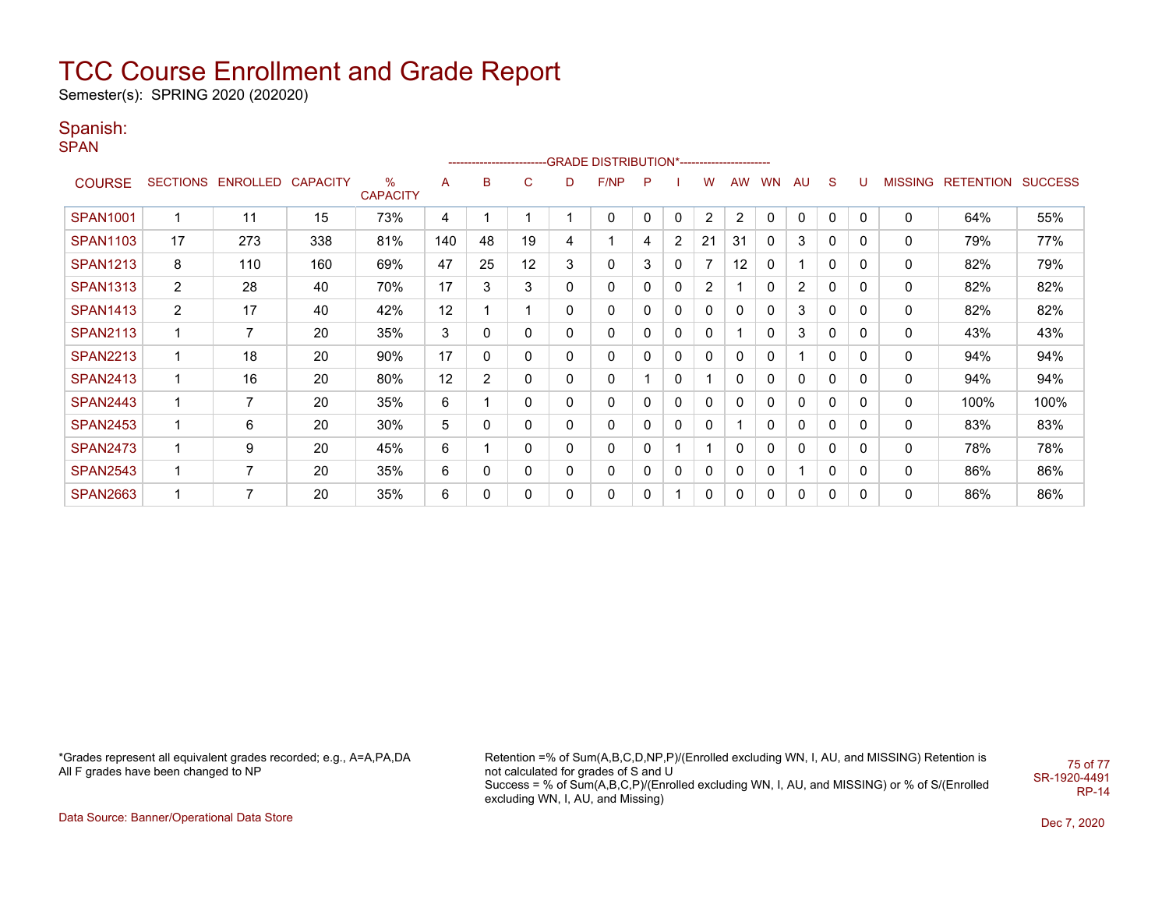Semester(s): SPRING 2020 (202020)

### Spanish:

**SPAN** 

|                 | ------------------------GRADE                DISTRIBUTION*---------------------- |                            |     |                      |     |                |          |   |      |   |                |                |              |              |                |              |              |                |                  |                |
|-----------------|----------------------------------------------------------------------------------|----------------------------|-----|----------------------|-----|----------------|----------|---|------|---|----------------|----------------|--------------|--------------|----------------|--------------|--------------|----------------|------------------|----------------|
| <b>COURSE</b>   |                                                                                  | SECTIONS ENROLLED CAPACITY |     | %<br><b>CAPACITY</b> | A   | B              | C        | D | F/NP | P |                | w              | <b>AW</b>    | <b>WN</b>    | AU             | S            | U            | <b>MISSING</b> | <b>RETENTION</b> | <b>SUCCESS</b> |
| <b>SPAN1001</b> | 1                                                                                | 11                         | 15  | 73%                  | 4   |                |          |   | 0    | 0 | $\mathbf{0}$   | $\overline{2}$ | 2            | 0            | 0              | $\mathbf 0$  | 0            | 0              | 64%              | 55%            |
| <b>SPAN1103</b> | 17                                                                               | 273                        | 338 | 81%                  | 140 | 48             | 19       | 4 |      | 4 | $\overline{2}$ | 21             | 31           | 0            | 3              | 0            | 0            | 0              | 79%              | 77%            |
| <b>SPAN1213</b> | 8                                                                                | 110                        | 160 | 69%                  | 47  | 25             | 12       | 3 | 0    | 3 | 0              | 7              | 12           |              |                | $\Omega$     | 0            | 0              | 82%              | 79%            |
| <b>SPAN1313</b> | $\overline{2}$                                                                   | 28                         | 40  | 70%                  | 17  | 3              | 3        | 0 | 0    | 0 | $\mathbf{0}$   | 2              |              | 0            | $\overline{2}$ | $\mathbf{0}$ | 0            | 0              | 82%              | 82%            |
| <b>SPAN1413</b> | 2                                                                                | 17                         | 40  | 42%                  | 12  |                |          | 0 | 0    |   | 0              | 0              | 0            | O            | 3              | 0            | 0            | 0              | 82%              | 82%            |
| <b>SPAN2113</b> | 1                                                                                | $\overline{7}$             | 20  | 35%                  | 3   | 0              | 0        | 0 | 0    | 0 | 0              | 0              |              | 0            | 3              | 0            | 0            | 0              | 43%              | 43%            |
| <b>SPAN2213</b> | 1                                                                                | 18                         | 20  | 90%                  | 17  | 0              | 0        | 0 | 0    | 0 | 0              | 0              | 0            | 0            |                | 0            | 0            | 0              | 94%              | 94%            |
| <b>SPAN2413</b> | 1                                                                                | 16                         | 20  | 80%                  | 12  | $\overline{2}$ | 0        | 0 | 0    |   | $\mathbf{0}$   |                | $\mathbf{0}$ | 0            | 0              | 0            | $\mathbf{0}$ | 0              | 94%              | 94%            |
| <b>SPAN2443</b> | 1                                                                                | 7                          | 20  | 35%                  | 6   |                | 0        | 0 | 0    | 0 | 0              | $\Omega$       | 0            | <sup>0</sup> | 0              | 0            | 0            | 0              | 100%             | 100%           |
| <b>SPAN2453</b> | 1                                                                                | 6                          | 20  | 30%                  | 5   | 0              | 0        | 0 | 0    | 0 | 0              | 0              |              | 0            | 0              | 0            | 0            | 0              | 83%              | 83%            |
| <b>SPAN2473</b> | 1                                                                                | 9                          | 20  | 45%                  | 6   |                | 0        | 0 | 0    | 0 |                |                | 0            | 0            | 0              | 0            | 0            | 0              | 78%              | 78%            |
| <b>SPAN2543</b> | 1                                                                                | 7                          | 20  | 35%                  | 6   | 0              | 0        | 0 | 0    | 0 | 0              | $\Omega$       | 0            | 0            |                | $\mathbf{0}$ | 0            | 0              | 86%              | 86%            |
| <b>SPAN2663</b> | 1                                                                                | 7                          | 20  | 35%                  | 6   | 0              | $\Omega$ | 0 | 0    | 0 |                | 0              | 0            | 0            | 0              | 0            | 0            | 0              | 86%              | 86%            |

\*Grades represent all equivalent grades recorded; e.g., A=A,PA,DA All F grades have been changed to NP

Retention =% of Sum(A,B,C,D,NP,P)/(Enrolled excluding WN, I, AU, and MISSING) Retention is not calculated for grades of S and U Success = % of Sum(A,B,C,P)/(Enrolled excluding WN, I, AU, and MISSING) or % of S/(Enrolled excluding WN, I, AU, and Missing) 75 of 77 SR-1920-4491

RP-14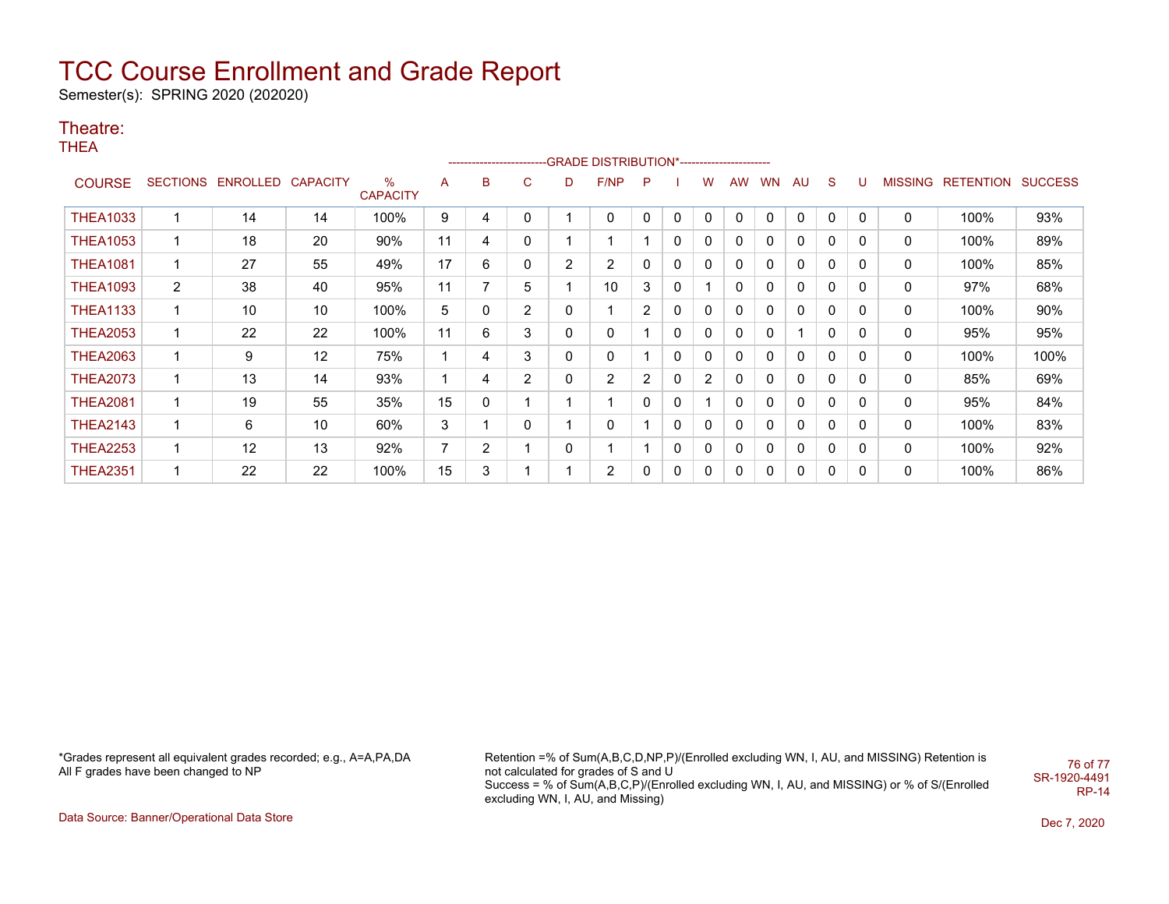Semester(s): SPRING 2020 (202020)

### Theatre:

THEA

|                 |             |                            |    |                      |                |                |   |   | ------------------------GRADE                DISTRIBUTION*---------------------- |                       |              |   |             |              |           |    |             |   |                   |                |
|-----------------|-------------|----------------------------|----|----------------------|----------------|----------------|---|---|----------------------------------------------------------------------------------|-----------------------|--------------|---|-------------|--------------|-----------|----|-------------|---|-------------------|----------------|
| <b>COURSE</b>   |             | SECTIONS ENROLLED CAPACITY |    | %<br><b>CAPACITY</b> | A              | B              | C | D | F/NP                                                                             | P                     |              | w | AW          | <b>WN</b>    | <b>AU</b> | S. | U           |   | MISSING RETENTION | <b>SUCCESS</b> |
| <b>THEA1033</b> | 1           | 14                         | 14 | 100%                 | 9              | 4              | 0 |   | $\mathbf{0}$                                                                     | 0                     | $\mathbf{0}$ | 0 | $\Omega$    | $\mathbf{0}$ | $\Omega$  | 0  | $\mathbf 0$ | 0 | 100%              | 93%            |
| <b>THEA1053</b> | 1           | 18                         | 20 | 90%                  | 11             | 4              | 0 |   |                                                                                  |                       | 0            | 0 | 0           | 0            | 0         | 0  | 0           | 0 | 100%              | 89%            |
| <b>THEA1081</b> | 1           | 27                         | 55 | 49%                  | 17             | 6              | 0 | 2 | $\overline{2}$                                                                   | 0                     | 0            | 0 | 0           | 0            | 0         | 0  | 0           | 0 | 100%              | 85%            |
| <b>THEA1093</b> | 2           | 38                         | 40 | 95%                  | 11             | 7              | 5 |   | 10                                                                               | 3                     | $\mathbf{0}$ |   | 0           | 0            | 0         | 0  | 0           | 0 | 97%               | 68%            |
| THEA1133        | $\mathbf 1$ | 10                         | 10 | 100%                 | 5              | 0              | 2 | 0 |                                                                                  | $\mathbf{2}^{\circ}$  | 0            | 0 | 0           | 0            | $\Omega$  | 0  | 0           | 0 | 100%              | 90%            |
| <b>THEA2053</b> | 1           | 22                         | 22 | 100%                 | 11             | 6              | 3 | 0 | 0                                                                                |                       | 0            | 0 | 0           | 0            |           | 0  | 0           | 0 | 95%               | 95%            |
| <b>THEA2063</b> | $\mathbf 1$ | 9                          | 12 | 75%                  |                | 4              | 3 | 0 | $\mathbf 0$                                                                      |                       | 0            | 0 | 0           | 0            | 0         | 0  | 0           | 0 | 100%              | 100%           |
| <b>THEA2073</b> | $\mathbf 1$ | 13                         | 14 | 93%                  |                | 4              | 2 | 0 | $\overline{2}$                                                                   | $\mathbf{2}^{\prime}$ | 0            | 2 | 0           | 0            | 0         | 0  | 0           | 0 | 85%               | 69%            |
| <b>THEA2081</b> | 1           | 19                         | 55 | 35%                  | 15             | 0              |   |   | 1                                                                                | 0                     | 0            |   | $\mathbf 0$ | 0            | 0         | 0  | 0           | 0 | 95%               | 84%            |
| <b>THEA2143</b> | 1           | 6                          | 10 | 60%                  | 3              |                | 0 |   | 0                                                                                |                       | 0            | 0 | $\Omega$    | 0            | 0         | 0  | 0           | 0 | 100%              | 83%            |
| <b>THEA2253</b> | 1           | 12                         | 13 | 92%                  | $\overline{7}$ | $\overline{2}$ |   | 0 |                                                                                  |                       | 0            | 0 | 0           | 0            | 0         | 0  | 0           | 0 | 100%              | 92%            |
| <b>THEA2351</b> | $\mathbf 1$ | 22                         | 22 | 100%                 | 15             | 3              |   |   | $\overline{2}$                                                                   | 0                     | $\mathbf{0}$ | 0 | 0           | 0            | 0         | 0  | 0           | 0 | 100%              | 86%            |

\*Grades represent all equivalent grades recorded; e.g., A=A,PA,DA All F grades have been changed to NP

Retention =% of Sum(A,B,C,D,NP,P)/(Enrolled excluding WN, I, AU, and MISSING) Retention is not calculated for grades of S and U Success = % of Sum(A,B,C,P)/(Enrolled excluding WN, I, AU, and MISSING) or % of S/(Enrolled excluding WN, I, AU, and Missing) 76 of 77 SR-1920-4491 RP-14